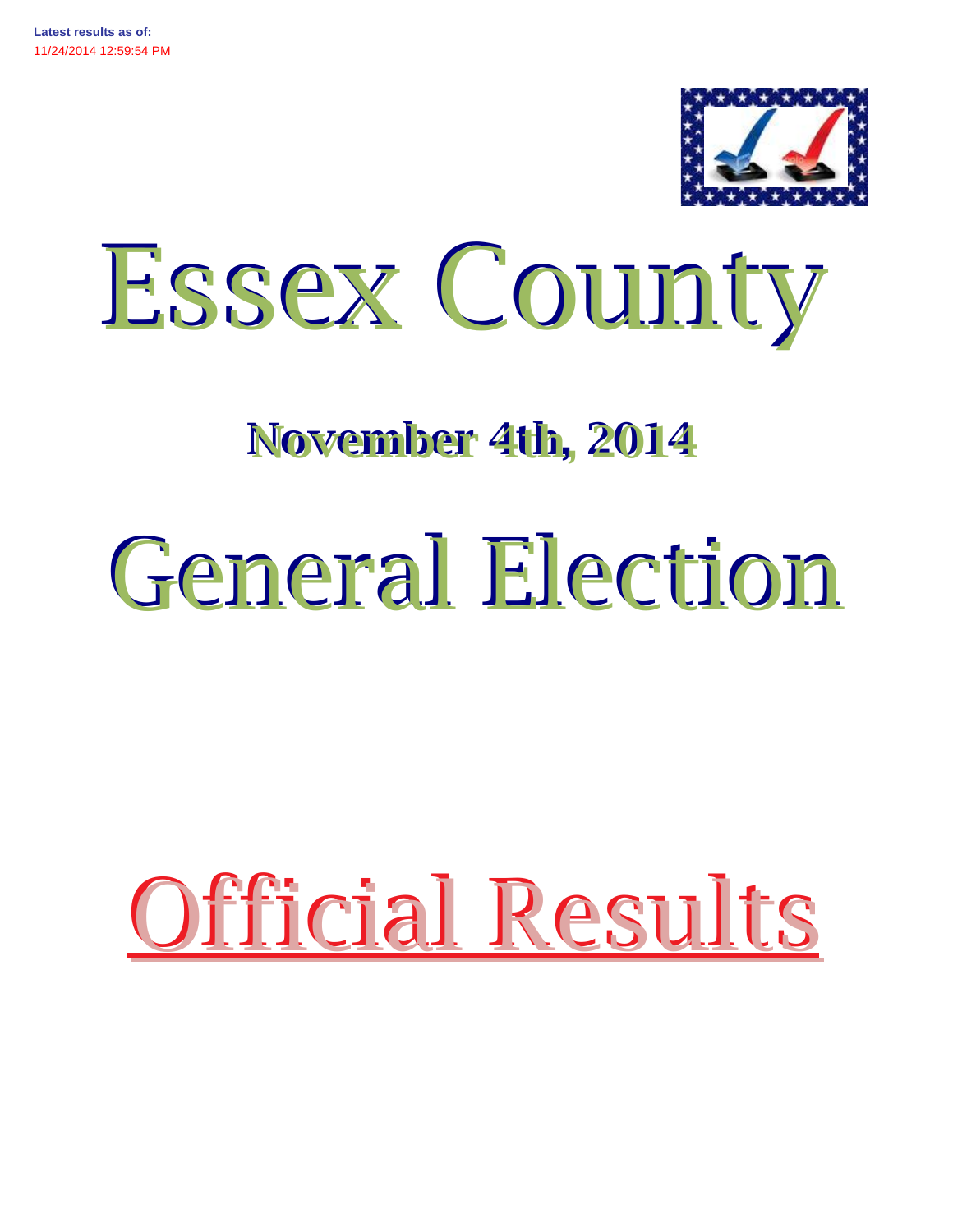



# **November 4th, 2014**

# General Election

# Official Results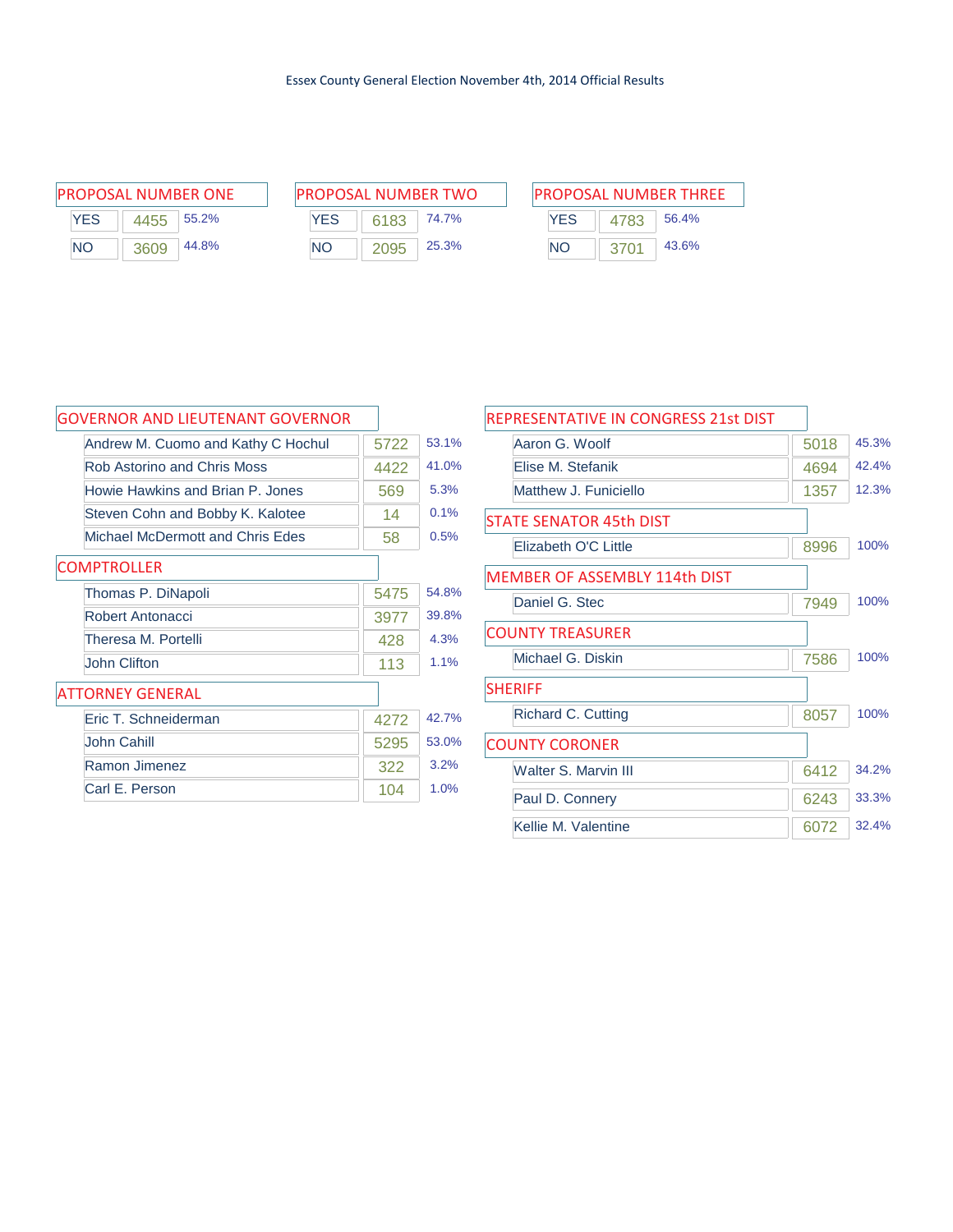| PROPOSAL NUMBER ONE |      |       |  |  |  |  |
|---------------------|------|-------|--|--|--|--|
| <b>YES</b>          | 4455 | 55.2% |  |  |  |  |
| NΟ                  | 3609 | 44.8% |  |  |  |  |

| PROPOSAL NUMBER ONE | <b>PROPOSAL NUMBER TWO</b> | <b>PROPOSAL NUMBER THREE</b> |
|---------------------|----------------------------|------------------------------|
| <b>YES</b>          | YES                        | <b>YES</b>                   |
| 55.2%               | 74.7%                      | 56.4%                        |
| 4455                | 6183                       | 4783                         |
| <b>NO</b>           | 25.3%                      | 43.6%                        |
| 44.8%               | NΟ                         | NO.                          |
| 3609                | 2095                       | 3701                         |

| PROPOSAL NUMBER THRFF |      |       |  |  |  |
|-----------------------|------|-------|--|--|--|
| YFS                   | 4783 | 56.4% |  |  |  |
| NΟ                    | 3701 | 43.6% |  |  |  |

| <b>GOVERNOR AND LIEUTENANT GOVERNOR</b> |      |       |
|-----------------------------------------|------|-------|
| Andrew M. Cuomo and Kathy C Hochul      | 5722 | 53.1% |
| Rob Astorino and Chris Moss             | 4422 | 41.0% |
| Howie Hawkins and Brian P. Jones        | 569  | 5.3%  |
| Steven Cohn and Bobby K. Kalotee        | 14   | 0.1%  |
| Michael McDermott and Chris Edes        | 58   | 0.5%  |
| <b>COMPTROLLER</b>                      |      |       |
| Thomas P. DiNapoli                      | 5475 | 54.8% |
| Robert Antonacci                        | 3977 | 39.8% |
| Theresa M. Portelli                     | 428  | 4.3%  |
| <b>John Clifton</b>                     | 113  | 1.1%  |
| <b>ATTORNEY GENERAL</b>                 |      |       |
| Fric T. Schneiderman                    | 4272 | 42.7% |
| John Cahill                             | 5295 | 53.0% |
| Ramon Jimenez                           | 322  | 3.2%  |
| Carl E. Person                          | 104  | 1.0%  |

| REPRESENTATIVE IN CONGRESS 21st DIST |      |      |       |
|--------------------------------------|------|------|-------|
| Aaron G. Woolf                       | 5018 |      | 45.3% |
| Flise M. Stefanik                    |      | 4694 | 42.4% |
| Matthew J. Funiciello                |      | 1357 | 12.3% |
| <b>STATE SENATOR 45th DIST</b>       |      |      |       |
| Elizabeth O'C Little                 | 8996 |      | 100%  |
| <b>MEMBER OF ASSEMBLY 114th DIST</b> |      |      |       |
| Daniel G. Stec                       | 7949 |      | 100%  |
| <b>COUNTY TREASURER</b>              |      |      |       |
| Michael G. Diskin                    | 7586 |      | 100%  |
| <b>SHERIFF</b>                       |      |      |       |
| Richard C. Cutting                   | 8057 |      | 100%  |
| <b>COUNTY CORONER</b>                |      |      |       |
| <b>Walter S. Marvin III</b>          |      | 6412 | 34.2% |
| Paul D. Connery                      |      | 6243 | 33.3% |
| Kellie M. Valentine                  |      | 6072 | 32.4% |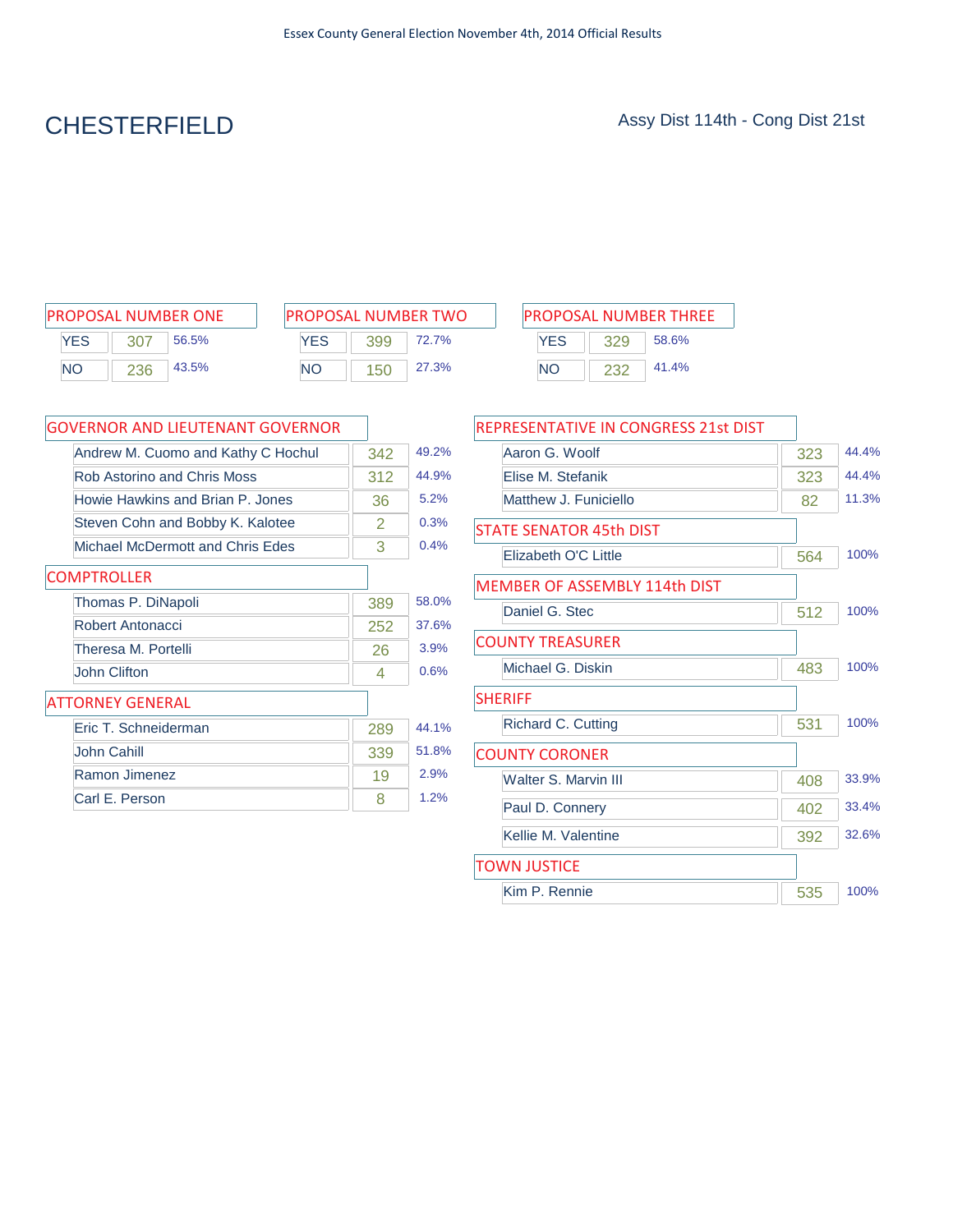# CHESTERFIELD Assy Dist 114th - Cong Dist 21st

| <b>PROPOSAL NUMBER ONE</b> |     |       |  |  |  |  |  |
|----------------------------|-----|-------|--|--|--|--|--|
| YFS                        | 307 | 56.5% |  |  |  |  |  |
| NΟ                         | 236 | 43.5% |  |  |  |  |  |

| <b>PROPOSAL NUMBER TWO</b> |     |       |  |  |  |  |
|----------------------------|-----|-------|--|--|--|--|
| <b>YFS</b>                 | 399 | 72.7% |  |  |  |  |
| NO.                        | 150 | 27.3% |  |  |  |  |

| PROPOSAL NUMBER ONE       | <b>PROPOSAL NUMBER TWO</b> |     |       | <b>PROPOSAL NUMBER THREE</b> |            |  |       |  |
|---------------------------|----------------------------|-----|-------|------------------------------|------------|--|-------|--|
| <b>YES</b><br>56.5%       | YES                        | 399 | 72.7% |                              | <b>YES</b> |  | 58.6% |  |
| 43.5%<br><b>NO</b><br>236 | <b>NO</b>                  | 150 | 27.3% | NC                           |            |  | 41.4% |  |

| GOVERNOR AND LIEUTENANT GOVERNOR   |     |       |
|------------------------------------|-----|-------|
| Andrew M. Cuomo and Kathy C Hochul | 342 | 49.2% |
| Rob Astorino and Chris Moss        | 312 | 44.9% |
| Howie Hawkins and Brian P. Jones   | 36  | 5.2%  |
| Steven Cohn and Bobby K. Kalotee   | 2   | 0.3%  |
| Michael McDermott and Chris Edes   | 3   | 0.4%  |
| <b>COMPTROLLER</b>                 |     |       |
| Thomas P. DiNapoli                 | 389 | 58.0% |
| Robert Antonacci                   | 252 | 37.6% |
| Theresa M. Portelli                | 26  | 3.9%  |
| John Clifton                       | 4   | 0.6%  |
| <b>ATTORNEY GENERAL</b>            |     |       |
| Eric T. Schneiderman               | 289 | 44.1% |
| John Cahill                        | 339 | 51.8% |
| Ramon Jimenez                      | 19  | 2.9%  |
| Carl E. Person                     | 8   | 1.2%  |

| REPRESENTATIVE IN CONGRESS 21st DIST |     |       |
|--------------------------------------|-----|-------|
| Aaron G. Woolf                       | 323 | 44.4% |
| Elise M. Stefanik                    | 323 | 44.4% |
| Matthew J. Funiciello                | 82  | 11.3% |
| <b>STATE SENATOR 45th DIST</b>       |     |       |
| Elizabeth O'C Little                 | 564 | 100%  |
| MEMBER OF ASSEMBLY 114th DIST        |     |       |
| Daniel G. Stec                       | 512 | 100%  |
| <b>COUNTY TREASURER</b>              |     |       |
| Michael G. Diskin                    | 483 | 100%  |
| <b>SHERIFF</b>                       |     |       |
| Richard C. Cutting                   | 531 | 100%  |
| <b>COUNTY CORONER</b>                |     |       |
| Walter S. Marvin III                 | 408 | 33.9% |
| Paul D. Connery                      | 402 | 33.4% |
| Kellie M. Valentine                  | 392 | 32.6% |
| <b>TOWN JUSTICE</b>                  |     |       |
| Kim P. Rennie                        | 535 | 100%  |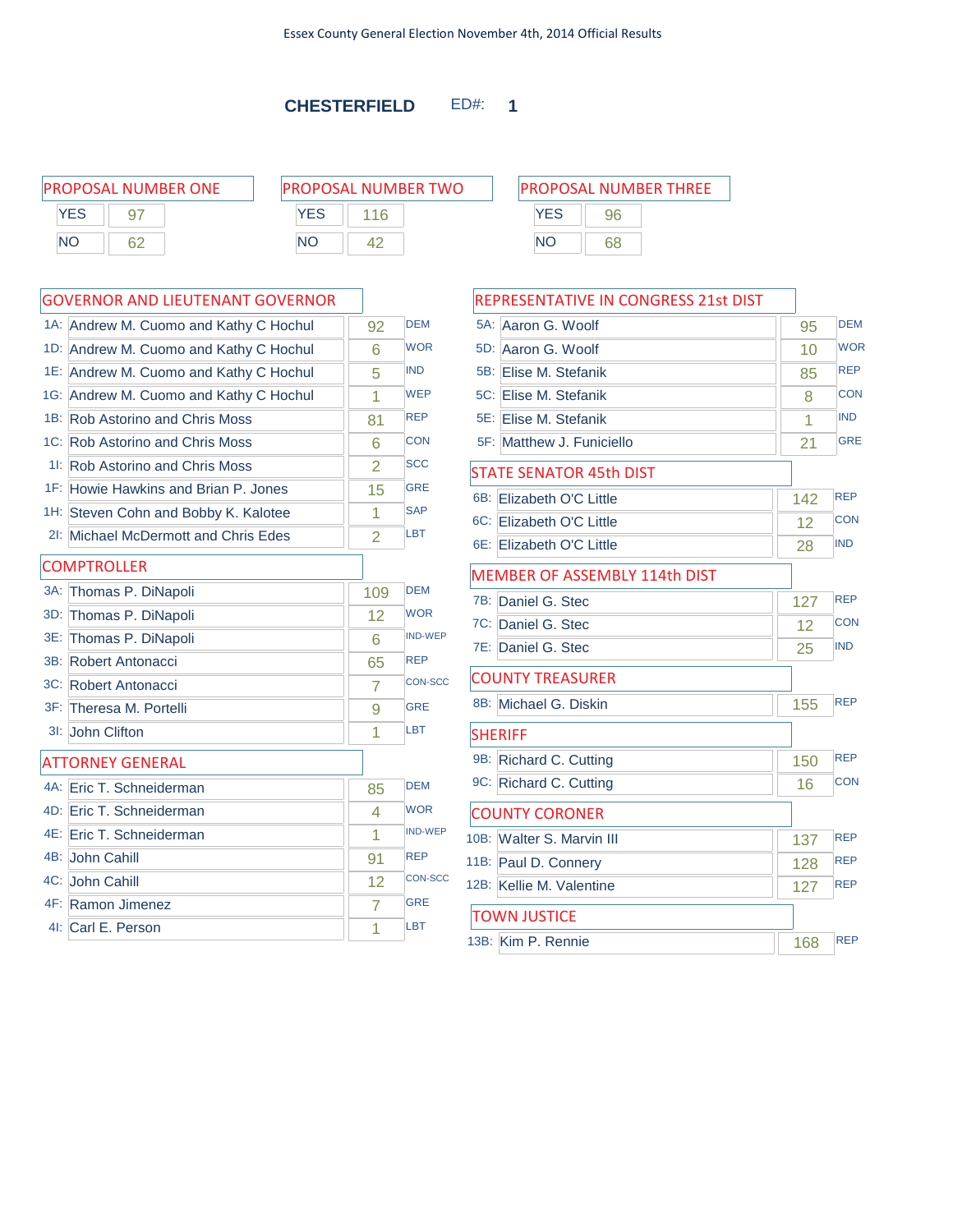### **CHESTERFIELD** ED#: **1**

| <b>PROPOSAL NUMBER ONE</b> |    |            | <b>PROPOSAL NUMBER TWO</b> | <b>PROPOSAL NUMBER THREE</b> |    |  |
|----------------------------|----|------------|----------------------------|------------------------------|----|--|
| YES                        |    | <b>YES</b> |                            | YES                          |    |  |
| <b>NO</b>                  | 62 | <b>NO</b>  |                            | NΟ                           | 68 |  |
|                            |    |            |                            |                              |    |  |

### GOVERNOR AND LIEUTENANT GOVERNOR

|        | GOVERNOR AND LIEUTENANT GOVERNOR       |                |                |
|--------|----------------------------------------|----------------|----------------|
|        | 1A: Andrew M. Cuomo and Kathy C Hochul | 92             | <b>DEM</b>     |
|        | 1D: Andrew M. Cuomo and Kathy C Hochul | 6              | <b>WOR</b>     |
|        | 1E: Andrew M. Cuomo and Kathy C Hochul | 5              | <b>IND</b>     |
|        | 1G: Andrew M. Cuomo and Kathy C Hochul | 1              | <b>WEP</b>     |
|        | 1B: Rob Astorino and Chris Moss        | 81             | <b>REP</b>     |
|        | 1C: Rob Astorino and Chris Moss        | 6              | <b>CON</b>     |
|        | 11: Rob Astorino and Chris Moss        | $\overline{2}$ | <b>SCC</b>     |
|        | 1F: Howie Hawkins and Brian P. Jones   | 15             | <b>GRE</b>     |
|        | 1H: Steven Cohn and Bobby K. Kalotee   | 1              | <b>SAP</b>     |
|        | 21: Michael McDermott and Chris Edes   | $\overline{2}$ | <b>LBT</b>     |
|        | <b>COMPTROLLER</b>                     |                |                |
| 3A:    | Thomas P. DiNapoli                     | 109            | <b>DEM</b>     |
| 3D:    | Thomas P. DiNapoli                     | 12             | <b>WOR</b>     |
| 3E:    | Thomas P. DiNapoli                     | 6              | <b>IND-WEP</b> |
| 3B:    | Robert Antonacci                       | 65             | <b>REP</b>     |
|        | 3C: Robert Antonacci                   | $\overline{7}$ | <b>CON-SCC</b> |
|        | 3F: Theresa M. Portelli                | 9              | <b>GRE</b>     |
| $31$ : | John Clifton                           | 1              | <b>LBT</b>     |
|        | <b>ATTORNEY GENERAL</b>                |                |                |
|        | 4A: Eric T. Schneiderman               | 85             | <b>DEM</b>     |
|        | 4D: Eric T. Schneiderman               | 4              | <b>WOR</b>     |
|        | 4E: Eric T. Schneiderman               | 1              | <b>IND-WEP</b> |
|        | 4B: John Cahill                        | 91             | <b>REP</b>     |
|        | 4C: John Cahill                        | 12             | <b>CON-SCC</b> |
|        | 4F: Ramon Jimenez                      | 7              | <b>GRE</b>     |
|        | 4I: Carl E. Person                     | 1              | LBT            |

| <b>PROPOSAL NUMBER THREE</b> |    |  |  |
|------------------------------|----|--|--|
| <b>YFS</b>                   |    |  |  |
| NΟ                           | 68 |  |  |

### REPRESENTATIVE IN CONGRESS 21st DIST

 $\overline{\phantom{a}}$ 

| 5A: Aaron G. Woolf                   | 95  | <b>DEM</b> |
|--------------------------------------|-----|------------|
| 5D: Aaron G. Woolf                   | 10  | <b>WOR</b> |
| 5B: Elise M. Stefanik                | 85  | <b>REP</b> |
| 5C: Elise M. Stefanik                | 8   | <b>CON</b> |
| 5E: Elise M. Stefanik                | 1   | <b>IND</b> |
| 5F: Matthew J. Funiciello            | 21  | <b>GRE</b> |
| <b>STATE SENATOR 45th DIST</b>       |     |            |
| 6B: Elizabeth O'C Little             | 142 | <b>REP</b> |
| 6C: Elizabeth O'C Little             | 12  | <b>CON</b> |
| 6E: Elizabeth O'C Little             | 28  | <b>IND</b> |
| <b>MEMBER OF ASSEMBLY 114th DIST</b> |     |            |
| 7B: Daniel G. Stec                   | 127 | <b>REP</b> |
| 7C: Daniel G. Stec                   | 12  | <b>CON</b> |
| 7E: Daniel G. Stec                   | 25  | <b>IND</b> |
| <b>COUNTY TREASURER</b>              |     |            |
| 8B: Michael G. Diskin                | 155 | <b>REP</b> |
| <b>SHERIFF</b>                       |     |            |
| 9B: Richard C. Cutting               | 150 | <b>REP</b> |
| 9C: Richard C. Cutting               | 16  | <b>CON</b> |
| <b>COUNTY CORONER</b>                |     |            |
| 10B: Walter S. Marvin III            | 137 | <b>REP</b> |
| 11B: Paul D. Connery                 | 128 | <b>REP</b> |
| 12B: Kellie M. Valentine             | 127 | <b>REP</b> |
| <b>TOWN JUSTICE</b>                  |     |            |
| 13B: Kim P. Rennie                   | 168 | <b>REP</b> |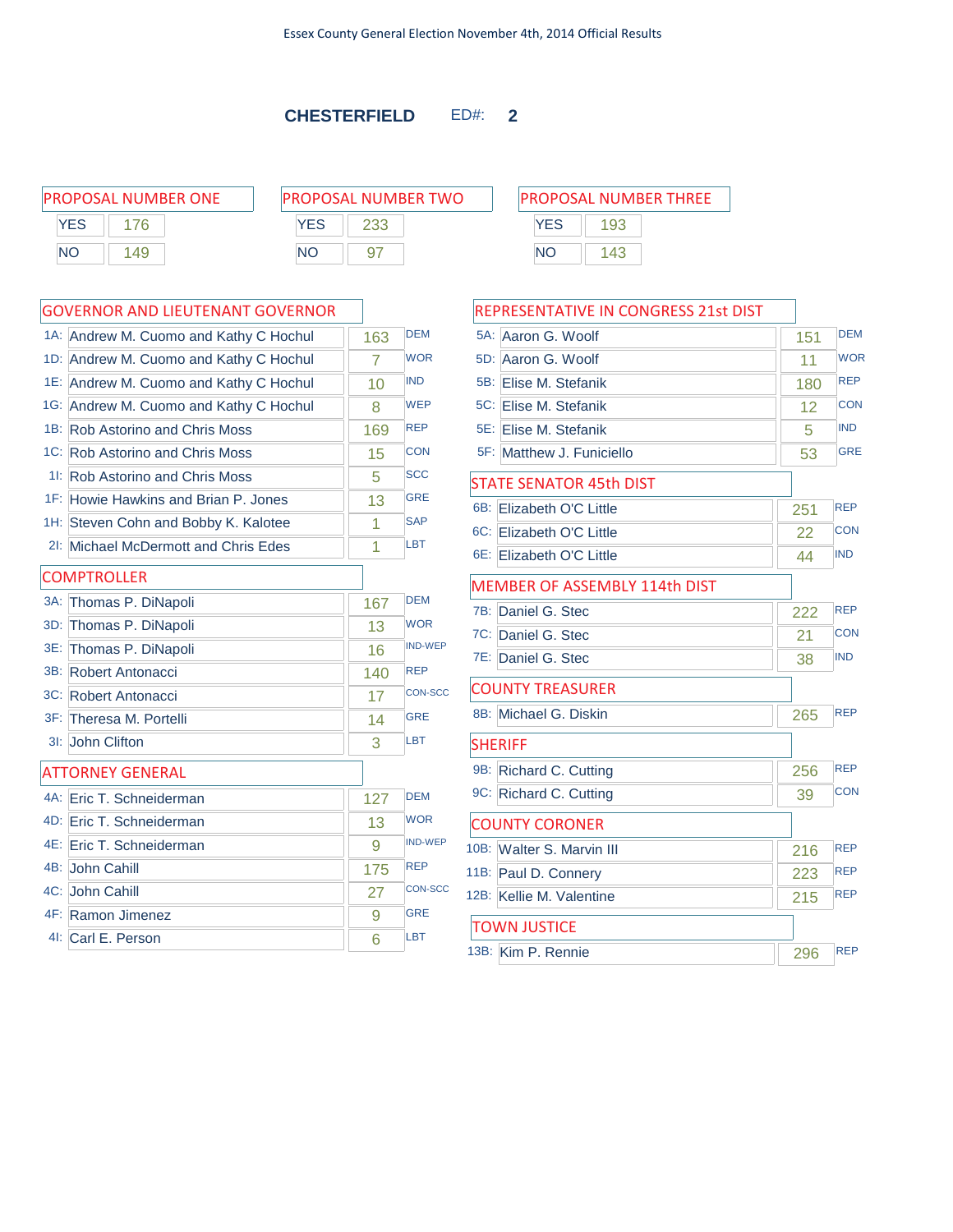### **CHESTERFIELD** ED#: **2**

|     | <b>PROPOSAL NUMBER ONE</b> |     | <b>PROPOSAL NUMBER TWO</b> |            | <b>PROPOSAL NUMBER THREE</b> |  |
|-----|----------------------------|-----|----------------------------|------------|------------------------------|--|
| YES |                            | YES |                            | <b>YES</b> | 193                          |  |
| NΟ  | 49                         | ΝC  |                            | ΝC         | 143                          |  |

| PROPOSAL NUMBER TWO |     |  |  |
|---------------------|-----|--|--|
| <b>YFS</b>          | 233 |  |  |
| NΟ                  |     |  |  |

|        | 1A: Andrew M. Cuomo and Kathy C Hochul | 163 | <b>DEM</b>     |
|--------|----------------------------------------|-----|----------------|
| 1D:    | Andrew M. Cuomo and Kathy C Hochul     | 7   | <b>WOR</b>     |
|        | 1E: Andrew M. Cuomo and Kathy C Hochul | 10  | <b>IND</b>     |
|        | 1G: Andrew M. Cuomo and Kathy C Hochul | 8   | <b>WEP</b>     |
|        | 1B: Rob Astorino and Chris Moss        | 169 | <b>REP</b>     |
|        | 1C: Rob Astorino and Chris Moss        | 15  | <b>CON</b>     |
|        | 11: Rob Astorino and Chris Moss        | 5   | <b>SCC</b>     |
|        | 1F: Howie Hawkins and Brian P. Jones   | 13  | <b>GRE</b>     |
|        | 1H: Steven Cohn and Bobby K. Kalotee   | 1   | <b>SAP</b>     |
| $2!$ : | Michael McDermott and Chris Edes       | 1   | <b>LBT</b>     |
|        | <b>COMPTROLLER</b>                     |     |                |
| $3A$ : | Thomas P. DiNapoli                     | 167 | <b>DEM</b>     |
| 3D:    | Thomas P. DiNapoli                     | 13  | <b>WOR</b>     |
|        | 3E: Thomas P. DiNapoli                 | 16  | <b>IND-WEP</b> |
|        | 3B: Robert Antonacci                   | 140 | <b>REP</b>     |
|        | 3C: Robert Antonacci                   | 17  | <b>CON-SCC</b> |
|        | 3F: Theresa M. Portelli                | 14  | <b>GRE</b>     |
| $31$ : | John Clifton                           | 3   | LBT            |
|        | <b>ATTORNEY GENERAL</b>                |     |                |
|        | 4A: Eric T. Schneiderman               | 127 | <b>DEM</b>     |
|        | 4D: Eric T. Schneiderman               | 13  | <b>WOR</b>     |
|        | 4E: Eric T. Schneiderman               | 9   | <b>IND-WEP</b> |
|        | 4B: John Cahill                        | 175 | <b>REP</b>     |
|        | 4C: John Cahill                        | 27  | <b>CON-SCC</b> |
|        | 4F: Ramon Jimenez                      | 9   | <b>GRE</b>     |
|        | 4I: Carl E. Person                     | 6   | LBT            |

| <b>PROPOSAL NUMBER THREE</b> |     |  |  |  |
|------------------------------|-----|--|--|--|
| <b>YFS</b>                   | 193 |  |  |  |
| NΟ                           | 143 |  |  |  |

| REPRESENTATIVE IN CONGRESS 21st DIST |     |            |
|--------------------------------------|-----|------------|
| 5A: Aaron G. Woolf                   | 151 | <b>DEM</b> |
| 5D: Aaron G. Woolf                   | 11  | <b>WOR</b> |
| 5B: Elise M. Stefanik                | 180 | <b>REP</b> |
| 5C: Elise M. Stefanik                | 12  | <b>CON</b> |
| 5E: Elise M. Stefanik                | 5   | <b>IND</b> |
| 5F: Matthew J. Funiciello            | 53  | <b>GRE</b> |
| <b>STATE SENATOR 45th DIST</b>       |     |            |
| 6B: Elizabeth O'C Little             | 251 | <b>REP</b> |
| 6C: Elizabeth O'C Little             | 22  | <b>CON</b> |
| 6E: Elizabeth O'C Little             | 44  | <b>IND</b> |
| <b>MEMBER OF ASSEMBLY 114th DIST</b> |     |            |
| 7B: Daniel G. Stec                   | 222 | <b>REP</b> |
| 7C: Daniel G. Stec                   | 21  | CON        |
| 7E: Daniel G. Stec                   | 38  | <b>IND</b> |
| <b>COUNTY TREASURER</b>              |     |            |
| 8B: Michael G. Diskin                | 265 | <b>REP</b> |
| <b>SHERIFF</b>                       |     |            |
| 9B: Richard C. Cutting               | 256 | <b>REP</b> |
| 9C: Richard C. Cutting               | 39  | <b>CON</b> |
| <b>COUNTY CORONER</b>                |     |            |
| 10B: Walter S. Marvin III            | 216 | <b>REP</b> |
| 11B: Paul D. Connery                 | 223 | <b>REP</b> |
| 12B: Kellie M. Valentine             | 215 | <b>REP</b> |
| <b>TOWN JUSTICE</b>                  |     |            |
| 13B: Kim P. Rennie                   | 296 | <b>REP</b> |
|                                      |     |            |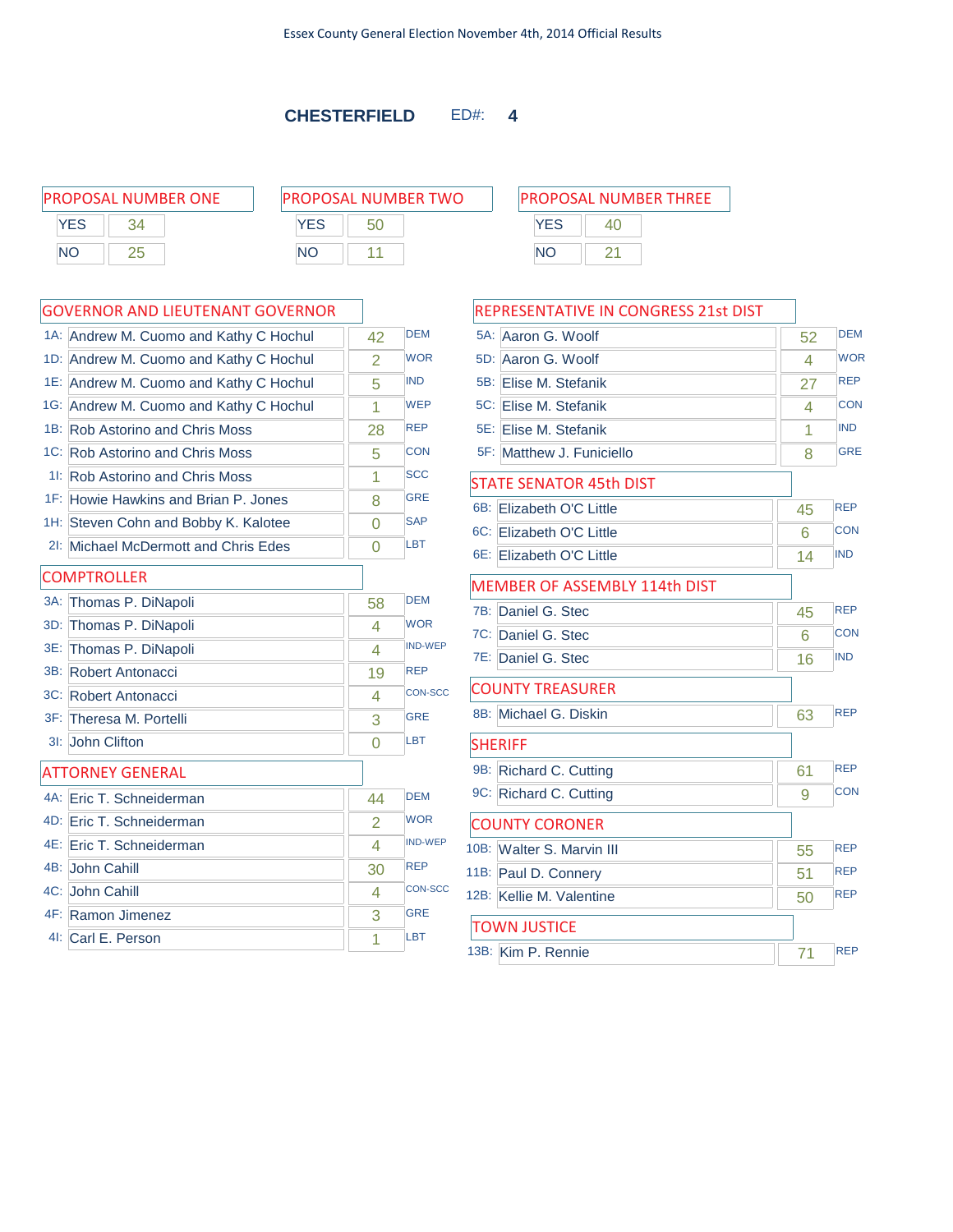### **CHESTERFIELD** ED#: **4**

PROPOSAL NUMBER ONE P **YES** 34 NO 25

| ROPOSAL NUMBER TWO |    |  |  |
|--------------------|----|--|--|
| <b>YES</b>         | 50 |  |  |
| NΟ                 |    |  |  |

|     | 1A: Andrew M. Cuomo and Kathy C Hochul | 42             | <b>DEM</b>     |
|-----|----------------------------------------|----------------|----------------|
|     | 1D: Andrew M. Cuomo and Kathy C Hochul | $\overline{2}$ | <b>WOR</b>     |
|     | 1E: Andrew M. Cuomo and Kathy C Hochul | 5              | <b>IND</b>     |
|     | 1G: Andrew M. Cuomo and Kathy C Hochul | 1              | <b>WEP</b>     |
|     | 1B: Rob Astorino and Chris Moss        | 28             | <b>REP</b>     |
|     | 1C: Rob Astorino and Chris Moss        | 5              | <b>CON</b>     |
|     | 11: Rob Astorino and Chris Moss        | 1              | <b>SCC</b>     |
|     | 1F: Howie Hawkins and Brian P. Jones   | 8              | <b>GRE</b>     |
|     | 1H: Steven Cohn and Bobby K. Kalotee   | $\Omega$       | <b>SAP</b>     |
|     | 21: Michael McDermott and Chris Edes   | 0              | LBT            |
|     | <b>COMPTROLLER</b>                     |                |                |
|     | 3A: Thomas P. DiNapoli                 | 58             | <b>DEM</b>     |
| 3D: | Thomas P. DiNapoli                     | 4              | <b>WOR</b>     |
|     | 3E: Thomas P. DiNapoli                 | 4              | <b>IND-WEP</b> |
|     | 3B: Robert Antonacci                   | 19             | <b>REP</b>     |
|     | 3C: Robert Antonacci                   | 4              | <b>CON-SCC</b> |
|     | 3F: Theresa M. Portelli                | 3              | <b>GRE</b>     |
|     | 31: John Clifton                       | $\Omega$       | LBT            |
|     | <b>ATTORNEY GENERAL</b>                |                |                |
|     | 4A: Eric T. Schneiderman               | 44             | <b>DEM</b>     |
|     | 4D: Eric T. Schneiderman               | $\overline{2}$ | <b>WOR</b>     |
|     | 4E: Eric T. Schneiderman               | 4              | <b>IND-WEP</b> |
|     | 4B: John Cahill                        | 30             | <b>REP</b>     |
|     | 4C: John Cahill                        | 4              | <b>CON-SCC</b> |
|     | 4F: Ramon Jimenez                      | 3              | <b>GRE</b>     |
|     | 41: Carl E. Person                     | 1              | <b>LBT</b>     |

| PROPOSAL NUMBER THREE |    |  |  |
|-----------------------|----|--|--|
| <b>YES</b>            | 40 |  |  |
| NΟ                    |    |  |  |

| REPRESENTATIVE IN CONGRESS 21st DIST |    |            |
|--------------------------------------|----|------------|
| 5A: Aaron G. Woolf                   | 52 | <b>DEM</b> |
| 5D: Aaron G. Woolf                   | 4  | <b>WOR</b> |
| 5B: Elise M. Stefanik                | 27 | <b>REP</b> |
| 5C: Elise M. Stefanik                | 4  | CON        |
| 5E: Elise M. Stefanik                | 1  | <b>IND</b> |
| 5F: Matthew J. Funiciello            | 8  | <b>GRE</b> |
| <b>STATE SENATOR 45th DIST</b>       |    |            |
| 6B: Elizabeth O'C Little             | 45 | <b>REP</b> |
| 6C: Elizabeth O'C Little             | 6  | <b>CON</b> |
| 6E: Elizabeth O'C Little             | 14 | <b>IND</b> |
| <b>MEMBER OF ASSEMBLY 114th DIST</b> |    |            |
| 7B: Daniel G. Stec                   | 45 | <b>REP</b> |
| 7C: Daniel G. Stec                   | 6  | <b>CON</b> |
| 7E: Daniel G. Stec                   | 16 | <b>IND</b> |
| <b>COUNTY TREASURER</b>              |    |            |
| 8B: Michael G. Diskin                | 63 | <b>REP</b> |
| <b>SHERIFF</b>                       |    |            |
| 9B: Richard C. Cutting               | 61 | <b>REP</b> |
| 9C: Richard C. Cutting               | 9  | <b>CON</b> |
| <b>COUNTY CORONER</b>                |    |            |
| 10B: Walter S. Marvin III            | 55 | <b>REP</b> |
| 11B: Paul D. Connery                 | 51 | <b>REP</b> |
| 12B: Kellie M. Valentine             | 50 | <b>REP</b> |
| <b>TOWN JUSTICE</b>                  |    |            |
| 13B: Kim P. Rennie                   | 71 | <b>REP</b> |
|                                      |    |            |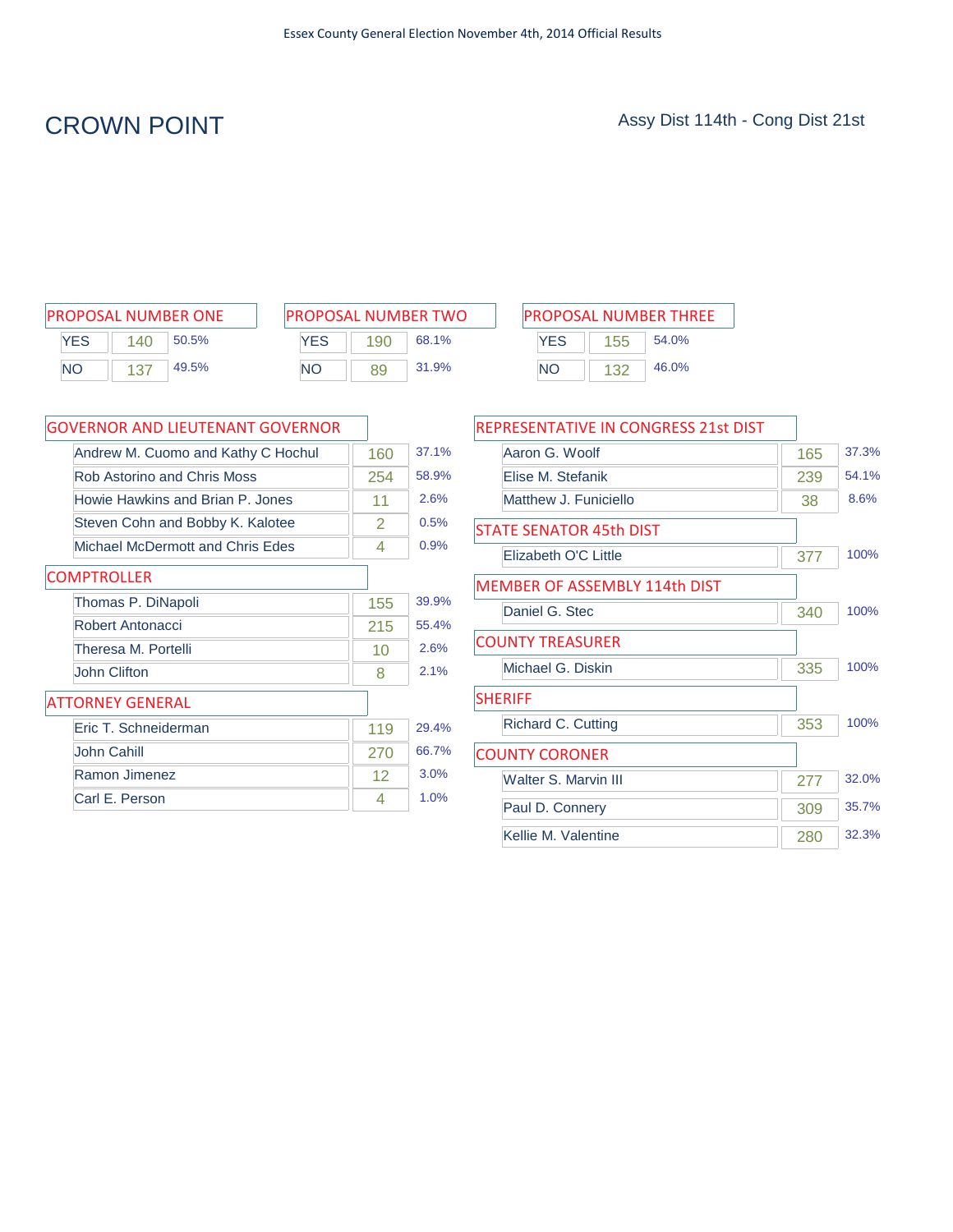# CROWN POINT Assy Dist 114th - Cong Dist 21st

| <b>PROPOSAL NUMBER ONE</b> |     |       |  |  |
|----------------------------|-----|-------|--|--|
| <b>YFS</b>                 | 140 | 50.5% |  |  |
| NΟ                         | 137 | 49.5% |  |  |

| <b>PROPOSAL NUMBER TWO</b> |     |       |  |  |  |  |
|----------------------------|-----|-------|--|--|--|--|
| <b>YFS</b>                 | 190 | 68.1% |  |  |  |  |
| NΟ                         | 89  | 31.9% |  |  |  |  |

| PROPOSAL NUMBER ONE | <b>PROPOSAL NUMBER TWO</b> |     |       |           |     | <b>PROPOSAL NUMBER THREE</b> |
|---------------------|----------------------------|-----|-------|-----------|-----|------------------------------|
| YES<br>50.5%<br>140 | YES                        | 190 | 68.1% | YES       | 155 | 54.0%                        |
| <b>NO</b><br>49.5%  | <b>NO</b>                  | 89  | 31.9% | <b>NO</b> | 132 | 46.0%                        |

| <b>GOVERNOR AND LIEUTENANT GOVERNOR</b> |                   |       |
|-----------------------------------------|-------------------|-------|
| Andrew M. Cuomo and Kathy C Hochul      | 160               | 37.1% |
| Rob Astorino and Chris Moss             | 254               | 58.9% |
| Howie Hawkins and Brian P. Jones        | 11                | 2.6%  |
| Steven Cohn and Bobby K. Kalotee        | 2                 | 0.5%  |
| Michael McDermott and Chris Edes        | 4                 | 0.9%  |
| <b>COMPTROLLER</b>                      |                   |       |
| Thomas P. DiNapoli                      | 155               | 39.9% |
| Robert Antonacci                        | 215               | 55.4% |
| Theresa M. Portelli                     | 10                | 2.6%  |
| John Clifton                            | 8                 | 2.1%  |
| <b>ATTORNEY GENERAL</b>                 |                   |       |
| Eric T. Schneiderman                    | 119               | 29.4% |
| John Cahill                             | 270               | 66.7% |
| Ramon Jimenez                           | $12 \overline{ }$ | 3.0%  |
| Carl E. Person                          | 4                 | 1.0%  |

| REPRESENTATIVE IN CONGRESS 21st DIST |     |       |
|--------------------------------------|-----|-------|
| Aaron G. Woolf                       | 165 | 37.3% |
| Elise M. Stefanik                    | 239 | 54.1% |
| Matthew J. Funiciello                | 38  | 8.6%  |
| <b>STATE SENATOR 45th DIST</b>       |     |       |
| Elizabeth O'C Little                 | 377 | 100%  |
| <b>MEMBER OF ASSEMBLY 114th DIST</b> |     |       |
| Daniel G. Stec                       | 340 | 100%  |
| <b>COUNTY TREASURER</b>              |     |       |
| Michael G. Diskin                    | 335 | 100%  |
| <b>SHERIFF</b>                       |     |       |
| Richard C. Cutting                   | 353 | 100%  |
| <b>COUNTY CORONER</b>                |     |       |
| <b>Walter S. Marvin III</b>          | 277 | 32.0% |
| Paul D. Connery                      | 309 | 35.7% |
| Kellie M. Valentine                  | 280 | 32.3% |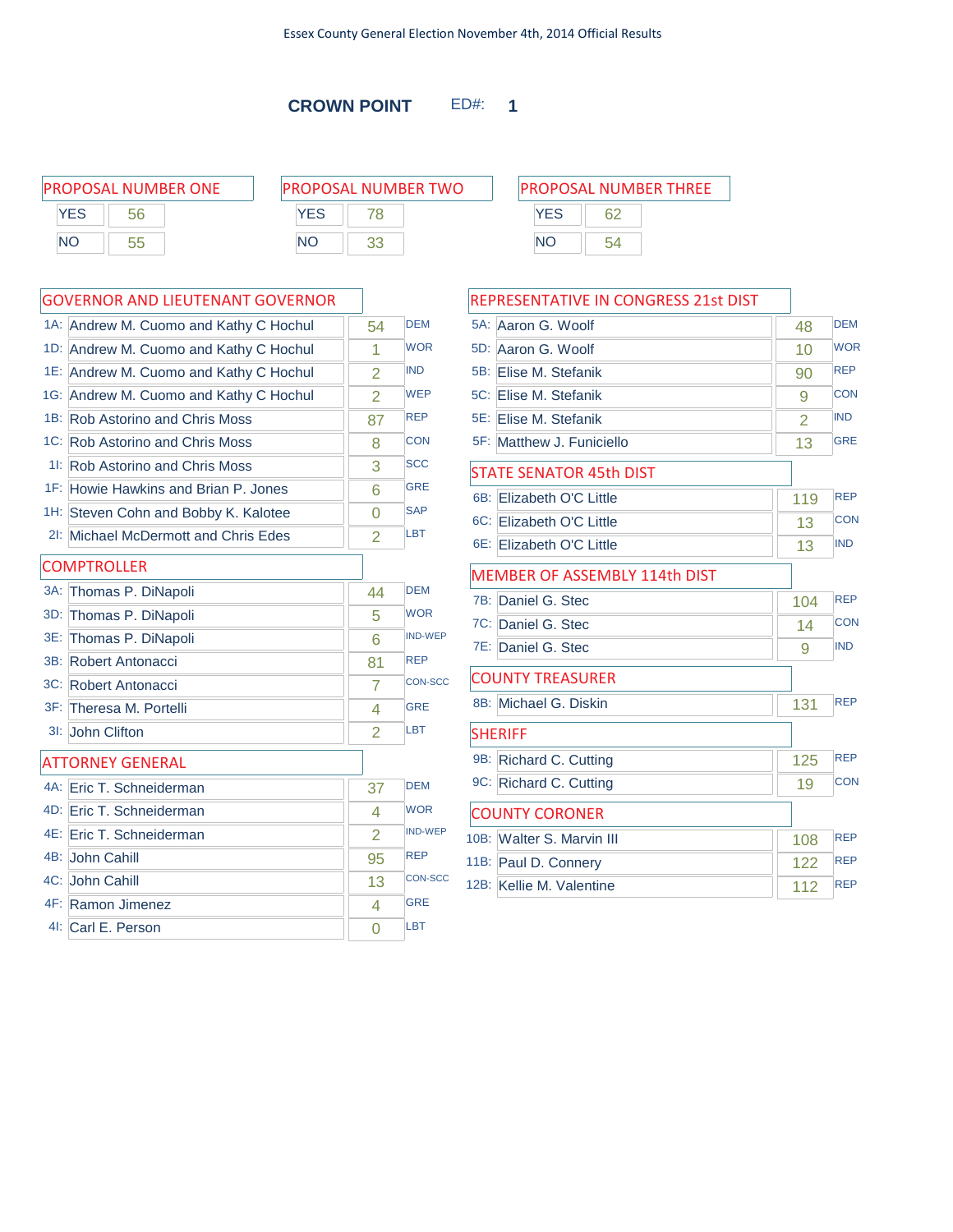**CROWN POINT** ED#: **1**

|     | <b>PROPOSAL NUMBER ONE</b> |     | <b>PROPOSAL NUMBER TWO</b> |     | <b>PROPOSAL NUMBER THREE</b> |  |
|-----|----------------------------|-----|----------------------------|-----|------------------------------|--|
| YES | 56                         | YES |                            | YES | 62                           |  |
| NΟ  | 55                         | ΝO  |                            | NΟ  | 54                           |  |
|     |                            |     |                            |     |                              |  |

### GOVERNOR AND LIEUTENANT GOVERNOR

|        | 1A: Andrew M. Cuomo and Kathy C Hochul | 54             | <b>DEM</b>     |
|--------|----------------------------------------|----------------|----------------|
|        | 1D: Andrew M. Cuomo and Kathy C Hochul | 1              | <b>WOR</b>     |
|        | 1E: Andrew M. Cuomo and Kathy C Hochul | $\overline{2}$ | <b>IND</b>     |
|        | 1G: Andrew M. Cuomo and Kathy C Hochul | $\overline{2}$ | <b>WEP</b>     |
|        | 1B: Rob Astorino and Chris Moss        | 87             | <b>REP</b>     |
|        | 1C: Rob Astorino and Chris Moss        | 8              | <b>CON</b>     |
|        | 11: Rob Astorino and Chris Moss        | 3              | <b>SCC</b>     |
|        | 1F: Howie Hawkins and Brian P. Jones   | 6              | <b>GRE</b>     |
|        | 1H: Steven Cohn and Bobby K. Kalotee   | $\Omega$       | <b>SAP</b>     |
|        | 21: Michael McDermott and Chris Edes   | 2              | LBT            |
|        | <b>COMPTROLLER</b>                     |                |                |
| $3A$ : | Thomas P. DiNapoli                     | 44             | <b>DEM</b>     |
| 3D:    | Thomas P. DiNapoli                     | 5              | <b>WOR</b>     |
| 3E:    | Thomas P. DiNapoli                     | 6              | <b>IND-WEP</b> |
| 3B:    | Robert Antonacci                       | 81             | <b>REP</b>     |
|        | 3C: Robert Antonacci                   | 7              | <b>CON-SCC</b> |
|        | 3F: Theresa M. Portelli                | 4              | <b>GRE</b>     |
| 3I:    | John Clifton                           | 2              | LBT            |
|        | <b>ATTORNEY GENERAL</b>                |                |                |
|        | 4A: Eric T. Schneiderman               | 37             | <b>DEM</b>     |
|        | 4D: Eric T. Schneiderman               | 4              | <b>WOR</b>     |
|        | 4E: Eric T. Schneiderman               | $\overline{2}$ | <b>IND-WEP</b> |
|        | 4B: John Cahill                        | 95             | <b>REP</b>     |
|        | 4C: John Cahill                        | 13             | <b>CON-SCC</b> |
|        | 4F: Ramon Jimenez                      | 4              | <b>GRE</b>     |
|        | 4I: Carl E. Person                     | $\Omega$       | LBT            |

| PROPOSAL NUMBER THREE |  |  |  |  |  |
|-----------------------|--|--|--|--|--|
| <b>YES</b>            |  |  |  |  |  |
| <b>NO</b>             |  |  |  |  |  |

### REPRESENTATIVE IN CONGRESS 21st DIST

|        | 5A: Aaron G. Woolf                   | 48  | <b>DEM</b> |
|--------|--------------------------------------|-----|------------|
| 5D:    | Aaron G. Woolf                       | 10  | <b>WOR</b> |
|        | 5B: Elise M. Stefanik                | 90  | <b>REP</b> |
|        | 5C: Elise M. Stefanik                | 9   | <b>CON</b> |
|        | 5E: Elise M. Stefanik                | 2   | <b>IND</b> |
|        | 5F: Matthew J. Funiciello            | 13  | <b>GRE</b> |
|        | <b>STATE SENATOR 45th DIST</b>       |     |            |
| $6B^+$ | Elizabeth O'C Little                 | 119 | <b>REP</b> |
|        | 6C: Elizabeth O'C Little             | 13  | <b>CON</b> |
|        | 6E: Elizabeth O'C Little             | 13  | <b>IND</b> |
|        | <b>MEMBER OF ASSEMBLY 114th DIST</b> |     |            |
| 7B:    | Daniel G. Stec                       | 104 | <b>REP</b> |
|        | 7C: Daniel G. Stec                   | 14  | <b>CON</b> |
|        | 7E: Daniel G. Stec                   | 9   | <b>IND</b> |
|        | <b>COUNTY TREASURER</b>              |     |            |
|        | 8B: Michael G. Diskin                | 131 | <b>REP</b> |
|        | <b>SHERIFF</b>                       |     |            |
|        | 9B: Richard C. Cutting               | 125 | <b>REP</b> |
|        | 9C: Richard C. Cutting               | 19  | <b>CON</b> |
|        | <b>COUNTY CORONER</b>                |     |            |
|        | 10B: Walter S. Marvin III            | 108 | <b>REP</b> |
|        | 11B: Paul D. Connery                 | 122 | <b>REP</b> |
|        | 12B: Kellie M. Valentine             | 112 | <b>REP</b> |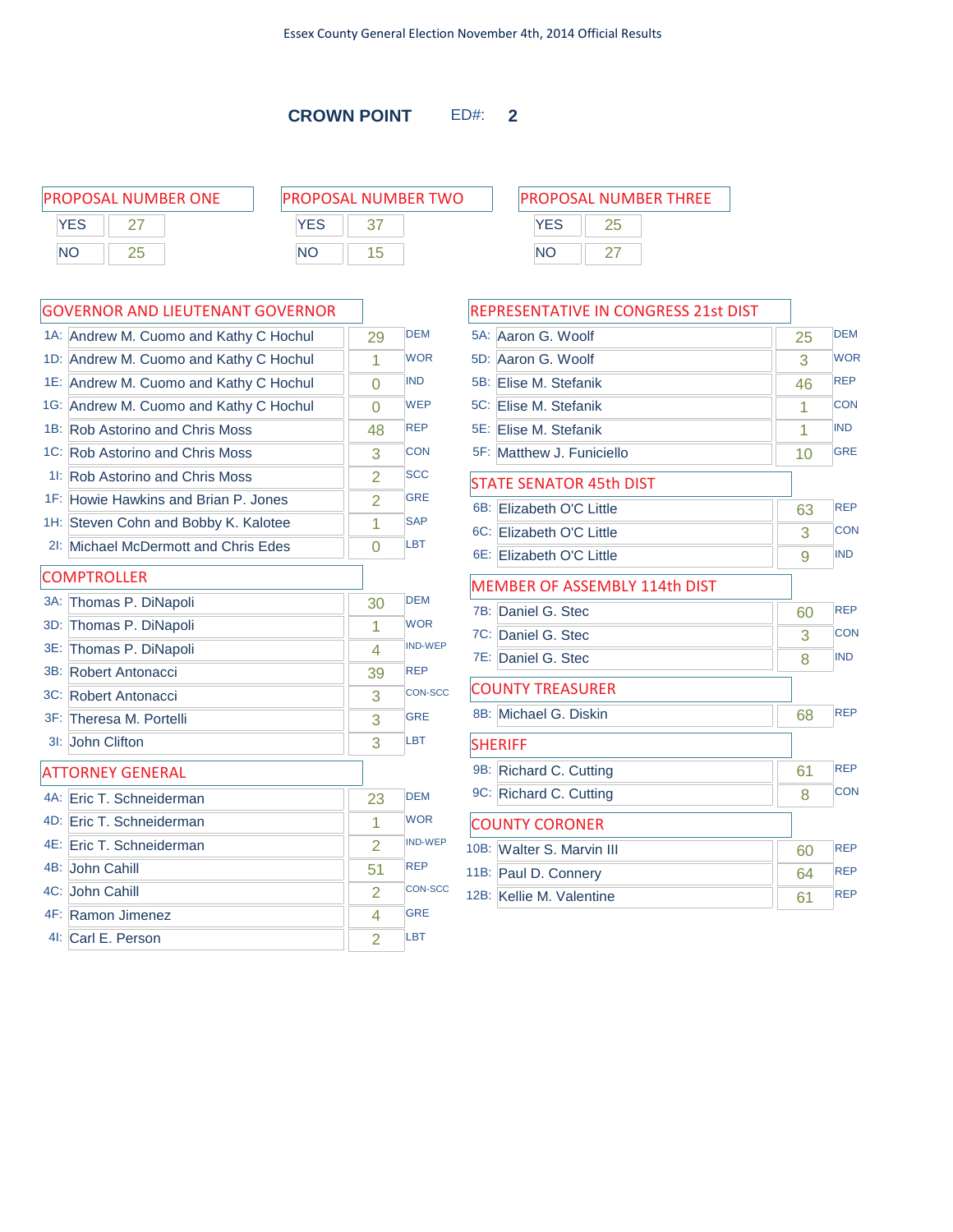**CROWN POINT** ED#: **2**

|            | <b>PROPOSAL NUMBER ONE</b> | <b>PROPOSAL NUMBER TWO</b> | <b>PROPOSAL NUMBER THREE</b> |
|------------|----------------------------|----------------------------|------------------------------|
| <b>YES</b> |                            | <b>YES</b>                 |                              |
| <b>NC</b>  |                            | NΟ                         | ΝC                           |

|     | <b>GOVERNOR AND LIEUTENANT GOVERNOR</b> |                |                | F                       |
|-----|-----------------------------------------|----------------|----------------|-------------------------|
|     | 1A: Andrew M. Cuomo and Kathy C Hochul  | 29             | <b>DFM</b>     |                         |
|     | 1D: Andrew M. Cuomo and Kathy C Hochul  | 1              | <b>WOR</b>     |                         |
|     | 1E: Andrew M. Cuomo and Kathy C Hochul  | 0              | <b>IND</b>     | ξ                       |
|     | 1G: Andrew M. Cuomo and Kathy C Hochul  | 0              | <b>WEP</b>     | 5                       |
|     | 1B: Rob Astorino and Chris Moss         | 48             | <b>REP</b>     |                         |
|     | 1C: Rob Astorino and Chris Moss         | 3              | <b>CON</b>     |                         |
| 11: | <b>Rob Astorino and Chris Moss</b>      | $\overline{2}$ | <b>SCC</b>     | Š                       |
|     | 1F: Howie Hawkins and Brian P. Jones    | $\overline{2}$ | <b>GRE</b>     |                         |
|     | 1H: Steven Cohn and Bobby K. Kalotee    | 1              | <b>SAP</b>     |                         |
| 2!  | Michael McDermott and Chris Edes        | 0              | <b>LBT</b>     |                         |
|     | <b>COMPTROLLER</b>                      |                |                |                         |
|     | 3A: Thomas P. DiNapoli                  | 30             | <b>DEM</b>     |                         |
|     | 3D: Thomas P. DiNapoli                  | 1              | <b>WOR</b>     |                         |
| 3E: | Thomas P. DiNapoli                      | 4              | <b>IND-WEP</b> |                         |
|     | 3B: Robert Antonacci                    | 39             | <b>REP</b>     |                         |
|     | 3C: Robert Antonacci                    | 3              | <b>CON-SCC</b> |                         |
|     | 3F: Theresa M. Portelli                 | 3              | <b>GRE</b>     |                         |
|     | 3I: John Clifton                        | 3              | LBT            | S                       |
|     | <b>ATTORNEY GENERAL</b>                 |                |                |                         |
|     | 4A: Eric T. Schneiderman                | 23             | <b>DEM</b>     |                         |
|     | 4D: Eric T. Schneiderman                | 1              | <b>WOR</b>     | $\overline{\mathbf{C}}$ |
|     | 4E: Eric T. Schneiderman                | 2              | <b>IND-WEP</b> | 10                      |
|     | 4B: John Cahill                         | 51             | <b>REP</b>     | 11                      |
|     | 4C: John Cahill                         | $\overline{2}$ | <b>CON-SCC</b> | 11                      |
|     | 4F: Ramon Jimenez                       | 4              | <b>GRE</b>     |                         |
|     | 4I: Carl E. Person                      | $\overline{2}$ | LBT            |                         |

|     | REPRESENTATIVE IN CONGRESS 21st DIST |    |            |
|-----|--------------------------------------|----|------------|
|     | 5A: Aaron G. Woolf                   | 25 | <b>DEM</b> |
| 5D: | Aaron G. Woolf                       | 3  | <b>WOR</b> |
|     | 5B: Elise M. Stefanik                | 46 | <b>REP</b> |
|     | 5C: Elise M. Stefanik                | 1  | <b>CON</b> |
|     | 5E: Elise M. Stefanik                | 1  | <b>IND</b> |
|     | 5F: Matthew J. Funiciello            | 10 | <b>GRE</b> |
|     | <b>STATE SENATOR 45th DIST</b>       |    |            |
| 6B: | Elizabeth O'C Little                 | 63 | <b>REP</b> |
|     | 6C: Elizabeth O'C Little             | 3  | <b>CON</b> |
|     | 6E: Elizabeth O'C Little             | 9  | <b>IND</b> |
|     | MEMBER OF ASSEMBLY 114th DIST        |    |            |
| 7B: | Daniel G. Stec                       | 60 | <b>REP</b> |
|     | 7C: Daniel G. Stec                   | 3  | <b>CON</b> |
|     | 7E: Daniel G. Stec                   | 8  | <b>IND</b> |
|     | <b>COUNTY TREASURER</b>              |    |            |
|     | 8B: Michael G. Diskin                | 68 | <b>REP</b> |
|     | <b>SHERIFF</b>                       |    |            |
|     | 9B: Richard C. Cutting               | 61 | <b>REP</b> |
|     | 9C: Richard C. Cutting               | 8  | <b>CON</b> |
|     | <b>COUNTY CORONER</b>                |    |            |
|     | 10B: Walter S. Marvin III            | 60 | <b>REP</b> |
|     | 11B: Paul D. Connery                 | 64 | <b>REP</b> |
|     | 12B: Kellie M. Valentine             | 61 | <b>REP</b> |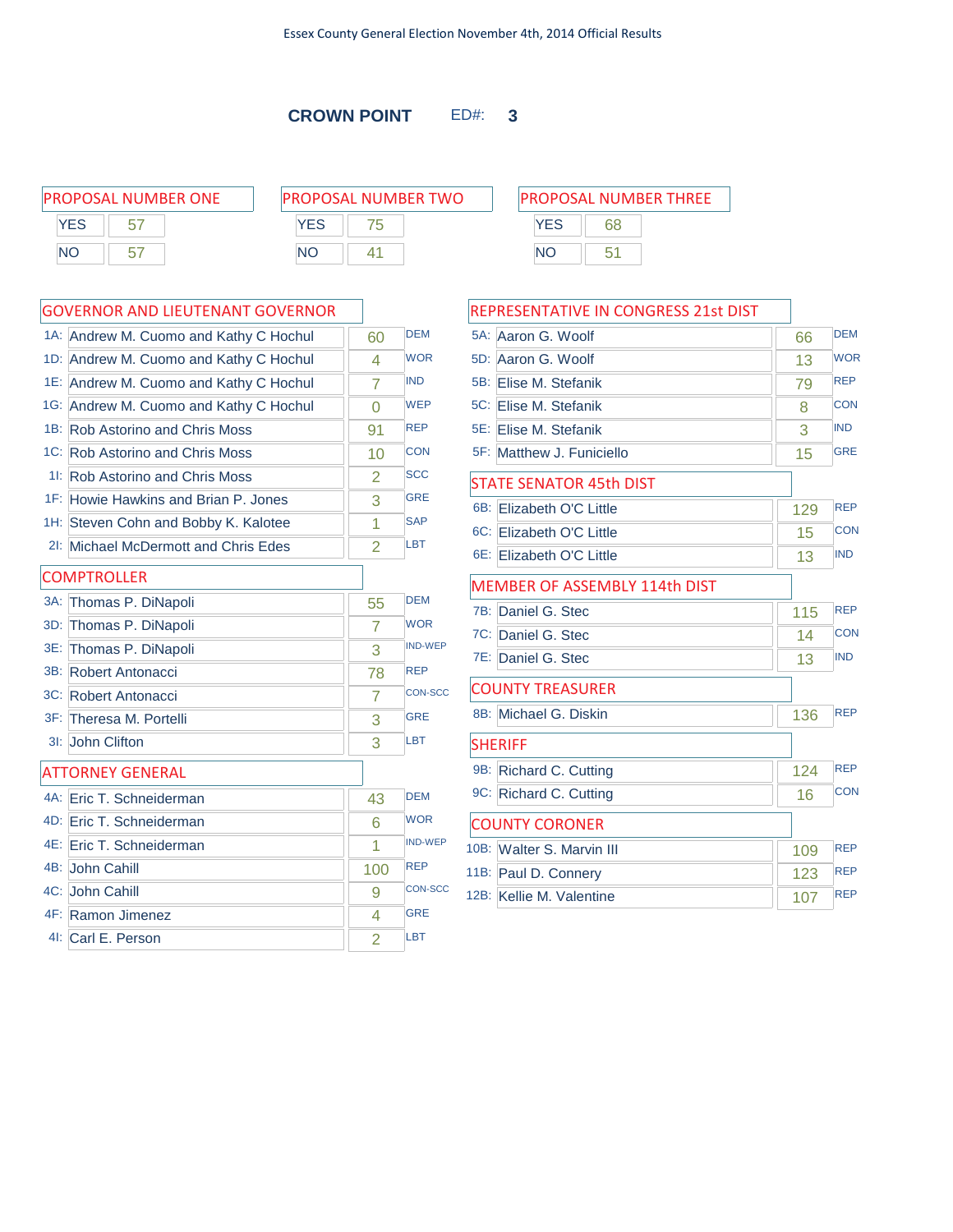**CROWN POINT** ED#: **3**

| <b>PROPOSAL NUMBER ONE</b> | <b>PROPOSAL NUMBER TWO</b> | <b>PROPOSAL NUMBER THREE</b> |
|----------------------------|----------------------------|------------------------------|
| <b>YFS</b>                 | <b>YES</b>                 | YFS<br>68                    |
| <b>NO</b><br>h             | ΝC                         | NO                           |

### GOVERNOR AND LIEUTENANT GOVERNOR

|        | 1A: Andrew M. Cuomo and Kathy C Hochul | 60             | <b>DEM</b>     |
|--------|----------------------------------------|----------------|----------------|
|        | 1D: Andrew M. Cuomo and Kathy C Hochul | 4              | <b>WOR</b>     |
|        | 1E: Andrew M. Cuomo and Kathy C Hochul | 7              | <b>IND</b>     |
|        | 1G: Andrew M. Cuomo and Kathy C Hochul | 0              | <b>WEP</b>     |
|        | 1B: Rob Astorino and Chris Moss        | 91             | <b>REP</b>     |
|        | 1C: Rob Astorino and Chris Moss        | 10             | <b>CON</b>     |
|        | 11: Rob Astorino and Chris Moss        | $\overline{2}$ | <b>SCC</b>     |
|        | 1F: Howie Hawkins and Brian P. Jones   | 3              | <b>GRE</b>     |
|        | 1H: Steven Cohn and Bobby K. Kalotee   | 1              | <b>SAP</b>     |
|        | 2I: Michael McDermott and Chris Edes   | $\overline{2}$ | <b>LBT</b>     |
|        | <b>COMPTROLLER</b>                     |                |                |
| $3A$ : | Thomas P. DiNapoli                     | 55             | <b>DEM</b>     |
| 3D:    | Thomas P. DiNapoli                     | $\overline{7}$ | <b>WOR</b>     |
|        | 3E: Thomas P. DiNapoli                 | 3              | <b>IND-WEP</b> |
|        | 3B: Robert Antonacci                   | 78             | <b>REP</b>     |
|        | 3C: Robert Antonacci                   | 7              | <b>CON-SCC</b> |
|        | 3F: Theresa M. Portelli                | 3              | <b>GRE</b>     |
| $31$ : | John Clifton                           | 3              | LBT            |
|        | <b>ATTORNEY GENERAL</b>                |                |                |
|        | 4A: Eric T. Schneiderman               | 43             | <b>DEM</b>     |
|        | 4D: Eric T. Schneiderman               | 6              | <b>WOR</b>     |
|        | 4E: Eric T. Schneiderman               | 1              | <b>IND-WEP</b> |
|        | 4B: John Cahill                        | 100            | <b>REP</b>     |
|        | 4C: John Cahill                        | 9              | <b>CON-SCC</b> |
|        | 4F: Ramon Jimenez                      | 4              | <b>GRE</b>     |
|        | 41: Carl E. Person                     | $\overline{2}$ | LBT            |

|     | REPRESENTATIVE IN CONGRESS 21st DIST |     |            |
|-----|--------------------------------------|-----|------------|
|     | 5A: Aaron G. Woolf                   | 66  | <b>DEM</b> |
| 5D: | Aaron G. Woolf                       | 13  | <b>WOR</b> |
| 5B: | Elise M. Stefanik                    | 79  | <b>REP</b> |
|     | 5C: Elise M. Stefanik                | 8   | <b>CON</b> |
|     | 5E: Elise M. Stefanik                | 3   | <b>IND</b> |
|     | 5F: Matthew J. Funiciello            | 15  | <b>GRE</b> |
|     | <b>STATE SENATOR 45th DIST</b>       |     |            |
| 6B: | Elizabeth O'C Little                 | 129 | <b>REP</b> |
|     | 6C: Elizabeth O'C Little             | 15  | <b>CON</b> |
|     | 6E: Elizabeth O'C Little             | 13  | <b>IND</b> |
|     | <b>MEMBER OF ASSEMBLY 114th DIST</b> |     |            |
| 7B: | Daniel G. Stec                       | 115 | <b>REP</b> |
| 7C: | Daniel G. Stec                       | 14  | CON        |
|     | 7E: Daniel G. Stec                   | 13  | <b>IND</b> |
|     | <b>COUNTY TREASURER</b>              |     |            |
| 8B: | Michael G. Diskin                    | 136 | <b>RFP</b> |
|     | <b>SHERIFF</b>                       |     |            |
| 9B: | Richard C. Cutting                   | 124 | <b>REP</b> |
|     | 9C: Richard C. Cutting               | 16  | <b>CON</b> |
|     | <b>COUNTY CORONER</b>                |     |            |
|     | 10B: Walter S. Marvin III            | 109 | <b>REP</b> |
|     | 11B: Paul D. Connery                 | 123 | <b>REP</b> |
|     | 12B: Kellie M. Valentine             | 107 | <b>REP</b> |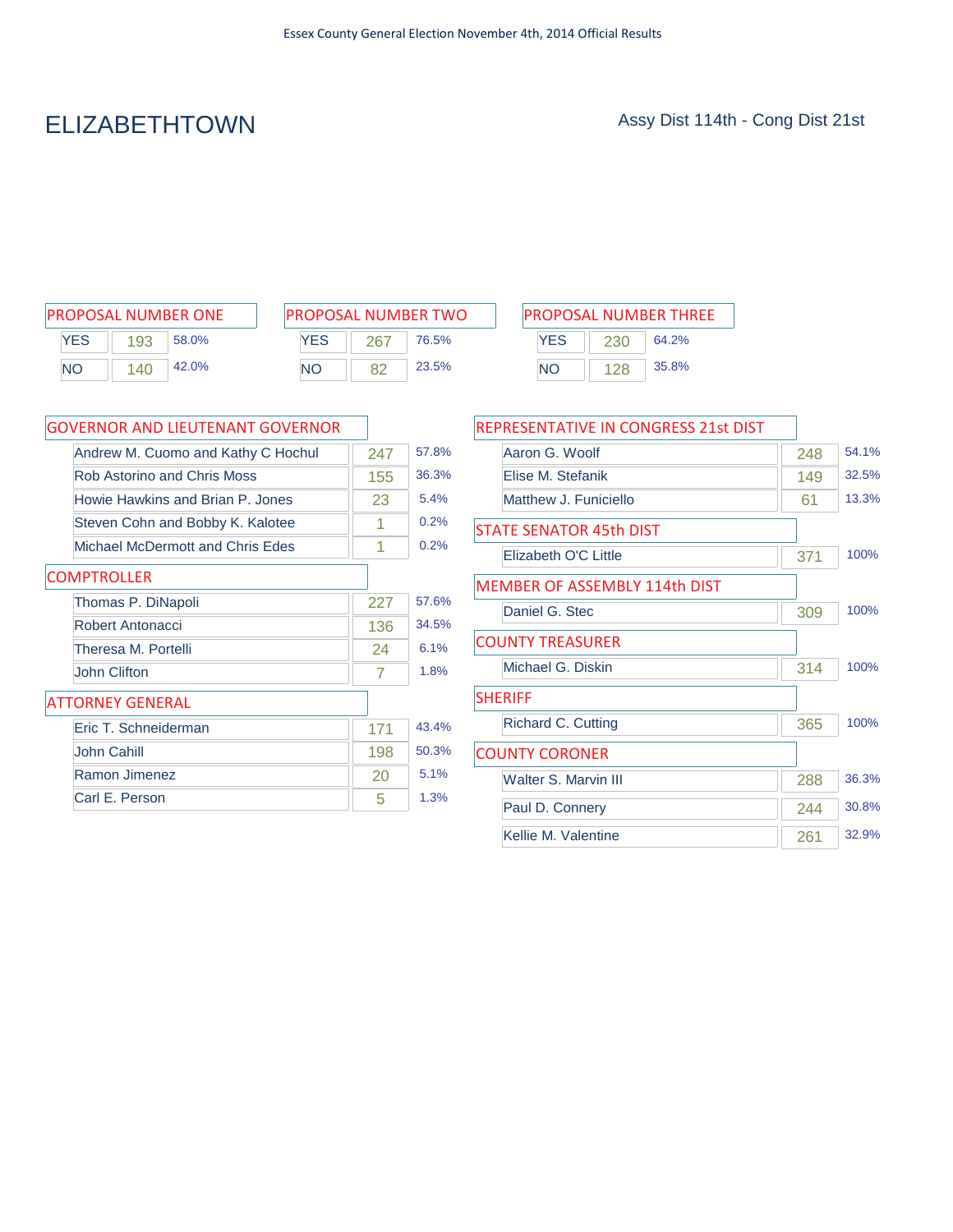# ELIZABETHTOWN Assy Dist 114th - Cong Dist 21st

| <b>IPROPOSAL NUMBER ONE</b> |     |       |  |
|-----------------------------|-----|-------|--|
| YFS                         | 193 | 58.0% |  |
| NΟ                          | 140 | 42.0% |  |

| <b>PROPOSAL NUMBER TWO</b> |     |       |  |  |
|----------------------------|-----|-------|--|--|
| <b>YFS</b>                 | 267 | 76.5% |  |  |
| NΟ                         |     | 23.5% |  |  |

| PROPOSAL NUMBER ONE       | <b>PROPOSAL NUMBER TWO</b> | <b>PROPOSAL NUMBER THREE</b> |
|---------------------------|----------------------------|------------------------------|
| YES<br>58.0%<br>193       | YES<br>76.5%<br>267        | YES<br>64.2%<br>230          |
| 42.0%<br><b>NO</b><br>140 | 23.5%<br>NΟ                | 35.8%<br><b>NO</b>           |

| GOVERNOR AND LIEUTENANT GOVERNOR   |     |       |
|------------------------------------|-----|-------|
| Andrew M. Cuomo and Kathy C Hochul | 247 | 57.8% |
| Rob Astorino and Chris Moss        | 155 | 36.3% |
| Howie Hawkins and Brian P. Jones   | 23  | 5.4%  |
| Steven Cohn and Bobby K. Kalotee   | 1   | 0.2%  |
| Michael McDermott and Chris Edes   | 1   | 0.2%  |
| <b>COMPTROLLER</b>                 |     |       |
| Thomas P. DiNapoli                 | 227 | 57.6% |
| Robert Antonacci                   | 136 | 34.5% |
| Theresa M. Portelli                | 24  | 6.1%  |
| John Clifton                       | 7   | 1.8%  |
| ATTORNEY GENERAL                   |     |       |
| Eric T. Schneiderman               | 171 | 43.4% |
| John Cahill                        | 198 | 50.3% |
| Ramon Jimenez                      | 20  | 5.1%  |
| Carl E. Person                     | 5   | 1.3%  |

| REPRESENTATIVE IN CONGRESS 21st DIST |     |       |
|--------------------------------------|-----|-------|
| Aaron G. Woolf                       | 248 | 54.1% |
| Flise M. Stefanik                    | 149 | 32.5% |
| Matthew J. Funiciello                | 61  | 13.3% |
| <b>STATE SENATOR 45th DIST</b>       |     |       |
| Elizabeth O'C Little                 | 371 | 100%  |
| <b>MEMBER OF ASSEMBLY 114th DIST</b> |     |       |
| Daniel G. Stec                       | 309 | 100%  |
| <b>COUNTY TREASURER</b>              |     |       |
| Michael G. Diskin                    | 314 | 100%  |
| <b>SHERIFF</b>                       |     |       |
| Richard C. Cutting                   | 365 | 100%  |
| <b>COUNTY CORONER</b>                |     |       |
| Walter S. Marvin III                 | 288 | 36.3% |
| Paul D. Connery                      | 244 | 30.8% |
| Kellie M. Valentine                  | 261 | 32.9% |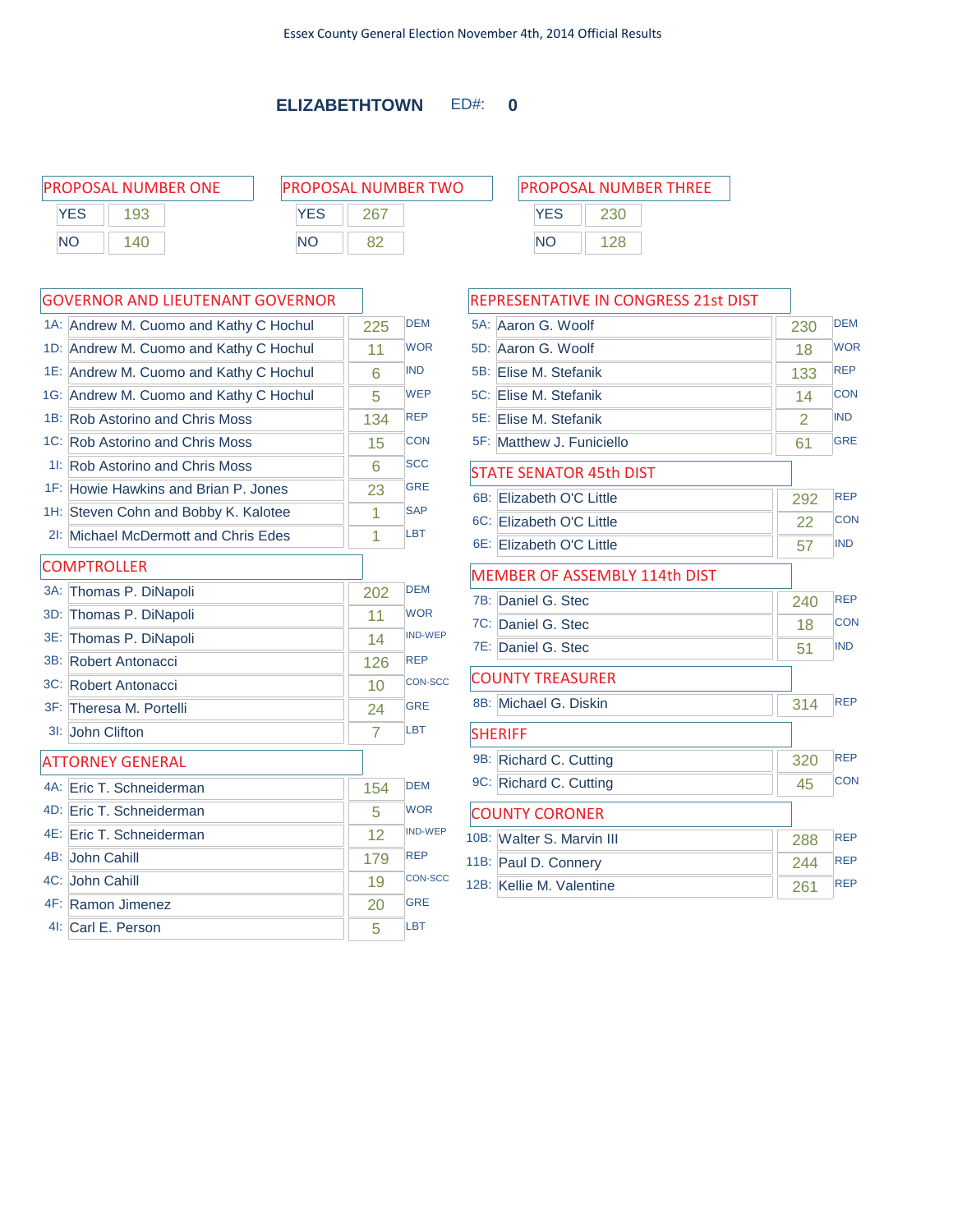### **ELIZABETHTOWN** ED#: **0**

| <b>PROPOSAL NUMBER ONE</b> |     | <b>PROPOSAL NUMBER TWO</b> |            |            | <b>PROPOSAL NUMBER THREE</b> |  |  |
|----------------------------|-----|----------------------------|------------|------------|------------------------------|--|--|
| <b>YES</b>                 |     | YES                        | <b>267</b> | <b>YES</b> | 230                          |  |  |
| <b>NO</b>                  | 140 | <b>NO</b>                  |            | <b>NO</b>  |                              |  |  |
|                            |     |                            |            |            |                              |  |  |

### GOVERNOR AND LIEUTENANT GOVERNOR

|        | 1A: Andrew M. Cuomo and Kathy C Hochul | 225 | <b>DEM</b>     |
|--------|----------------------------------------|-----|----------------|
|        | 1D: Andrew M. Cuomo and Kathy C Hochul | 11  | <b>WOR</b>     |
|        | 1E: Andrew M. Cuomo and Kathy C Hochul | 6   | <b>IND</b>     |
|        | 1G: Andrew M. Cuomo and Kathy C Hochul | 5   | <b>WEP</b>     |
|        | 1B: Rob Astorino and Chris Moss        | 134 | <b>REP</b>     |
|        | 1C: Rob Astorino and Chris Moss        | 15  | <b>CON</b>     |
|        | 11: Rob Astorino and Chris Moss        | 6   | <b>SCC</b>     |
|        | 1F: Howie Hawkins and Brian P. Jones   | 23  | <b>GRE</b>     |
|        | 1H: Steven Cohn and Bobby K. Kalotee   | 1   | <b>SAP</b>     |
|        | 2I: Michael McDermott and Chris Edes   | 1   | <b>LBT</b>     |
|        | <b>COMPTROLLER</b>                     |     |                |
| $3A$ : | Thomas P. DiNapoli                     | 202 | <b>DEM</b>     |
| 3D:    | Thomas P. DiNapoli                     | 11  | <b>WOR</b>     |
| 3E:    | Thomas P. DiNapoli                     | 14  | <b>IND-WEP</b> |
|        | 3B: Robert Antonacci                   | 126 | <b>REP</b>     |
|        | 3C: Robert Antonacci                   | 10  | <b>CON-SCC</b> |
|        | 3F: Theresa M. Portelli                | 24  | <b>GRE</b>     |
| $31$ : | John Clifton                           | 7   | <b>LBT</b>     |
|        | <b>ATTORNEY GENERAL</b>                |     |                |
|        | 4A: Eric T. Schneiderman               | 154 | <b>DFM</b>     |
|        | 4D: Eric T. Schneiderman               | 5   | <b>WOR</b>     |
|        | 4E: Eric T. Schneiderman               | 12  | <b>IND-WEP</b> |
|        | 4B: John Cahill                        | 179 | <b>REP</b>     |
|        | 4C: John Cahill                        | 19  | <b>CON-SCC</b> |
|        | 4F: Ramon Jimenez                      | 20  | <b>GRE</b>     |
|        | 41: Carl E. Person                     | 5   | <b>LBT</b>     |

| <b>PROPOSAL NUMBER THREE</b> |     |  |  |
|------------------------------|-----|--|--|
| <b>YFS</b>                   | 230 |  |  |
| NΟ                           | 128 |  |  |

### REPRESENTATIVE IN CONGRESS 21st DIST

| 5A: Aaron G. Woolf                   | 230 | <b>DEM</b> |
|--------------------------------------|-----|------------|
| 5D: Aaron G. Woolf                   | 18  | <b>WOR</b> |
| 5B: Elise M. Stefanik                | 133 | <b>REP</b> |
| 5C: Elise M. Stefanik                | 14  | <b>CON</b> |
| 5E: Elise M. Stefanik                | 2   | <b>IND</b> |
| 5F: Matthew J. Funiciello            | 61  | <b>GRE</b> |
| <b>STATE SENATOR 45th DIST</b>       |     |            |
| 6B: Elizabeth O'C Little             | 292 | <b>REP</b> |
| 6C: Elizabeth O'C Little             | 22  | <b>CON</b> |
| 6E: Elizabeth O'C Little             | 57  | <b>IND</b> |
| <b>MEMBER OF ASSEMBLY 114th DIST</b> |     |            |
| 7B: Daniel G. Stec                   | 240 | <b>REP</b> |
| 7C: Daniel G. Stec                   | 18  | <b>CON</b> |
| 7E: Daniel G. Stec                   | 51  | <b>IND</b> |
| <b>COUNTY TREASURER</b>              |     |            |
| 8B: Michael G. Diskin                | 314 | <b>RFP</b> |
| <b>SHERIFF</b>                       |     |            |
| 9B: Richard C. Cutting               | 320 | <b>REP</b> |
| 9C: Richard C. Cutting               | 45  | <b>CON</b> |
| <b>COUNTY CORONER</b>                |     |            |
| 10B: Walter S. Marvin III            | 288 | <b>REP</b> |
| 11B: Paul D. Connery                 | 244 | <b>REP</b> |
| 12B: Kellie M. Valentine             | 261 | <b>REP</b> |
|                                      |     |            |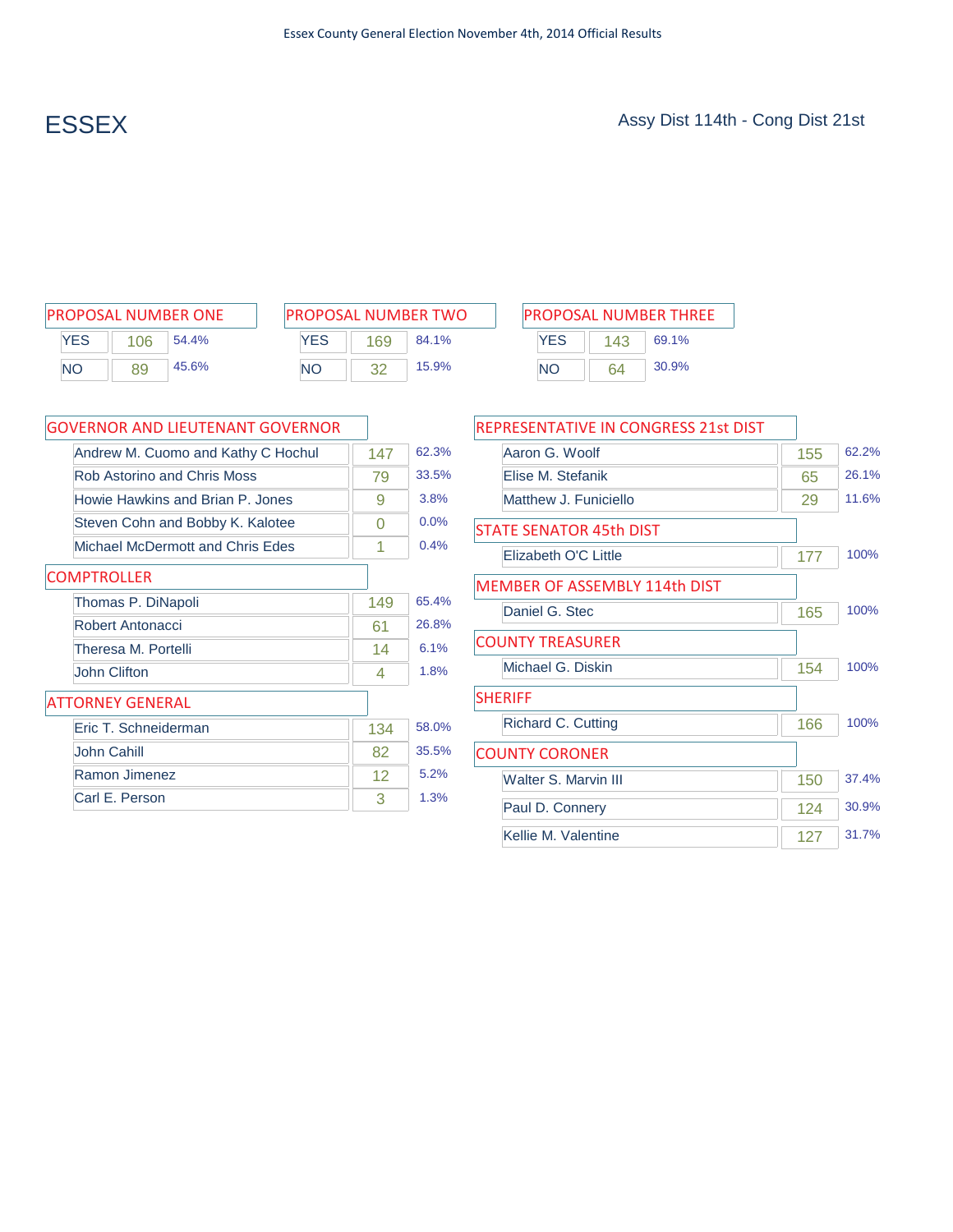| <b>PROPOSAL NUMBER ONE</b> |     |       |  |  |
|----------------------------|-----|-------|--|--|
| <b>YES</b>                 | 106 | 54.4% |  |  |
| NΟ                         | 89  | 45.6% |  |  |

| <b>PROPOSAL NUMBER TWO</b> |     |       |  |  |  |
|----------------------------|-----|-------|--|--|--|
| <b>YFS</b>                 | 169 | 84.1% |  |  |  |
| NΟ                         |     | 15.9% |  |  |  |

Ĥ,

|           |     | PROPOSAL NUMBER ONE | <b>PROPOSAL NUMBER TWO</b> |     |       |     |     | <b>PROPOSAL NUMBER THREE</b> |
|-----------|-----|---------------------|----------------------------|-----|-------|-----|-----|------------------------------|
| YES       | 106 | 54.4%               | <b>YES</b>                 | 169 | 84.1% | YES | 143 | 69.1%                        |
| <b>NO</b> | 89  | 45.6%               | <b>NO</b>                  |     | 15.9% | NΟ  | 64  | 30.9%                        |

| <b>GOVERNOR AND LIEUTENANT GOVERNOR</b> |     |       |
|-----------------------------------------|-----|-------|
| Andrew M. Cuomo and Kathy C Hochul      | 147 | 62.3% |
| Rob Astorino and Chris Moss             | 79  | 33.5% |
| Howie Hawkins and Brian P. Jones        | 9   | 3.8%  |
| Steven Cohn and Bobby K. Kalotee        | 0   | 0.0%  |
| Michael McDermott and Chris Edes        | 1   | 0.4%  |
| <b>COMPTROLLER</b>                      |     |       |
| Thomas P. DiNapoli                      | 149 | 65.4% |
| Robert Antonacci                        | 61  | 26.8% |
| Theresa M. Portelli                     | 14  | 6.1%  |
| John Clifton                            | 4   | 1.8%  |
| <b>ATTORNEY GENERAL</b>                 |     |       |
| Eric T. Schneiderman                    | 134 | 58.0% |
| John Cahill                             | 82  | 35.5% |
| Ramon Jimenez                           | 12  | 5.2%  |
| Carl E. Person                          | 3   | 1.3%  |

| REPRESENTATIVE IN CONGRESS 21st DIST |     |       |
|--------------------------------------|-----|-------|
| Aaron G. Woolf                       | 155 | 62.2% |
| Flise M. Stefanik                    | 65  | 26.1% |
| Matthew J. Funiciello                | 29  | 11.6% |
| <b>STATE SENATOR 45th DIST</b>       |     |       |
| Elizabeth O'C Little                 | 177 | 100%  |
| <b>MEMBER OF ASSEMBLY 114th DIST</b> |     |       |
| Daniel G. Stec                       | 165 | 100%  |
| <b>COUNTY TREASURER</b>              |     |       |
| Michael G. Diskin                    | 154 | 100%  |
| <b>SHERIFF</b>                       |     |       |
| Richard C. Cutting                   | 166 | 100%  |
| <b>COUNTY CORONER</b>                |     |       |
| Walter S. Marvin III                 | 150 | 37.4% |
| Paul D. Connery                      | 124 | 30.9% |
| Kellie M. Valentine                  | 127 | 31.7% |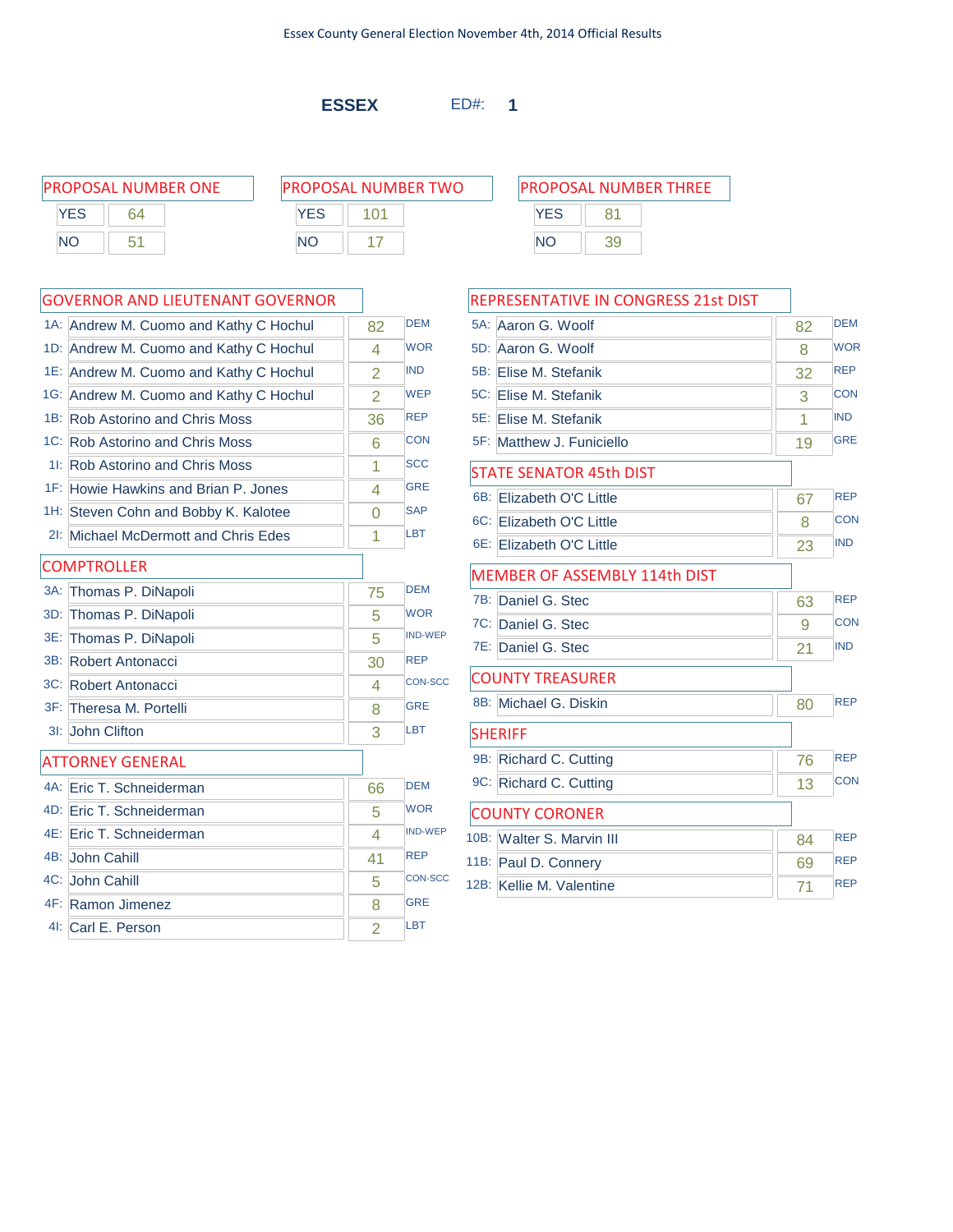**ESSEX** ED#: **1**

| PROPOSAL NUMBER ONE |    |            | <b>PROPOSAL NUMBER TWO</b> |     |    | <b>PROPOSAL NUMBER THREE</b> |
|---------------------|----|------------|----------------------------|-----|----|------------------------------|
| <b>YES</b>          | 64 | <b>YES</b> |                            | YES |    |                              |
| <b>NO</b>           |    | <b>NO</b>  |                            | NO  | 39 |                              |

### GOVERNOR AND LIEUTENANT GOVERNOR

|        | <b>GOVERNOR AND LIEUTENANT GOVERNOR</b> |                |                |
|--------|-----------------------------------------|----------------|----------------|
|        | 1A: Andrew M. Cuomo and Kathy C Hochul  | 82             | <b>DEM</b>     |
|        | 1D: Andrew M. Cuomo and Kathy C Hochul  | 4              | <b>WOR</b>     |
|        | 1E: Andrew M. Cuomo and Kathy C Hochul  | $\overline{2}$ | <b>IND</b>     |
|        | 1G: Andrew M. Cuomo and Kathy C Hochul  | $\overline{2}$ | <b>WEP</b>     |
|        | 1B: Rob Astorino and Chris Moss         | 36             | <b>REP</b>     |
|        | 1C: Rob Astorino and Chris Moss         | 6              | <b>CON</b>     |
|        | 11: Rob Astorino and Chris Moss         | 1              | <b>SCC</b>     |
|        | 1F: Howie Hawkins and Brian P. Jones    | 4              | <b>GRE</b>     |
|        | 1H: Steven Cohn and Bobby K. Kalotee    | O              | <b>SAP</b>     |
|        | 2I: Michael McDermott and Chris Edes    | 1              | LBT            |
|        | <b>COMPTROLLER</b>                      |                |                |
| $3A$ : | Thomas P. DiNapoli                      | 75             | <b>DEM</b>     |
|        | 3D: Thomas P. DiNapoli                  | 5              | <b>WOR</b>     |
| 3E:    | Thomas P. DiNapoli                      | 5              | <b>IND-WEP</b> |
|        | 3B: Robert Antonacci                    | 30             | <b>REP</b>     |
|        | 3C: Robert Antonacci                    | 4              | <b>CON-SCC</b> |
|        | 3F: Theresa M. Portelli                 | 8              | <b>GRE</b>     |
|        | 31: John Clifton                        | 3              | <b>LBT</b>     |
|        | <b>ATTORNEY GENERAL</b>                 |                |                |
|        | 4A: Eric T. Schneiderman                | 66             | <b>DEM</b>     |
|        | 4D: Eric T. Schneiderman                | 5              | <b>WOR</b>     |
|        | 4E: Eric T. Schneiderman                | 4              | <b>IND-WEP</b> |
|        | 4B: John Cahill                         | 41             | <b>REP</b>     |
|        | 4C: John Cahill                         | 5              | <b>CON-SCC</b> |
|        | 4F: Ramon Jimenez                       | 8              | <b>GRE</b>     |
|        | 4I: Carl E. Person                      | 2              | <b>LBT</b>     |

### REPRESENTATIVE IN CONGRESS 21st DIST

|     | 5A: Aaron G. Woolf                   | 82 | <b>DEM</b> |
|-----|--------------------------------------|----|------------|
|     | 5D: Aaron G. Woolf                   | 8  | <b>WOR</b> |
|     | 5B: Elise M. Stefanik                | 32 | <b>REP</b> |
|     | 5C: Elise M. Stefanik                | 3  | <b>CON</b> |
|     | 5E: Elise M. Stefanik                | 1  | <b>IND</b> |
|     | 5F: Matthew J. Funiciello            | 19 | <b>GRE</b> |
|     | <b>STATE SENATOR 45th DIST</b>       |    |            |
| 6B: | Elizabeth O'C Little                 | 67 | <b>REP</b> |
|     | 6C: Elizabeth O'C Little             | 8  | <b>CON</b> |
|     | 6E: Elizabeth O'C Little             | 23 | <b>IND</b> |
|     | <b>MEMBER OF ASSEMBLY 114th DIST</b> |    |            |
|     | 7B: Daniel G. Stec                   | 63 | <b>REP</b> |
|     | 7C: Daniel G. Stec                   | 9  | <b>CON</b> |
|     | 7E: Daniel G. Stec                   | 21 | <b>IND</b> |
|     | <b>COUNTY TREASURER</b>              |    |            |
|     | 8B: Michael G. Diskin                | 80 | <b>REP</b> |
|     | <b>SHERIFF</b>                       |    |            |
|     | 9B: Richard C. Cutting               | 76 | <b>REP</b> |
|     | 9C: Richard C. Cutting               | 13 | <b>CON</b> |
|     | <b>COUNTY CORONER</b>                |    |            |
|     | 10B: Walter S. Marvin III            | 84 | <b>REP</b> |
|     | 11B: Paul D. Connery                 | 69 | <b>REP</b> |
|     | 12B: Kellie M. Valentine             | 71 | <b>REP</b> |
|     |                                      |    |            |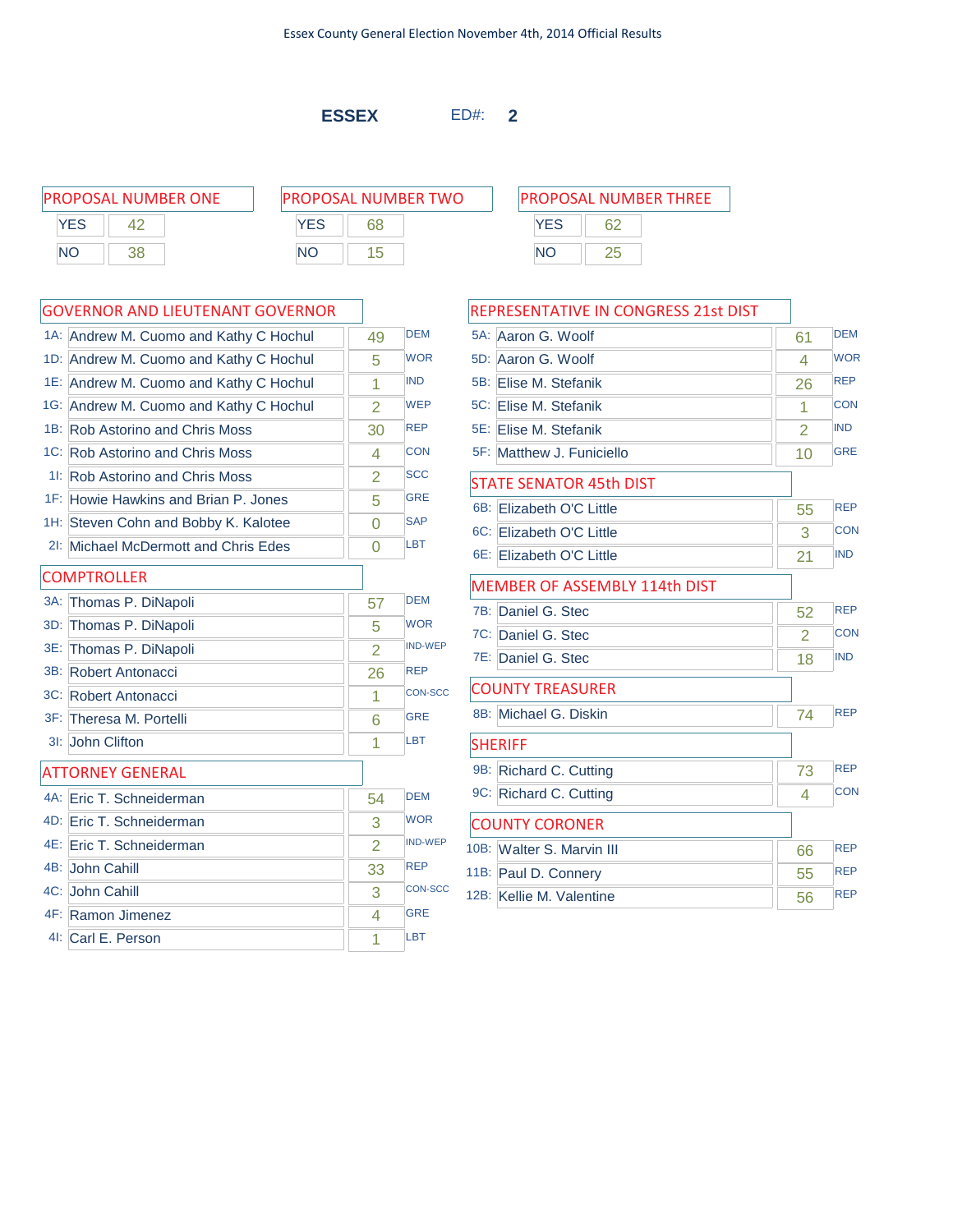**ESSEX** ED#: **2**

**YES** 62 NO 25

PROPOSAL NUMBER ONE PROPOSAL NUMBER TWO PROPOSAL NUMBER THREE **YES** 42 NO 38

| ROPOSAL NUMBER TWO |    |  |  |  |  |  |  |
|--------------------|----|--|--|--|--|--|--|
| YFS                | 68 |  |  |  |  |  |  |
| NΟ                 | 15 |  |  |  |  |  |  |

|        | 1A: Andrew M. Cuomo and Kathy C Hochul | 49             | <b>DEM</b>     |
|--------|----------------------------------------|----------------|----------------|
|        | 1D: Andrew M. Cuomo and Kathy C Hochul | 5              | <b>WOR</b>     |
|        | 1E: Andrew M. Cuomo and Kathy C Hochul | 1              | <b>IND</b>     |
|        | 1G: Andrew M. Cuomo and Kathy C Hochul | 2              | <b>WEP</b>     |
|        | 1B: Rob Astorino and Chris Moss        | 30             | <b>REP</b>     |
|        | 1C: Rob Astorino and Chris Moss        | 4              | <b>CON</b>     |
|        | 11: Rob Astorino and Chris Moss        | $\overline{2}$ | <b>SCC</b>     |
|        | 1F: Howie Hawkins and Brian P. Jones   | 5              | <b>GRE</b>     |
|        | 1H: Steven Cohn and Bobby K. Kalotee   | 0              | <b>SAP</b>     |
| $2!$ : | Michael McDermott and Chris Edes       | $\Omega$       | <b>LBT</b>     |
|        | <b>COMPTROLLER</b>                     |                |                |
|        | 3A: Thomas P. DiNapoli                 | 57             | <b>DEM</b>     |
| 3D:    | Thomas P. DiNapoli                     | 5              | <b>WOR</b>     |
|        | 3E: Thomas P. DiNapoli                 | $\overline{2}$ | <b>IND-WEP</b> |
|        | 3B: Robert Antonacci                   | 26             | <b>REP</b>     |
|        | 3C: Robert Antonacci                   | 1              | <b>CON-SCC</b> |
|        | 3F: Theresa M. Portelli                | 6              | <b>GRE</b>     |
| $31$ : | John Clifton                           | 1              | LBT            |
|        | <b>ATTORNEY GENERAL</b>                |                |                |
|        | 4A: Eric T. Schneiderman               | 54             | <b>DEM</b>     |
|        | 4D: Eric T. Schneiderman               | 3              | <b>WOR</b>     |
|        | 4E: Eric T. Schneiderman               | $\overline{2}$ | <b>IND-WEP</b> |
|        | 4B: John Cahill                        | 33             | <b>REP</b>     |
|        | 4C: John Cahill                        | 3              | <b>CON-SCC</b> |
|        | 4F: Ramon Jimenez                      | 4              | <b>GRE</b>     |
|        | 41: Carl E. Person                     | 1              | LBT            |

|     | REPRESENTATIVE IN CONGRESS 21st DIST |                |            |
|-----|--------------------------------------|----------------|------------|
|     | 5A: Aaron G. Woolf                   | 61             | <b>DEM</b> |
| 5D: | Aaron G. Woolf                       | 4              | <b>WOR</b> |
|     | 5B: Elise M. Stefanik                | 26             | <b>REP</b> |
|     | 5C: Elise M. Stefanik                | 1              | <b>CON</b> |
|     | 5E: Elise M. Stefanik                | 2              | <b>IND</b> |
|     | 5F: Matthew J. Funiciello            | 10             | <b>GRE</b> |
|     | <b>STATE SENATOR 45th DIST</b>       |                |            |
| 6B: | Elizabeth O'C Little                 | 55             | <b>REP</b> |
|     | 6C: Elizabeth O'C Little             | 3              | <b>CON</b> |
|     | 6E: Elizabeth O'C Little             | 21             | <b>IND</b> |
|     | MEMBER OF ASSEMBLY 114th DIST        |                |            |
| 7B: | Daniel G. Stec                       | 52             | <b>REP</b> |
|     | 7C: Daniel G. Stec                   | $\overline{2}$ | <b>CON</b> |
|     | 7E: Daniel G. Stec                   | 18             | <b>IND</b> |
|     | <b>COUNTY TREASURER</b>              |                |            |
|     | 8B: Michael G. Diskin                | 74             | <b>REP</b> |
|     | <b>SHERIFF</b>                       |                |            |
|     | 9B: Richard C. Cutting               | 73             | <b>REP</b> |
|     | 9C: Richard C. Cutting               | 4              | CON        |
|     | <b>COUNTY CORONER</b>                |                |            |
|     | 10B: Walter S. Marvin III            | 66             | <b>REP</b> |
|     | 11B: Paul D. Connery                 | 55             | <b>REP</b> |
|     | 12B: Kellie M. Valentine             | 56             | <b>REP</b> |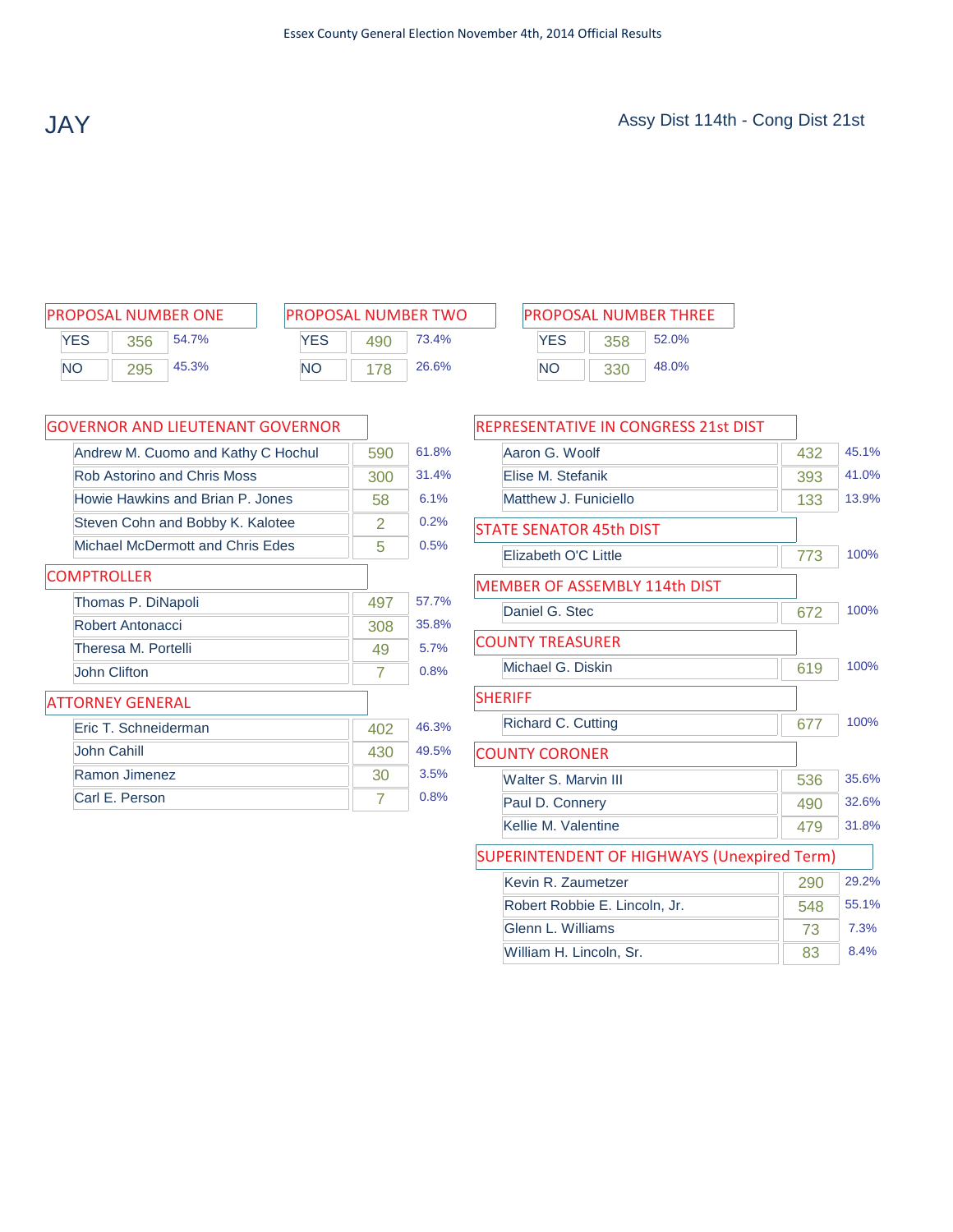| <b>PROPOSAL NUMBER ONE</b> |     |       |  |  |  |  |  |
|----------------------------|-----|-------|--|--|--|--|--|
| <b>YES</b>                 | 356 | 54.7% |  |  |  |  |  |
| <b>NO</b>                  | 295 | 45.3% |  |  |  |  |  |

| PROPOSAL NUMBER TWO |     |       |  |  |  |
|---------------------|-----|-------|--|--|--|
| <b>YFS</b>          | 490 | 73.4% |  |  |  |
| NΟ                  | 178 | 26.6% |  |  |  |

| PROPOSAL NUMBER ONE | <b>IPROPOSAL NUMBER TWO</b> | <b>PROPOSAL NUMBER THREE</b> |
|---------------------|-----------------------------|------------------------------|
| YES                 | YES                         | YES                          |
| 54.7%               | 73.4%                       | 52.0%                        |
| 356                 | 490                         | 358                          |
| 45.3%               | 26.6%                       | 48.0%                        |
| <b>NO</b>           | <b>NO</b>                   | ΝC                           |
| 295                 | 78                          | 330                          |

| <b>GOVERNOR AND LIEUTENANT GOVERNOR</b> |     |       |
|-----------------------------------------|-----|-------|
| Andrew M. Cuomo and Kathy C Hochul      | 590 | 61.8% |
| Rob Astorino and Chris Moss             | 300 | 31.4% |
| Howie Hawkins and Brian P. Jones        | 58  | 6.1%  |
| Steven Cohn and Bobby K. Kalotee        | 2   | 0.2%  |
| Michael McDermott and Chris Edes        | 5   | 0.5%  |
| <b>COMPTROLLER</b>                      |     |       |
| Thomas P. DiNapoli                      | 497 | 57.7% |
| Robert Antonacci                        | 308 | 35.8% |
| Theresa M. Portelli                     | 49  | 5.7%  |
| John Clifton                            | 7   | 0.8%  |
| <b>ATTORNEY GENERAL</b>                 |     |       |
| Eric T. Schneiderman                    | 402 | 46.3% |
| John Cahill                             | 430 | 49.5% |
| <b>Ramon Jimenez</b>                    | 30  | 3.5%  |
| Carl E. Person                          | 7   | 0.8%  |

| <b>REPRESENTATIVE IN CONGRESS 21st DIST</b>        |     |       |
|----------------------------------------------------|-----|-------|
| Aaron G. Woolf                                     | 432 | 45.1% |
| Flise M. Stefanik                                  | 393 | 41.0% |
| Matthew J. Funiciello                              | 133 | 13.9% |
| <b>STATE SENATOR 45th DIST</b>                     |     |       |
| Elizabeth O'C Little                               | 773 | 100%  |
| MEMBER OF ASSEMBLY 114th DIST                      |     |       |
| Daniel G. Stec                                     | 672 | 100%  |
| <b>COUNTY TREASURER</b>                            |     |       |
| Michael G. Diskin                                  | 619 | 100%  |
| <b>SHERIFF</b>                                     |     |       |
| <b>Richard C. Cutting</b>                          | 677 | 100%  |
| <b>COUNTY CORONER</b>                              |     |       |
| Walter S. Marvin III                               | 536 | 35.6% |
| Paul D. Connery                                    | 490 | 32.6% |
| Kellie M. Valentine                                | 479 | 31.8% |
| <b>SUPERINTENDENT OF HIGHWAYS (Unexpired Term)</b> |     |       |
| Kevin R. Zaumetzer                                 | 290 | 29.2% |
| Robert Robbie E. Lincoln, Jr.                      | 548 | 55.1% |
| Glenn L. Williams                                  | 73  | 7.3%  |
| William H. Lincoln, Sr.                            | 83  | 8.4%  |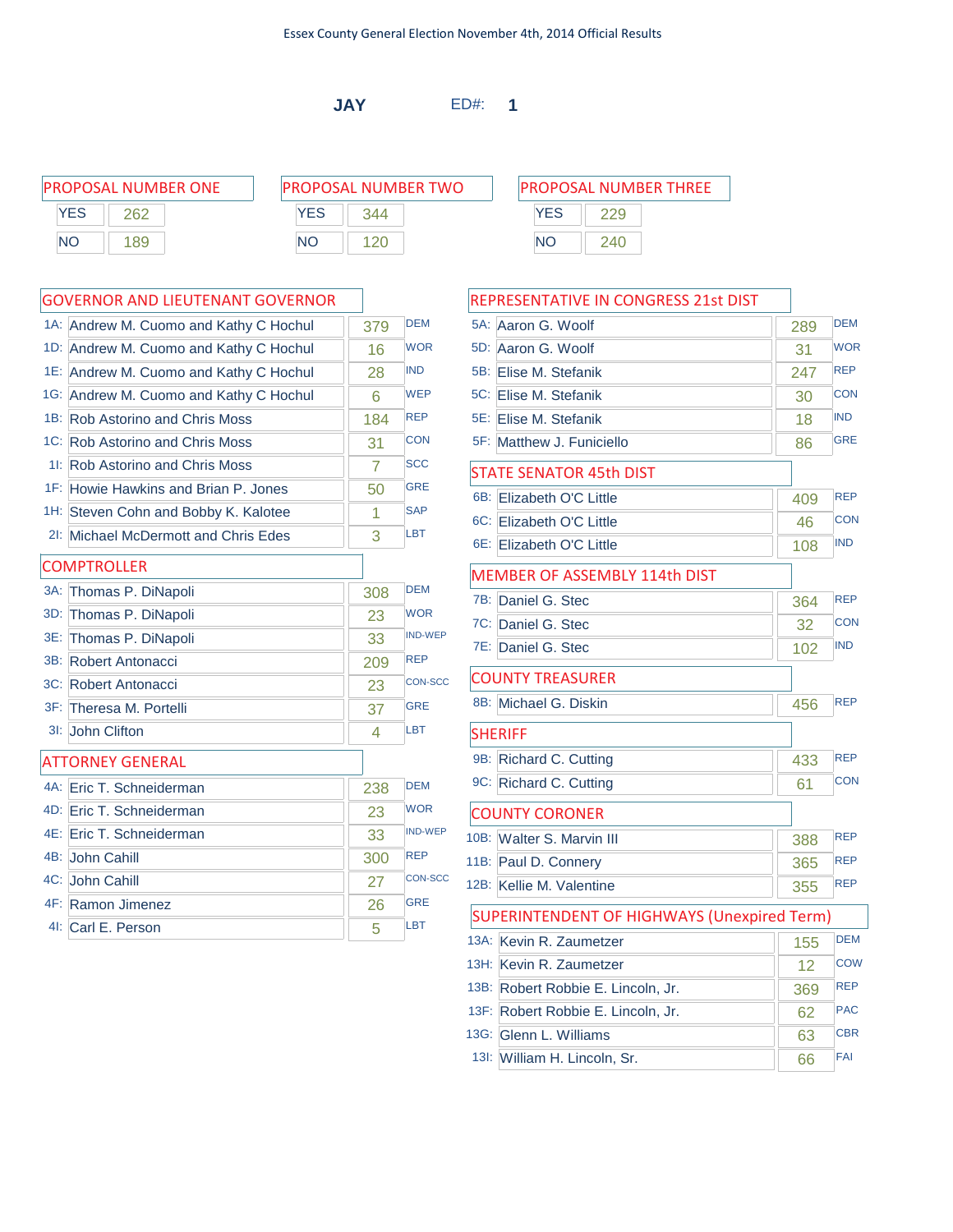**JAY** ED#: **1**

|           | PROPOSAL NUMBER ONE | <b>PROPOSAL NUMBER TWO</b> | <b>PROPOSAL NUMBER THREE</b> |
|-----------|---------------------|----------------------------|------------------------------|
| YES       | 262                 | YES<br>344                 | YES                          |
| <b>NO</b> | 189                 | ΝO                         | NΟ<br>240                    |

### GOVERNOR AND LIEUTENANT GOVERNOR

|        | GOVERNOR AND LIEUTENANT GOVERNOR       |     |                |
|--------|----------------------------------------|-----|----------------|
|        | 1A: Andrew M. Cuomo and Kathy C Hochul | 379 | <b>DEM</b>     |
|        | 1D: Andrew M. Cuomo and Kathy C Hochul | 16  | <b>WOR</b>     |
|        | 1E: Andrew M. Cuomo and Kathy C Hochul | 28  | <b>IND</b>     |
|        | 1G: Andrew M. Cuomo and Kathy C Hochul | 6   | <b>WEP</b>     |
|        | 1B: Rob Astorino and Chris Moss        | 184 | <b>REP</b>     |
|        | 1C: Rob Astorino and Chris Moss        | 31  | <b>CON</b>     |
|        | 11: Rob Astorino and Chris Moss        | 7   | <b>SCC</b>     |
|        | 1F: Howie Hawkins and Brian P. Jones   | 50  | <b>GRE</b>     |
|        | 1H: Steven Cohn and Bobby K. Kalotee   | 1   | <b>SAP</b>     |
|        | 21: Michael McDermott and Chris Edes   | 3   | <b>LBT</b>     |
|        | <b>COMPTROLLER</b>                     |     |                |
| $3A$ : | Thomas P. DiNapoli                     | 308 | <b>DEM</b>     |
| 3D:    | Thomas P. DiNapoli                     | 23  | <b>WOR</b>     |
| 3E:    | Thomas P. DiNapoli                     | 33  | <b>IND-WEP</b> |
|        | 3B: Robert Antonacci                   | 209 | <b>REP</b>     |
|        | 3C: Robert Antonacci                   | 23  | <b>CON-SCC</b> |
|        | 3F: Theresa M. Portelli                | 37  | <b>GRE</b>     |
|        | 3I: John Clifton                       | 4   | <b>LBT</b>     |
|        | <b>ATTORNEY GENERAL</b>                |     |                |
|        | 4A: Eric T. Schneiderman               | 238 | <b>DEM</b>     |
|        | 4D: Eric T. Schneiderman               | 23  | <b>WOR</b>     |
|        | 4E: Eric T. Schneiderman               | 33  | <b>IND-WEP</b> |
|        | 4B: John Cahill                        | 300 | <b>REP</b>     |
|        | 4C: John Cahill                        | 27  | <b>CON-SCC</b> |
|        | 4F: Ramon Jimenez                      | 26  | <b>GRE</b>     |
|        | 41: Carl E. Person                     | 5   | <b>LBT</b>     |

### REPRESENTATIVE IN CONGRESS 21st DIST

|     | 5A: Aaron G. Woolf                                 | 289 | <b>DEM</b> |
|-----|----------------------------------------------------|-----|------------|
|     | 5D: Aaron G. Woolf                                 | 31  | <b>WOR</b> |
|     | 5B: Elise M. Stefanik                              | 247 | <b>REP</b> |
| 5C: | Elise M. Stefanik                                  | 30  | <b>CON</b> |
|     | 5E: Elise M. Stefanik                              | 18  | <b>IND</b> |
|     | 5F: Matthew J. Funiciello                          | 86  | <b>GRE</b> |
|     | <b>STATE SENATOR 45th DIST</b>                     |     |            |
|     | 6B: Elizabeth O'C Little                           | 409 | <b>REP</b> |
|     | 6C: Elizabeth O'C Little                           | 46  | <b>CON</b> |
|     | 6E: Elizabeth O'C Little                           | 108 | <b>IND</b> |
|     | MEMBER OF ASSEMBLY 114th DIST                      |     |            |
|     | 7B: Daniel G. Stec                                 | 364 | <b>REP</b> |
|     | 7C: Daniel G. Stec                                 | 32  | <b>CON</b> |
|     | 7E: Daniel G. Stec                                 | 102 | <b>IND</b> |
|     | <b>COUNTY TREASURER</b>                            |     |            |
|     | 8B: Michael G. Diskin                              | 456 | <b>REP</b> |
|     | <b>SHERIFF</b>                                     |     |            |
|     | 9B: Richard C. Cutting                             | 433 | <b>REP</b> |
|     | 9C: Richard C. Cutting                             | 61  | <b>CON</b> |
|     | <b>COUNTY CORONER</b>                              |     |            |
|     | 10B: Walter S. Marvin III                          | 388 | <b>REP</b> |
|     | 11B: Paul D. Connery                               | 365 | <b>REP</b> |
|     | 12B: Kellie M. Valentine                           | 355 | <b>REP</b> |
|     | <b>SUPERINTENDENT OF HIGHWAYS (Unexpired Term)</b> |     |            |
|     | 13A: Kevin R. Zaumetzer                            | 155 | <b>DEM</b> |
|     | 13H: Kevin R. Zaumetzer                            | 12  | <b>COW</b> |
|     | 13B: Robert Robbie E. Lincoln, Jr.                 | 369 | <b>REP</b> |
|     | 13F: Robert Robbie E. Lincoln, Jr.                 | 62  | <b>PAC</b> |
|     | 13G: Glenn L. Williams                             | 63  | <b>CBR</b> |
|     | 13I: William H. Lincoln, Sr.                       | 66  | FAI        |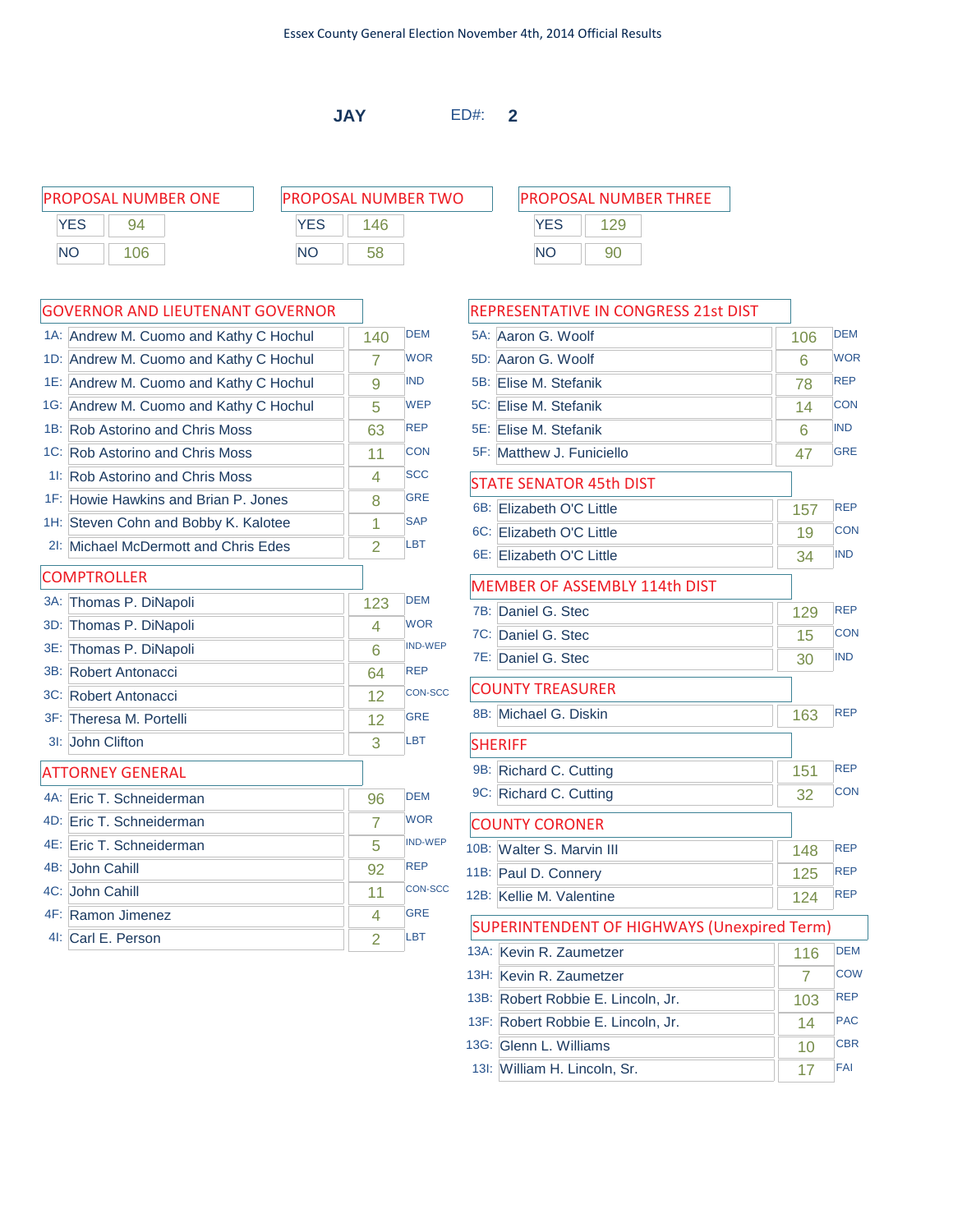**JAY** ED#: **2**

PROPOSAL NUMBER ONE PROPOSAL NUMBER TWO PROPOSAL NUMBER THREE YES 94 NO 106

| PROPOSAL NUMBER TWO |     |  |
|---------------------|-----|--|
| YES                 | 146 |  |
| NΟ                  | 58  |  |

### GOVERNOR AND LIEUTENANT GOVERNOR

|     | 1A: Andrew M. Cuomo and Kathy C Hochul | 140            | <b>DEM</b>     |
|-----|----------------------------------------|----------------|----------------|
|     | 1D: Andrew M. Cuomo and Kathy C Hochul | 7              | <b>WOR</b>     |
|     | 1E: Andrew M. Cuomo and Kathy C Hochul | 9              | <b>IND</b>     |
|     | 1G: Andrew M. Cuomo and Kathy C Hochul | 5              | <b>WEP</b>     |
|     | 1B: Rob Astorino and Chris Moss        | 63             | <b>REP</b>     |
|     | 1C: Rob Astorino and Chris Moss        | 11             | <b>CON</b>     |
|     | 11: Rob Astorino and Chris Moss        | 4              | <b>SCC</b>     |
|     | 1F: Howie Hawkins and Brian P. Jones   | 8              | <b>GRE</b>     |
|     | 1H: Steven Cohn and Bobby K. Kalotee   | 1              | <b>SAP</b>     |
|     | 21: Michael McDermott and Chris Edes   | $\overline{2}$ | <b>LBT</b>     |
|     | <b>COMPTROLLER</b>                     |                |                |
| 3A: | Thomas P. DiNapoli                     | 123            | <b>DEM</b>     |
| 3D: | Thomas P. DiNapoli                     | 4              | <b>WOR</b>     |
|     | 3E: Thomas P. DiNapoli                 | 6              | <b>IND-WEP</b> |
|     | 3B: Robert Antonacci                   | 64             | <b>REP</b>     |
|     | 3C: Robert Antonacci                   | 12             | CON-SCC        |
|     | 3F: Theresa M. Portelli                | 12             | <b>GRE</b>     |
|     | 3I: John Clifton                       | 3              | <b>LBT</b>     |
|     | <b>ATTORNEY GENERAL</b>                |                |                |
|     | 4A: Eric T. Schneiderman               | 96             | <b>DEM</b>     |
|     | 4D: Eric T. Schneiderman               | $\overline{7}$ | <b>WOR</b>     |
|     | 4E: Eric T. Schneiderman               | 5              | <b>IND-WEP</b> |
|     | 4B: John Cahill                        | 92             | <b>REP</b>     |
|     | 4C: John Cahill                        | 11             | <b>CON-SCC</b> |
|     | 4F: Ramon Jimenez                      | 4              | <b>GRE</b>     |
|     | 41: Carl E. Person                     | $\overline{2}$ | <b>LBT</b>     |

# YES 129 NO 90

|      | REPRESENTATIVE IN CONGRESS 21st DIST               |     |            |  |  |
|------|----------------------------------------------------|-----|------------|--|--|
|      | 5A: Aaron G. Woolf                                 | 106 | <b>DEM</b> |  |  |
|      | 5D: Aaron G. Woolf                                 | 6   | <b>WOR</b> |  |  |
|      | 5B: Elise M. Stefanik                              | 78  | <b>REP</b> |  |  |
|      | 5C: Elise M. Stefanik                              | 14  | <b>CON</b> |  |  |
|      | 5E: Elise M. Stefanik                              | 6   | <b>IND</b> |  |  |
|      | 5F: Matthew J. Funiciello                          | 47  | <b>GRE</b> |  |  |
|      | STATE SENATOR 45th DIST                            |     |            |  |  |
| 6B:  | <b>Elizabeth O'C Little</b>                        | 157 | <b>REP</b> |  |  |
|      | 6C: Elizabeth O'C Little                           | 19  | <b>CON</b> |  |  |
|      | 6E: Elizabeth O'C Little                           | 34  | <b>IND</b> |  |  |
|      | <b>MEMBER OF ASSEMBLY 114th DIST</b>               |     |            |  |  |
|      | 7B: Daniel G. Stec                                 | 129 | <b>REP</b> |  |  |
|      | 7C: Daniel G. Stec                                 | 15  | <b>CON</b> |  |  |
|      | 7E: Daniel G. Stec                                 | 30  | <b>IND</b> |  |  |
|      | <b>COUNTY TREASURER</b>                            |     |            |  |  |
|      | 8B: Michael G. Diskin                              | 163 | <b>REP</b> |  |  |
|      | <b>SHERIFF</b>                                     |     |            |  |  |
|      | 9B: Richard C. Cutting                             | 151 | <b>REP</b> |  |  |
|      | 9C: Richard C. Cutting                             | 32  | <b>CON</b> |  |  |
|      | <b>COUNTY CORONER</b>                              |     |            |  |  |
|      | 10B: Walter S. Marvin III                          | 148 | <b>REP</b> |  |  |
|      | 11B: Paul D. Connery                               | 125 | <b>REP</b> |  |  |
|      | 12B: Kellie M. Valentine                           | 124 | <b>REP</b> |  |  |
|      | <b>SUPERINTENDENT OF HIGHWAYS (Unexpired Term)</b> |     |            |  |  |
|      | 13A: Kevin R. Zaumetzer                            | 116 | <b>DEM</b> |  |  |
|      | 13H: Kevin R. Zaumetzer                            | 7   | COW        |  |  |
| 13B: | Robert Robbie E. Lincoln, Jr.                      | 103 | <b>REP</b> |  |  |
|      | 13F: Robert Robbie E. Lincoln, Jr.                 | 14  | <b>PAC</b> |  |  |
|      | 13G: Glenn L. Williams                             | 10  | <b>CBR</b> |  |  |
|      | 13I: William H. Lincoln, Sr.                       | 17  | FAI        |  |  |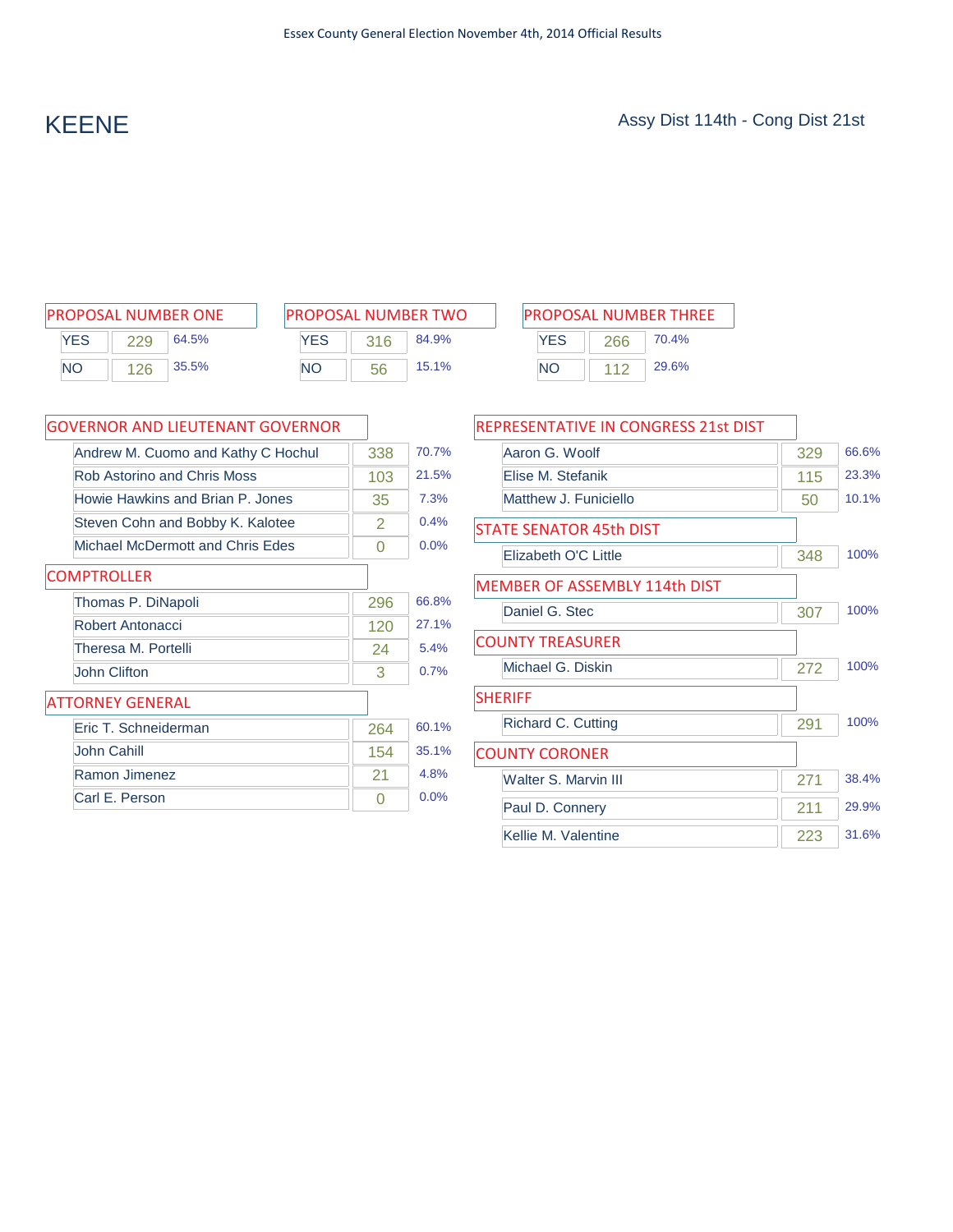| <b>PROPOSAL NUMBER ONE</b> |     |          |  |
|----------------------------|-----|----------|--|
| <b>YES</b>                 | 229 | 64.5%    |  |
| <b>NO</b>                  | 126 | $35.5\%$ |  |

| <b>PROPOSAL NUMBER TWO</b> |     |       |  |
|----------------------------|-----|-------|--|
| <b>YFS</b>                 | 316 | 84.9% |  |
| NΟ                         | 56  | 15.1% |  |

 $\overline{a}$ 

| PROPOSAL NUMBER ONE | <b>IPROPOSAL NUMBER TWO</b> | <b>PROPOSAL NUMBER THREE</b> |
|---------------------|-----------------------------|------------------------------|
| YES                 | YES                         | YES                          |
| 64.5%               | 84.9%                       | 70.4%                        |
| 229                 | 316                         | 266                          |
| 35.5%               | 15.1%                       | 29.6%                        |
| <b>NO</b>           | <b>NO</b>                   | <b>NO</b>                    |
| 126                 | 56                          | 112                          |

| GOVERNOR AND LIEUTENANT GOVERNOR   |     |       |
|------------------------------------|-----|-------|
| Andrew M. Cuomo and Kathy C Hochul | 338 | 70.7% |
| Rob Astorino and Chris Moss        | 103 | 21.5% |
| Howie Hawkins and Brian P. Jones   | 35  | 7.3%  |
| Steven Cohn and Bobby K. Kalotee   | 2   | 0.4%  |
| Michael McDermott and Chris Edes   | O   | 0.0%  |
| <b>COMPTROLLER</b>                 |     |       |
| Thomas P. DiNapoli                 | 296 | 66.8% |
| Robert Antonacci                   | 120 | 27.1% |
| Theresa M. Portelli                | 24  | 5.4%  |
| John Clifton                       | 3   | 0.7%  |
| <b>ATTORNEY GENERAL</b>            |     |       |
| Eric T. Schneiderman               | 264 | 60.1% |
| John Cahill                        | 154 | 35.1% |
| Ramon Jimenez                      | 21  | 4.8%  |
| Carl E. Person                     | Ω   | 0.0%  |

| REPRESENTATIVE IN CONGRESS 21st DIST |     |       |
|--------------------------------------|-----|-------|
| Aaron G. Woolf                       | 329 | 66.6% |
| Flise M. Stefanik                    | 115 | 23.3% |
| Matthew J. Funiciello                | 50  | 10.1% |
| <b>STATE SENATOR 45th DIST</b>       |     |       |
| Flizabeth O'C Little                 | 348 | 100%  |
| <b>MEMBER OF ASSEMBLY 114th DIST</b> |     |       |
| Daniel G. Stec                       | 307 | 100%  |
| <b>COUNTY TREASURER</b>              |     |       |
| Michael G. Diskin                    | 272 | 100%  |
| <b>SHERIFF</b>                       |     |       |
| Richard C. Cutting                   | 291 | 100%  |
| <b>COUNTY CORONER</b>                |     |       |
| Walter S. Marvin III                 | 271 | 38.4% |
| Paul D. Connery                      | 211 | 29.9% |
| Kellie M. Valentine                  | 223 | 31.6% |
|                                      |     |       |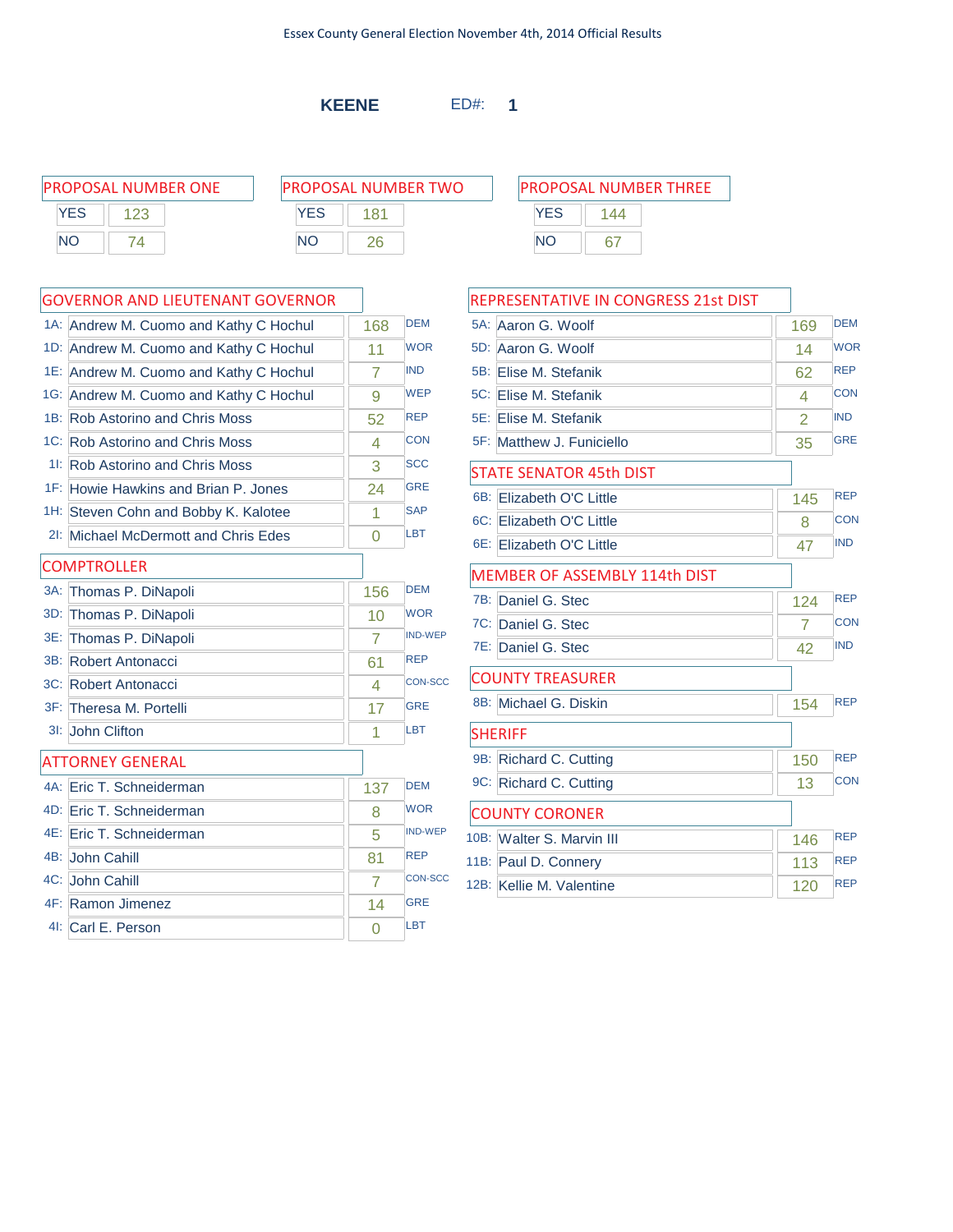**KEENE** ED#: **1**

SHERIFF

COUNTY CORONER

| PROPOSAL NUMBER ONE | <b>PROPOSAL NUMBER TWO</b> |     |           | <b>PROPOSAL NUMBER THREE</b> |  |
|---------------------|----------------------------|-----|-----------|------------------------------|--|
| YES                 | YES                        | 181 |           | YES                          |  |
| <b>NO</b>           | NΟ                         |     | <b>NO</b> |                              |  |

### GOVERNOR AND LIEUTENANT GOVERNOR  $14:$  Androw M. Cuomo and Kathy C Hochul  $\overline{1}$   $\overline{1}$   $\overline{2}$   $\overline{2}$   $\overline{2}$   $\overline{2}$   $\overline{2}$   $\overline{2}$   $\overline{2}$   $\overline{2}$   $\overline{2}$   $\overline{2}$   $\overline{2}$   $\overline{2}$   $\overline{2}$   $\overline{2}$   $\overline{2}$   $\overline{2}$   $\overline{2}$   $\overline{2}$   $\overline{2}$   $\overline{2}$   $\overline{2}$   $\overline{2}$   $\overline{$

| IA.    | Andrew M. Cubino and Natrix C Hochul   | 100            |                |
|--------|----------------------------------------|----------------|----------------|
| 1D:    | Andrew M. Cuomo and Kathy C Hochul     | 11             | <b>WOR</b>     |
|        | 1E: Andrew M. Cuomo and Kathy C Hochul | 7              | <b>IND</b>     |
| $1G$ : | Andrew M. Cuomo and Kathy C Hochul     | 9              | <b>WEP</b>     |
|        | 1B: Rob Astorino and Chris Moss        | 52             | <b>REP</b>     |
|        | 1C: Rob Astorino and Chris Moss        | 4              | <b>CON</b>     |
| $1$ :  | <b>Rob Astorino and Chris Moss</b>     | 3              | <b>SCC</b>     |
|        | 1F: Howie Hawkins and Brian P. Jones   | 24             | <b>GRE</b>     |
|        | 1H: Steven Cohn and Bobby K. Kalotee   | 1              | <b>SAP</b>     |
|        | 21: Michael McDermott and Chris Edes   | $\Omega$       | <b>LBT</b>     |
|        | <b>COMPTROLLER</b>                     |                |                |
| $3A$ : | Thomas P. DiNapoli                     | 156            | <b>DEM</b>     |
| 3D:    | Thomas P. DiNapoli                     | 10             | <b>WOR</b>     |
| 3E:    | Thomas P. DiNapoli                     | $\overline{7}$ | <b>IND-WEP</b> |
| 3B:    | Robert Antonacci                       | 61             | <b>REP</b>     |
|        | 3C: Robert Antonacci                   | 4              | <b>CON-SCC</b> |
|        | 3F: Theresa M. Portelli                | 17             | <b>GRE</b>     |
|        | 31: John Clifton                       | 1              | <b>LBT</b>     |
|        | <b>ATTORNEY GENERAL</b>                |                |                |
|        | 4A: Eric T. Schneiderman               | 137            | <b>DEM</b>     |
|        | 4D: Eric T. Schneiderman               | 8              | <b>WOR</b>     |
|        | 4E: Eric T. Schneiderman               | 5              | <b>IND-WEP</b> |
|        | 4B: John Cahill                        | 81             | <b>REP</b>     |
|        | 4C: John Cahill                        | 7              | CON-SCC        |
|        | 4F: Ramon Jimenez                      | 14             | <b>GRE</b>     |
|        | 41: Carl E. Person                     | 0              | LBT            |
|        |                                        |                |                |

| REPRESENTATIVE IN CONGRESS 21st DIST |     |            |
|--------------------------------------|-----|------------|
| 5A: Aaron G. Woolf                   | 169 | <b>DEM</b> |
| 5D: Aaron G. Woolf                   | 14  | <b>WOR</b> |
| 5B: Elise M. Stefanik                | 62  | <b>REP</b> |
| 5C: Elise M. Stefanik                | 4   | <b>CON</b> |
| 5E: Elise M. Stefanik                | 2   | <b>IND</b> |
| 5F: Matthew J. Funiciello            | 35  | <b>GRE</b> |
| <b>STATE SENATOR 45th DIST</b>       |     |            |
| 6B: Elizabeth O'C Little             | 145 | <b>REP</b> |
| 6C: Elizabeth O'C Little             | 8   | <b>CON</b> |
| 6E: Elizabeth O'C Little             | 47  | <b>IND</b> |
| <b>MEMBER OF ASSEMBLY 114th DIST</b> |     |            |
| 7B: Daniel G. Stec                   | 124 | <b>REP</b> |
| 7C: Daniel G. Stec                   | 7   | <b>CON</b> |
| 7E: Daniel G. Stec                   | 42  | <b>IND</b> |
| <b>COUNTY TREASURER</b>              |     |            |
| 8B: Michael G. Diskin                | 154 | <b>RFP</b> |

9B: Richard C. Cutting 150 REP 9C: Richard C. Cutting 13 CON

10B: Walter S. Marvin III 146 REP 11B: Paul D. Connery 113 REP 12B: Kellie M. Valentine 120 REP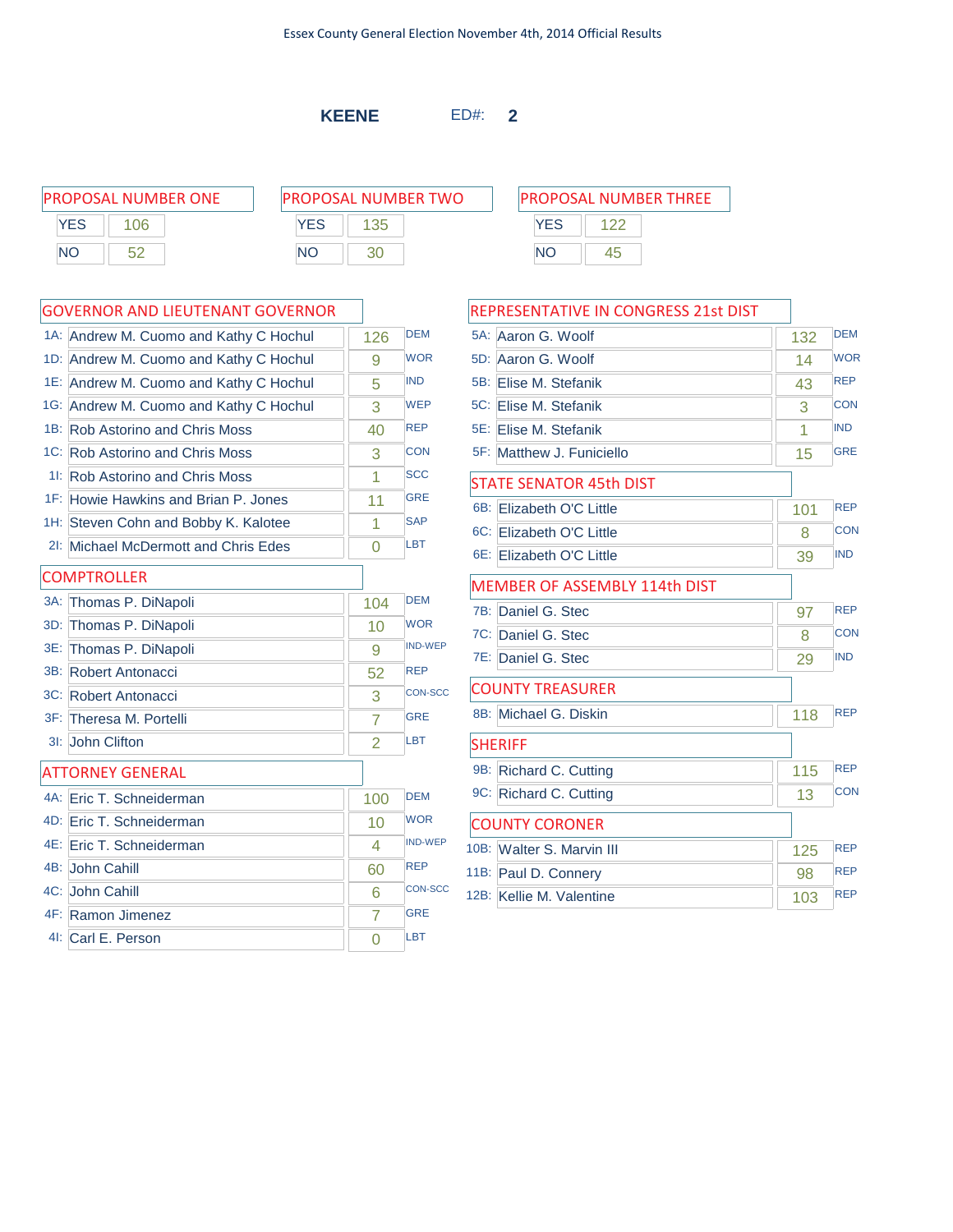**KEENE** ED#: **2**

PROPOSAL NUMBER ONE P **YES** 106 NO 52

| 'ROPOSAL NUMBER TWO |     |  |  |  |  |
|---------------------|-----|--|--|--|--|
| <b>YFS</b>          | 135 |  |  |  |  |
| NΟ                  | חצ  |  |  |  |  |

|                | 1A: Andrew M. Cuomo and Kathy C Hochul | 126            | <b>DEM</b>     |
|----------------|----------------------------------------|----------------|----------------|
| 1D:            | Andrew M. Cuomo and Kathy C Hochul     | 9              | <b>WOR</b>     |
|                | 1E: Andrew M. Cuomo and Kathy C Hochul | 5              | <b>IND</b>     |
|                | 1G: Andrew M. Cuomo and Kathy C Hochul | 3              | <b>WEP</b>     |
|                | 1B: Rob Astorino and Chris Moss        | 40             | <b>REP</b>     |
|                | 1C: Rob Astorino and Chris Moss        | 3              | <b>CON</b>     |
| $1!$ :         | <b>Rob Astorino and Chris Moss</b>     | 1              | <b>SCC</b>     |
|                | 1F: Howie Hawkins and Brian P. Jones   | 11             | <b>GRE</b>     |
|                | 1H: Steven Cohn and Bobby K. Kalotee   | 1              | <b>SAP</b>     |
| $2!$ :         | Michael McDermott and Chris Edes       | O              | LBT            |
|                | <b>COMPTROLLER</b>                     |                |                |
| $3A$ :         | Thomas P. DiNapoli                     | 104            | <b>DEM</b>     |
| 3D:            | Thomas P. DiNapoli                     | 10             | <b>WOR</b>     |
| 3E:            | Thomas P. DiNapoli                     | 9              | <b>IND-WEP</b> |
|                | 3B: Robert Antonacci                   | 52             | <b>REP</b>     |
|                | 3C: Robert Antonacci                   | 3              | <b>CON-SCC</b> |
|                | 3F: Theresa M. Portelli                | $\overline{7}$ | <b>GRE</b>     |
| 3 <sub>1</sub> | John Clifton                           | $\overline{2}$ | LBT            |
|                | <b>ATTORNEY GENERAL</b>                |                |                |
|                | 4A: Eric T. Schneiderman               | 100            | <b>DFM</b>     |
|                | 4D: Eric T. Schneiderman               | 10             | <b>WOR</b>     |
|                | 4E: Eric T. Schneiderman               | 4              | <b>IND-WEP</b> |
|                | 4B: John Cahill                        | 60             | <b>REP</b>     |
|                | 4C: John Cahill                        | 6              | <b>CON-SCC</b> |
|                | 4F: Ramon Jimenez                      | 7              | <b>GRE</b>     |
|                | 4I: Carl E. Person                     | $\Omega$       | <b>LBT</b>     |

| PROPOSAL NUMBER THREE |     |  |  |  |  |
|-----------------------|-----|--|--|--|--|
| <b>YES</b>            | 122 |  |  |  |  |
| NΟ                    | 45  |  |  |  |  |

| REPRESENTATIVE IN CONGRESS 21st DIST |     |            |  |
|--------------------------------------|-----|------------|--|
| 5A: Aaron G. Woolf                   | 132 | <b>DEM</b> |  |
| Aaron G. Woolf<br>5D:                | 14  | <b>WOR</b> |  |
| 5B: Elise M. Stefanik                | 43  | <b>REP</b> |  |
| 5C: Elise M. Stefanik                | 3   | <b>CON</b> |  |
| 5E: Elise M. Stefanik                | 1   | <b>IND</b> |  |
| 5F: Matthew J. Funiciello            | 15  | <b>GRE</b> |  |
| <b>STATE SENATOR 45th DIST</b>       |     |            |  |
| 6B:<br>Elizabeth O'C Little          | 101 | <b>REP</b> |  |
| 6C: Elizabeth O'C Little             | 8   | <b>CON</b> |  |
| 6E: Elizabeth O'C Little             | 39  | <b>IND</b> |  |
| MEMBER OF ASSEMBLY 114th DIST        |     |            |  |
| 7B:<br>Daniel G. Stec                | 97  | <b>REP</b> |  |
| 7C: Daniel G. Stec                   | 8   | <b>CON</b> |  |
| 7E: Daniel G. Stec                   | 29  | <b>IND</b> |  |
| <b>COUNTY TREASURER</b>              |     |            |  |
| 8B:<br>Michael G. Diskin             | 118 | <b>REP</b> |  |
| <b>SHERIFF</b>                       |     |            |  |
| 9B:<br>Richard C. Cutting            | 115 | <b>REP</b> |  |
| 9C: Richard C. Cutting               | 13  | <b>CON</b> |  |
| <b>COUNTY CORONER</b>                |     |            |  |
| 10B: Walter S. Marvin III            | 125 | <b>REP</b> |  |
| 11B: Paul D. Connery                 | 98  | <b>REP</b> |  |
| 12B: Kellie M. Valentine             | 103 | <b>REP</b> |  |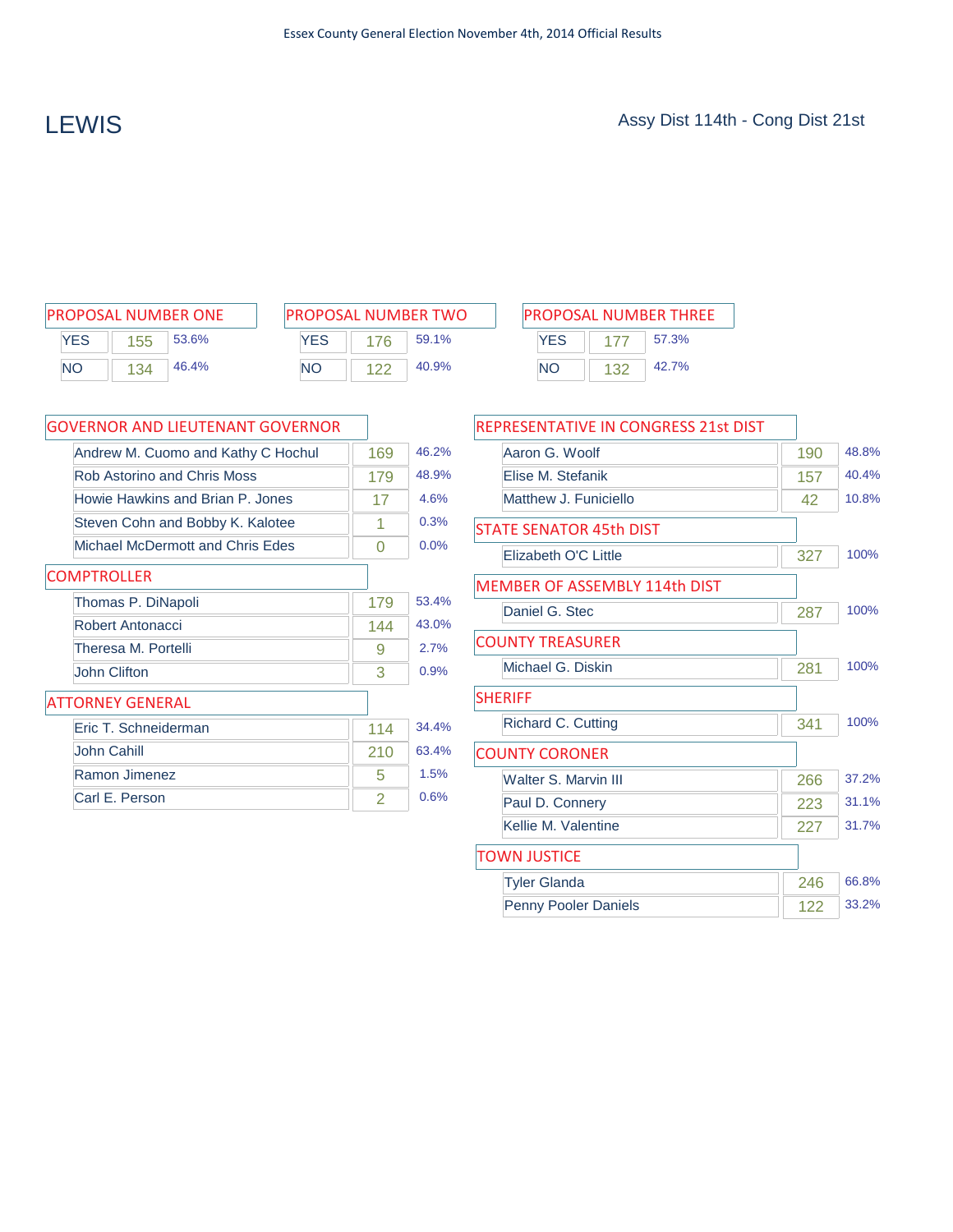| <b>PROPOSAL NUMBER ONE</b> |     |       |  |  |  |
|----------------------------|-----|-------|--|--|--|
| <b>YES</b>                 | 155 | 53.6% |  |  |  |
| <b>NO</b>                  | 134 | 46.4% |  |  |  |

| <b>PROPOSAL NUMBER TWO</b> |     |       |  |  |  |
|----------------------------|-----|-------|--|--|--|
| <b>YES</b>                 | 176 | 59.1% |  |  |  |
| NΟ                         | 122 | 40.9% |  |  |  |

 $\overline{\phantom{a}}$ 

| <b>PROPOSAL NUMBER TWO</b><br>PROPOSAL NUMBER ONE |     |       | <b>PROPOSAL NUMBER THREE</b> |      |       |     |       |
|---------------------------------------------------|-----|-------|------------------------------|------|-------|-----|-------|
| YES                                               | 155 | 53.6% | <b>YES</b>                   | 176. | 59.1% | YES | 57.3% |
| <b>NO</b>                                         | 134 | 46.4% | <b>NO</b>                    |      | 40.9% | NΟ  | 42.7% |

| <b>GOVERNOR AND LIEUTENANT GOVERNOR</b> |     |       |
|-----------------------------------------|-----|-------|
| Andrew M. Cuomo and Kathy C Hochul      | 169 | 46.2% |
| Rob Astorino and Chris Moss             | 179 | 48.9% |
| Howie Hawkins and Brian P. Jones        | 17  | 4.6%  |
| Steven Cohn and Bobby K. Kalotee        | 1   | 0.3%  |
| Michael McDermott and Chris Edes        | 0   | 0.0%  |
| <b>COMPTROLLER</b>                      |     |       |
| Thomas P. DiNapoli                      | 179 | 53.4% |
| Robert Antonacci                        | 144 | 43.0% |
| Theresa M. Portelli                     | 9   | 2.7%  |
| John Clifton                            | 3   | 0.9%  |
| <b>ATTORNEY GENERAL</b>                 |     |       |
| Eric T. Schneiderman                    | 114 | 34.4% |
| <b>John Cahill</b>                      | 210 | 63.4% |
| Ramon Jimenez                           | 5   | 1.5%  |
| Carl E. Person                          | 2   | 0.6%  |

| REPRESENTATIVE IN CONGRESS 21st DIST |     |       |
|--------------------------------------|-----|-------|
| Aaron G. Woolf                       | 190 | 48.8% |
| Elise M. Stefanik                    | 157 | 40.4% |
| Matthew J. Funiciello                | 42  | 10.8% |
| <b>STATE SENATOR 45th DIST</b>       |     |       |
| Elizabeth O'C Little                 | 327 | 100%  |
| <b>MEMBER OF ASSEMBLY 114th DIST</b> |     |       |
| Daniel G. Stec                       | 287 | 100%  |
| <b>COUNTY TREASURER</b>              |     |       |
| Michael G. Diskin                    | 281 | 100%  |
| <b>SHERIFF</b>                       |     |       |
| <b>Richard C. Cutting</b>            | 341 | 100%  |
| <b>COUNTY CORONER</b>                |     |       |
| <b>Walter S. Marvin III</b>          | 266 | 37.2% |
| Paul D. Connery                      | 223 | 31.1% |
| Kellie M. Valentine                  | 227 | 31.7% |
| <b>TOWN JUSTICE</b>                  |     |       |
| <b>Tyler Glanda</b>                  | 246 | 66.8% |
| <b>Penny Pooler Daniels</b>          | 122 | 33.2% |
|                                      |     |       |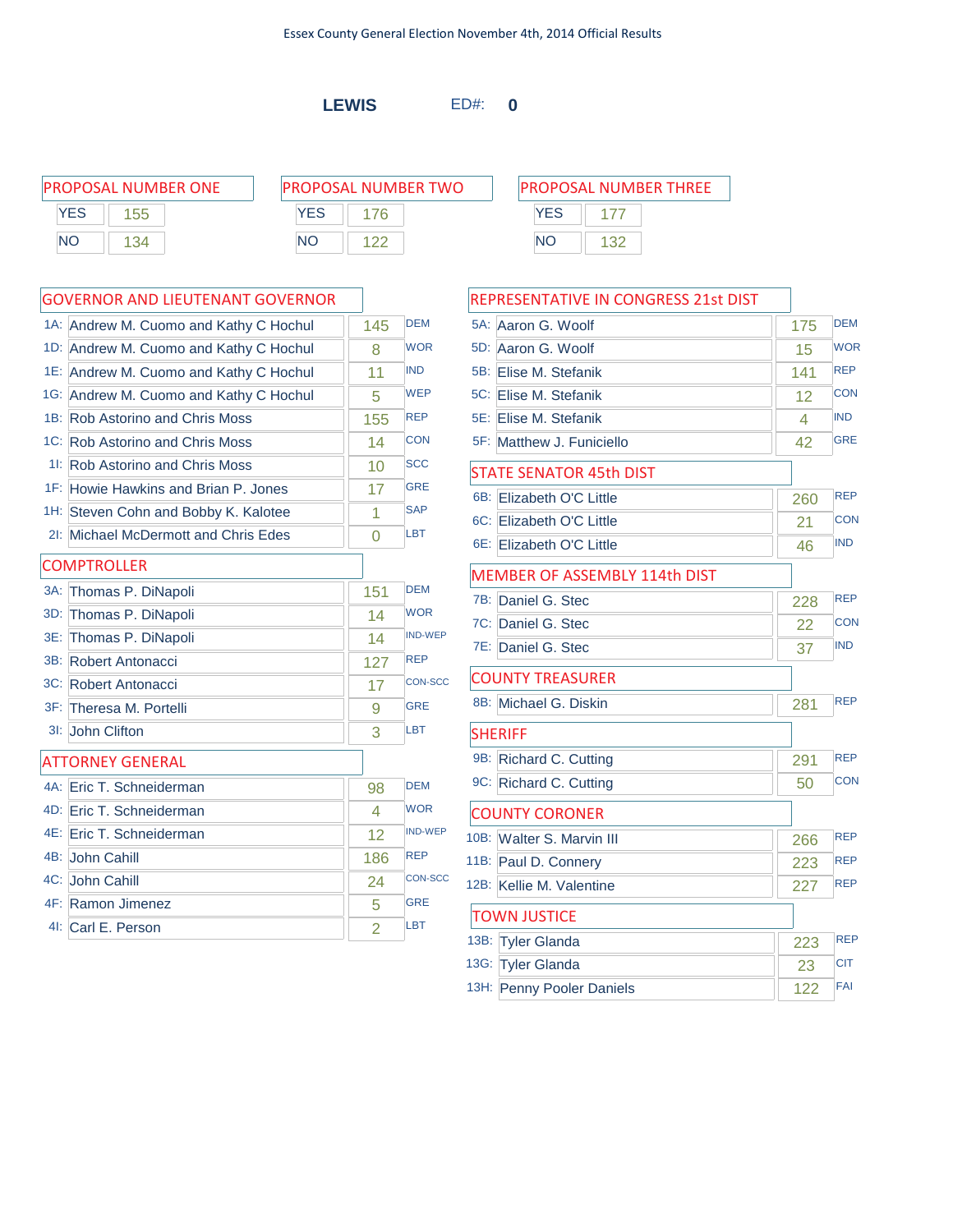**LEWIS** ED#: **0**

|     | PROPOSAL NUMBER ONE | <b>PROPOSAL NUMBER TWO</b> |     |           | <b>PROPOSAL NUMBER THREE</b> |
|-----|---------------------|----------------------------|-----|-----------|------------------------------|
| YES | 55                  | YFS                        | 76. | YES       |                              |
| NΟ  | 134                 | <b>NO</b>                  |     | <b>NO</b> |                              |

|        | 1A: Andrew M. Cuomo and Kathy C Hochul | 145            | <b>DEM</b>     |
|--------|----------------------------------------|----------------|----------------|
| $1D$ : | Andrew M. Cuomo and Kathy C Hochul     | 8              | <b>WOR</b>     |
|        | 1E: Andrew M. Cuomo and Kathy C Hochul | 11             | <b>IND</b>     |
|        | 1G: Andrew M. Cuomo and Kathy C Hochul | 5              | <b>WEP</b>     |
| 1B:    | <b>Rob Astorino and Chris Moss</b>     | 155            | <b>REP</b>     |
|        | 1C: Rob Astorino and Chris Moss        | 14             | CON            |
|        | 11: Rob Astorino and Chris Moss        | 10             | <b>SCC</b>     |
|        | 1F: Howie Hawkins and Brian P. Jones   | 17             | <b>GRE</b>     |
|        | 1H: Steven Cohn and Bobby K. Kalotee   | 1              | <b>SAP</b>     |
|        | 21: Michael McDermott and Chris Edes   | 0              | <b>LBT</b>     |
|        | <b>COMPTROLLER</b>                     |                |                |
| $3A$ : | Thomas P. DiNapoli                     | 151            | <b>DEM</b>     |
| 3D:    | Thomas P. DiNapoli                     | 14             | <b>WOR</b>     |
| 3E:    | Thomas P. DiNapoli                     | 14             | <b>IND-WEP</b> |
|        | 3B: Robert Antonacci                   | 127            | <b>REP</b>     |
|        | 3C: Robert Antonacci                   | 17             | <b>CON-SCC</b> |
|        | 3F: Theresa M. Portelli                | 9              | <b>GRE</b>     |
|        | 3I: John Clifton                       | 3              | LBT            |
|        | <b>ATTORNEY GENERAL</b>                |                |                |
|        | 4A: Eric T. Schneiderman               | 98             | <b>DEM</b>     |
|        | 4D: Eric T. Schneiderman               | 4              | <b>WOR</b>     |
| 4E:    | Eric T. Schneiderman                   | 12             | <b>IND-WEP</b> |
|        | 4B: John Cahill                        | 186            | <b>REP</b>     |
|        | 4C: John Cahill                        | 24             | <b>CON-SCC</b> |
|        | 4F: Ramon Jimenez                      | 5              | <b>GRE</b>     |
|        | 41: Carl E. Person                     | $\overline{2}$ | <b>LBT</b>     |
|        |                                        |                |                |

|        | REPRESENTATIVE IN CONGRESS 21st DIST |     |            |
|--------|--------------------------------------|-----|------------|
| 5A:    | Aaron G. Woolf                       | 175 | <b>DEM</b> |
| 5D:    | Aaron G. Woolf                       | 15  | <b>WOR</b> |
| 5B:    | Elise M. Stefanik                    | 141 | <b>REP</b> |
| $5C$ : | Elise M. Stefanik                    | 12  | <b>CON</b> |
| 5E:    | Elise M. Stefanik                    | 4   | <b>IND</b> |
|        | 5F: Matthew J. Funiciello            | 42  | <b>GRE</b> |
|        | <b>STATE SENATOR 45th DIST</b>       |     |            |
| 6B:    | Elizabeth O'C Little                 | 260 | <b>REP</b> |
|        | 6C: Elizabeth O'C Little             | 21  | <b>CON</b> |
|        | 6E: Elizabeth O'C Little             | 46  | <b>IND</b> |
|        | <b>MEMBER OF ASSEMBLY 114th DIST</b> |     |            |
|        | 7B: Daniel G. Stec                   | 228 | <b>REP</b> |
|        | 7C: Daniel G. Stec                   | 22  | <b>CON</b> |
|        | 7E: Daniel G. Stec                   | 37  | <b>IND</b> |
|        | <b>COUNTY TREASURER</b>              |     |            |
|        | 8B: Michael G. Diskin                | 281 | <b>REP</b> |
|        | <b>SHERIFF</b>                       |     |            |
|        | 9B: Richard C. Cutting               | 291 | <b>REP</b> |
|        | 9C: Richard C. Cutting               | 50  | <b>CON</b> |
|        | <b>COUNTY CORONER</b>                |     |            |
|        | 10B: Walter S. Marvin III            | 266 | <b>REP</b> |
|        | 11B: Paul D. Connery                 | 223 | <b>REP</b> |
|        | 12B: Kellie M. Valentine             | 227 | <b>REP</b> |
|        | <b>TOWN JUSTICE</b>                  |     |            |
|        | 13B: Tyler Glanda                    | 223 | <b>REP</b> |
|        | 13G: Tyler Glanda                    | 23  | <b>CIT</b> |
|        | 13H: Penny Pooler Daniels            | 122 | FAI        |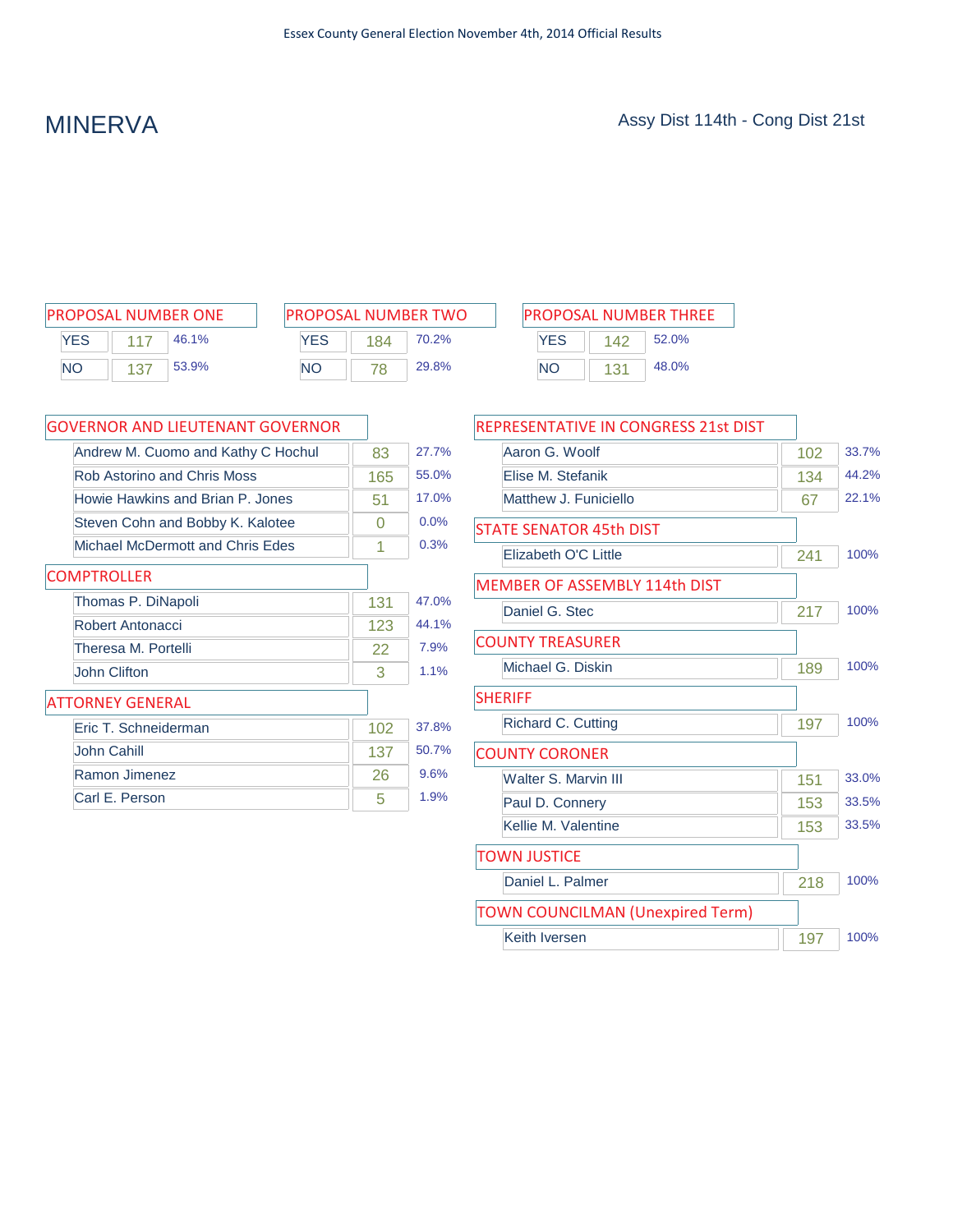| <b>PROPOSAL NUMBER ONE</b> |     |       |  |  |  |
|----------------------------|-----|-------|--|--|--|
| <b>YFS</b>                 | 117 | 46.1% |  |  |  |
| <b>NO</b>                  | 137 | 53.9% |  |  |  |

| <b>PROPOSAL NUMBER TWO</b> |     |       |  |  |  |
|----------------------------|-----|-------|--|--|--|
| <b>YFS</b>                 | 184 | 70.2% |  |  |  |
| <b>NO</b>                  | 78  | 29.8% |  |  |  |

| PROPOSAL NUMBER ONE |                    | <b>PROPOSAL NUMBER TWO</b> |     |       | <b>PROPOSAL NUMBER THREE</b> |     |       |
|---------------------|--------------------|----------------------------|-----|-------|------------------------------|-----|-------|
| YES                 | 46.1%              | YES                        | 184 | 70.2% | YES                          | 142 | 52.0% |
| <b>NO</b>           | 53.9%<br><b>NO</b> |                            |     | 29.8% | ΝC                           |     | 48.0% |

| <b>GOVERNOR AND LIEUTENANT GOVERNOR</b> |     |       |
|-----------------------------------------|-----|-------|
| Andrew M. Cuomo and Kathy C Hochul      | 83  | 27.7% |
| <b>Rob Astorino and Chris Moss</b>      | 165 | 55.0% |
| Howie Hawkins and Brian P. Jones        | 51  | 17.0% |
| Steven Cohn and Bobby K. Kalotee        | 0   | 0.0%  |
| Michael McDermott and Chris Edes        | 1   | 0.3%  |
| <b>COMPTROLLER</b>                      |     |       |
| Thomas P. DiNapoli                      | 131 | 47.0% |
| Robert Antonacci                        | 123 | 44.1% |
| Theresa M. Portelli                     | 22  | 7.9%  |
| John Clifton                            | 3   | 1.1%  |
| <b>ATTORNEY GENERAL</b>                 |     |       |
| Eric T. Schneiderman                    | 102 | 37.8% |
| John Cahill                             | 137 | 50.7% |
| Ramon Jimenez                           | 26  | 9.6%  |
| Carl E. Person                          | 5   | 1.9%  |

| REPRESENTATIVE IN CONGRESS 21st DIST    |     |       |
|-----------------------------------------|-----|-------|
| Aaron G. Woolf                          | 102 | 33.7% |
| Elise M. Stefanik                       | 134 | 44.2% |
| Matthew J. Funiciello                   | 67  | 22.1% |
| <b>STATE SENATOR 45th DIST</b>          |     |       |
| Elizabeth O'C Little                    | 241 | 100%  |
| MEMBER OF ASSEMBLY 114th DIST           |     |       |
| Daniel G. Stec                          | 217 | 100%  |
| <b>COUNTY TREASURER</b>                 |     |       |
| Michael G. Diskin                       | 189 | 100%  |
| <b>SHERIFF</b>                          |     |       |
| <b>Richard C. Cutting</b>               | 197 | 100%  |
| <b>COUNTY CORONER</b>                   |     |       |
| <b>Walter S. Marvin III</b>             | 151 | 33.0% |
| Paul D. Connery                         | 153 | 33.5% |
| Kellie M. Valentine                     | 153 | 33.5% |
| <b>TOWN JUSTICE</b>                     |     |       |
| Daniel L. Palmer                        | 218 | 100%  |
| <b>TOWN COUNCILMAN (Unexpired Term)</b> |     |       |
| Keith Iversen                           | 197 | 100%  |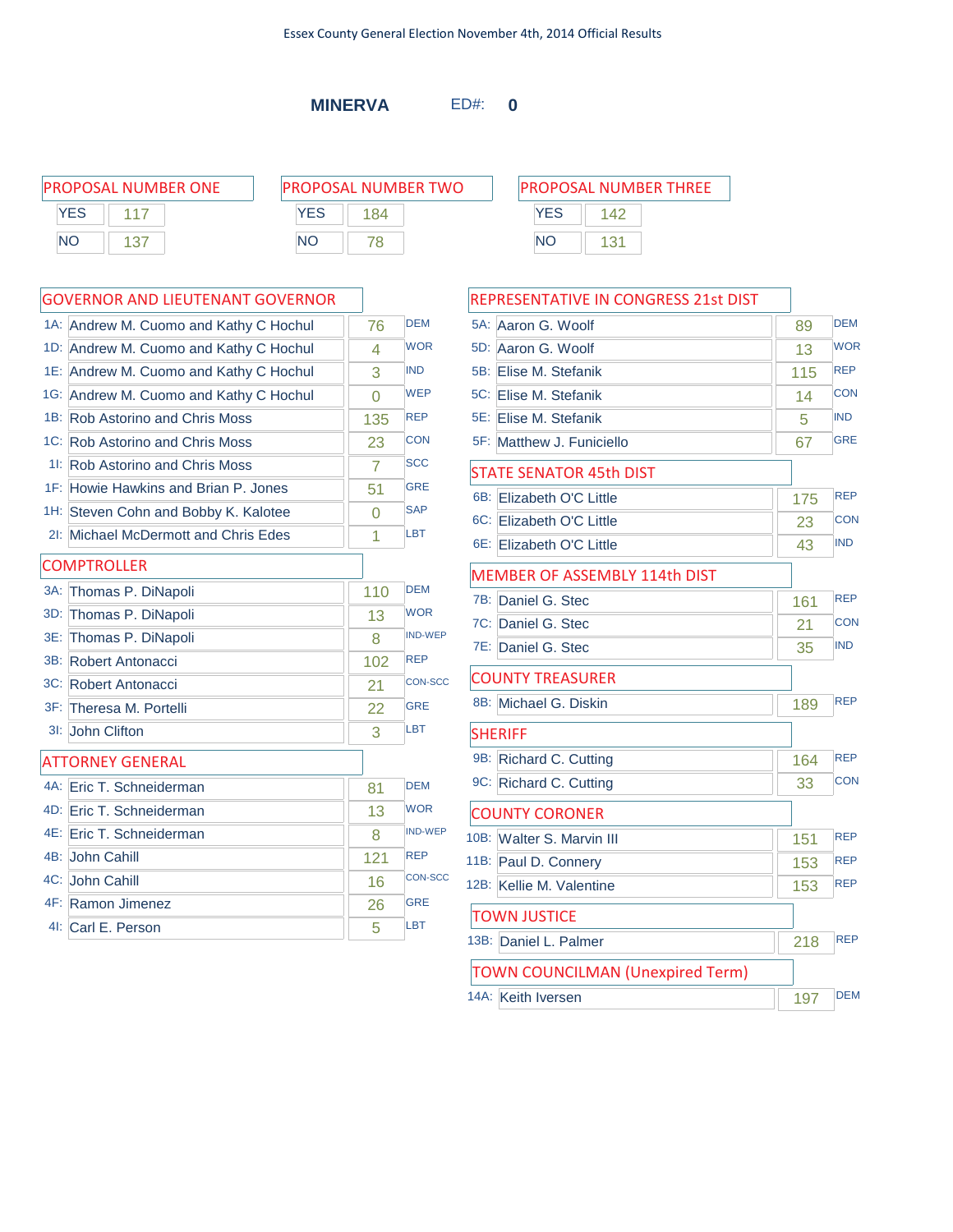**MINERVA** ED#: **0**

| PROPOSAL NUMBER ONE | <b>PROPOSAL NUMBER TWO</b> | <b>PROPOSAL NUMBER THREE</b> |  |  |
|---------------------|----------------------------|------------------------------|--|--|
| YES                 | YES<br>184                 | YES<br>142                   |  |  |
| <b>NO</b><br>-137   | <b>NO</b>                  | <b>NO</b><br>131             |  |  |
|                     |                            |                              |  |  |

|        | 1A: Andrew M. Cuomo and Kathy C Hochul | 76       | <b>DEM</b>     |
|--------|----------------------------------------|----------|----------------|
|        | 1D: Andrew M. Cuomo and Kathy C Hochul | 4        | <b>WOR</b>     |
|        | 1E: Andrew M. Cuomo and Kathy C Hochul | 3        | <b>IND</b>     |
|        | 1G: Andrew M. Cuomo and Kathy C Hochul | $\Omega$ | <b>WEP</b>     |
|        | 1B: Rob Astorino and Chris Moss        | 135      | <b>REP</b>     |
|        | 1C: Rob Astorino and Chris Moss        | 23       | <b>CON</b>     |
|        | 11: Rob Astorino and Chris Moss        | 7        | <b>SCC</b>     |
|        | 1F: Howie Hawkins and Brian P. Jones   | 51       | <b>GRE</b>     |
|        | 1H: Steven Cohn and Bobby K. Kalotee   | 0        | <b>SAP</b>     |
|        | 21: Michael McDermott and Chris Edes   | 1        | <b>LBT</b>     |
|        | <b>COMPTROLLER</b>                     |          |                |
| $3A$ : | Thomas P. DiNapoli                     | 110      | <b>DEM</b>     |
| 3D:    | Thomas P. DiNapoli                     | 13       | <b>WOR</b>     |
| 3E:    | Thomas P. DiNapoli                     | 8        | <b>IND-WEP</b> |
|        | 3B: Robert Antonacci                   | 102      | <b>REP</b>     |
|        | 3C: Robert Antonacci                   | 21       | <b>CON-SCC</b> |
|        | 3F: Theresa M. Portelli                | 22       | <b>GRE</b>     |
| $31$ : | John Clifton                           | 3        | LBT            |
|        | <b>ATTORNEY GENERAL</b>                |          |                |
|        | 4A: Eric T. Schneiderman               | 81       | <b>DEM</b>     |
|        | 4D: Eric T. Schneiderman               | 13       | <b>WOR</b>     |
| 4E:    | Eric T. Schneiderman                   | 8        | <b>IND-WEP</b> |
|        | 4B: John Cahill                        | 121      | <b>REP</b>     |
|        | 4C: John Cahill                        | 16       | <b>CON-SCC</b> |
|        | 4F: Ramon Jimenez                      | 26       | <b>GRE</b>     |
|        | 41: Carl E. Person                     | 5        | <b>LBT</b>     |
|        |                                        |          |                |

| REPRESENTATIVE IN CONGRESS 21st DIST    |     |            |
|-----------------------------------------|-----|------------|
| 5A: Aaron G. Woolf                      | 89  | <b>DEM</b> |
| 5D: Aaron G. Woolf                      | 13  | <b>WOR</b> |
| 5B: Elise M. Stefanik                   | 115 | <b>REP</b> |
| 5C: Elise M. Stefanik                   | 14  | <b>CON</b> |
| 5E: Elise M. Stefanik                   | 5   | <b>IND</b> |
| 5F: Matthew J. Funiciello               | 67  | <b>GRE</b> |
| <b>STATE SENATOR 45th DIST</b>          |     |            |
| 6B: Elizabeth O'C Little                | 175 | <b>REP</b> |
| 6C: Elizabeth O'C Little                | 23  | <b>CON</b> |
| 6E: Elizabeth O'C Little                | 43  | <b>IND</b> |
| MEMBER OF ASSEMBLY 114th DIST           |     |            |
| 7B: Daniel G. Stec                      | 161 | <b>REP</b> |
| 7C: Daniel G. Stec                      | 21  | <b>CON</b> |
| 7E: Daniel G. Stec                      | 35  | <b>IND</b> |
| <b>COUNTY TREASURER</b>                 |     |            |
| 8B: Michael G. Diskin                   | 189 | <b>REP</b> |
| <b>SHERIFF</b>                          |     |            |
| 9B: Richard C. Cutting                  | 164 | <b>REP</b> |
| 9C: Richard C. Cutting                  | 33  | <b>CON</b> |
| <b>COUNTY CORONER</b>                   |     |            |
| 10B: Walter S. Marvin III               | 151 | <b>REP</b> |
| 11B: Paul D. Connery                    | 153 | <b>REP</b> |
| 12B: Kellie M. Valentine                | 153 | <b>REP</b> |
| <b>TOWN JUSTICE</b>                     |     |            |
| 13B: Daniel L. Palmer                   | 218 | <b>REP</b> |
| <b>TOWN COUNCILMAN (Unexpired Term)</b> |     |            |
| 14A: Keith Iversen                      | 197 | <b>DEM</b> |
|                                         |     |            |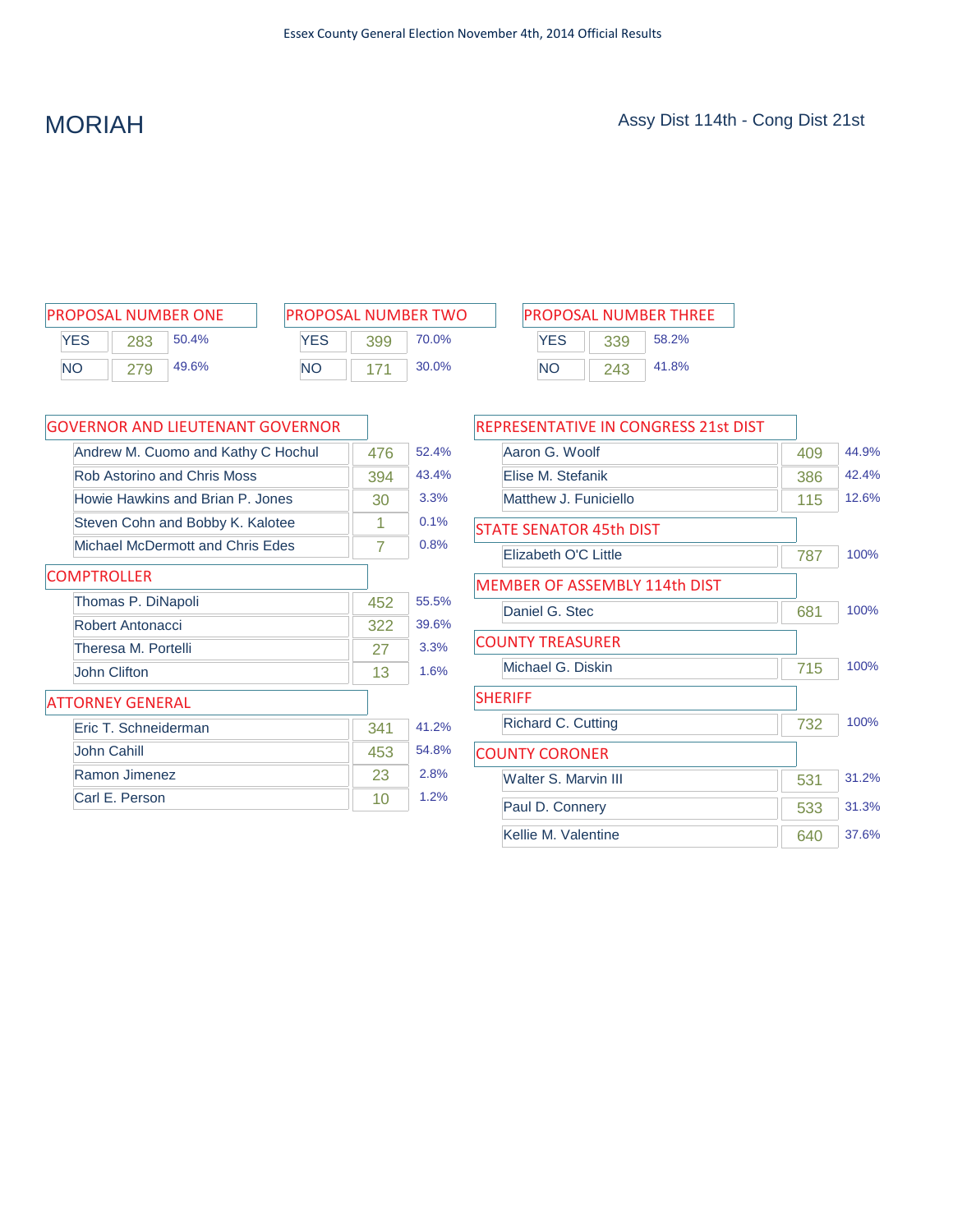| <b>PROPOSAL NUMBER ONE</b> |     |       |  |  |
|----------------------------|-----|-------|--|--|
| <b>YES</b>                 | 283 | 50.4% |  |  |
| <b>NO</b>                  | 279 | 49.6% |  |  |

| <b>PROPOSAL NUMBER TWO</b> |     |       |  |  |
|----------------------------|-----|-------|--|--|
| <b>YFS</b>                 | 399 | 70.0% |  |  |
| NΟ                         | 171 | 30.0% |  |  |

| PROPOSAL NUMBER ONE |     |       | <b>PROPOSAL NUMBER TWO</b> |     |       | <b>PROPOSAL NUMBER THREE</b> |     |       |
|---------------------|-----|-------|----------------------------|-----|-------|------------------------------|-----|-------|
| YES                 | 283 | 50.4% | YES                        | 399 | 70.0% | <b>YES</b>                   | 339 | 58.2% |
| <b>NO</b>           | 279 | 49.6% | <b>NO</b>                  |     | 30.0% | NΟ                           | 243 | 41.8% |

| <b>GOVERNOR AND LIEUTENANT GOVERNOR</b> |     |       |
|-----------------------------------------|-----|-------|
| Andrew M. Cuomo and Kathy C Hochul      | 476 | 52.4% |
| Rob Astorino and Chris Moss             | 394 | 43.4% |
| Howie Hawkins and Brian P. Jones        | 30  | 3.3%  |
| Steven Cohn and Bobby K. Kalotee        | 1   | 0.1%  |
| <b>Michael McDermott and Chris Edes</b> | 7   | 0.8%  |
| <b>COMPTROLLER</b>                      |     |       |
| Thomas P. DiNapoli                      | 452 | 55.5% |
| Robert Antonacci                        | 322 | 39.6% |
| Theresa M. Portelli                     | 27  | 3.3%  |
| John Clifton                            | 13  | 1.6%  |
| ATTORNEY GENERAL                        |     |       |
| Eric T. Schneiderman                    | 341 | 41.2% |
| John Cahill                             | 453 | 54.8% |
| Ramon Jimenez                           | 23  | 2.8%  |
| Carl E. Person                          | 10  | 1.2%  |

| REPRESENTATIVE IN CONGRESS 21st DIST |     |       |
|--------------------------------------|-----|-------|
| Aaron G. Woolf                       | 409 | 44.9% |
| Elise M. Stefanik                    | 386 | 42.4% |
| Matthew J. Funiciello                | 115 | 12.6% |
| <b>STATE SENATOR 45th DIST</b>       |     |       |
| Elizabeth O'C Little                 | 787 | 100%  |
| <b>MEMBER OF ASSEMBLY 114th DIST</b> |     |       |
| Daniel G. Stec                       | 681 | 100%  |
| <b>COUNTY TREASURER</b>              |     |       |
| Michael G. Diskin                    | 715 | 100%  |
| <b>SHERIFF</b>                       |     |       |
| Richard C. Cutting                   | 732 | 100%  |
| <b>COUNTY CORONER</b>                |     |       |
| Walter S. Marvin III                 | 531 | 31.2% |
| Paul D. Connery                      | 533 | 31.3% |
| Kellie M. Valentine                  | 640 | 37.6% |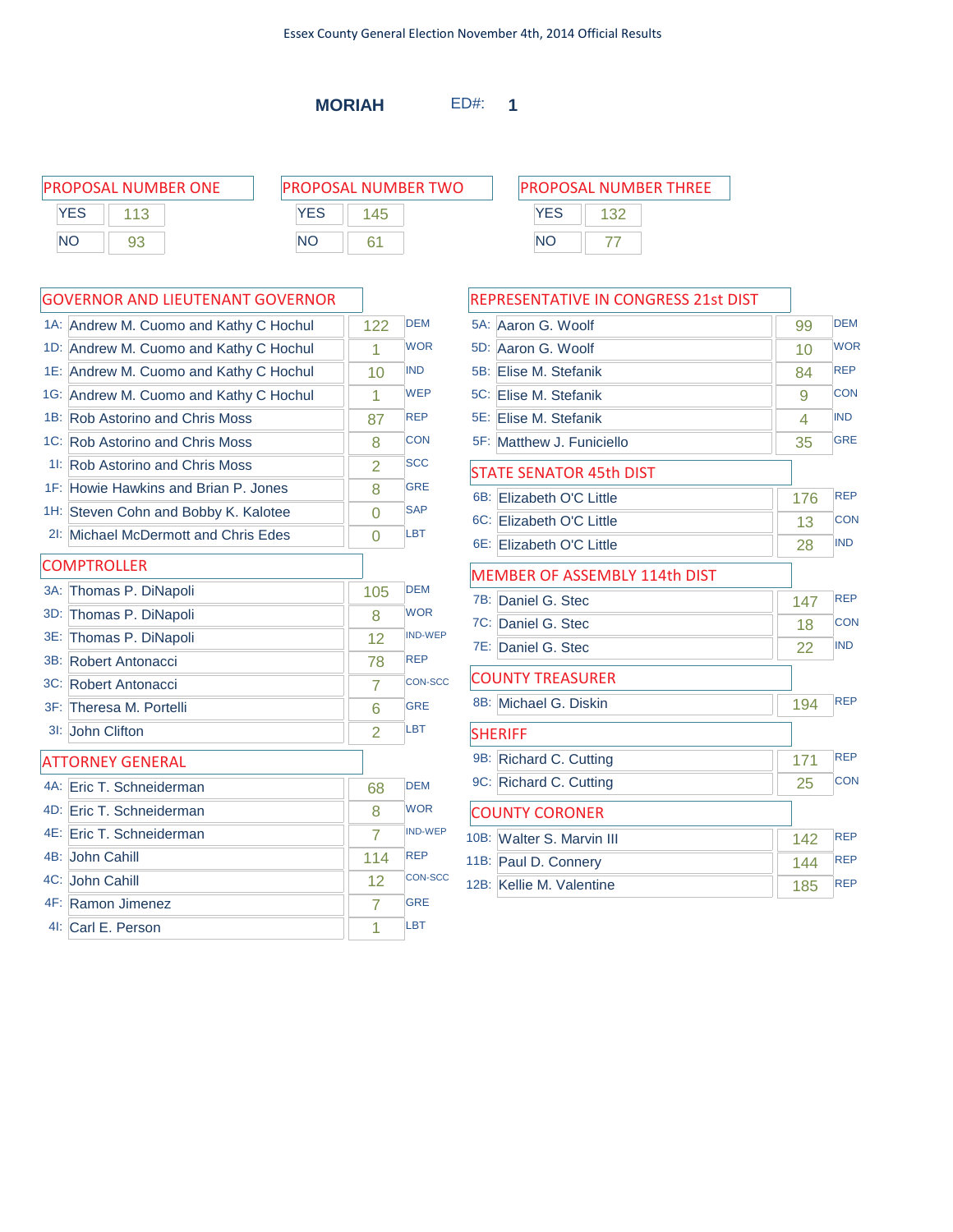**MORIAH** ED#: **1**

| PROPOSAL NUMBER ONE | <b>PROPOSAL NUMBER TWO</b> | <b>PROPOSAL NUMBER THREE</b> |  |  |
|---------------------|----------------------------|------------------------------|--|--|
| YES                 | YES                        | YES                          |  |  |
| NΟ<br>93            | <b>NO</b>                  | NC                           |  |  |

|     | 1A: Andrew M. Cuomo and Kathy C Hochul | 122            | <b>DEM</b>     |
|-----|----------------------------------------|----------------|----------------|
|     | 1D: Andrew M. Cuomo and Kathy C Hochul | 1              | <b>WOR</b>     |
|     | 1E: Andrew M. Cuomo and Kathy C Hochul | 10             | <b>IND</b>     |
|     | 1G: Andrew M. Cuomo and Kathy C Hochul | 1              | <b>WEP</b>     |
|     | 1B: Rob Astorino and Chris Moss        | 87             | <b>REP</b>     |
|     | 1C: Rob Astorino and Chris Moss        | 8              | <b>CON</b>     |
|     | 11: Rob Astorino and Chris Moss        | $\overline{2}$ | <b>SCC</b>     |
|     | 1F: Howie Hawkins and Brian P. Jones   | 8              | <b>GRE</b>     |
|     | 1H: Steven Cohn and Bobby K. Kalotee   | $\Omega$       | <b>SAP</b>     |
|     | 21: Michael McDermott and Chris Edes   | 0              | <b>LBT</b>     |
|     | <b>COMPTROLLER</b>                     |                |                |
|     | 3A: Thomas P. DiNapoli                 | 105            | <b>DFM</b>     |
| 3D: | Thomas P. DiNapoli                     | 8              | <b>WOR</b>     |
| 3E: | Thomas P. DiNapoli                     | 12             | <b>IND-WEP</b> |
|     | 3B: Robert Antonacci                   | 78             | <b>REP</b>     |
|     | 3C: Robert Antonacci                   | 7              | <b>CON-SCC</b> |
|     | 3F: Theresa M. Portelli                | 6              | <b>GRE</b>     |
|     | 3I: John Clifton                       | 2              | LBT            |
|     | <b>ATTORNEY GENERAL</b>                |                |                |
|     | 4A: Eric T. Schneiderman               | 68             | <b>DEM</b>     |
|     | 4D: Eric T. Schneiderman               | 8              | <b>WOR</b>     |
|     | 4E: Eric T. Schneiderman               | $\overline{7}$ | <b>IND-WEP</b> |
|     | 4B: John Cahill                        | 114            | <b>REP</b>     |
|     | 4C: John Cahill                        | 12             | <b>CON-SCC</b> |
|     | 4F: Ramon Jimenez                      | 7              | <b>GRE</b>     |
|     | 4I: Carl E. Person                     | 1              | <b>LBT</b>     |

| REPRESENTATIVE IN CONGRESS 21st DIST |     |            |
|--------------------------------------|-----|------------|
| 5A:<br>Aaron G. Woolf                | 99  | <b>DEM</b> |
| 5D:<br>Aaron G. Woolf                | 10  | <b>WOR</b> |
| 5B:<br>Elise M. Stefanik             | 84  | <b>REP</b> |
| 5C: Elise M. Stefanik                | 9   | CON        |
| 5E: Elise M. Stefanik                | 4   | <b>IND</b> |
| 5F: Matthew J. Funiciello            | 35  | <b>GRE</b> |
| <b>STATE SENATOR 45th DIST</b>       |     |            |
| 6B:<br>Elizabeth O'C Little          | 176 | <b>REP</b> |
| 6C: Elizabeth O'C Little             | 13  | <b>CON</b> |
| 6E: Elizabeth O'C Little             | 28  | <b>IND</b> |
| <b>MEMBER OF ASSEMBLY 114th DIST</b> |     |            |
| 7B:<br>Daniel G. Stec                | 147 | <b>REP</b> |
| 7C: Daniel G. Stec                   | 18  | <b>CON</b> |
| 7E: Daniel G. Stec                   | 22  | <b>IND</b> |
| <b>COUNTY TREASURER</b>              |     |            |
| 8B: Michael G. Diskin                | 194 | <b>REP</b> |
| <b>SHERIFF</b>                       |     |            |
| 9B:<br>Richard C. Cutting            | 171 | <b>REP</b> |
| 9C: Richard C. Cutting               | 25  | <b>CON</b> |
| <b>COUNTY CORONER</b>                |     |            |
| 10B: Walter S. Marvin III            | 142 | <b>RFP</b> |
| 11B:<br>Paul D. Connery              | 144 | <b>REP</b> |
| 12B: Kellie M. Valentine             | 185 | <b>REP</b> |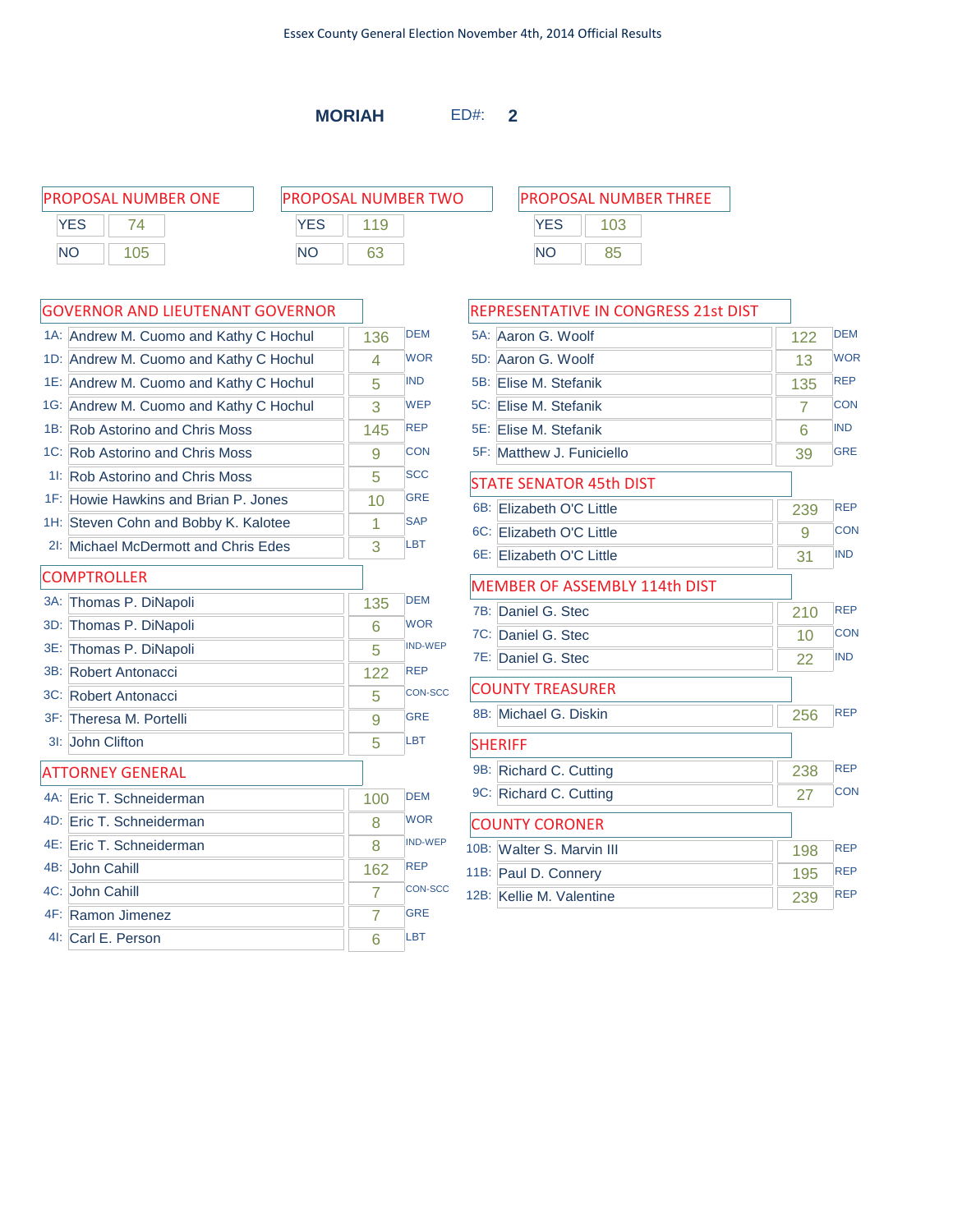**MORIAH** ED#: **2**

PROPOSAL NUMBER ONE P **YES** 74 NO 105

| ROPOSAL NUMBER TWO |     |  |  |  |
|--------------------|-----|--|--|--|
| <b>YFS</b>         | 119 |  |  |  |
| NΟ                 | 63  |  |  |  |

|        | 1A: Andrew M. Cuomo and Kathy C Hochul | 136            | <b>DEM</b>     |
|--------|----------------------------------------|----------------|----------------|
| 1D:    | Andrew M. Cuomo and Kathy C Hochul     | 4              | <b>WOR</b>     |
|        | 1E: Andrew M. Cuomo and Kathy C Hochul | 5              | <b>IND</b>     |
|        | 1G: Andrew M. Cuomo and Kathy C Hochul | 3              | <b>WEP</b>     |
|        | 1B: Rob Astorino and Chris Moss        | 145            | <b>REP</b>     |
|        | 1C: Rob Astorino and Chris Moss        | 9              | <b>CON</b>     |
|        | 11: Rob Astorino and Chris Moss        | 5              | <b>SCC</b>     |
|        | 1F: Howie Hawkins and Brian P. Jones   | 10             | <b>GRE</b>     |
|        | 1H: Steven Cohn and Bobby K. Kalotee   | 1              | <b>SAP</b>     |
| $2!$ : | Michael McDermott and Chris Edes       | 3              | LBT            |
|        | <b>COMPTROLLER</b>                     |                |                |
| $3A$ : | Thomas P. DiNapoli                     | 135            | <b>DEM</b>     |
| 3D:    | Thomas P. DiNapoli                     | 6              | <b>WOR</b>     |
| 3E:    | Thomas P. DiNapoli                     | 5              | <b>IND-WEP</b> |
|        | 3B: Robert Antonacci                   | 122            | <b>REP</b>     |
|        | 3C: Robert Antonacci                   | 5              | <b>CON-SCC</b> |
|        | 3F: Theresa M. Portelli                | 9              | <b>GRE</b>     |
| 3I:    | John Clifton                           | 5              | LBT            |
|        | <b>ATTORNEY GENERAL</b>                |                |                |
|        | 4A: Eric T. Schneiderman               | 100            | <b>DEM</b>     |
|        | 4D: Eric T. Schneiderman               | 8              | <b>WOR</b>     |
|        | 4E: Eric T. Schneiderman               | 8              | <b>IND-WEP</b> |
|        | 4B: John Cahill                        | 162            | <b>REP</b>     |
|        | 4C: John Cahill                        | $\overline{7}$ | <b>CON-SCC</b> |
|        | 4F: Ramon Jimenez                      | 7              | <b>GRE</b>     |
|        | 41: Carl E. Person                     | 6              | LBT            |

| PROPOSAL NUMBER THREE |     |  |  |  |
|-----------------------|-----|--|--|--|
| <b>YES</b>            | 103 |  |  |  |
| NΟ                    | 85  |  |  |  |

| REPRESENTATIVE IN CONGRESS 21st DIST |     |            |
|--------------------------------------|-----|------------|
| 5A: Aaron G. Woolf                   | 122 | <b>DEM</b> |
| 5D: Aaron G. Woolf                   | 13  | <b>WOR</b> |
| 5B:<br>Elise M. Stefanik             | 135 | <b>REP</b> |
| 5C: Elise M. Stefanik                | 7   | <b>CON</b> |
| 5E: Elise M. Stefanik                | 6   | <b>IND</b> |
| 5F: Matthew J. Funiciello            | 39  | <b>GRE</b> |
| <b>STATE SENATOR 45th DIST</b>       |     |            |
| $6B$ :<br>Elizabeth O'C Little       | 239 | <b>REP</b> |
| 6C: Elizabeth O'C Little             | 9   | <b>CON</b> |
| 6E: Elizabeth O'C Little             | 31  | <b>IND</b> |
| MEMBER OF ASSEMBLY 114th DIST        |     |            |
| 7B:<br>Daniel G. Stec                | 210 | <b>REP</b> |
| 7C: Daniel G. Stec                   | 10  | <b>CON</b> |
| 7E: Daniel G. Stec                   | 22  | <b>IND</b> |
| <b>COUNTY TREASURER</b>              |     |            |
| 8B: Michael G. Diskin                | 256 | <b>REP</b> |
| <b>SHERIFF</b>                       |     |            |
| 9B:<br>Richard C. Cutting            | 238 | <b>REP</b> |
| 9C: Richard C. Cutting               | 27  | <b>CON</b> |
| <b>COUNTY CORONER</b>                |     |            |
| 10B: Walter S. Marvin III            | 198 | <b>REP</b> |
| 11B: Paul D. Connery                 | 195 | <b>REP</b> |
| 12B: Kellie M. Valentine             | 239 | <b>REP</b> |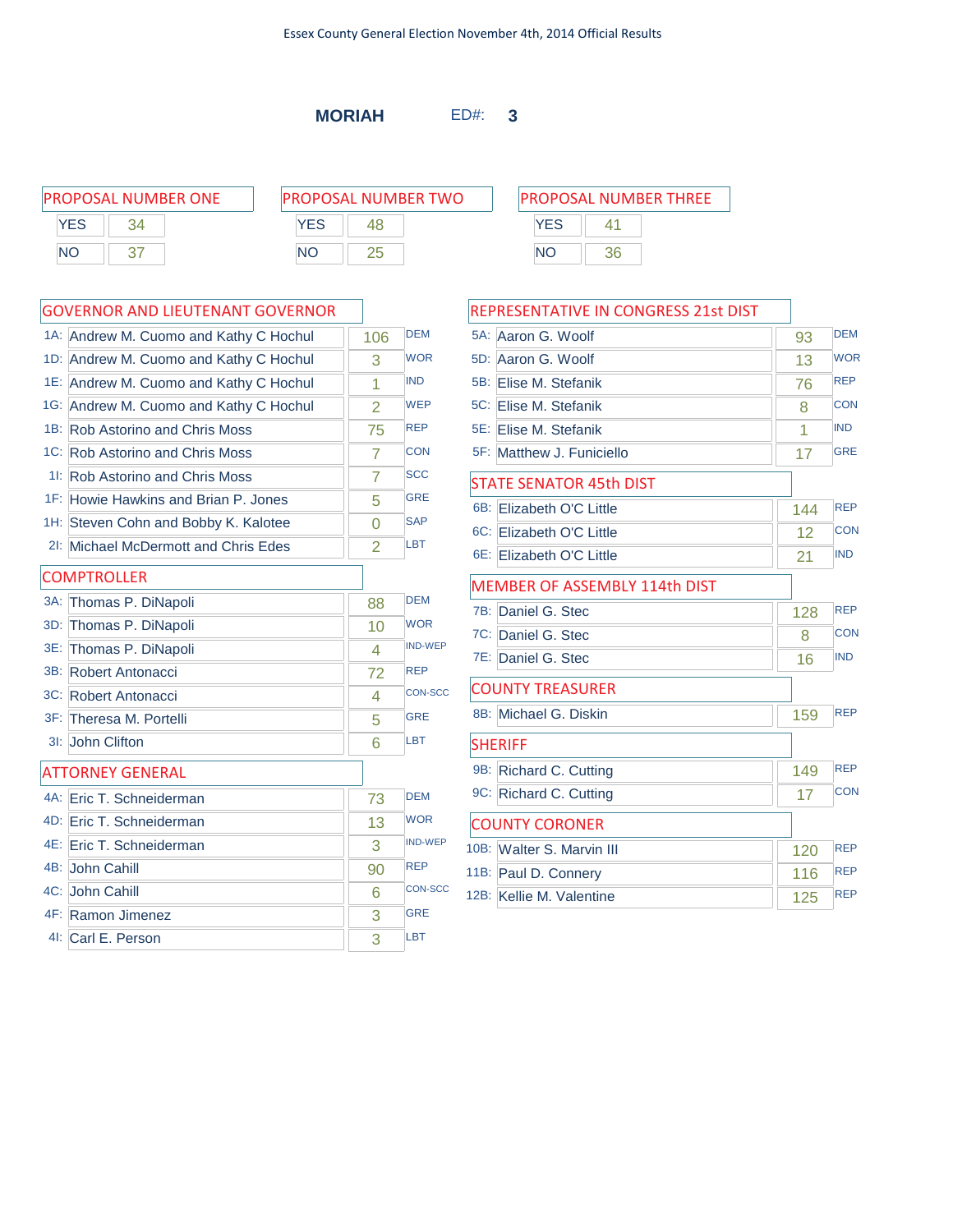**MORIAH** ED#: **3**

|            | <b>PROPOSAL NUMBER ONE</b> | <b>PROPOSAL NUMBER TWO</b> | <b>PROPOSAL NUMBER THREE</b> |
|------------|----------------------------|----------------------------|------------------------------|
| <b>YES</b> |                            | <b>YES</b>                 | <b>YES</b>                   |
| <b>NC</b>  |                            | <b>NO</b>                  | <b>NO</b><br>36              |

### GOVERNOR AND LIEUTENANT GOVERNOR

|     | 1A: Andrew M. Cuomo and Kathy C Hochul | 106            | <b>DEM</b>     |
|-----|----------------------------------------|----------------|----------------|
|     | 1D: Andrew M. Cuomo and Kathy C Hochul | 3              | <b>WOR</b>     |
|     | 1E: Andrew M. Cuomo and Kathy C Hochul | 1              | <b>IND</b>     |
|     | 1G: Andrew M. Cuomo and Kathy C Hochul | 2              | <b>WEP</b>     |
|     | 1B: Rob Astorino and Chris Moss        | 75             | <b>REP</b>     |
|     | 1C: Rob Astorino and Chris Moss        | 7              | <b>CON</b>     |
|     | 11: Rob Astorino and Chris Moss        | $\overline{7}$ | <b>SCC</b>     |
|     | 1F: Howie Hawkins and Brian P. Jones   | 5              | <b>GRE</b>     |
|     | 1H: Steven Cohn and Bobby K. Kalotee   | $\Omega$       | <b>SAP</b>     |
|     | 2I: Michael McDermott and Chris Edes   | $\overline{2}$ | <b>LBT</b>     |
|     | <b>COMPTROLLER</b>                     |                |                |
|     | 3A: Thomas P. DiNapoli                 | 88             | <b>DEM</b>     |
| 3D: | Thomas P. DiNapoli                     | 10             | <b>WOR</b>     |
|     | 3E: Thomas P. DiNapoli                 | 4              | <b>IND-WEP</b> |
|     | 3B: Robert Antonacci                   | 72             | <b>REP</b>     |
|     | 3C: Robert Antonacci                   | 4              | <b>CON-SCC</b> |
|     | 3F: Theresa M. Portelli                | 5              | <b>GRE</b>     |
|     | 3I: John Clifton                       | 6              | LBT            |
|     | <b>ATTORNEY GENERAL</b>                |                |                |
|     | 4A: Eric T. Schneiderman               | 73             | <b>DEM</b>     |
|     | 4D: Eric T. Schneiderman               | 13             | <b>WOR</b>     |
|     | 4E: Eric T. Schneiderman               | 3              | <b>IND-WEP</b> |
|     | 4B: John Cahill                        | 90             | <b>REP</b>     |
|     | 4C: John Cahill                        | 6              | <b>CON-SCC</b> |
|     | 4F: Ramon Jimenez                      | 3              | <b>GRE</b>     |
|     | 41: Carl E. Person                     | 3              | LBT            |

# **YES** 41 NO 36

| REPRESENTATIVE IN CONGRESS 21st DIST |     |            |
|--------------------------------------|-----|------------|
| 5A: Aaron G. Woolf                   | 93  | <b>DEM</b> |
| 5D: Aaron G. Woolf                   | 13  | <b>WOR</b> |
| 5B:<br>Elise M. Stefanik             | 76  | <b>REP</b> |
| 5C: Elise M. Stefanik                | 8   | <b>CON</b> |
| 5E: Elise M. Stefanik                | 1   | <b>IND</b> |
| 5F: Matthew J. Funiciello            | 17  | <b>GRE</b> |
| <b>STATE SENATOR 45th DIST</b>       |     |            |
| $6B$ :<br>Elizabeth O'C Little       | 144 | <b>REP</b> |
| 6C: Elizabeth O'C Little             | 12  | CON        |
| 6E: Elizabeth O'C Little             | 21  | <b>IND</b> |
| <b>MEMBER OF ASSEMBLY 114th DIST</b> |     |            |
| 7B:<br>Daniel G. Stec                | 128 | <b>REP</b> |
| 7C: Daniel G. Stec                   | 8   | <b>CON</b> |
| 7E: Daniel G. Stec                   | 16  | <b>IND</b> |
| <b>COUNTY TREASURER</b>              |     |            |
| 8B: Michael G. Diskin                | 159 | <b>REP</b> |
| <b>SHERIFF</b>                       |     |            |
| 9B:<br>Richard C. Cutting            | 149 | <b>REP</b> |
| 9C: Richard C. Cutting               | 17  | <b>CON</b> |
| <b>COUNTY CORONER</b>                |     |            |
| 10B: Walter S. Marvin III            | 120 | <b>REP</b> |
| 11B: Paul D. Connery                 | 116 | <b>REP</b> |
| 12B: Kellie M. Valentine             | 125 | <b>REP</b> |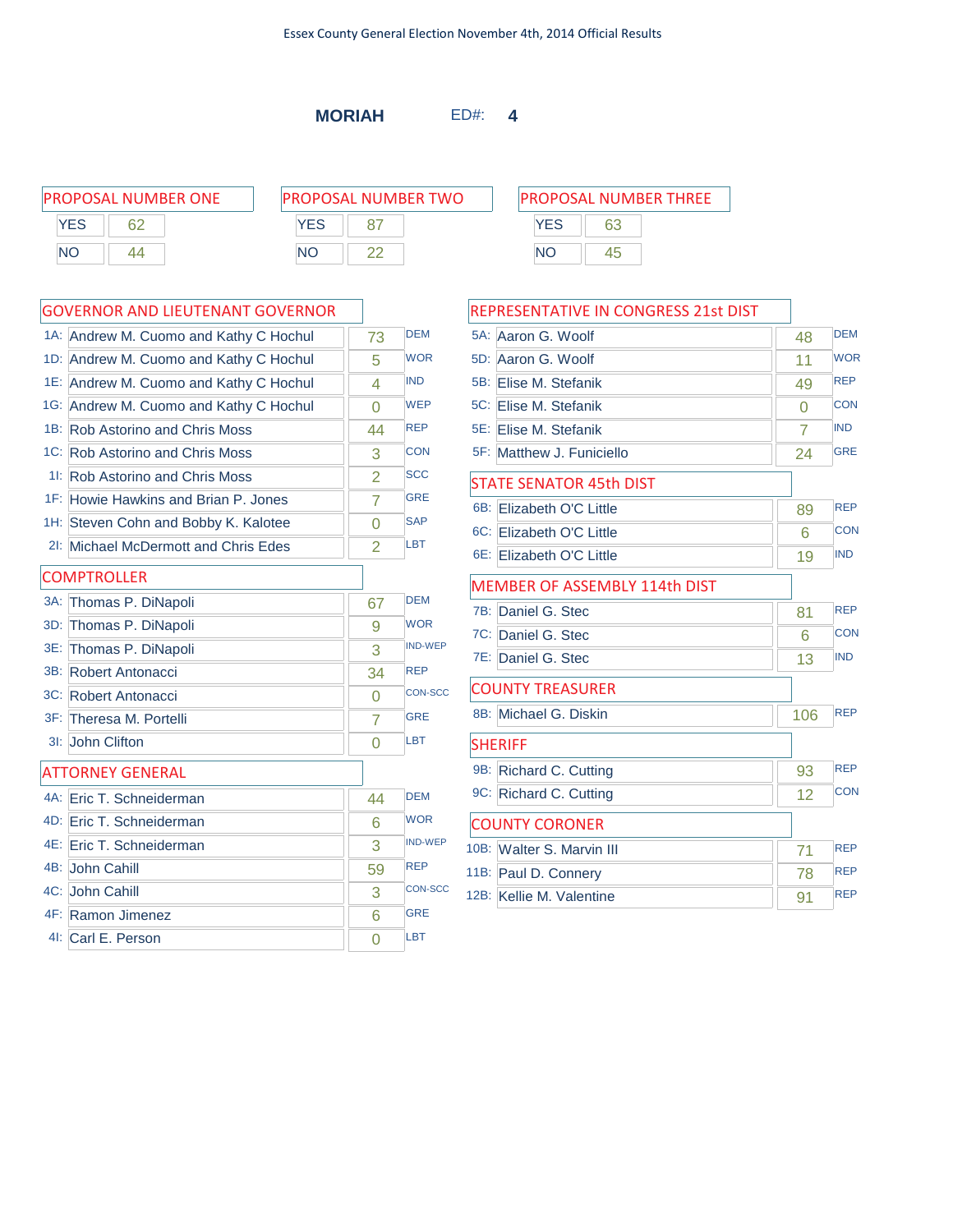**MORIAH** ED#: **4**

| <b>PROPOSAL NUMBER ONE</b> | <b>PROPOSAL NUMBER TWO</b> | <b>PROPOSAL NUMBER THREE</b> |
|----------------------------|----------------------------|------------------------------|
| <b>YES</b><br>62           | YES                        | YES<br>63                    |
| <b>NC</b><br>44            | ΝC                         | <b>NC</b><br>45              |

### GOVERNOR AND LIEUTENANT GOVERNOR

| 1A: Andrew M. Cuomo and Kathy C Hochul | 73             | <b>DEM</b>     |
|----------------------------------------|----------------|----------------|
| 1D: Andrew M. Cuomo and Kathy C Hochul | 5              | <b>WOR</b>     |
| 1E: Andrew M. Cuomo and Kathy C Hochul | 4              | <b>IND</b>     |
| 1G: Andrew M. Cuomo and Kathy C Hochul | $\Omega$       | <b>WEP</b>     |
| 1B: Rob Astorino and Chris Moss        | 44             | <b>REP</b>     |
| 1C: Rob Astorino and Chris Moss        | 3              | <b>CON</b>     |
| 11: Rob Astorino and Chris Moss        | $\overline{2}$ | <b>SCC</b>     |
| 1F: Howie Hawkins and Brian P. Jones   | 7              | <b>GRE</b>     |
| 1H: Steven Cohn and Bobby K. Kalotee   | $\Omega$       | <b>SAP</b>     |
| 21: Michael McDermott and Chris Edes   | $\overline{2}$ | LBT            |
| <b>COMPTROLLER</b>                     |                |                |
| 3A: Thomas P. DiNapoli                 | 67             | <b>DEM</b>     |
| 3D: Thomas P. DiNapoli                 | 9              | <b>WOR</b>     |
| 3E: Thomas P. DiNapoli                 | 3              | <b>IND-WEP</b> |
| 3B: Robert Antonacci                   | 34             | <b>REP</b>     |
| 3C: Robert Antonacci                   | $\overline{0}$ | <b>CON-SCC</b> |
| 3F: Theresa M. Portelli                | 7              | <b>GRE</b>     |
| 3I: John Clifton                       | $\Omega$       | LBT            |
| <b>ATTORNEY GENERAL</b>                |                |                |
| 4A: Eric T. Schneiderman               | 44             | <b>DEM</b>     |
| 4D: Eric T. Schneiderman               | 6              | <b>WOR</b>     |
| 4E: Eric T. Schneiderman               | 3              | <b>IND-WEP</b> |
| 4B: John Cahill                        | 59             | <b>REP</b>     |
| 4C: John Cahill                        | 3              | <b>CON-SCC</b> |
| 4F: Ramon Jimenez                      | 6              | <b>GRE</b>     |
| 4I: Carl E. Person                     | $\Omega$       | LBT            |

|     | REPRESENTATIVE IN CONGRESS 21st DIST |     |            |
|-----|--------------------------------------|-----|------------|
|     | 5A: Aaron G. Woolf                   | 48  | <b>DEM</b> |
| 5D: | Aaron G. Woolf                       | 11  | <b>WOR</b> |
| 5B: | Elise M. Stefanik                    | 49  | <b>REP</b> |
|     | 5C: Elise M. Stefanik                | 0   | <b>CON</b> |
|     | 5E: Elise M. Stefanik                | 7   | <b>IND</b> |
|     | 5F: Matthew J. Funiciello            | 24  | <b>GRE</b> |
|     | <b>STATE SENATOR 45th DIST</b>       |     |            |
|     | 6B: Elizabeth O'C Little             | 89  | <b>REP</b> |
|     | 6C: Elizabeth O'C Little             | 6   | <b>CON</b> |
|     | 6E: Elizabeth O'C Little             | 19  | <b>IND</b> |
|     | <b>MEMBER OF ASSEMBLY 114th DIST</b> |     |            |
|     | 7B: Daniel G. Stec                   | 81  | <b>REP</b> |
|     | 7C: Daniel G. Stec                   | 6   | CON        |
|     | 7E: Daniel G. Stec                   | 13  | <b>IND</b> |
|     | <b>COUNTY TREASURER</b>              |     |            |
|     | 8B: Michael G. Diskin                | 106 | <b>REP</b> |
|     | <b>SHERIFF</b>                       |     |            |

9B: Richard C. Cutting 93 REP 9C: Richard C. Cutting 12 CON

10B: Walter S. Marvin III 71 REP 11B: Paul D. Connery 78 REP 12B: Kellie M. Valentine 91 REP

COUNTY CORONER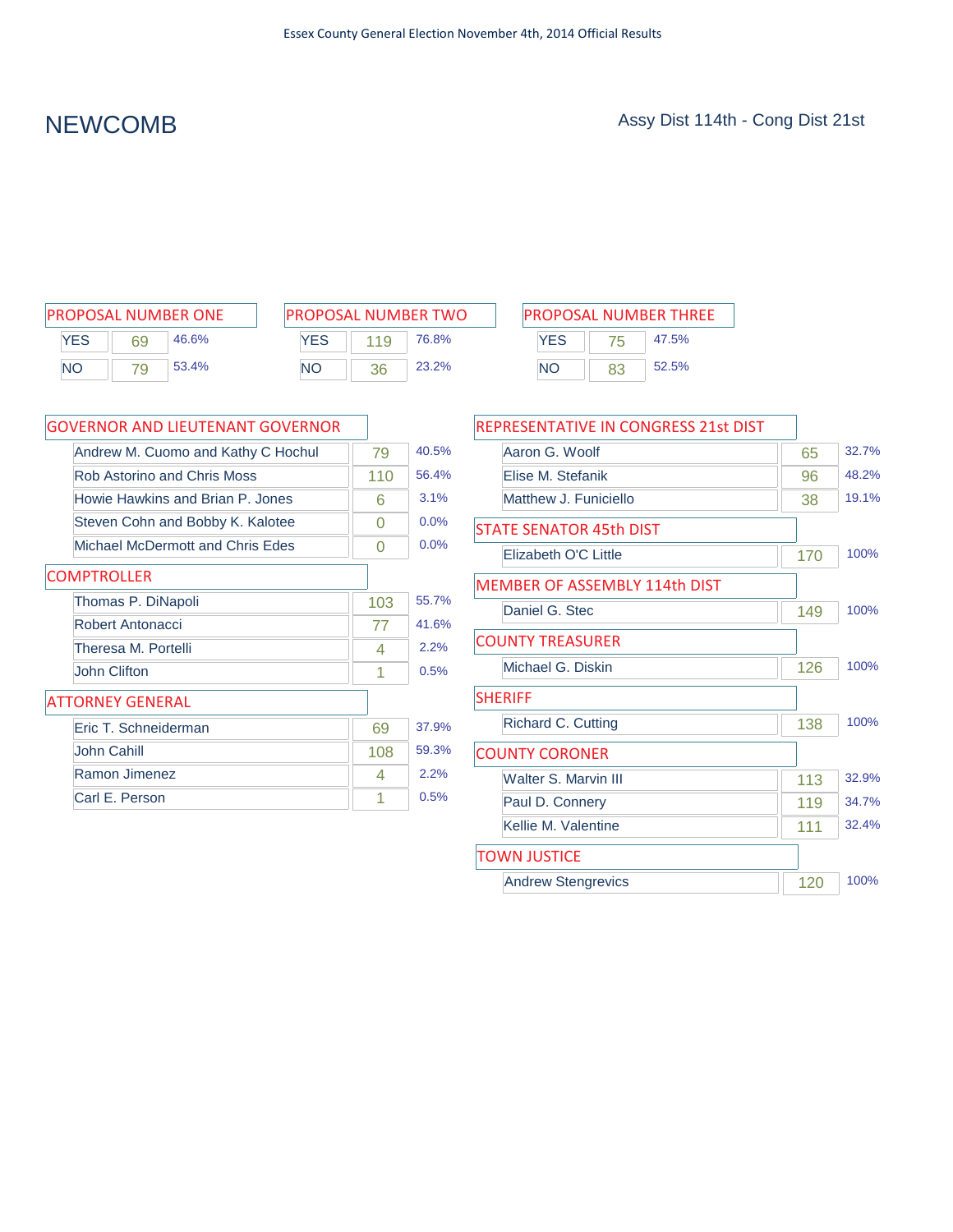| <b>PROPOSAL NUMBER ONE</b> |    |       |  |
|----------------------------|----|-------|--|
| <b>YFS</b>                 | 69 | 46.6% |  |
| <b>NO</b>                  | 79 | 53.4% |  |

| <b>PROPOSAL NUMBER TWO</b> |     |       |  |
|----------------------------|-----|-------|--|
| <b>YFS</b>                 | 119 | 76.8% |  |
| <b>NO</b>                  | 36  | 23.2% |  |

| PROPOSAL NUMBER ONE      | <b>PROPOSAL NUMBER TWO</b> | <b>PROPOSAL NUMBER THREE</b> |
|--------------------------|----------------------------|------------------------------|
| YES<br>46.6%<br>69       | YES<br>76.8%               | YES<br>47.5%<br>75           |
| 53.4%<br><b>NO</b><br>79 | 23.2%<br>NΟ<br>36          | 52.5%<br><b>NO</b>           |

| <b>GOVERNOR AND LIEUTENANT GOVERNOR</b> |     |       |
|-----------------------------------------|-----|-------|
| Andrew M. Cuomo and Kathy C Hochul      | 79  | 40.5% |
| Rob Astorino and Chris Moss             | 110 | 56.4% |
| Howie Hawkins and Brian P. Jones        | 6   | 3.1%  |
| Steven Cohn and Bobby K. Kalotee        | 0   | 0.0%  |
| Michael McDermott and Chris Edes        | 0   | 0.0%  |
| <b>COMPTROLLER</b>                      |     |       |
| Thomas P. DiNapoli                      | 103 | 55.7% |
| Robert Antonacci                        | 77  | 41.6% |
| Theresa M. Portelli                     | 4   | 2.2%  |
| <b>John Clifton</b>                     | 1   | 0.5%  |
| <b>ATTORNEY GENERAL</b>                 |     |       |
| Eric T. Schneiderman                    | 69  | 37.9% |
| John Cahill                             | 108 | 59.3% |
| Ramon Jimenez                           | 4   | 2.2%  |
| Carl E. Person                          | 1   | 0.5%  |

| REPRESENTATIVE IN CONGRESS 21st DIST |     |       |
|--------------------------------------|-----|-------|
| Aaron G. Woolf                       | 65  | 32.7% |
| Elise M. Stefanik                    | 96  | 48.2% |
| Matthew J. Funiciello                | 38  | 19.1% |
| STATE SENATOR 45th DIST              |     |       |
| Elizabeth O'C Little                 | 170 | 100%  |
| <b>MEMBER OF ASSEMBLY 114th DIST</b> |     |       |
| Daniel G. Stec                       | 149 | 100%  |
| <b>COUNTY TREASURER</b>              |     |       |
| Michael G. Diskin                    | 126 | 100%  |
| <b>SHERIFF</b>                       |     |       |
| Richard C. Cutting                   | 138 | 100%  |
| <b>COUNTY CORONER</b>                |     |       |
| Walter S. Marvin III                 | 113 | 32.9% |
| Paul D. Connery                      | 119 | 34.7% |
| Kellie M. Valentine                  | 111 | 32.4% |
| TOWN JUSTICE                         |     |       |
| <b>Andrew Stengrevics</b>            | 120 | 100%  |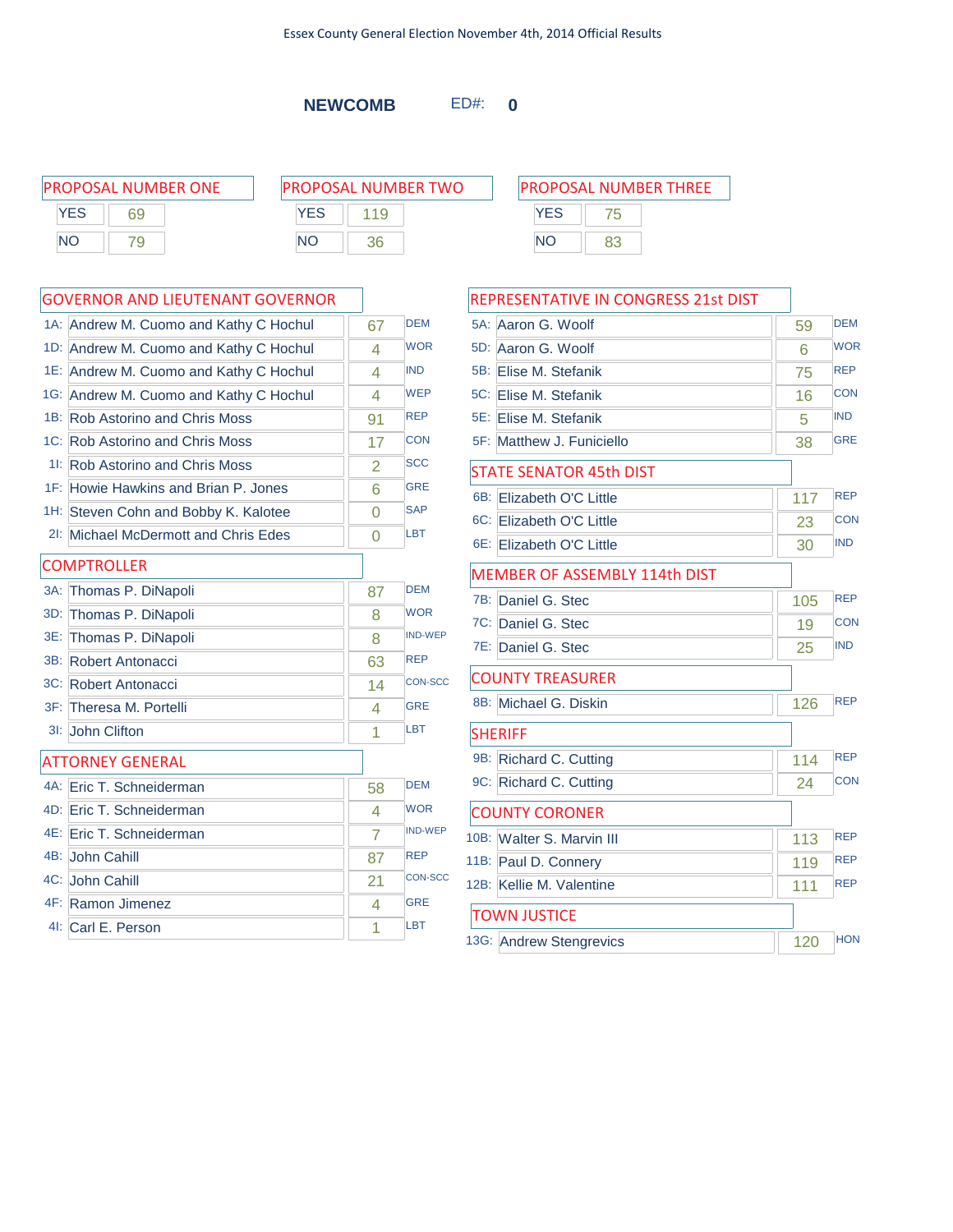**NEWCOMB** ED#: **0**

|            | <b>PROPOSAL NUMBER ONE</b> |           | <b>PROPOSAL NUMBER TWO</b> |            | <b>PROPOSAL NUMBER THREE</b> |  |
|------------|----------------------------|-----------|----------------------------|------------|------------------------------|--|
| <b>YES</b> | 69                         | YES       |                            | <b>YES</b> |                              |  |
| <b>NO</b>  |                            | <b>NO</b> | 36                         | <b>NO</b>  | 83                           |  |
|            |                            |           |                            |            |                              |  |

|     | <b>GOVERNOR AND LIEUTENANT GOVERNOR</b> |                |                |
|-----|-----------------------------------------|----------------|----------------|
|     | 1A: Andrew M. Cuomo and Kathy C Hochul  | 67             | <b>DEM</b>     |
|     | 1D: Andrew M. Cuomo and Kathy C Hochul  | 4              | <b>WOR</b>     |
|     | 1E: Andrew M. Cuomo and Kathy C Hochul  | 4              | <b>IND</b>     |
|     | 1G: Andrew M. Cuomo and Kathy C Hochul  | 4              | <b>WEP</b>     |
|     | 1B: Rob Astorino and Chris Moss         | 91             | <b>REP</b>     |
|     | 1C: Rob Astorino and Chris Moss         | 17             | <b>CON</b>     |
|     | 11: Rob Astorino and Chris Moss         | $\overline{2}$ | <b>SCC</b>     |
|     | 1F: Howie Hawkins and Brian P. Jones    | 6              | <b>GRE</b>     |
|     | 1H: Steven Cohn and Bobby K. Kalotee    | $\overline{0}$ | <b>SAP</b>     |
|     | 21: Michael McDermott and Chris Edes    | 0              | <b>LBT</b>     |
|     | <b>COMPTROLLER</b>                      |                |                |
|     | 3A: Thomas P. DiNapoli                  | 87             | <b>DEM</b>     |
| 3D: | Thomas P. DiNapoli                      | 8              | <b>WOR</b>     |
| 3E: | Thomas P. DiNapoli                      | 8              | <b>IND-WEP</b> |
|     | 3B: Robert Antonacci                    | 63             | <b>REP</b>     |
|     | 3C: Robert Antonacci                    | 14             | <b>CON-SCC</b> |
|     | 3F: Theresa M. Portelli                 | 4              | <b>GRE</b>     |
|     | 3I: John Clifton                        | 1              | LBT            |
|     | <b>ATTORNEY GENERAL</b>                 |                |                |
|     | 4A: Eric T. Schneiderman                | 58             | <b>DEM</b>     |
|     | 4D: Eric T. Schneiderman                | 4              | <b>WOR</b>     |
|     | 4E: Eric T. Schneiderman                | $\overline{7}$ | <b>IND-WEP</b> |
|     | 4B: John Cahill                         | 87             | <b>REP</b>     |
|     | 4C: John Cahill                         | 21             | <b>CON-SCC</b> |
|     | 4F: Ramon Jimenez                       | 4              | GRF            |
|     | 41: Carl E. Person                      | 1              | <b>LBT</b>     |

| REPRESENTATIVE IN CONGRESS 21st DIST |     |            |
|--------------------------------------|-----|------------|
| 5A: Aaron G. Woolf                   | 59  | <b>DEM</b> |
| 5D: Aaron G. Woolf                   | 6   | <b>WOR</b> |
| 5B: Elise M. Stefanik                | 75  | <b>REP</b> |
| 5C: Elise M. Stefanik                | 16  | <b>CON</b> |
| 5E: Elise M. Stefanik                | 5   | <b>IND</b> |
| 5F: Matthew J. Funiciello            | 38  | <b>GRE</b> |
| STATE SENATOR 45th DIST              |     |            |
| $6B$ :<br>Elizabeth O'C Little       | 117 | <b>REP</b> |
| 6C: Elizabeth O'C Little             | 23  | <b>CON</b> |
| 6E: Elizabeth O'C Little             | 30  | <b>IND</b> |
| <b>MEMBER OF ASSEMBLY 114th DIST</b> |     |            |
| 7B: Daniel G. Stec                   | 105 | <b>REP</b> |
| 7C: Daniel G. Stec                   | 19  | <b>CON</b> |
| 7E: Daniel G. Stec                   | 25  | <b>IND</b> |
| <b>COUNTY TREASURER</b>              |     |            |
| 8B: Michael G. Diskin                | 126 | <b>REP</b> |
| <b>SHERIFF</b>                       |     |            |
| 9B: Richard C. Cutting               | 114 | <b>REP</b> |
| 9C: Richard C. Cutting               | 24  | <b>CON</b> |
| <b>COUNTY CORONER</b>                |     |            |
| 10B: Walter S. Marvin III            | 113 | <b>REP</b> |
| 11B: Paul D. Connery                 | 119 | <b>REP</b> |
| 12B: Kellie M. Valentine             | 111 | <b>REP</b> |
| <b>TOWN JUSTICE</b>                  |     |            |
| 13G: Andrew Stengrevics              | 120 | <b>HON</b> |
|                                      |     |            |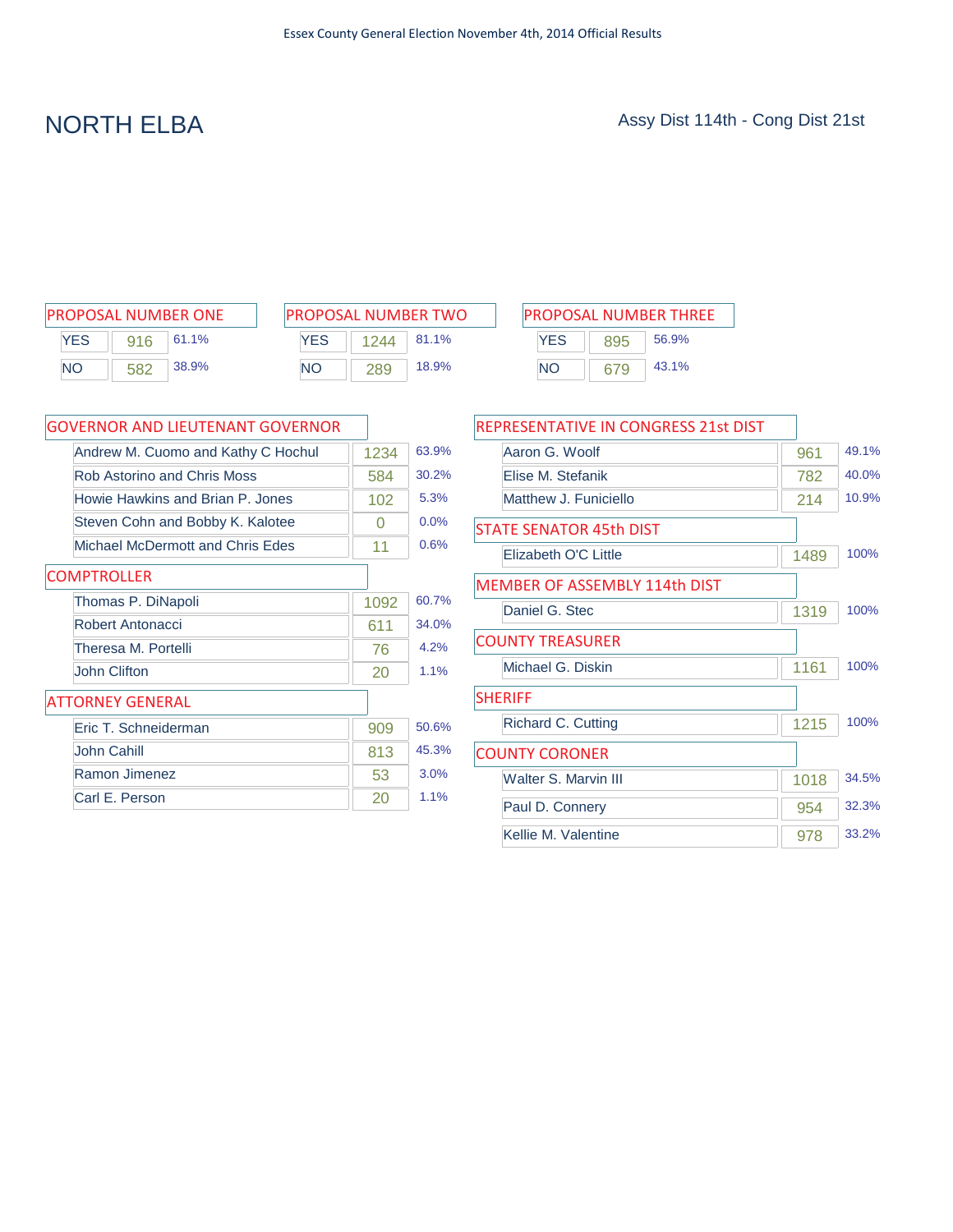| <b>PROPOSAL NUMBER ONE</b> |     |       |  |  |  |  |
|----------------------------|-----|-------|--|--|--|--|
| <b>YES</b>                 | 916 | 61.1% |  |  |  |  |
| NΟ                         | 582 | 38.9% |  |  |  |  |

| PROPOSAL NUMBER TWO |      |       |  |  |  |  |
|---------------------|------|-------|--|--|--|--|
| <b>YFS</b>          | 1244 | 81.1% |  |  |  |  |
| NΟ                  | 289  | 18.9% |  |  |  |  |

| PROPOSAL NUMBER ONE |     | <b>PROPOSAL NUMBER TWO</b> |            |      | <b>PROPOSAL NUMBER THREE</b> |           |     |       |
|---------------------|-----|----------------------------|------------|------|------------------------------|-----------|-----|-------|
| YES                 | 916 | 61.1%                      | <b>YES</b> | 1244 | 81.1%                        | YES       | 895 | 56.9% |
| NΟ                  | 582 | 38.9%                      | <b>NO</b>  | 289  | 18.9%                        | <b>NO</b> | 679 | 43.1% |

| GOVERNOR AND LIEUTENANT GOVERNOR   |      |       |
|------------------------------------|------|-------|
| Andrew M. Cuomo and Kathy C Hochul | 1234 | 63.9% |
| Rob Astorino and Chris Moss        | 584  | 30.2% |
| Howie Hawkins and Brian P. Jones   | 102  | 5.3%  |
| Steven Cohn and Bobby K. Kalotee   | 0    | 0.0%  |
| Michael McDermott and Chris Edes   | 11   | 0.6%  |
| <b>COMPTROLLER</b>                 |      |       |
| Thomas P. DiNapoli                 | 1092 | 60.7% |
| Robert Antonacci                   | 611  | 34.0% |
| Theresa M. Portelli                | 76   | 4.2%  |
| <b>John Clifton</b>                | 20   | 1.1%  |
| <b>ATTORNEY GENERAL</b>            |      |       |
| Fric T. Schneiderman               | 909  | 50.6% |
| John Cahill                        | 813  | 45.3% |
| Ramon Jimenez                      | 53   | 3.0%  |
| Carl E. Person                     | 20   | 1.1%  |

| <b>REPRESENTATIVE IN CONGRESS 21st DIST</b> |      |       |
|---------------------------------------------|------|-------|
| Aaron G. Woolf                              | 961  | 49.1% |
| Elise M. Stefanik                           | 782  | 40.0% |
| Matthew J. Funiciello                       | 214  | 10.9% |
| <b>STATE SENATOR 45th DIST</b>              |      |       |
| Flizabeth O'C Little                        | 1489 | 100%  |
| MEMBER OF ASSEMBLY 114th DIST               |      |       |
| Daniel G. Stec                              | 1319 | 100%  |
| <b>COUNTY TREASURER</b>                     |      |       |
| Michael G. Diskin                           | 1161 | 100%  |
| <b>SHERIFF</b>                              |      |       |
| Richard C. Cutting                          | 1215 | 100%  |
| <b>COUNTY CORONER</b>                       |      |       |
| Walter S. Marvin III                        | 1018 | 34.5% |
| Paul D. Connery                             | 954  | 32.3% |
| Kellie M. Valentine                         | 978  | 33.2% |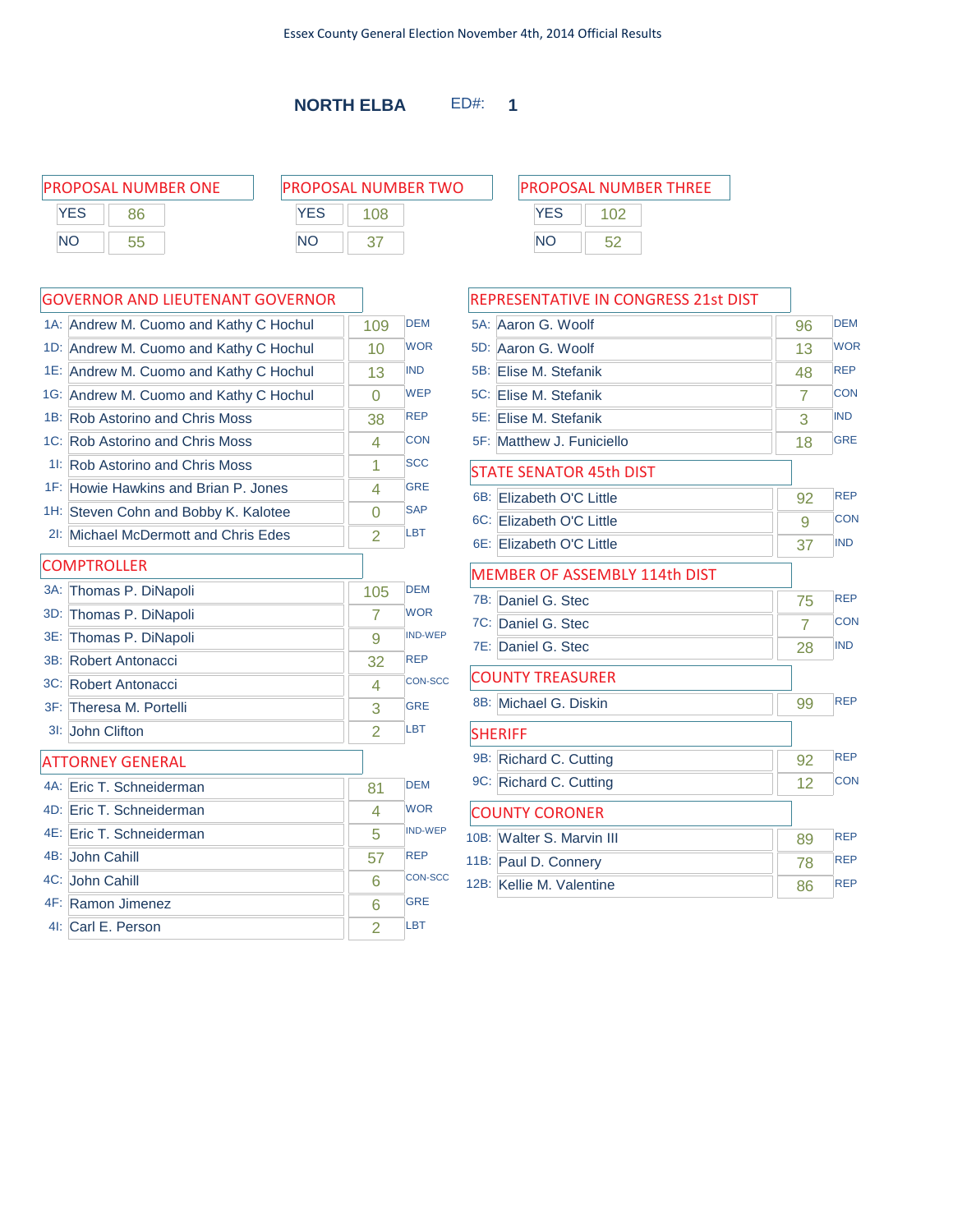| <b>PROPOSAL NUMBER ONE</b> | <b>PROPOSAL NUMBER TWO</b> | <b>PROPOSAL NUMBER THREE</b> |  |  |
|----------------------------|----------------------------|------------------------------|--|--|
| YES<br>86                  | YES<br>08                  | YES                          |  |  |
| NO<br>55                   | <b>NO</b>                  | <b>NO</b><br>57              |  |  |
|                            |                            |                              |  |  |

|     | 1A: Andrew M. Cuomo and Kathy C Hochul | 109            | <b>DEM</b>     |
|-----|----------------------------------------|----------------|----------------|
|     | 1D: Andrew M. Cuomo and Kathy C Hochul | 10             | <b>WOR</b>     |
|     | 1E: Andrew M. Cuomo and Kathy C Hochul | 13             | <b>IND</b>     |
|     | 1G: Andrew M. Cuomo and Kathy C Hochul | 0              | <b>WEP</b>     |
|     | 1B: Rob Astorino and Chris Moss        | 38             | <b>REP</b>     |
|     | 1C: Rob Astorino and Chris Moss        | 4              | CON            |
|     | 11: Rob Astorino and Chris Moss        | 1              | <b>SCC</b>     |
|     | 1F: Howie Hawkins and Brian P. Jones   | 4              | <b>GRE</b>     |
|     | 1H: Steven Cohn and Bobby K. Kalotee   | $\Omega$       | <b>SAP</b>     |
|     | 21: Michael McDermott and Chris Edes   | $\overline{2}$ | LBT            |
|     | <b>COMPTROLLER</b>                     |                |                |
|     | 3A: Thomas P. DiNapoli                 | 105            | <b>DEM</b>     |
| 3D: | Thomas P. DiNapoli                     | 7              | <b>WOR</b>     |
| 3E: | Thomas P. DiNapoli                     | 9              | <b>IND-WEP</b> |
|     | 3B: Robert Antonacci                   | 32             | <b>REP</b>     |
|     | 3C: Robert Antonacci                   | 4              | <b>CON-SCC</b> |
|     | 3F: Theresa M. Portelli                | 3              | <b>GRE</b>     |
|     | 31: John Clifton                       | $\overline{2}$ | LBT            |
|     | <b>ATTORNEY GENERAL</b>                |                |                |
|     | 4A: Eric T. Schneiderman               | 81             | <b>DEM</b>     |
|     | 4D: Eric T. Schneiderman               | 4              | <b>WOR</b>     |
|     | 4E: Eric T. Schneiderman               | 5              | <b>IND-WEP</b> |
|     | 4B: John Cahill                        | 57             | <b>REP</b>     |
|     | 4C: John Cahill                        | 6              | <b>CON-SCC</b> |
|     | 4F: Ramon Jimenez                      | 6              | <b>GRE</b>     |
|     | 4I: Carl E. Person                     | $\overline{2}$ | LBT            |

| PROPOSAL NUMBER THRFF |     |                                       |  |  |  |
|-----------------------|-----|---------------------------------------|--|--|--|
|                       |     |                                       |  |  |  |
| <b>YES</b>            | 102 |                                       |  |  |  |
| NΟ                    | 52  |                                       |  |  |  |
|                       |     |                                       |  |  |  |
|                       |     |                                       |  |  |  |
|                       |     | <b>ENTATIVE IN CONGRESS 21st DIST</b> |  |  |  |

| <b>REPRESENTATIVE IN CONGRESS 21st DIST</b> |                |            |
|---------------------------------------------|----------------|------------|
| 5A:<br>Aaron G. Woolf                       | 96             | <b>DEM</b> |
| 5D: Aaron G. Woolf                          | 13             | <b>WOR</b> |
| Elise M. Stefanik<br>5B:                    | 48             | <b>REP</b> |
| 5C: Elise M. Stefanik                       | 7              | <b>CON</b> |
| 5E:<br>Elise M. Stefanik                    | 3              | <b>IND</b> |
| 5F: Matthew J. Funiciello                   | 18             | <b>GRE</b> |
| STATE SENATOR 45th DIST                     |                |            |
| 6B: Elizabeth O'C Little                    | 92             | <b>REP</b> |
| 6C: Elizabeth O'C Little                    | 9              | <b>CON</b> |
| 6E: Elizabeth O'C Little                    | 37             | <b>IND</b> |
| <b>MEMBER OF ASSEMBLY 114th DIST</b>        |                |            |
| 7B: Daniel G. Stec                          | 75             | <b>REP</b> |
| 7C: Daniel G. Stec                          | $\overline{7}$ | <b>CON</b> |
| 7E: Daniel G. Stec                          | 28             | <b>IND</b> |
| <b>COUNTY TREASURER</b>                     |                |            |
| 8B: Michael G. Diskin                       | 99             | <b>REP</b> |
| <b>SHERIFF</b>                              |                |            |
| 9B: Richard C. Cutting                      | 92             | <b>REP</b> |
| 9C: Richard C. Cutting                      | 12             | <b>CON</b> |
| <b>COUNTY CORONER</b>                       |                |            |
| 10B: Walter S. Marvin III                   | 89             | <b>REP</b> |
| 11B: Paul D. Connery                        | 78             | <b>REP</b> |
| 12B: Kellie M. Valentine                    | 86             | <b>REP</b> |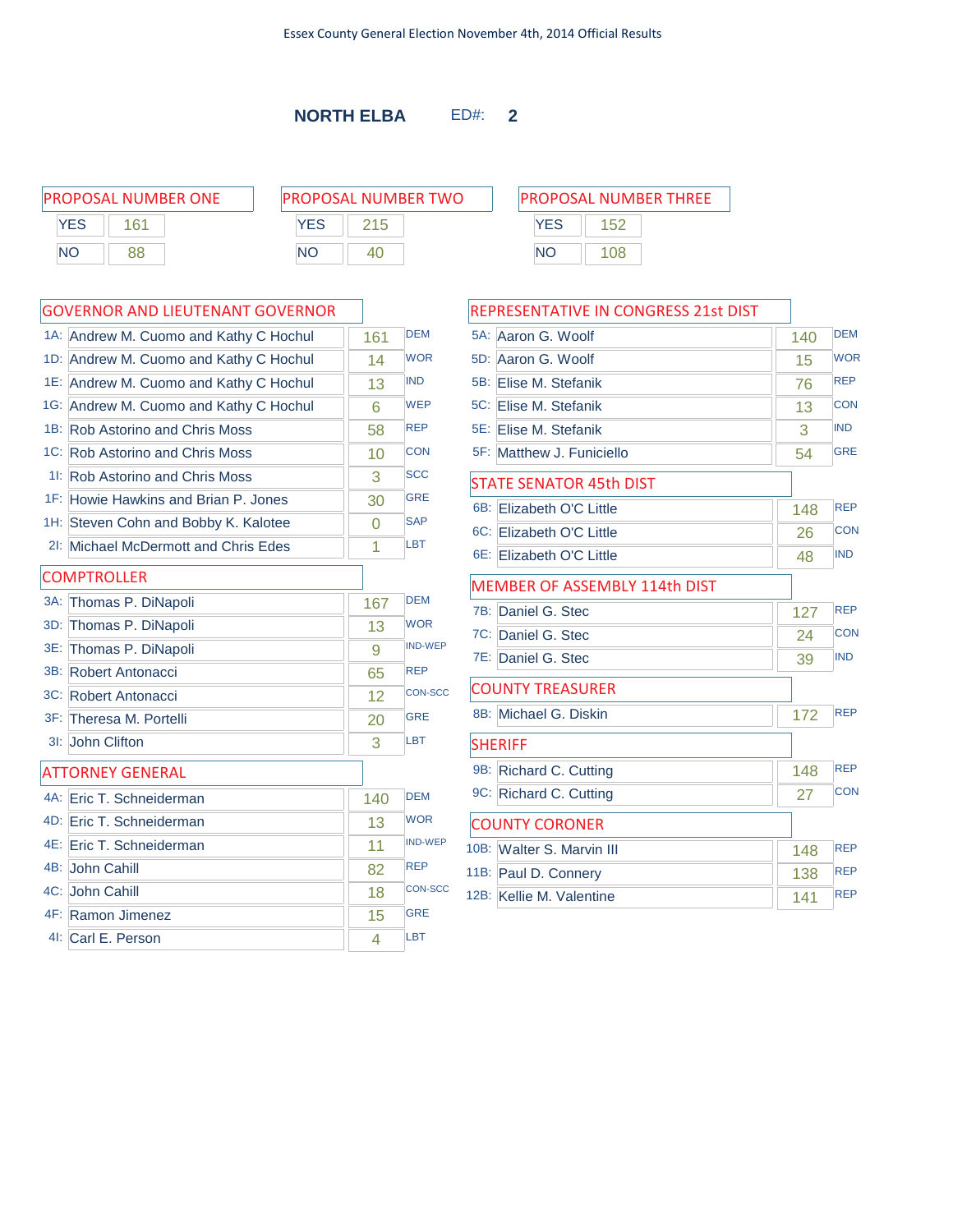PROPOSAL NUMBER ONE PI **YES** 161 NO 88

| ROPOSAL NUMBER TWO |     |  |  |
|--------------------|-----|--|--|
| <b>YES</b>         | 215 |  |  |
| <b>NO</b>          | ⊿∩  |  |  |

 $\sim$ 

|     | 1A: Andrew M. Cuomo and Kathy C Hochul | 161 | <b>DEM</b>     |
|-----|----------------------------------------|-----|----------------|
|     | 1D: Andrew M. Cuomo and Kathy C Hochul | 14  | <b>WOR</b>     |
|     | 1E: Andrew M. Cuomo and Kathy C Hochul | 13  | <b>IND</b>     |
|     | 1G: Andrew M. Cuomo and Kathy C Hochul | 6   | <b>WEP</b>     |
|     | 1B: Rob Astorino and Chris Moss        | 58  | <b>REP</b>     |
|     | 1C: Rob Astorino and Chris Moss        | 10  | <b>CON</b>     |
|     | 11: Rob Astorino and Chris Moss        | 3   | <b>SCC</b>     |
|     | 1F: Howie Hawkins and Brian P. Jones   | 30  | <b>GRE</b>     |
|     | 1H: Steven Cohn and Bobby K. Kalotee   | 0   | <b>SAP</b>     |
|     | 21: Michael McDermott and Chris Edes   | 1   | <b>LBT</b>     |
|     | <b>COMPTROLLER</b>                     |     |                |
| 3A: | Thomas P. DiNapoli                     | 167 | <b>DEM</b>     |
| 3D: | Thomas P. DiNapoli                     | 13  | <b>WOR</b>     |
|     | 3E: Thomas P. DiNapoli                 | 9   | <b>IND-WEP</b> |
|     | 3B: Robert Antonacci                   | 65  | <b>REP</b>     |
|     | 3C: Robert Antonacci                   | 12  | <b>CON-SCC</b> |
|     | 3F: Theresa M. Portelli                | 20  | <b>GRE</b>     |
|     | 3I: John Clifton                       | 3   | <b>LBT</b>     |
|     | <b>ATTORNEY GENERAL</b>                |     |                |
|     | 4A: Eric T. Schneiderman               | 140 | <b>DFM</b>     |
|     | 4D: Eric T. Schneiderman               | 13  | <b>WOR</b>     |
|     | 4E: Eric T. Schneiderman               | 11  | <b>IND-WEP</b> |
|     | 4B: John Cahill                        | 82  | <b>REP</b>     |
|     | 4C: John Cahill                        | 18  | <b>CON-SCC</b> |
|     | 4F: Ramon Jimenez                      | 15  | <b>GRE</b>     |
|     | 4I: Carl E. Person                     | 4   | <b>LBT</b>     |

| PROPOSAL NUMBER THREE |     |  |  |
|-----------------------|-----|--|--|
| YES                   | 152 |  |  |
| NΟ                    | 108 |  |  |
|                       |     |  |  |

| REPRESENTATIVE IN CONGRESS 21st DIST |     |            |
|--------------------------------------|-----|------------|
| 5A: Aaron G. Woolf                   | 140 | <b>DEM</b> |
| 5D: Aaron G. Woolf                   | 15  | <b>WOR</b> |
| 5B: Elise M. Stefanik                | 76  | <b>REP</b> |
| 5C: Elise M. Stefanik                | 13  | <b>CON</b> |
| 5E: Elise M. Stefanik                | 3   | <b>IND</b> |
| 5F: Matthew J. Funiciello            | 54  | <b>GRE</b> |
| <b>STATE SENATOR 45th DIST</b>       |     |            |
| 6B: Elizabeth O'C Little             | 148 | <b>REP</b> |
| 6C: Elizabeth O'C Little             | 26  | <b>CON</b> |
| 6E: Elizabeth O'C Little             | 48  | <b>IND</b> |
| MEMBER OF ASSEMBLY 114th DIST        |     |            |
| 7B: Daniel G. Stec                   | 127 | <b>REP</b> |
| 7C: Daniel G. Stec                   | 24  | <b>CON</b> |
| 7E: Daniel G. Stec                   | 39  | <b>IND</b> |
| <b>COUNTY TREASURER</b>              |     |            |
| 8B: Michael G. Diskin                | 172 | <b>REP</b> |
| <b>SHERIFF</b>                       |     |            |
| 9B: Richard C. Cutting               | 148 | <b>REP</b> |
| 9C: Richard C. Cutting               | 27  | <b>CON</b> |
| <b>COUNTY CORONER</b>                |     |            |
| 10B: Walter S. Marvin III            | 148 | <b>REP</b> |
| 11B: Paul D. Connery                 | 138 | <b>REP</b> |
| 12B: Kellie M. Valentine             | 141 | <b>REP</b> |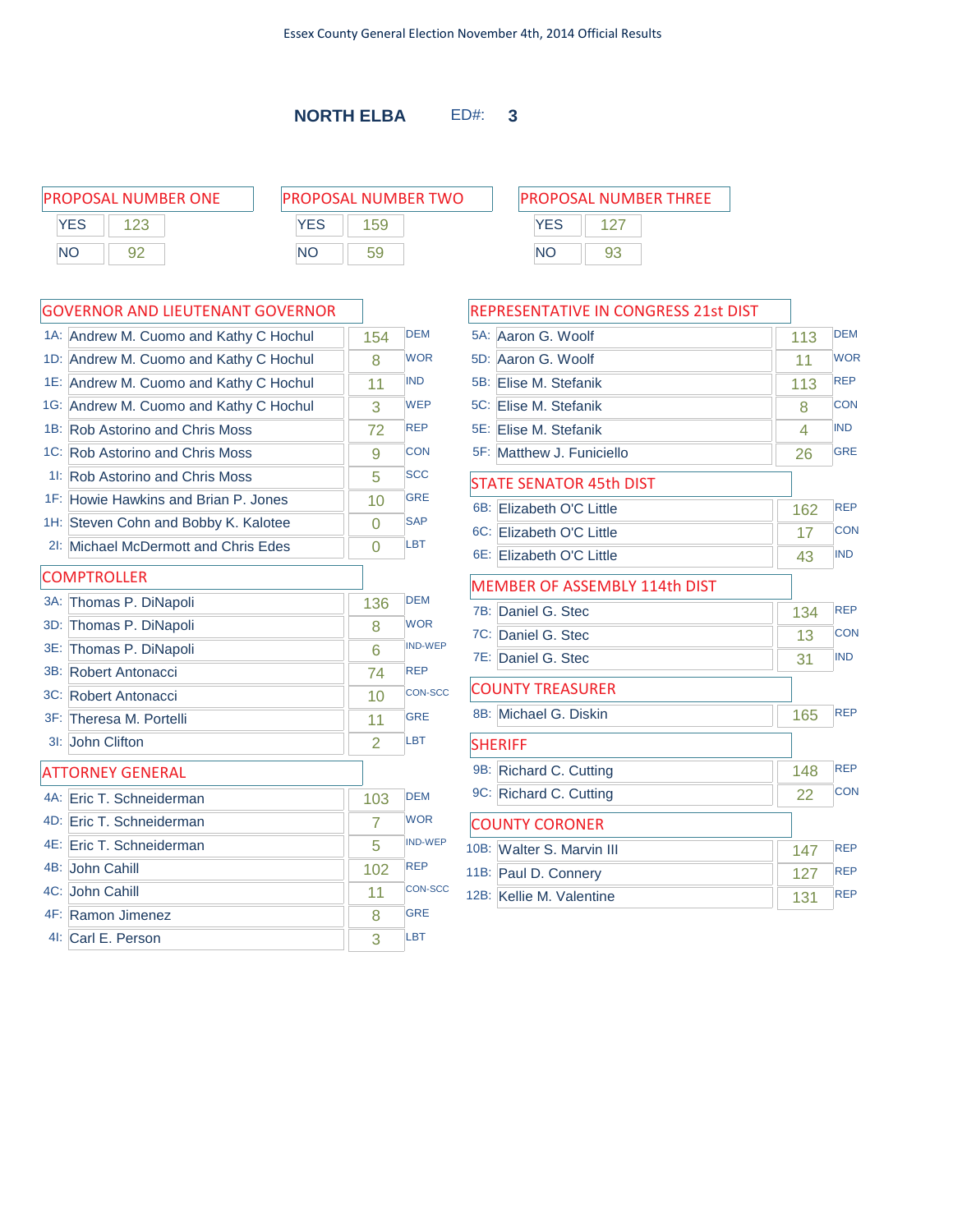|            | <b>PROPOSAL NUMBER ONE</b> | <b>PROPOSAL NUMBER TWO</b> |            |    | <b>PROPOSAL NUMBER THREE</b> |
|------------|----------------------------|----------------------------|------------|----|------------------------------|
| <b>YES</b> |                            | <b>YES</b><br>59           | <b>YES</b> |    |                              |
| <b>NC</b>  | 92                         | <b>NO</b>                  | <b>NC</b>  | 93 |                              |

### GOVERNOR AND LIEUTENANT GOVERNOR

|     | 1A: Andrew M. Cuomo and Kathy C Hochul | 154      | <b>DEM</b>     |
|-----|----------------------------------------|----------|----------------|
|     | 1D: Andrew M. Cuomo and Kathy C Hochul | 8        | <b>WOR</b>     |
|     | 1E: Andrew M. Cuomo and Kathy C Hochul | 11       | <b>IND</b>     |
|     | 1G: Andrew M. Cuomo and Kathy C Hochul | 3        | <b>WEP</b>     |
|     | 1B: Rob Astorino and Chris Moss        | 72       | <b>REP</b>     |
|     | 1C: Rob Astorino and Chris Moss        | 9        | <b>CON</b>     |
|     | 11: Rob Astorino and Chris Moss        | 5        | <b>SCC</b>     |
|     | 1F: Howie Hawkins and Brian P. Jones   | 10       | <b>GRE</b>     |
|     | 1H: Steven Cohn and Bobby K. Kalotee   | 0        | <b>SAP</b>     |
|     | 2I: Michael McDermott and Chris Edes   | $\Omega$ | <b>LBT</b>     |
|     | <b>COMPTROLLER</b>                     |          |                |
|     | 3A: Thomas P. DiNapoli                 | 136      | <b>DEM</b>     |
| 3D: | Thomas P. DiNapoli                     | 8        | <b>WOR</b>     |
|     | 3E: Thomas P. DiNapoli                 | 6        | <b>IND-WEP</b> |
|     | 3B: Robert Antonacci                   | 74       | <b>REP</b>     |
|     | 3C: Robert Antonacci                   | 10       | <b>CON-SCC</b> |
|     | 3F: Theresa M. Portelli                | 11       | <b>GRE</b>     |
|     | 3I: John Clifton                       | 2        | LBT            |
|     | <b>ATTORNEY GENERAL</b>                |          |                |
|     | 4A: Eric T. Schneiderman               | 103      | <b>DEM</b>     |
|     | 4D: Eric T. Schneiderman               | 7        | <b>WOR</b>     |
|     | 4E: Eric T. Schneiderman               | 5        | <b>IND-WEP</b> |
|     | 4B: John Cahill                        | 102      | <b>REP</b>     |
|     | 4C: John Cahill                        | 11       | <b>CON-SCC</b> |
|     | 4F: Ramon Jimenez                      | 8        | <b>GRE</b>     |
|     | 41: Carl E. Person                     | 3        | LBT            |

# **YES** 127 NO 93

| REPRESENTATIVE IN CONGRESS 21st DIST |     |            |
|--------------------------------------|-----|------------|
| 5A: Aaron G. Woolf                   | 113 | <b>DEM</b> |
| 5D: Aaron G. Woolf                   | 11  | <b>WOR</b> |
| 5B:<br>Elise M. Stefanik             | 113 | <b>REP</b> |
| 5C: Elise M. Stefanik                | 8   | <b>CON</b> |
| 5E:<br>Elise M. Stefanik             | 4   | <b>IND</b> |
| 5F: Matthew J. Funiciello            | 26  | <b>GRE</b> |
| <b>STATE SENATOR 45th DIST</b>       |     |            |
| 6B:<br><b>Elizabeth O'C Little</b>   | 162 | <b>REP</b> |
| $6C$ :<br>Elizabeth O'C Little       | 17  | <b>CON</b> |
| 6E: Elizabeth O'C Little             | 43  | <b>IND</b> |
| MEMBER OF ASSEMBLY 114th DIST        |     |            |
| 7B:<br>Daniel G. Stec                | 134 | <b>REP</b> |
| 7C: Daniel G. Stec                   | 13  | <b>CON</b> |
| 7E: Daniel G. Stec                   | 31  | <b>IND</b> |
| <b>COUNTY TREASURER</b>              |     |            |
| 8B: Michael G. Diskin                | 165 | <b>REP</b> |
| <b>SHERIFF</b>                       |     |            |
| 9B:<br>Richard C. Cutting            | 148 | <b>REP</b> |
| 9C: Richard C. Cutting               | 22  | <b>CON</b> |
| <b>COUNTY CORONER</b>                |     |            |
| 10B: Walter S. Marvin III            | 147 | <b>REP</b> |
| 11B: Paul D. Connery                 | 127 | <b>REP</b> |
| 12B: Kellie M. Valentine             | 131 | <b>REP</b> |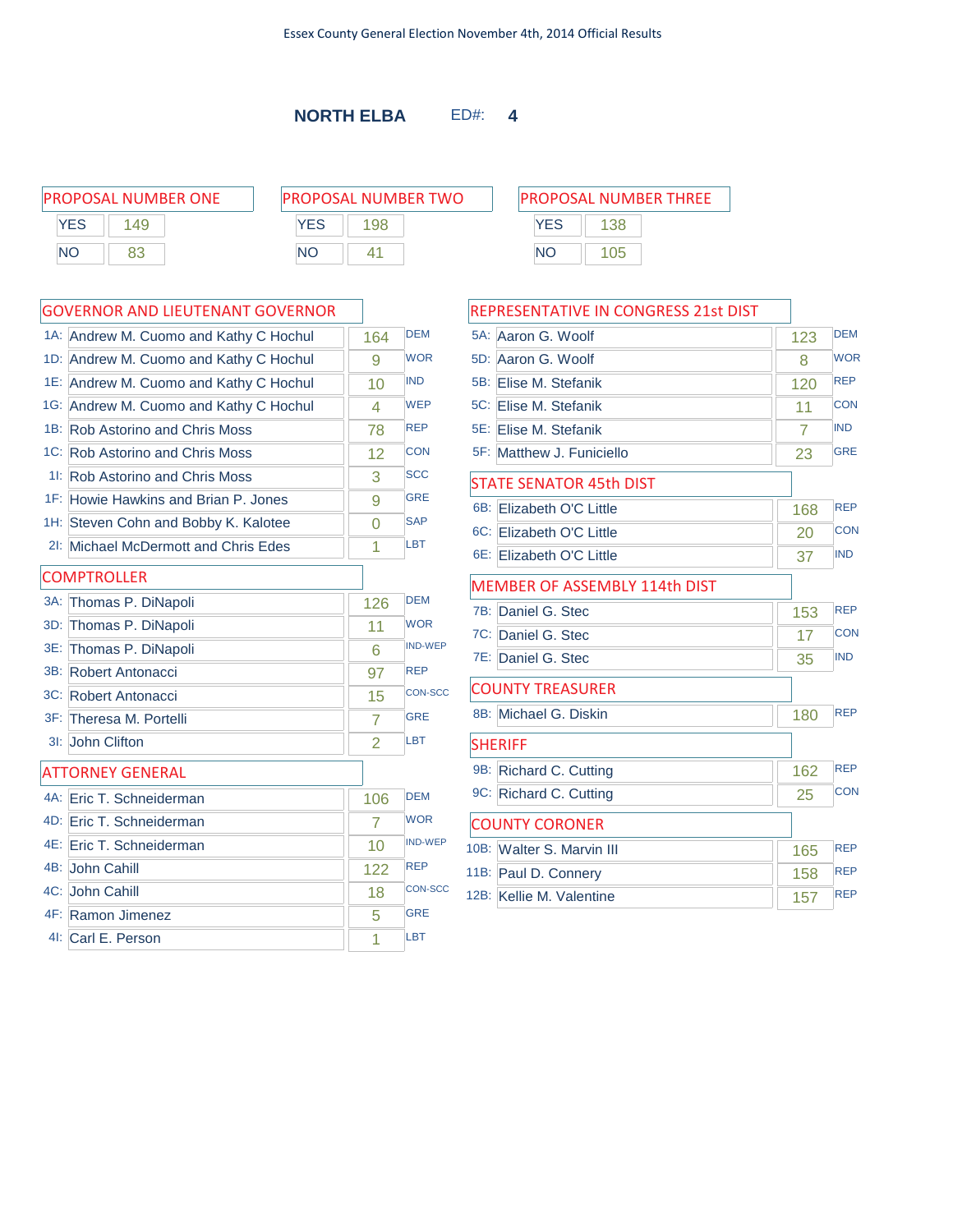PROPOSAL NUMBER ONE P YES | 149 NO 83

| ROPOSAL NUMBER TWO |     |  |  |
|--------------------|-----|--|--|
| <b>YFS</b>         | 198 |  |  |
| <b>NO</b>          | 41  |  |  |

|        | 1A: Andrew M. Cuomo and Kathy C Hochul | 164      | <b>DEM</b>     |
|--------|----------------------------------------|----------|----------------|
| 1D:    | Andrew M. Cuomo and Kathy C Hochul     | 9        | <b>WOR</b>     |
|        | 1E: Andrew M. Cuomo and Kathy C Hochul | 10       | <b>IND</b>     |
|        | 1G: Andrew M. Cuomo and Kathy C Hochul | 4        | <b>WEP</b>     |
|        | 1B: Rob Astorino and Chris Moss        | 78       | <b>REP</b>     |
|        | 1C: Rob Astorino and Chris Moss        | 12       | <b>CON</b>     |
| $1!$ : | <b>Rob Astorino and Chris Moss</b>     | 3        | <b>SCC</b>     |
|        | 1F: Howie Hawkins and Brian P. Jones   | 9        | <b>GRE</b>     |
|        | 1H: Steven Cohn and Bobby K. Kalotee   | $\Omega$ | <b>SAP</b>     |
| $2$ :  | Michael McDermott and Chris Edes       | 1        | <b>LBT</b>     |
|        | <b>COMPTROLLER</b>                     |          |                |
| $3A$ : | Thomas P. DiNapoli                     | 126      | <b>DEM</b>     |
| 3D:    | Thomas P. DiNapoli                     | 11       | <b>WOR</b>     |
| 3E:    | Thomas P. DiNapoli                     | 6        | <b>IND-WEP</b> |
|        | 3B: Robert Antonacci                   | 97       | <b>REP</b>     |
|        | 3C: Robert Antonacci                   | 15       | <b>CON-SCC</b> |
|        | 3F: Theresa M. Portelli                | 7        | <b>GRE</b>     |
| $31$ : | John Clifton                           | 2        | LBT            |
|        | <b>ATTORNEY GENERAL</b>                |          |                |
|        | 4A: Eric T. Schneiderman               | 106      | <b>DFM</b>     |
|        | 4D: Eric T. Schneiderman               | 7        | <b>WOR</b>     |
|        | 4E: Eric T. Schneiderman               | 10       | <b>IND-WEP</b> |
|        | 4B: John Cahill                        | 122      | <b>REP</b>     |
|        | 4C: John Cahill                        | 18       | <b>CON-SCC</b> |
|        | 4F: Ramon Jimenez                      | 5        | <b>GRE</b>     |
|        | 4I: Carl E. Person                     | 1        | <b>LBT</b>     |

| PROPOSAL NUMBER THREE |     |  |  |
|-----------------------|-----|--|--|
| <b>YFS</b>            | 138 |  |  |
| NΟ                    | 105 |  |  |

| REPRESENTATIVE IN CONGRESS 21st DIST |     |            |
|--------------------------------------|-----|------------|
| 5A: Aaron G. Woolf                   | 123 | <b>DEM</b> |
| 5D: Aaron G. Woolf                   | 8   | <b>WOR</b> |
| 5B:<br>Flise M. Stefanik             | 120 | <b>REP</b> |
| 5C: Elise M. Stefanik                | 11  | <b>CON</b> |
| 5E: Elise M. Stefanik                | 7   | <b>IND</b> |
| 5F: Matthew J. Funiciello            | 23  | <b>GRE</b> |
| <b>STATE SENATOR 45th DIST</b>       |     |            |
| 6B:<br>Elizabeth O'C Little          | 168 | <b>REP</b> |
| 6C: Elizabeth O'C Little             | 20  | <b>CON</b> |
| 6E: Elizabeth O'C Little             | 37  | <b>IND</b> |
| <b>MEMBER OF ASSEMBLY 114th DIST</b> |     |            |
| 7B:<br>Daniel G. Stec                | 153 | <b>REP</b> |
| 7C: Daniel G. Stec                   | 17  | <b>CON</b> |
| 7E: Daniel G. Stec                   | 35  | <b>IND</b> |
| <b>COUNTY TREASURER</b>              |     |            |
| 8B: Michael G. Diskin                | 180 | <b>REP</b> |
| <b>SHERIFF</b>                       |     |            |
| 9B:<br>Richard C. Cutting            | 162 | <b>REP</b> |
| 9C: Richard C. Cutting               | 25  | <b>CON</b> |
| <b>COUNTY CORONER</b>                |     |            |
| 10B: Walter S. Marvin III            | 165 | <b>REP</b> |
| 11B: Paul D. Connery                 | 158 | <b>REP</b> |
| 12B: Kellie M. Valentine             | 157 | <b>REP</b> |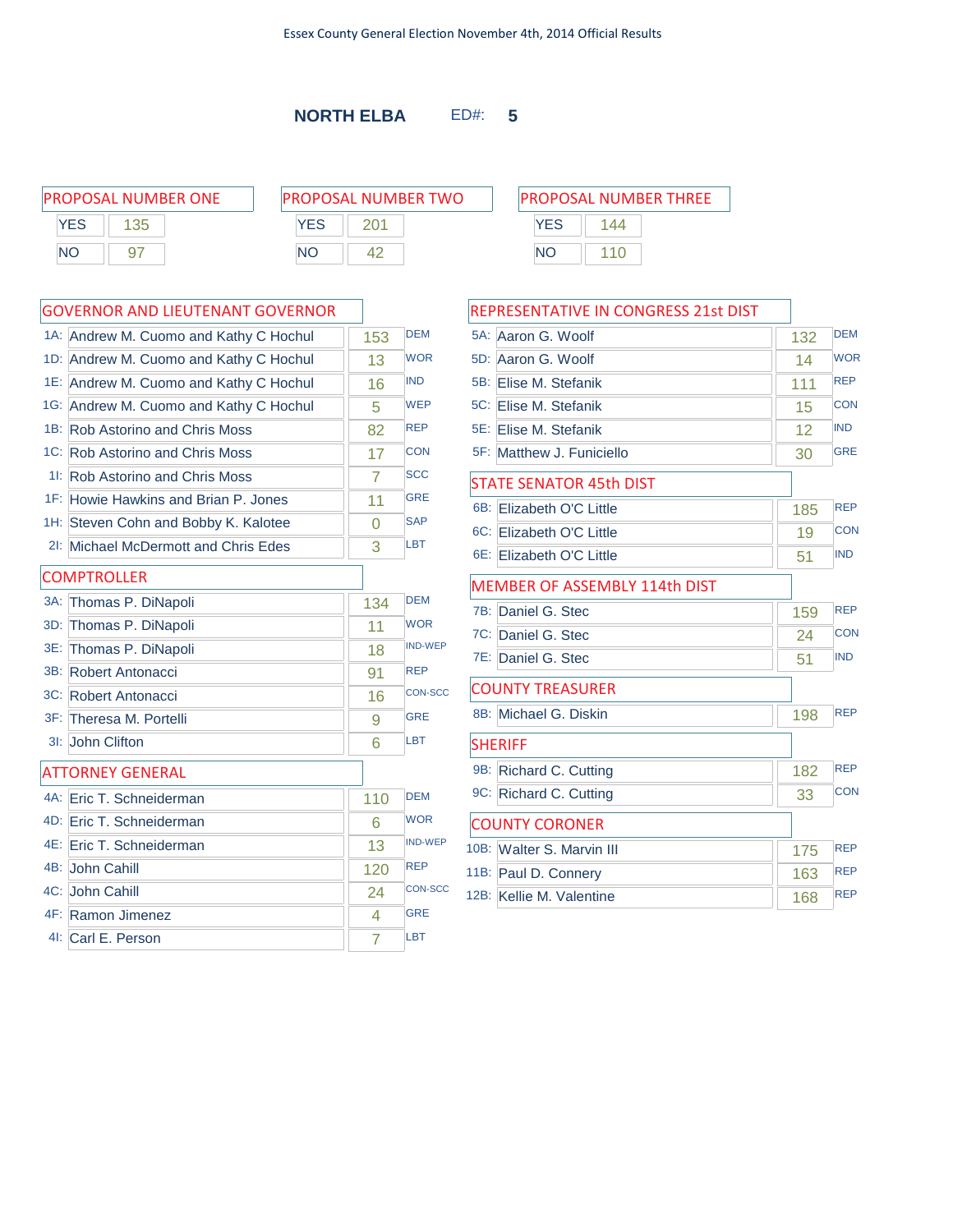$\Gamma$ 

**NORTH ELBA** ED#: **5**

PROPOSAL NUMBER ONE P **YES** 135 NO 97

| ROPOSAL NUMBER TWO |     |  |  |
|--------------------|-----|--|--|
| <b>YFS</b>         | 201 |  |  |
| NΟ                 |     |  |  |

|     | 1A: Andrew M. Cuomo and Kathy C Hochul | 153            | <b>DEM</b>     |
|-----|----------------------------------------|----------------|----------------|
|     | 1D: Andrew M. Cuomo and Kathy C Hochul | 13             | <b>WOR</b>     |
|     | 1E: Andrew M. Cuomo and Kathy C Hochul | 16             | <b>IND</b>     |
|     | 1G: Andrew M. Cuomo and Kathy C Hochul | 5              | <b>WEP</b>     |
|     | 1B: Rob Astorino and Chris Moss        | 82             | <b>REP</b>     |
|     | 1C: Rob Astorino and Chris Moss        | 17             | <b>CON</b>     |
|     | 11: Rob Astorino and Chris Moss        | 7              | <b>SCC</b>     |
|     | 1F: Howie Hawkins and Brian P. Jones   | 11             | <b>GRE</b>     |
|     | 1H: Steven Cohn and Bobby K. Kalotee   | $\Omega$       | <b>SAP</b>     |
|     | 21: Michael McDermott and Chris Edes   | 3              | <b>LBT</b>     |
|     | <b>COMPTROLLER</b>                     |                |                |
| 3A: | Thomas P. DiNapoli                     | 134            | <b>DEM</b>     |
| 3D: | Thomas P. DiNapoli                     | 11             | <b>WOR</b>     |
|     | 3E: Thomas P. DiNapoli                 | 18             | <b>IND-WEP</b> |
|     | 3B: Robert Antonacci                   | 91             | <b>REP</b>     |
|     | 3C: Robert Antonacci                   | 16             | <b>CON-SCC</b> |
|     | 3F: Theresa M. Portelli                | 9              | <b>GRE</b>     |
|     | 3I: John Clifton                       | 6              | <b>LBT</b>     |
|     | <b>ATTORNEY GENERAL</b>                |                |                |
|     | 4A: Eric T. Schneiderman               | 110            | <b>DFM</b>     |
|     | 4D: Eric T. Schneiderman               | 6              | <b>WOR</b>     |
|     | 4E: Eric T. Schneiderman               | 13             | <b>IND-WEP</b> |
|     | 4B: John Cahill                        | 120            | <b>REP</b>     |
|     | 4C: John Cahill                        | 24             | <b>CON-SCC</b> |
|     | 4F: Ramon Jimenez                      | 4              | <b>GRE</b>     |
|     | 4I: Carl E. Person                     | $\overline{7}$ | <b>LBT</b>     |

| PROPOSAL NUMBER THREE |  |  |  |  |
|-----------------------|--|--|--|--|
| 144                   |  |  |  |  |
| 110                   |  |  |  |  |
|                       |  |  |  |  |

|     | REPRESENTATIVE IN CONGRESS 21st DIST |     |            |
|-----|--------------------------------------|-----|------------|
| 5A: | Aaron G. Woolf                       | 132 | <b>DEM</b> |
|     | 5D: Aaron G. Woolf                   | 14  | <b>WOR</b> |
|     | 5B: Elise M. Stefanik                | 111 | <b>REP</b> |
|     | 5C: Elise M. Stefanik                | 15  | <b>CON</b> |
|     | 5E: Elise M. Stefanik                | 12  | <b>IND</b> |
|     | 5F: Matthew J. Funiciello            | 30  | <b>GRE</b> |
|     | <b>STATE SENATOR 45th DIST</b>       |     |            |
|     | 6B: Elizabeth O'C Little             | 185 | <b>REP</b> |
|     | 6C: Elizabeth O'C Little             | 19  | <b>CON</b> |
|     | 6E: Elizabeth O'C Little             | 51  | <b>IND</b> |
|     | <b>MEMBER OF ASSEMBLY 114th DIST</b> |     |            |
| 7B: | Daniel G. Stec                       | 159 | <b>REP</b> |
|     | 7C: Daniel G. Stec                   | 24  | <b>CON</b> |
|     | 7E: Daniel G. Stec                   | 51  | <b>IND</b> |
|     | <b>COUNTY TREASURER</b>              |     |            |
|     | 8B: Michael G. Diskin                | 198 | <b>REP</b> |
|     | <b>SHERIFF</b>                       |     |            |
| 9B: | Richard C. Cutting                   | 182 | <b>REP</b> |
|     | 9C: Richard C. Cutting               | 33  | <b>CON</b> |
|     | <b>COUNTY CORONER</b>                |     |            |
|     | 10B: Walter S. Marvin III            | 175 | <b>REP</b> |
|     | 11B: Paul D. Connery                 | 163 | <b>REP</b> |
|     | 12B: Kellie M. Valentine             | 168 | <b>REP</b> |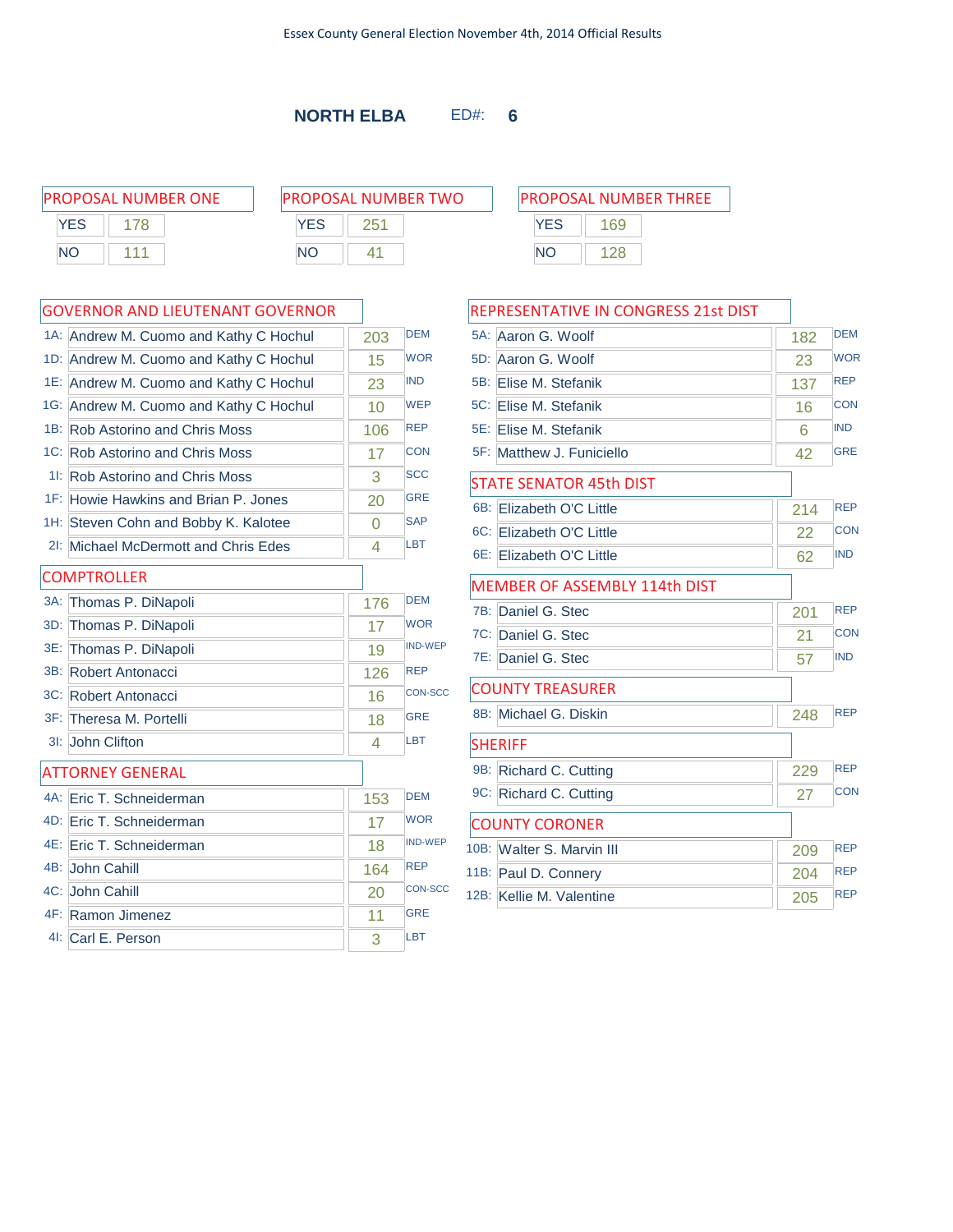|            | <b>PROPOSAL NUMBER ONE</b> | <b>PROPOSAL NUMBER TWO</b> | <b>PROPOSAL NUMBER THREE</b> |
|------------|----------------------------|----------------------------|------------------------------|
| <b>YES</b> |                            | <b>YES</b>                 | 69                           |
| <b>NC</b>  | 444                        | ΝC                         | ΝC                           |

| 1A: Andrew M. Cuomo and Kathy C Hochul | 203      | <b>DEM</b>     |
|----------------------------------------|----------|----------------|
| 1D: Andrew M. Cuomo and Kathy C Hochul | 15       | <b>WOR</b>     |
| 1E: Andrew M. Cuomo and Kathy C Hochul | 23       | <b>IND</b>     |
| 1G: Andrew M. Cuomo and Kathy C Hochul | 10       | <b>WEP</b>     |
| 1B: Rob Astorino and Chris Moss        | 106      | <b>REP</b>     |
| 1C: Rob Astorino and Chris Moss        | 17       | <b>CON</b>     |
| 11: Rob Astorino and Chris Moss        | 3        | <b>SCC</b>     |
| 1F: Howie Hawkins and Brian P. Jones   | 20       | <b>GRE</b>     |
| 1H: Steven Cohn and Bobby K. Kalotee   | $\Omega$ | <b>SAP</b>     |
| 21: Michael McDermott and Chris Edes   | 4        | LBT            |
| <b>COMPTROLLER</b>                     |          |                |
| 3A: Thomas P. DiNapoli                 | 176      | <b>DEM</b>     |
| 3D: Thomas P. DiNapoli                 | 17       | <b>WOR</b>     |
| 3E: Thomas P. DiNapoli                 | 19       | <b>IND-WEP</b> |
| 3B: Robert Antonacci                   | 126      | <b>REP</b>     |
| 3C: Robert Antonacci                   | 16       | <b>CON-SCC</b> |
| 3F: Theresa M. Portelli                | 18       | <b>GRE</b>     |
| 3I: John Clifton                       | 4        | LBT            |
| <b>ATTORNEY GENERAL</b>                |          |                |
| 4A: Eric T. Schneiderman               | 153      | <b>DEM</b>     |
| 4D: Eric T. Schneiderman               | 17       | <b>WOR</b>     |
| 4E: Eric T. Schneiderman               | 18       | <b>IND-WEP</b> |
| 4B: John Cahill                        | 164      | <b>REP</b>     |
| 4C: John Cahill                        | 20       | <b>CON-SCC</b> |
| 4F: Ramon Jimenez                      | 11       | <b>GRE</b>     |
| 4I: Carl E. Person                     | 3        | <b>LBT</b>     |

|     | REPRESENTATIVE IN CONGRESS 21st DIST |     |            |
|-----|--------------------------------------|-----|------------|
|     | 5A: Aaron G. Woolf                   | 182 | <b>DEM</b> |
|     | 5D: Aaron G. Woolf                   | 23  | <b>WOR</b> |
| 5B: | Elise M. Stefanik                    | 137 | <b>REP</b> |
|     | 5C: Elise M. Stefanik                | 16  | <b>CON</b> |
|     | 5E: Elise M. Stefanik                | 6   | <b>IND</b> |
|     | 5F: Matthew J. Funiciello            | 42  | <b>GRE</b> |
|     | <b>STATE SENATOR 45th DIST</b>       |     |            |
| 6B: | Elizabeth O'C Little                 | 214 | <b>REP</b> |
|     | 6C: Elizabeth O'C Little             | 22  | CON        |
|     | 6E: Elizabeth O'C Little             | 62  | <b>IND</b> |
|     | MEMBER OF ASSEMBLY 114th DIST        |     |            |
| 7B: | Daniel G. Stec                       | 201 | <b>REP</b> |
|     | 7C: Daniel G. Stec                   | 21  | <b>CON</b> |
|     | 7E: Daniel G. Stec                   | 57  | <b>IND</b> |
|     | <b>COUNTY TREASURER</b>              |     |            |
|     | 8B: Michael G. Diskin                | 248 | <b>REP</b> |
|     | <b>SHERIFF</b>                       |     |            |
|     | 9B: Richard C. Cutting               | 229 | <b>REP</b> |
|     | 9C: Richard C. Cutting               | 27  | <b>CON</b> |
|     | <b>COUNTY CORONER</b>                |     |            |
|     | 10B: Walter S. Marvin III            | 209 | <b>REP</b> |
|     | 11B: Paul D. Connery                 | 204 | <b>REP</b> |
|     | 12B: Kellie M. Valentine             | 205 | <b>REP</b> |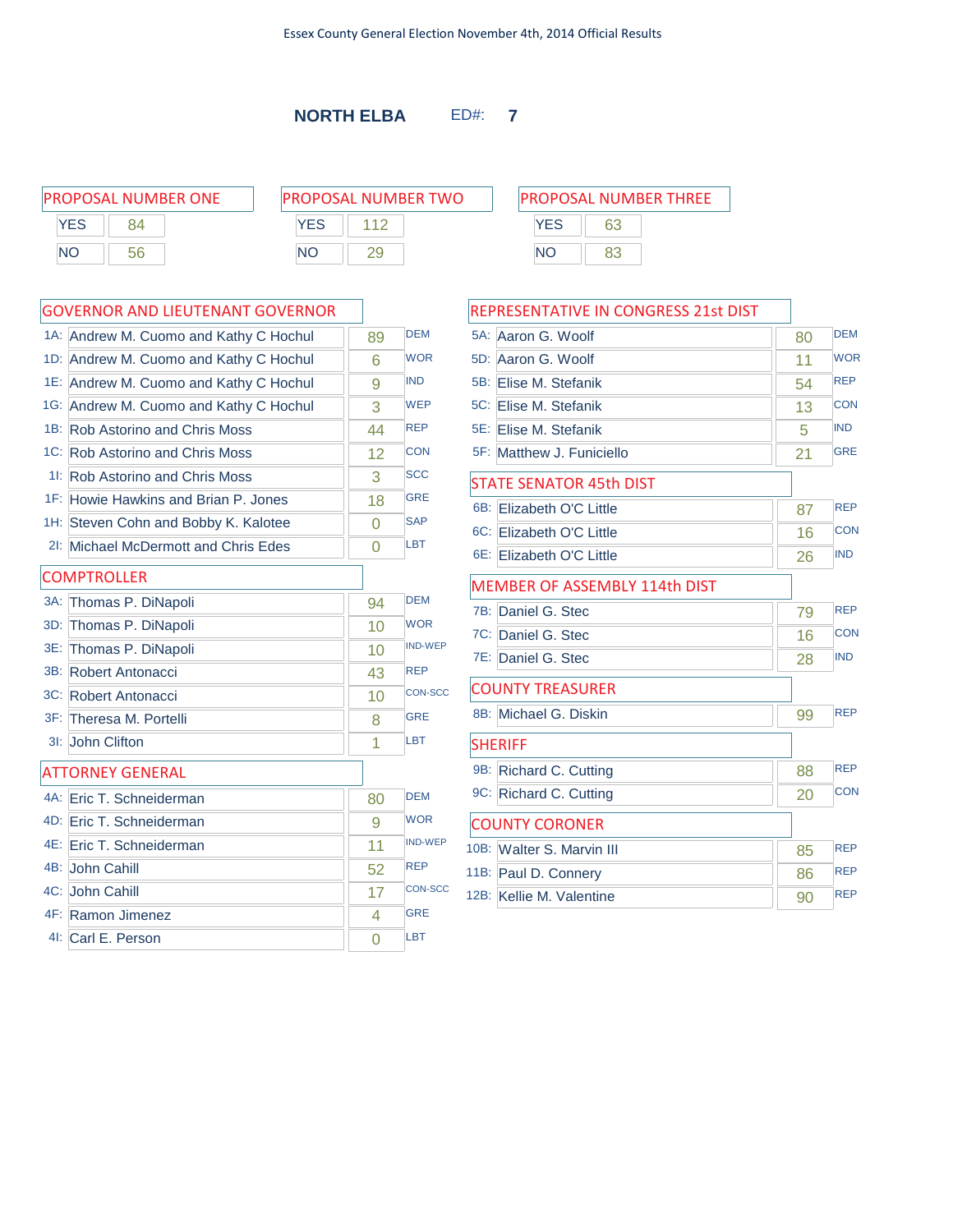PROPOSAL NUMBER ONE P  $YES$  84 NO 56

| ROPOSAL NUMBER TWO |     |  |  |  |
|--------------------|-----|--|--|--|
| <b>YFS</b>         | 112 |  |  |  |
| NO.                |     |  |  |  |

| 1A: Andrew M. Cuomo and Kathy C Hochul | 89             | <b>DEM</b>     |
|----------------------------------------|----------------|----------------|
| 1D: Andrew M. Cuomo and Kathy C Hochul | 6              | <b>WOR</b>     |
| 1E: Andrew M. Cuomo and Kathy C Hochul | 9              | <b>IND</b>     |
| 1G: Andrew M. Cuomo and Kathy C Hochul | 3              | <b>WEP</b>     |
| 1B: Rob Astorino and Chris Moss        | 44             | <b>REP</b>     |
| 1C: Rob Astorino and Chris Moss        | 12             | <b>CON</b>     |
| 11: Rob Astorino and Chris Moss        | 3              | <b>SCC</b>     |
| 1F: Howie Hawkins and Brian P. Jones   | 18             | <b>GRE</b>     |
| 1H: Steven Cohn and Bobby K. Kalotee   | $\Omega$       | <b>SAP</b>     |
| 21: Michael McDermott and Chris Edes   | $\overline{0}$ | LBT            |
| <b>COMPTROLLER</b>                     |                |                |
| 3A: Thomas P. DiNapoli                 | 94             | <b>DEM</b>     |
| 3D: Thomas P. DiNapoli                 | 10             | <b>WOR</b>     |
| 3E: Thomas P. DiNapoli                 | 10             | <b>IND-WEP</b> |
| 3B: Robert Antonacci                   | 43             | <b>REP</b>     |
| 3C: Robert Antonacci                   | 10             | <b>CON-SCC</b> |
| 3F: Theresa M. Portelli                | 8              | <b>GRE</b>     |
| 3I: John Clifton                       | 1              | <b>LBT</b>     |
| <b>ATTORNEY GENERAL</b>                |                |                |
| 4A: Eric T. Schneiderman               | 80             | <b>DEM</b>     |
| 4D: Eric T. Schneiderman               | 9              | <b>WOR</b>     |
| 4E: Eric T. Schneiderman               | 11             | <b>IND-WEP</b> |
| 4B: John Cahill                        | 52             | <b>REP</b>     |
| 4C: John Cahill                        | 17             | <b>CON-SCC</b> |
| 4F: Ramon Jimenez                      | 4              | <b>GRE</b>     |
| 4I: Carl E. Person                     | $\Omega$       | <b>LBT</b>     |

| <b>PROPOSAL NUMBER THREE</b> |    |  |  |
|------------------------------|----|--|--|
| <b>YFS</b>                   | 63 |  |  |
| <b>NO</b>                    |    |  |  |

|     | REPRESENTATIVE IN CONGRESS 21st DIST |    |            |
|-----|--------------------------------------|----|------------|
|     | 5A: Aaron G. Woolf                   | 80 | <b>DEM</b> |
|     | 5D: Aaron G. Woolf                   | 11 | <b>WOR</b> |
| 5B: | Elise M. Stefanik                    | 54 | <b>REP</b> |
|     | 5C: Elise M. Stefanik                | 13 | <b>CON</b> |
|     | 5E: Elise M. Stefanik                | 5  | <b>IND</b> |
|     | 5F: Matthew J. Funiciello            | 21 | <b>GRE</b> |
|     | <b>STATE SENATOR 45th DIST</b>       |    |            |
| 6B: | Elizabeth O'C Little                 | 87 | <b>REP</b> |
|     | 6C: Elizabeth O'C Little             | 16 | <b>CON</b> |
|     | 6E: Elizabeth O'C Little             | 26 | <b>IND</b> |
|     | <b>MEMBER OF ASSEMBLY 114th DIST</b> |    |            |
| 7B: | Daniel G. Stec                       | 79 | <b>REP</b> |
|     | 7C: Daniel G. Stec                   | 16 | <b>CON</b> |
|     | 7E: Daniel G. Stec                   | 28 | <b>IND</b> |
|     | <b>COUNTY TREASURER</b>              |    |            |
|     | 8B: Michael G. Diskin                | 99 | <b>REP</b> |
|     | <b>SHERIFF</b>                       |    |            |
| 9B: | Richard C. Cutting                   | 88 | <b>REP</b> |
|     | 9C: Richard C. Cutting               | 20 | <b>CON</b> |
|     | <b>COUNTY CORONER</b>                |    |            |
|     | 10B: Walter S. Marvin III            | 85 | <b>REP</b> |
|     | 11B: Paul D. Connery                 | 86 | <b>REP</b> |
|     | 12B: Kellie M. Valentine             | 90 | <b>REP</b> |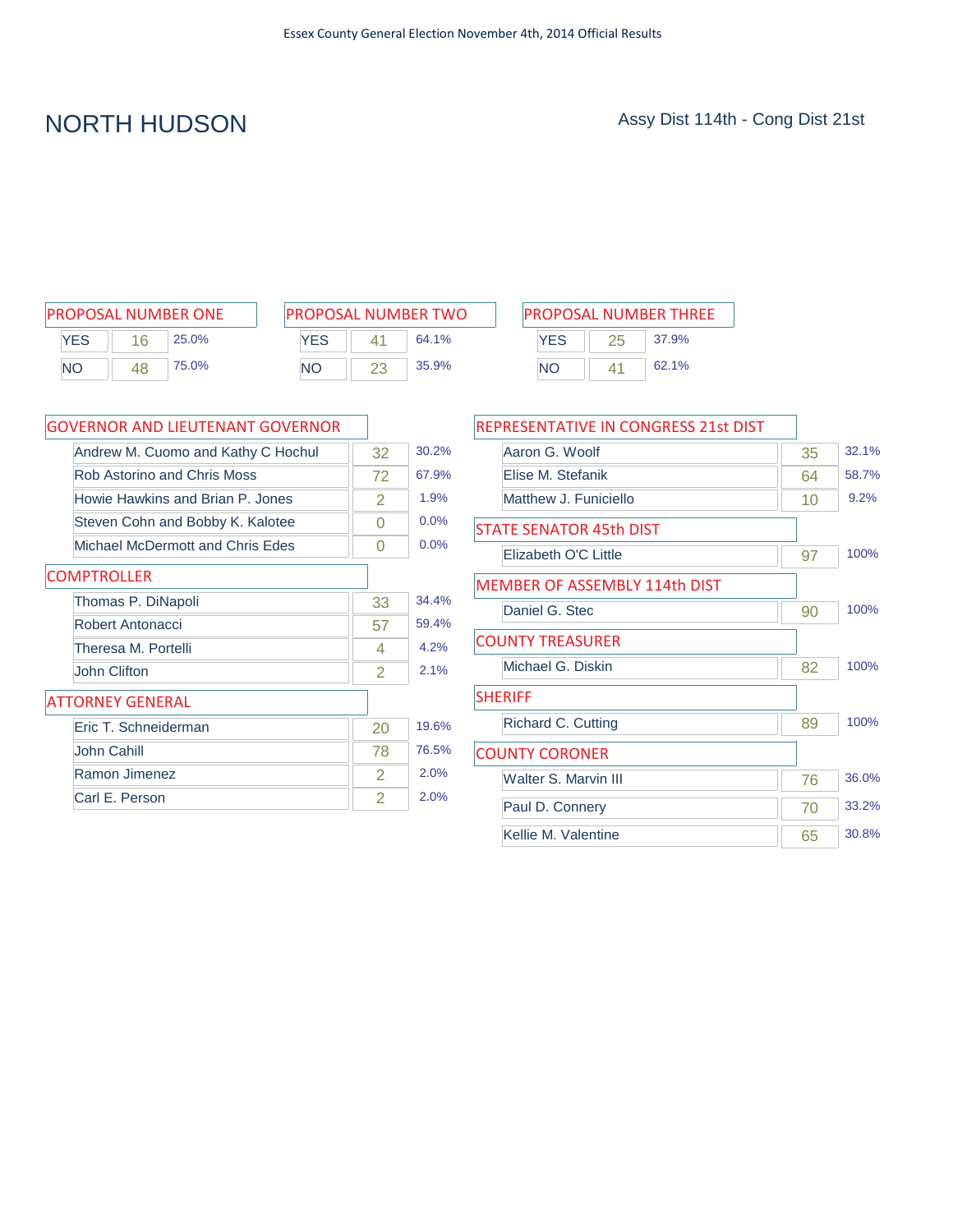# NORTH HUDSON Assy Dist 114th - Cong Dist 21st

| <b>PROPOSAL NUMBER ONE</b> |    |       |  |
|----------------------------|----|-------|--|
| <b>YFS</b>                 | 16 | 25.0% |  |
| <b>NO</b>                  | 48 | 75.0% |  |

| PROPOSAL NUMBER TWO |    |       |  |
|---------------------|----|-------|--|
| <b>YFS</b>          | 41 | 64.1% |  |
| NΟ                  | 23 | 35.9% |  |

| PROPOSAL NUMBER ONE |       |            | <b>PROPOSAL NUMBER TWO</b> |       |           | <b>PROPOSAL NUMBER THREE</b> |       |  |
|---------------------|-------|------------|----------------------------|-------|-----------|------------------------------|-------|--|
| YES<br>16           | 25.0% | <b>YES</b> |                            | 64.1% | YES       |                              | 37.9% |  |
| <b>NO</b><br>48     | 75.0% | <b>NO</b>  |                            | 35.9% | <b>NC</b> | 41                           | 62.1% |  |

| <b>GOVERNOR AND LIEUTENANT GOVERNOR</b> |               |       |
|-----------------------------------------|---------------|-------|
| Andrew M. Cuomo and Kathy C Hochul      | 32            | 30.2% |
| Rob Astorino and Chris Moss             | 72            | 67.9% |
| Howie Hawkins and Brian P. Jones        | 2             | 1.9%  |
| Steven Cohn and Bobby K. Kalotee        | 0             | 0.0%  |
| Michael McDermott and Chris Edes        | 0             | 0.0%  |
| <b>COMPTROLLER</b>                      |               |       |
| Thomas P. DiNapoli                      | 33            | 34.4% |
| Robert Antonacci                        | 57            | 59.4% |
| Theresa M. Portelli                     | 4             | 4.2%  |
| John Clifton                            | 2             | 2.1%  |
| <b>ATTORNEY GENERAL</b>                 |               |       |
| Eric T. Schneiderman                    | 20            | 19.6% |
| John Cahill                             | 78            | 76.5% |
| Ramon Jimenez                           | $\mathcal{P}$ | 2.0%  |
| Carl E. Person                          | 2             | 2.0%  |

| REPRESENTATIVE IN CONGRESS 21st DIST |    |       |
|--------------------------------------|----|-------|
| Aaron G. Woolf                       | 35 | 32.1% |
| Elise M. Stefanik                    | 64 | 58.7% |
| Matthew J. Funiciello                | 10 | 9.2%  |
| <b>STATE SENATOR 45th DIST</b>       |    |       |
| Elizabeth O'C Little                 | 97 | 100%  |
| <b>MEMBER OF ASSEMBLY 114th DIST</b> |    |       |
| Daniel G. Stec                       | 90 | 100%  |
| <b>COUNTY TREASURER</b>              |    |       |
| Michael G. Diskin                    | 82 | 100%  |
| <b>SHERIFF</b>                       |    |       |
| Richard C. Cutting                   | 89 | 100%  |
| <b>COUNTY CORONER</b>                |    |       |
| Walter S. Marvin III                 | 76 | 36.0% |
| Paul D. Connery                      | 70 | 33.2% |
| Kellie M. Valentine                  | 65 | 30.8% |
|                                      |    |       |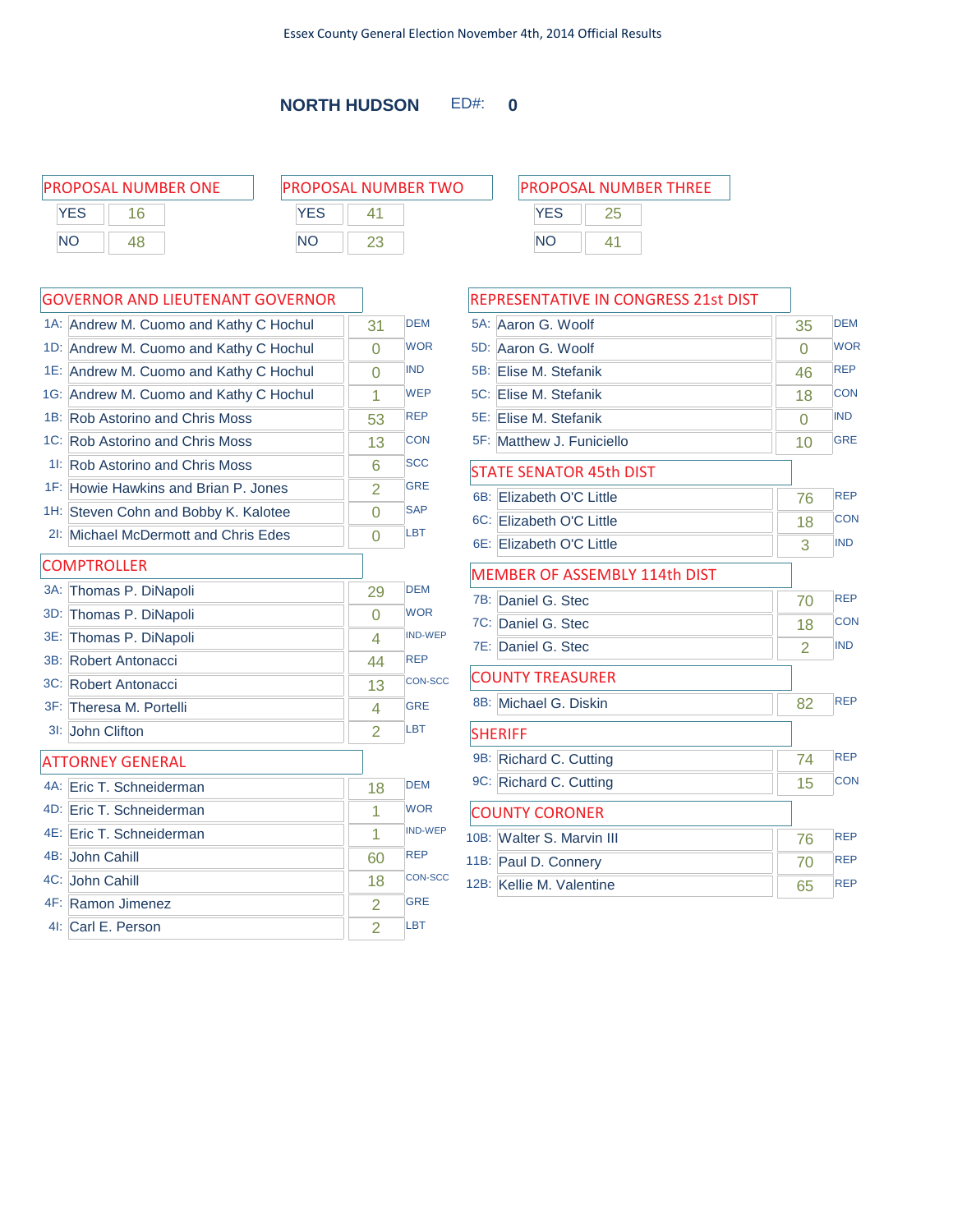### **NORTH HUDSON** ED#: **0**

| <b>PROPOSAL NUMBER ONE</b>              | <b>PROPOSAL NUMBER TWO</b> | <b>PROPOSAL NUMBER THREE</b>         |
|-----------------------------------------|----------------------------|--------------------------------------|
| YES<br>16                               | YES                        | YES<br>25                            |
| NO.<br>48                               | <b>NO</b><br>23            | NO<br>41                             |
| <b>GOVERNOR AND LIEUTENANT GOVERNOR</b> |                            | <b>REPRESENTATIVE IN CONGRESS 21</b> |

|        | 1A: Andrew M. Cuomo and Kathy C Hochul | 31             | <b>DEM</b>     |
|--------|----------------------------------------|----------------|----------------|
|        | 1D: Andrew M. Cuomo and Kathy C Hochul | $\Omega$       | <b>WOR</b>     |
|        | 1E: Andrew M. Cuomo and Kathy C Hochul | $\Omega$       | <b>IND</b>     |
|        | 1G: Andrew M. Cuomo and Kathy C Hochul | 1              | <b>WEP</b>     |
|        | 1B: Rob Astorino and Chris Moss        | 53             | <b>REP</b>     |
|        | 1C: Rob Astorino and Chris Moss        | 13             | <b>CON</b>     |
| 11:    | <b>Rob Astorino and Chris Moss</b>     | 6              | <b>SCC</b>     |
|        | 1F: Howie Hawkins and Brian P. Jones   | $\overline{2}$ | <b>GRE</b>     |
|        | 1H: Steven Cohn and Bobby K. Kalotee   | $\Omega$       | <b>SAP</b>     |
| $2$ l: | Michael McDermott and Chris Edes       | $\Omega$       | <b>LBT</b>     |
|        | <b>COMPTROLLER</b>                     |                |                |
|        | 3A: Thomas P. DiNapoli                 | 29             | <b>DEM</b>     |
|        | 3D: Thomas P. DiNapoli                 | $\overline{0}$ | <b>WOR</b>     |
|        | 3E: Thomas P. DiNapoli                 | 4              | <b>IND-WEP</b> |
|        | 3B: Robert Antonacci                   | 44             | <b>REP</b>     |
|        | 3C: Robert Antonacci                   | 13             | <b>CON-SCC</b> |
|        | 3F: Theresa M. Portelli                | 4              | <b>GRE</b>     |
|        | 3I: John Clifton                       | $\overline{2}$ | <b>LBT</b>     |
|        | <b>ATTORNEY GENERAL</b>                |                |                |
|        | 4A: Eric T. Schneiderman               | 18             | <b>DEM</b>     |
|        | 4D: Eric T. Schneiderman               | 1              | <b>WOR</b>     |
|        | 4E: Eric T. Schneiderman               | 1              | <b>IND-WEP</b> |
|        | 4B: John Cahill                        | 60             | <b>REP</b>     |
|        | 4C: John Cahill                        | 18             | <b>CON-SCC</b> |
|        | 4F: Ramon Jimenez                      | 2              | <b>GRE</b>     |
|        | 41: Carl E. Person                     | $\overline{2}$ | <b>LBT</b>     |

| PROPOSAL NUMBER THREE |    |  |  |  |  |
|-----------------------|----|--|--|--|--|
| <b>YES</b>            |    |  |  |  |  |
| NΟ                    | 41 |  |  |  |  |

|     | REPRESENTATIVE IN CONGRESS 21st DIST |          |            |
|-----|--------------------------------------|----------|------------|
| 5A: | Aaron G. Woolf                       | 35       | <b>DEM</b> |
| 5D: | Aaron G. Woolf                       | $\Omega$ | <b>WOR</b> |
|     | 5B: Elise M. Stefanik                | 46       | <b>REP</b> |
|     | 5C: Elise M. Stefanik                | 18       | <b>CON</b> |
|     | 5E: Elise M. Stefanik                | 0        | <b>IND</b> |
|     | 5F: Matthew J. Funiciello            | 10       | <b>GRE</b> |
|     | <b>STATE SENATOR 45th DIST</b>       |          |            |
|     | 6B: Elizabeth O'C Little             | 76       | <b>REP</b> |
|     | 6C: Elizabeth O'C Little             | 18       | <b>CON</b> |
|     | 6E: Elizabeth O'C Little             | 3        | <b>IND</b> |
|     | <b>MEMBER OF ASSEMBLY 114th DIST</b> |          |            |
| 7B: | Daniel G. Stec                       | 70       | <b>REP</b> |
|     | 7C: Daniel G. Stec                   | 18       | <b>CON</b> |
|     | 7E: Daniel G. Stec                   | 2        | <b>IND</b> |
|     | <b>COUNTY TREASURER</b>              |          |            |
|     | 8B: Michael G. Diskin                | 82       | <b>REP</b> |
|     | <b>SHERIFF</b>                       |          |            |
|     | 9B: Richard C. Cutting               | 74       | <b>REP</b> |
|     | 9C: Richard C. Cutting               | 15       | <b>CON</b> |
|     | <b>COUNTY CORONER</b>                |          |            |
|     | 10B: Walter S. Marvin III            | 76       | <b>REP</b> |
|     | 11B: Paul D. Connery                 | 70       | <b>REP</b> |
|     | 12B: Kellie M. Valentine             | 65       | <b>REP</b> |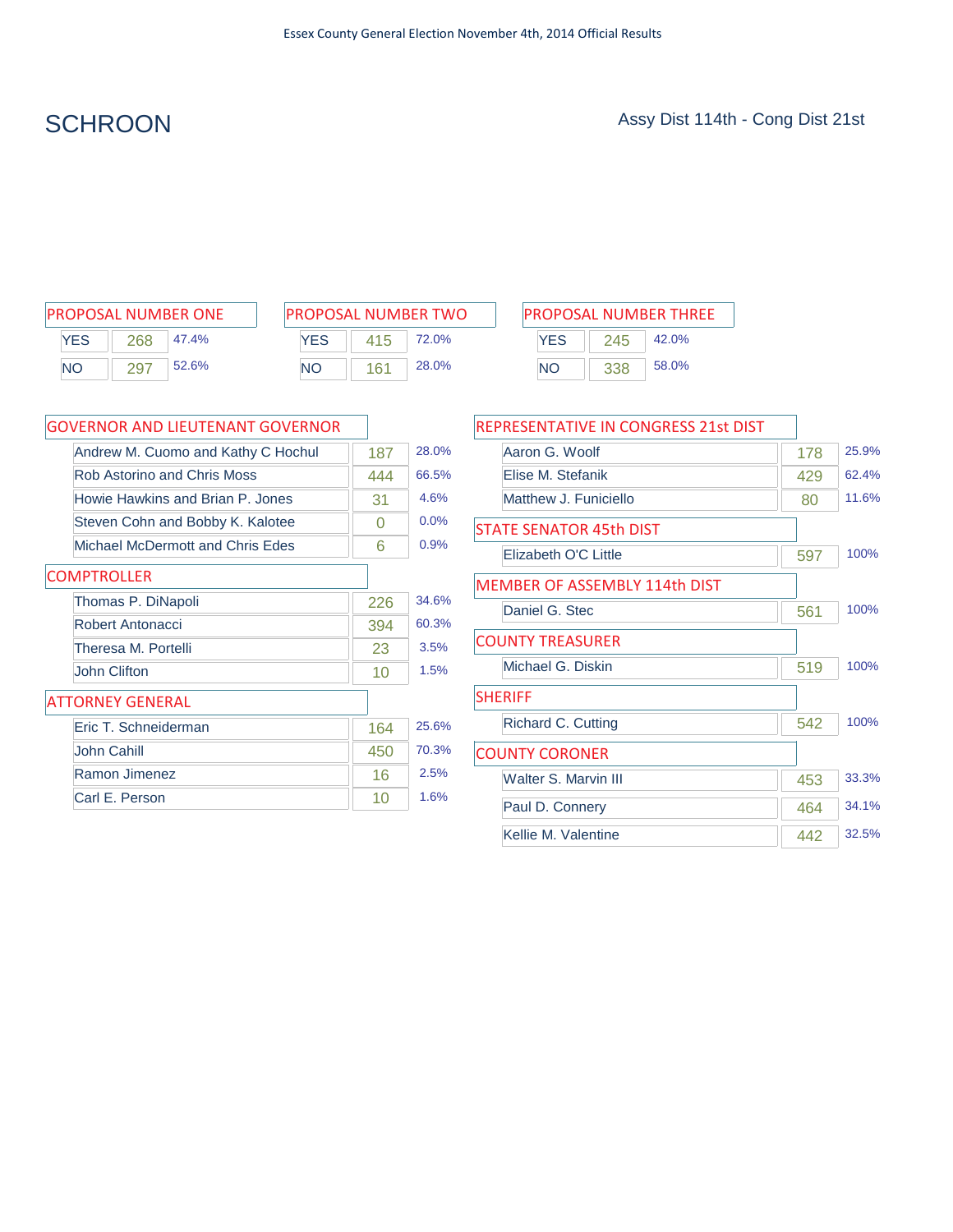| <b>PROPOSAL NUMBER ONE</b> |     |       |  |  |  |  |
|----------------------------|-----|-------|--|--|--|--|
| <b>YFS</b>                 | 268 | 47.4% |  |  |  |  |
| <b>NO</b>                  | 297 | 52.6% |  |  |  |  |

| <b>PROPOSAL NUMBER TWO</b> |     |              |  |  |  |  |
|----------------------------|-----|--------------|--|--|--|--|
| <b>YFS</b>                 | 415 | <b>72.0%</b> |  |  |  |  |
| NΟ                         | 161 | 28.0%        |  |  |  |  |

| PROPOSAL NUMBER ONE       |           | <b>PROPOSAL NUMBER TWO</b> |       |           | <b>PROPOSAL NUMBER THREE</b> |     |       |
|---------------------------|-----------|----------------------------|-------|-----------|------------------------------|-----|-------|
| YES<br>47.4%<br>268       | YES       | 415                        | 72.0% |           | <b>YES</b>                   | 245 | 42.0% |
| 52.6%<br><b>NO</b><br>297 | <b>NO</b> | 161                        | 28.0% | <b>NO</b> |                              |     | 58.0% |

| GOVERNOR AND LIEUTENANT GOVERNOR   |     |       |
|------------------------------------|-----|-------|
| Andrew M. Cuomo and Kathy C Hochul | 187 | 28.0% |
| <b>Rob Astorino and Chris Moss</b> | 444 | 66.5% |
| Howie Hawkins and Brian P. Jones   | 31  | 4.6%  |
| Steven Cohn and Bobby K. Kalotee   | 0   | 0.0%  |
| Michael McDermott and Chris Edes   | 6   | 0.9%  |
| <b>COMPTROLLER</b>                 |     |       |
| Thomas P. DiNapoli                 | 226 | 34.6% |
| Robert Antonacci                   | 394 | 60.3% |
| Theresa M. Portelli                | 23  | 3.5%  |
| John Clifton                       | 10  | 1.5%  |
| <b>ATTORNEY GENERAL</b>            |     |       |
| Eric T. Schneiderman               | 164 | 25.6% |
| John Cahill                        | 450 | 70.3% |
| Ramon Jimenez                      | 16  | 2.5%  |
| Carl E. Person                     | 10  | 1.6%  |

| <b>REPRESENTATIVE IN CONGRESS 21st DIST</b> |     |       |
|---------------------------------------------|-----|-------|
| Aaron G. Woolf                              | 178 | 25.9% |
| Elise M. Stefanik                           | 429 | 62.4% |
| Matthew J. Funiciello                       | 80  | 11.6% |
| <b>STATE SENATOR 45th DIST</b>              |     |       |
| Elizabeth O'C Little                        | 597 | 100%  |
| <b>MEMBER OF ASSEMBLY 114th DIST</b>        |     |       |
| Daniel G. Stec                              | 561 | 100%  |
| <b>COUNTY TREASURER</b>                     |     |       |
| Michael G. Diskin                           | 519 | 100%  |
| <b>SHERIFF</b>                              |     |       |
| Richard C. Cutting                          | 542 | 100%  |
| <b>COUNTY CORONER</b>                       |     |       |
| Walter S. Marvin III                        | 453 | 33.3% |
| Paul D. Connery                             | 464 | 34.1% |
| Kellie M. Valentine                         | 442 | 32.5% |
|                                             |     |       |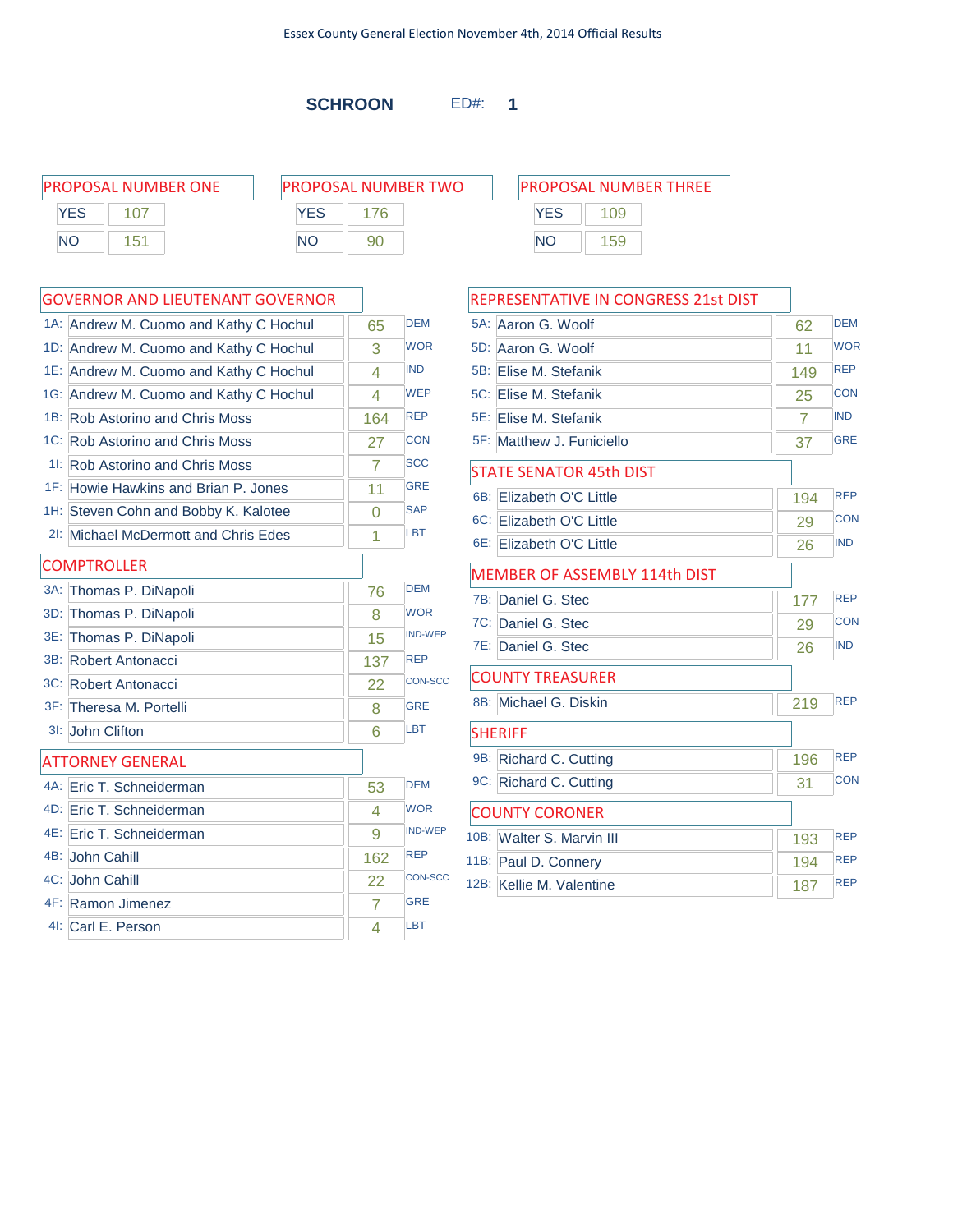**SCHROON** ED#: **1**

| PROPOSAL NUMBER ONE |            | <b>PROPOSAL NUMBER TWO</b> | <b>PROPOSAL NUMBER THREE</b> |     |  |
|---------------------|------------|----------------------------|------------------------------|-----|--|
| <b>YES</b>          | <b>YFS</b> |                            | <b>YES</b>                   | 109 |  |
| <b>NO</b><br>151    | <b>NO</b>  | 90                         | NΟ                           | 159 |  |

|        | <b>GOVERNOR AND LIEUTENANT GOVERNOR</b> |                |                |
|--------|-----------------------------------------|----------------|----------------|
| $1A$ : | Andrew M. Cuomo and Kathy C Hochul      | 65             | <b>DEM</b>     |
|        | 1D: Andrew M. Cuomo and Kathy C Hochul  | 3              | <b>WOR</b>     |
|        | 1E: Andrew M. Cuomo and Kathy C Hochul  | 4              | <b>IND</b>     |
|        | 1G: Andrew M. Cuomo and Kathy C Hochul  | 4              | <b>WEP</b>     |
|        | 1B: Rob Astorino and Chris Moss         | 164            | <b>REP</b>     |
|        | 1C: Rob Astorino and Chris Moss         | 27             | <b>CON</b>     |
| 11:    | <b>Rob Astorino and Chris Moss</b>      | $\overline{7}$ | <b>SCC</b>     |
| $1F$ : | Howie Hawkins and Brian P. Jones        | 11             | <b>GRE</b>     |
|        | 1H: Steven Cohn and Bobby K. Kalotee    | $\overline{0}$ | <b>SAP</b>     |
|        | 21: Michael McDermott and Chris Edes    | 1              | <b>LBT</b>     |
|        | <b>COMPTROLLER</b>                      |                |                |
| $3A$ : | Thomas P. DiNapoli                      | 76             | <b>DEM</b>     |
| 3D:    | Thomas P. DiNapoli                      | 8              | <b>WOR</b>     |
| 3E:    | Thomas P. DiNapoli                      | 15             | <b>IND-WEP</b> |
| 3B:    | Robert Antonacci                        | 137            | <b>REP</b>     |
|        | 3C: Robert Antonacci                    | 22             | CON-SCC        |
| $3F$ : | Theresa M. Portelli                     | 8              | <b>GRE</b>     |
| $31$ : | John Clifton                            | 6              | LBT            |
|        | <b>ATTORNEY GENERAL</b>                 |                |                |
|        | 4A: Eric T. Schneiderman                | 53             | <b>DEM</b>     |
|        | 4D: Eric T. Schneiderman                | 4              | <b>WOR</b>     |
|        | 4E: Eric T. Schneiderman                | 9              | <b>IND-WEP</b> |
|        | 4B: John Cahill                         | 162            | <b>REP</b>     |
|        | 4C: John Cahill                         | 22             | <b>CON-SCC</b> |
|        | 4F: Ramon Jimenez                       | $\overline{7}$ | <b>GRE</b>     |
|        | 41: Carl E. Person                      | 4              | LBT            |
|        |                                         |                |                |

|        | REPRESENTATIVE IN CONGRESS 21st DIST |                |            |
|--------|--------------------------------------|----------------|------------|
| $5A$ : | Aaron G. Woolf                       | 62             | <b>DEM</b> |
|        | 5D: Aaron G. Woolf                   | 11             | <b>WOR</b> |
| 5B:    | Elise M. Stefanik                    | 149            | <b>REP</b> |
|        | 5C: Elise M. Stefanik                | 25             | CON        |
|        | 5E: Elise M. Stefanik                | $\overline{7}$ | <b>IND</b> |
|        | 5F: Matthew J. Funiciello            | 37             | <b>GRE</b> |
|        | <b>STATE SENATOR 45th DIST</b>       |                |            |
|        | 6B: Elizabeth O'C Little             | 194            | <b>REP</b> |
|        | 6C: Elizabeth O'C Little             | 29             | <b>CON</b> |
|        | 6E: Elizabeth O'C Little             | 26             | <b>IND</b> |
|        | MEMBER OF ASSEMBLY 114th DIST        |                |            |
|        | 7B: Daniel G. Stec                   | 177            | <b>REP</b> |
|        | 7C: Daniel G. Stec                   | 29             | CON        |
|        | 7E: Daniel G. Stec                   | 26             | <b>IND</b> |
|        | <b>COUNTY TREASURER</b>              |                |            |
|        | 8B: Michael G. Diskin                | 219            | <b>REP</b> |
|        | <b>SHERIFF</b>                       |                |            |
|        | 9B: Richard C. Cutting               | 196            | <b>REP</b> |
|        | 9C: Richard C. Cutting               | 31             | <b>CON</b> |
|        | <b>COUNTY CORONER</b>                |                |            |
|        | 10B: Walter S. Marvin III            | 193            | <b>REP</b> |
|        | 11B: Paul D. Connery                 | 194            | <b>REP</b> |
|        | 12B: Kellie M. Valentine             | 187            | <b>REP</b> |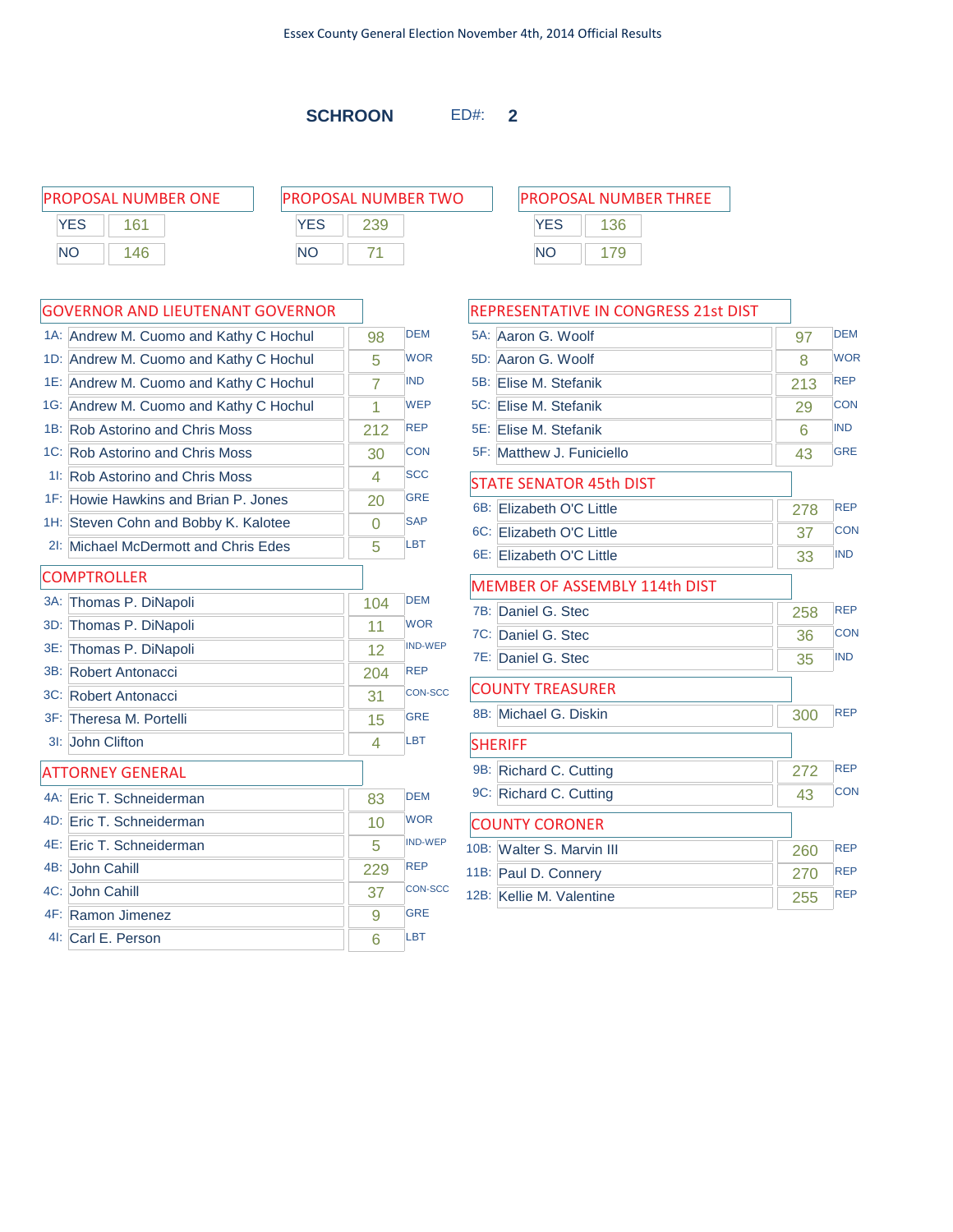**SCHROON** ED#: **2**

| <b>PROPOSAL NUMBER ONE</b> |     |            | <b>PROPOSAL NUMBER TWO</b> |           | <b>PROPOSAL NUMBER THREE</b> |  |  |
|----------------------------|-----|------------|----------------------------|-----------|------------------------------|--|--|
| <b>YES</b>                 | 161 | <b>YES</b> |                            |           | <b>YES</b><br>136            |  |  |
| <b>NC</b>                  | -46 | <b>NO</b>  |                            | <b>NC</b> |                              |  |  |

|        | <b>GOVERNOR AND LIEUTENANT GOVERNOR</b> |     |                | F                  |
|--------|-----------------------------------------|-----|----------------|--------------------|
|        | 1A: Andrew M. Cuomo and Kathy C Hochul  | 98  | <b>DEM</b>     |                    |
|        | 1D: Andrew M. Cuomo and Kathy C Hochul  | 5   | <b>WOR</b>     |                    |
|        | 1E: Andrew M. Cuomo and Kathy C Hochul  | 7   | <b>IND</b>     | Ę                  |
|        | 1G: Andrew M. Cuomo and Kathy C Hochul  | 1   | <b>WEP</b>     |                    |
|        | 1B: Rob Astorino and Chris Moss         | 212 | <b>REP</b>     |                    |
|        | 1C: Rob Astorino and Chris Moss         | 30  | <b>CON</b>     |                    |
| 11:    | <b>Rob Astorino and Chris Moss</b>      | 4   | <b>SCC</b>     |                    |
| $1F$ : | Howie Hawkins and Brian P. Jones        | 20  | <b>GRE</b>     |                    |
|        | 1H: Steven Cohn and Bobby K. Kalotee    | 0   | <b>SAP</b>     |                    |
| $2$ l: | Michael McDermott and Chris Edes        | 5   | LBT            |                    |
|        | <b>COMPTROLLER</b>                      |     |                |                    |
|        | 3A: Thomas P. DiNapoli                  | 104 | <b>DEM</b>     |                    |
|        | 3D: Thomas P. DiNapoli                  | 11  | <b>WOR</b>     |                    |
| 3E:    | Thomas P. DiNapoli                      | 12  | <b>IND-WEP</b> |                    |
|        | 3B: Robert Antonacci                    | 204 | <b>REP</b>     |                    |
|        | 3C: Robert Antonacci                    | 31  | <b>CON-SCC</b> |                    |
|        | 3F: Theresa M. Portelli                 | 15  | <b>GRE</b>     |                    |
|        | 3I: John Clifton                        | 4   | LBT            |                    |
|        | ATTORNEY GENERAL                        |     |                |                    |
|        | 4A: Eric T. Schneiderman                | 83  | <b>DEM</b>     |                    |
|        | 4D: Eric T. Schneiderman                | 10  | <b>WOR</b>     |                    |
| 4E:    | Eric T. Schneiderman                    | 5.  | <b>IND-WEP</b> | 10                 |
|        | 4B: John Cahill                         | 229 | <b>REP</b>     | $\mathbf{\hat{1}}$ |
|        | 4C: John Cahill                         | 37  | <b>CON-SCC</b> | 11                 |
|        | 4F: Ramon Jimenez                       | 9   | <b>GRE</b>     |                    |
|        | 41: Carl E. Person                      | 6   | LBT            |                    |

|     | REPRESENTATIVE IN CONGRESS 21st DIST |     |            |
|-----|--------------------------------------|-----|------------|
|     | 5A: Aaron G. Woolf                   | 97  | <b>DEM</b> |
|     | 5D: Aaron G. Woolf                   | 8   | <b>WOR</b> |
|     | 5B: Elise M. Stefanik                | 213 | <b>REP</b> |
|     | 5C: Elise M. Stefanik                | 29  | <b>CON</b> |
|     | 5E: Elise M. Stefanik                | 6   | <b>IND</b> |
|     | 5F: Matthew J. Funiciello            | 43  | <b>GRE</b> |
|     | <b>STATE SENATOR 45th DIST</b>       |     |            |
| 6B: | Elizabeth O'C Little                 | 278 | <b>REP</b> |
|     | 6C: Elizabeth O'C Little             | 37  | CON        |
|     | 6E: Elizabeth O'C Little             | 33  | <b>IND</b> |
|     | <b>MEMBER OF ASSEMBLY 114th DIST</b> |     |            |
| 7B: | Daniel G. Stec                       | 258 | <b>REP</b> |
|     | 7C: Daniel G. Stec                   | 36  | <b>CON</b> |
|     | 7E: Daniel G. Stec                   | 35  | <b>IND</b> |
|     | <b>COUNTY TREASURER</b>              |     |            |
|     | 8B: Michael G. Diskin                | 300 | <b>RFP</b> |
|     | <b>SHERIFF</b>                       |     |            |
|     | 9B: Richard C. Cutting               | 272 | <b>REP</b> |
|     | 9C: Richard C. Cutting               | 43  | <b>CON</b> |
|     | <b>COUNTY CORONER</b>                |     |            |
|     | 10B: Walter S. Marvin III            | 260 | <b>REP</b> |
|     | 11B: Paul D. Connery                 | 270 | <b>REP</b> |
|     | 12B: Kellie M. Valentine             | 255 | <b>REP</b> |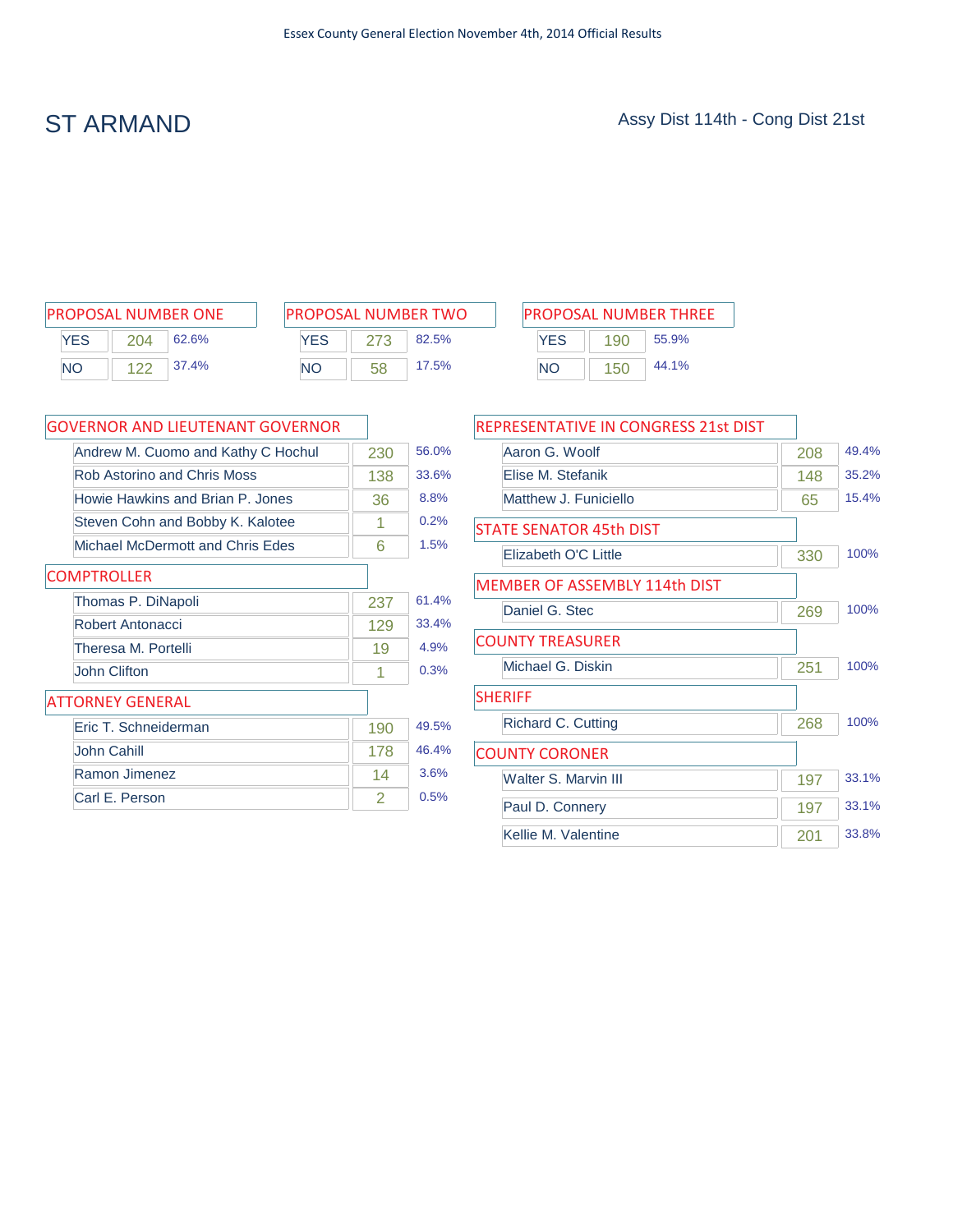| <b>PROPOSAL NUMBER ONE</b> |     |       |  |  |
|----------------------------|-----|-------|--|--|
| YFS                        | 204 | 62.6% |  |  |
| NΟ                         | 122 | 37.4% |  |  |

| <b>PROPOSAL NUMBER TWO</b> |     |       |  |  |
|----------------------------|-----|-------|--|--|
| <b>YFS</b>                 | 273 | 82.5% |  |  |
| NΟ                         | 58  | 17.5% |  |  |

|     |     | PROPOSAL NUMBER ONE |           |    | <b>PROPOSAL NUMBER TWO</b> |           |     | <b>PROPOSAL NUMBER THREE</b> |
|-----|-----|---------------------|-----------|----|----------------------------|-----------|-----|------------------------------|
| YES | 204 | 62.6%               | YES       |    | 82.5%                      | YES       | 190 | 55.9%                        |
| NΟ  | ィつつ | 37.4%               | <b>NO</b> | 58 | 17.5%                      | <b>NO</b> | 150 | 44.1%                        |

| <b>GOVERNOR AND LIEUTENANT GOVERNOR</b> |     |       |
|-----------------------------------------|-----|-------|
| Andrew M. Cuomo and Kathy C Hochul      | 230 | 56.0% |
| Rob Astorino and Chris Moss             | 138 | 33.6% |
| Howie Hawkins and Brian P. Jones        | 36  | 8.8%  |
| Steven Cohn and Bobby K. Kalotee        | 1   | 0.2%  |
| Michael McDermott and Chris Edes        | 6   | 1.5%  |
| <b>COMPTROLLER</b>                      |     |       |
| Thomas P. DiNapoli                      | 237 | 61.4% |
| Robert Antonacci                        | 129 | 33.4% |
| Theresa M. Portelli                     | 19  | 4.9%  |
| John Clifton                            | 1   | 0.3%  |
| <b>ATTORNEY GENERAL</b>                 |     |       |
| Fric T. Schneiderman                    | 190 | 49.5% |
| John Cahill                             | 178 | 46.4% |
| Ramon Jimenez                           | 14  | 3.6%  |
| Carl E. Person                          | 2   | 0.5%  |

| 208 | 49.4% |
|-----|-------|
| 148 | 35.2% |
| 65  | 15.4% |
|     |       |
| 330 | 100%  |
|     |       |
| 269 | 100%  |
|     |       |
| 251 | 100%  |
|     |       |
| 268 | 100%  |
|     |       |
| 197 | 33.1% |
| 197 | 33.1% |
| 201 | 33.8% |
|     |       |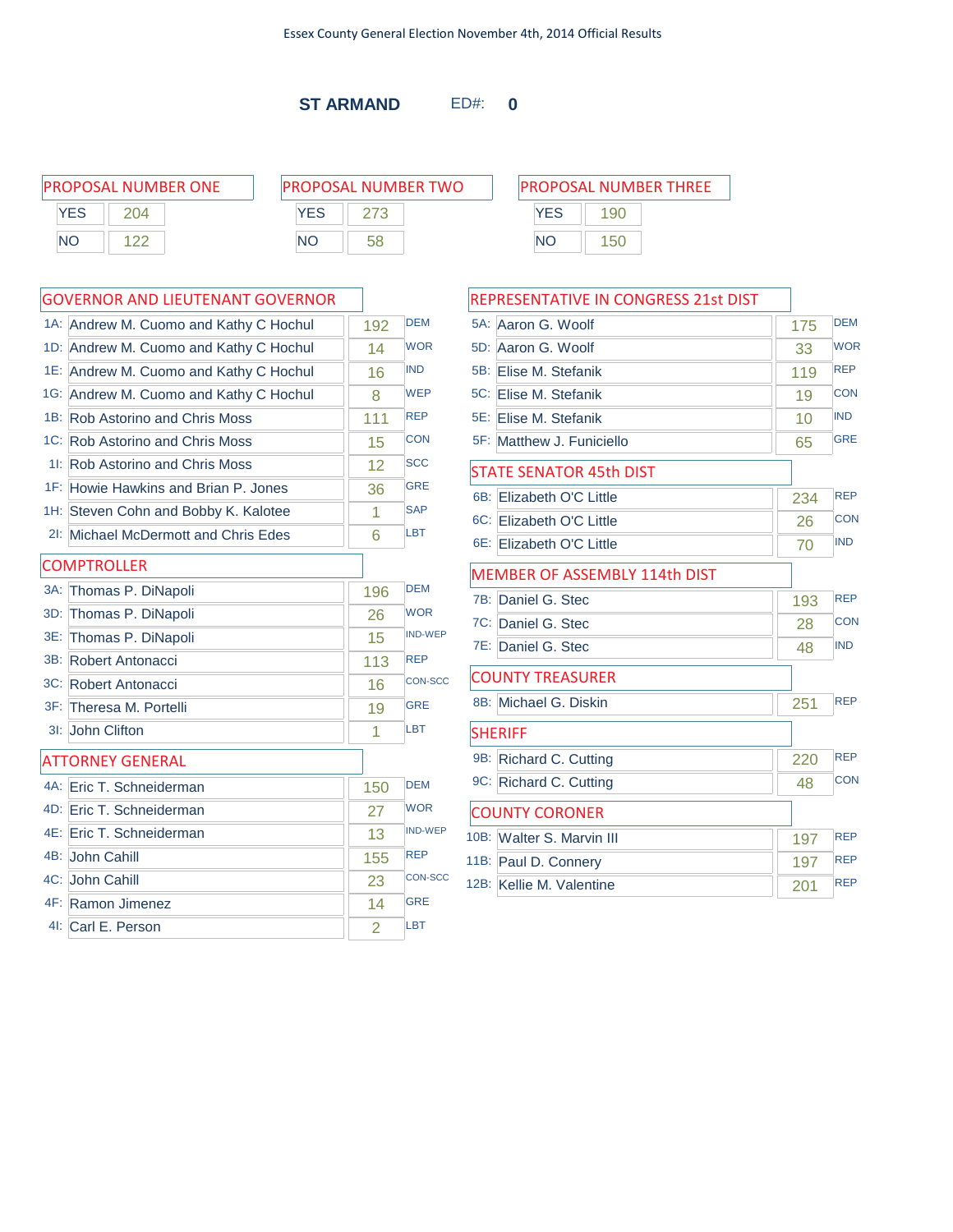**ST ARMAND** ED#: **0**

| PROPOSAL NUMBER ONE | <b>PROPOSAL NUMBER TWO</b> | <b>IPROPOSAL NUMBER THREE</b> |  |  |  |
|---------------------|----------------------------|-------------------------------|--|--|--|
| <b>YES</b><br>204   | YES                        | YES<br>190                    |  |  |  |
| <b>NO</b>           | NO                         | <b>NO</b><br>150              |  |  |  |
|                     |                            |                               |  |  |  |

DEM **WOR** 

WEP

### 1A: Andrew M. Cuomo and Kathy C Hochul | 192 1D: Andrew M. Cuomo and Kathy C Hochul | 14 1E: Andrew M. Cuomo and Kathy C Hochul 16 IND 1G: Andrew M. Cuomo and Kathy C Hochul | 8

GOVERNOR AND LIEUTENANT GOVERNOR

| 1B: Rob Astorino and Chris Moss                 | 111 | <b>REP</b>     |
|-------------------------------------------------|-----|----------------|
| 1C: Rob Astorino and Chris Moss                 | 15  | <b>CON</b>     |
| 11: Rob Astorino and Chris Moss                 | 12  | <b>SCC</b>     |
| <sup>1F:</sup> Howie Hawkins and Brian P. Jones | 36  | <b>GRE</b>     |
| 1H: Steven Cohn and Bobby K. Kalotee            | 1   | <b>SAP</b>     |
| 21: Michael McDermott and Chris Edes            | 6   | LBT            |
| <b>COMPTROLLER</b>                              |     |                |
| 3A: Thomas P. DiNapoli                          | 196 | <b>DEM</b>     |
| 3D: Thomas P. DiNapoli                          | 26  | <b>WOR</b>     |
| 3E: Thomas P. DiNapoli                          | 15  | <b>IND-WEP</b> |
| 3B: Robert Antonacci                            | 113 | <b>REP</b>     |
| 3C: Robert Antonacci                            | 16  | <b>CON-SCC</b> |
| 3F: Theresa M. Portelli                         | 19  | <b>GRE</b>     |
| 3I: John Clifton                                | 1   | LBT            |
| <b>ATTORNEY GENERAL</b>                         |     |                |

| 4A: Eric T. Schneiderman | 150 | <b>DFM</b>     |
|--------------------------|-----|----------------|
| 4D: Eric T. Schneiderman | 27  | <b>WOR</b>     |
| 4E: Eric T. Schneiderman | 13  | <b>IND-WEP</b> |
| 4B: John Cahill          | 155 | <b>RFP</b>     |
| 4C: John Cahill          | 23  | CON-SCC        |
| 4F: Ramon Jimenez        | 14  | GRF            |
| 4I: Carl E. Person       | 2   | LBT            |
|                          |     |                |

### REPRESENTATIVE IN CONGRESS 21st DIST 5A: Aaron G. Woolf 175 5D: Aaron G. Woolf 33 DEM WOR 5B: Elise M. Stefanik 119 REP 5C: Elise M. Stefanik 19 5E: Elise M. Stefanik 10 **CON** IND 5F: Matthew J. Funiciello 65 GRE STATE SENATOR 45th DIST 6B: Elizabeth O'C Little 234 6C: Elizabeth O'C Little 26 REP **CON** 6E: Elizabeth O'C Little 70 IND MEMBER OF ASSEMBLY 114th DIST 7B: Daniel G. Stec 193 7C: Daniel G. Stec 28 REP **CON** 7E: Daniel G. Stec 48 IND COUNTY TREASURER 8B: Michael G. Diskin 251 REP **SHERIFF** 9B: Richard C. Cutting 220 REP 9C: Richard C. Cutting 48 CON COUNTY CORONER 10B: Walter S. Marvin III 197 REP 11B: Paul D. Connery 197 REP 12B: Kellie M. Valentine 201 REP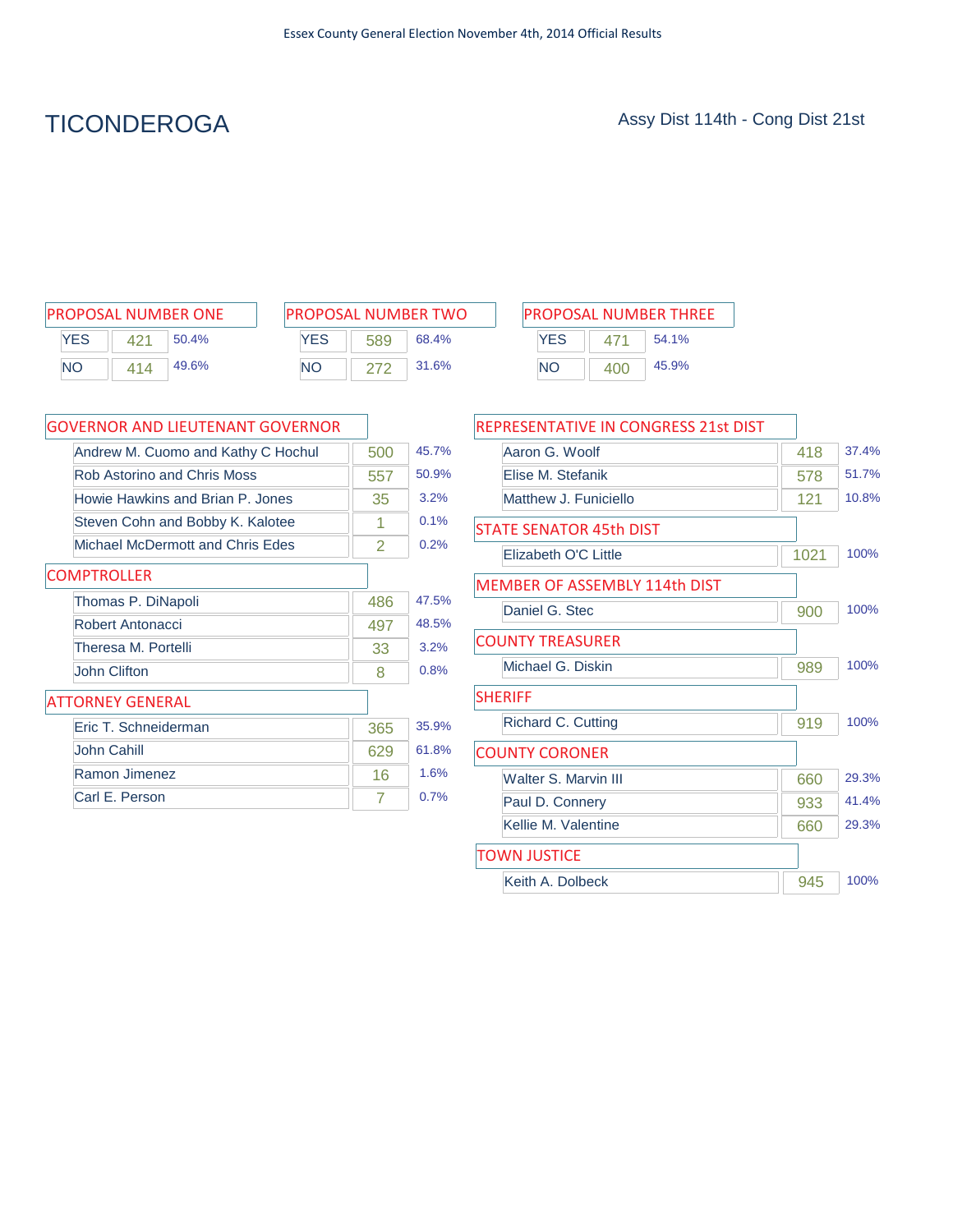# TICONDEROGA Assy Dist 114th - Cong Dist 21st

| <b>PROPOSAL NUMBER ONE</b> |     |       |  |  |  |  |  |
|----------------------------|-----|-------|--|--|--|--|--|
| <b>YES</b>                 | 421 | 50.4% |  |  |  |  |  |
| <b>NO</b>                  | 414 | 49.6% |  |  |  |  |  |

| PROPOSAL NUMBER TWO |     |       |  |  |  |  |
|---------------------|-----|-------|--|--|--|--|
| <b>YFS</b>          | 589 | 68.4% |  |  |  |  |
| NΟ                  | 272 | 31.6% |  |  |  |  |

| PROPOSAL NUMBER ONE       |     | <b>PROPOSAL NUMBER TWO</b> |       |  | <b>PROPOSAL NUMBER THREE</b> |                 |       |
|---------------------------|-----|----------------------------|-------|--|------------------------------|-----------------|-------|
| YES<br>50.4%              | YES | 589                        | 68.4% |  | <b>YES</b>                   |                 | 54.1% |
| <b>NO</b><br>49.6%<br>414 | NΟ  |                            | 31.6% |  | NC                           | 40 <sub>C</sub> | 45.9% |

| <b>GOVERNOR AND LIEUTENANT GOVERNOR</b> |     |       |
|-----------------------------------------|-----|-------|
| Andrew M. Cuomo and Kathy C Hochul      | 500 | 45.7% |
| <b>Rob Astorino and Chris Moss</b>      | 557 | 50.9% |
| Howie Hawkins and Brian P. Jones        | 35  | 3.2%  |
| Steven Cohn and Bobby K. Kalotee        | 1   | 0.1%  |
| Michael McDermott and Chris Edes        | 2   | 0.2%  |
| <b>COMPTROLLER</b>                      |     |       |
| Thomas P. DiNapoli                      | 486 | 47.5% |
| Robert Antonacci                        | 497 | 48.5% |
| Theresa M. Portelli                     | 33  | 3.2%  |
| John Clifton                            | 8   | 0.8%  |
| <b>ATTORNEY GENERAL</b>                 |     |       |
| Eric T. Schneiderman                    | 365 | 35.9% |
| John Cahill                             | 629 | 61.8% |
| Ramon Jimenez                           | 16  | 1.6%  |
| Carl E. Person                          | 7   | 0.7%  |

| REPRESENTATIVE IN CONGRESS 21st DIST |      |       |
|--------------------------------------|------|-------|
| Aaron G. Woolf                       | 418  | 37.4% |
| Flise M. Stefanik                    | 578  | 51.7% |
| Matthew J. Funiciello                | 121  | 10.8% |
| STATE SENATOR 45th DIST              |      |       |
| Elizabeth O'C Little                 | 1021 | 100%  |
| <b>MEMBER OF ASSEMBLY 114th DIST</b> |      |       |
| Daniel G. Stec                       | 900  | 100%  |
| <b>COUNTY TREASURER</b>              |      |       |
| Michael G. Diskin                    | 989  | 100%  |
| <b>SHERIFF</b>                       |      |       |
| Richard C. Cutting                   | 919  | 100%  |
| <b>COUNTY CORONER</b>                |      |       |
| Walter S. Marvin III                 | 660  | 29.3% |
| Paul D. Connery                      | 933  | 41.4% |
| Kellie M. Valentine                  | 660  | 29.3% |
| <b>TOWN JUSTICE</b>                  |      |       |
| Keith A. Dolbeck                     | 945  | 100%  |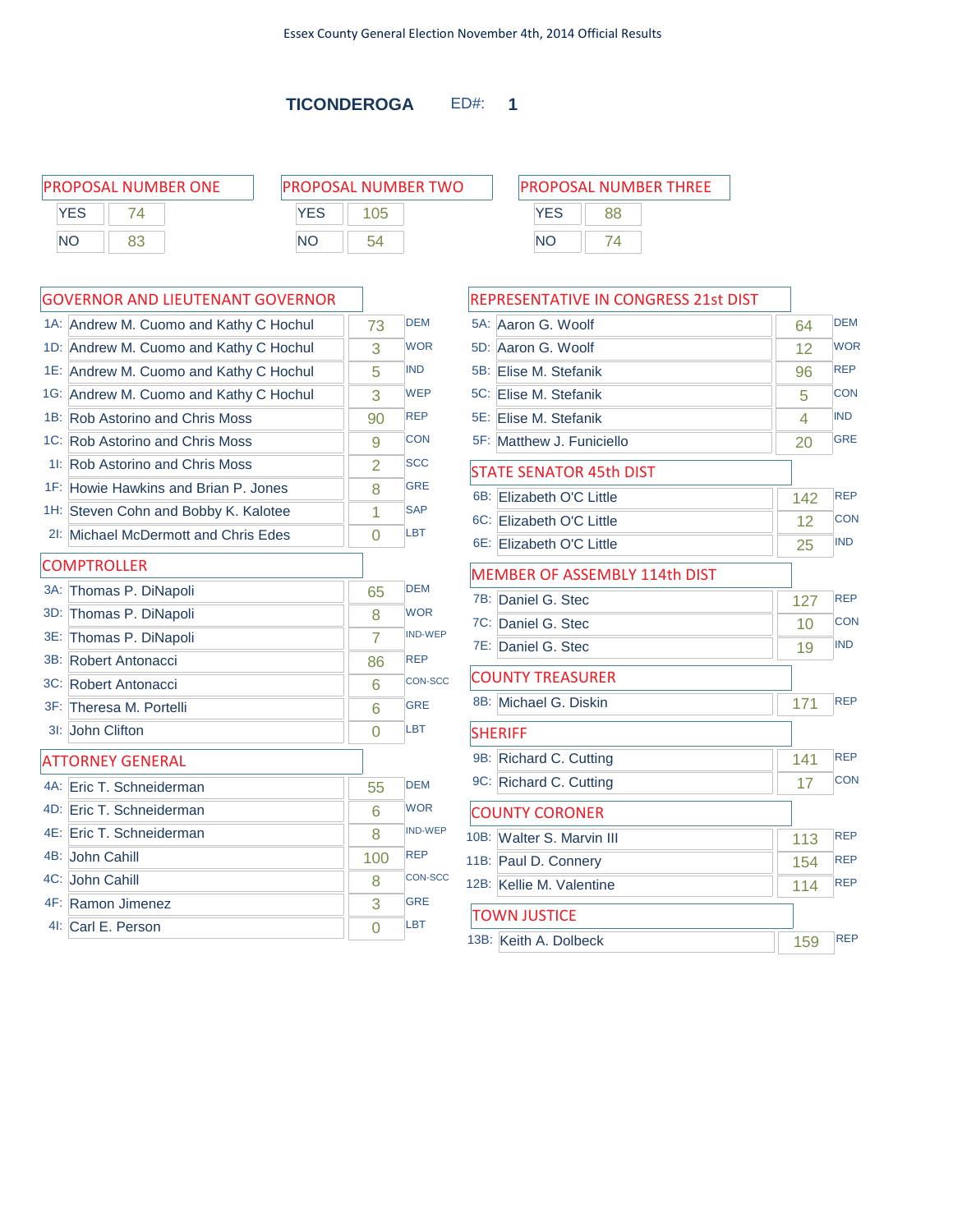|           | <b>PROPOSAL NUMBER ONE</b> |            | <b>PROPOSAL NUMBER TWO</b> | <b>PROPOSAL NUMBER THREE</b> |    |  |
|-----------|----------------------------|------------|----------------------------|------------------------------|----|--|
| YES       |                            | <b>YES</b> | 05                         | YES                          | 88 |  |
| <b>NO</b> | 83                         | <b>NO</b>  | 54                         | ΝO                           | 74 |  |
|           |                            |            |                            |                              |    |  |

|     | <b>GOVERNOR AND LIEUTENANT GOVERNOR</b> |                |                |
|-----|-----------------------------------------|----------------|----------------|
|     | 1A: Andrew M. Cuomo and Kathy C Hochul  | 73             | <b>DEM</b>     |
|     | 1D: Andrew M. Cuomo and Kathy C Hochul  | 3              | <b>WOR</b>     |
|     | 1E: Andrew M. Cuomo and Kathy C Hochul  | 5              | <b>IND</b>     |
|     | 1G: Andrew M. Cuomo and Kathy C Hochul  | 3              | <b>WEP</b>     |
|     | 1B: Rob Astorino and Chris Moss         | 90             | <b>REP</b>     |
|     | 1C: Rob Astorino and Chris Moss         | 9              | <b>CON</b>     |
|     | 11: Rob Astorino and Chris Moss         | $\overline{2}$ | <b>SCC</b>     |
|     | 1F: Howie Hawkins and Brian P. Jones    | 8              | <b>GRE</b>     |
|     | 1H: Steven Cohn and Bobby K. Kalotee    | 1              | <b>SAP</b>     |
|     | 21: Michael McDermott and Chris Edes    | 0              | LBT            |
|     | <b>COMPTROLLER</b>                      |                |                |
|     | 3A: Thomas P. DiNapoli                  | 65             | <b>DEM</b>     |
| 3D: | Thomas P. DiNapoli                      | 8              | <b>WOR</b>     |
| 3E: | Thomas P. DiNapoli                      | $\overline{7}$ | <b>IND-WEP</b> |
| 3B: | Robert Antonacci                        | 86             | <b>REP</b>     |
|     | 3C: Robert Antonacci                    | 6              | <b>CON-SCC</b> |
|     | 3F: Theresa M. Portelli                 | 6              | <b>GRE</b>     |
|     | 3I: John Clifton                        | 0              | <b>LBT</b>     |
|     | <b>ATTORNEY GENERAL</b>                 |                |                |
|     | 4A: Eric T. Schneiderman                | 55             | <b>DEM</b>     |
|     | 4D: Eric T. Schneiderman                | 6              | <b>WOR</b>     |
|     | 4E: Eric T. Schneiderman                | 8              | <b>IND-WEP</b> |
|     | 4B: John Cahill                         | 100            | <b>REP</b>     |
|     | 4C: John Cahill                         | 8              | <b>CON-SCC</b> |
|     | 4F: Ramon Jimenez                       | 3              | <b>GRE</b>     |
|     | 4I: Carl E. Person                      | $\overline{0}$ | LBT            |
|     |                                         |                |                |

| PROPOSAL NUMBER THREE |    |  |  |  |  |  |  |
|-----------------------|----|--|--|--|--|--|--|
| <b>YES</b>            | 88 |  |  |  |  |  |  |
| NΟ                    | 74 |  |  |  |  |  |  |

| REPRESENTATIVE IN CONGRESS 21st DIST |     |            |
|--------------------------------------|-----|------------|
| 5A:<br>Aaron G. Woolf                | 64  | <b>DEM</b> |
| 5D:<br>Aaron G. Woolf                | 12  | <b>WOR</b> |
| 5B: Elise M. Stefanik                | 96  | <b>REP</b> |
| 5C: Elise M. Stefanik                | 5   | <b>CON</b> |
| 5E: Elise M. Stefanik                | 4   | <b>IND</b> |
| 5F: Matthew J. Funiciello            | 20  | <b>GRE</b> |
| <b>STATE SENATOR 45th DIST</b>       |     |            |
| 6B:<br>Elizabeth O'C Little          | 142 | <b>REP</b> |
| 6C: Elizabeth O'C Little             | 12  | <b>CON</b> |
| 6E: Elizabeth O'C Little             | 25  | <b>IND</b> |
| MEMBER OF ASSEMBLY 114th DIST        |     |            |
| 7B:<br>Daniel G. Stec                | 127 | <b>REP</b> |
| 7C: Daniel G. Stec                   | 10  | <b>CON</b> |
| 7E: Daniel G. Stec                   | 19  | <b>IND</b> |
| <b>COUNTY TREASURER</b>              |     |            |
| 8B:<br>Michael G. Diskin             | 171 | <b>REP</b> |
| <b>SHERIFF</b>                       |     |            |
| 9B: Richard C. Cutting               | 141 | <b>REP</b> |
| 9C: Richard C. Cutting               | 17  | <b>CON</b> |
| <b>COUNTY CORONER</b>                |     |            |
| 10B: Walter S. Marvin III            | 113 | <b>REP</b> |
| 11B: Paul D. Connery                 | 154 | <b>REP</b> |
| 12B: Kellie M. Valentine             | 114 | <b>REP</b> |
| <b>TOWN JUSTICE</b>                  |     |            |
| 13B: Keith A. Dolbeck                | 159 | <b>RFP</b> |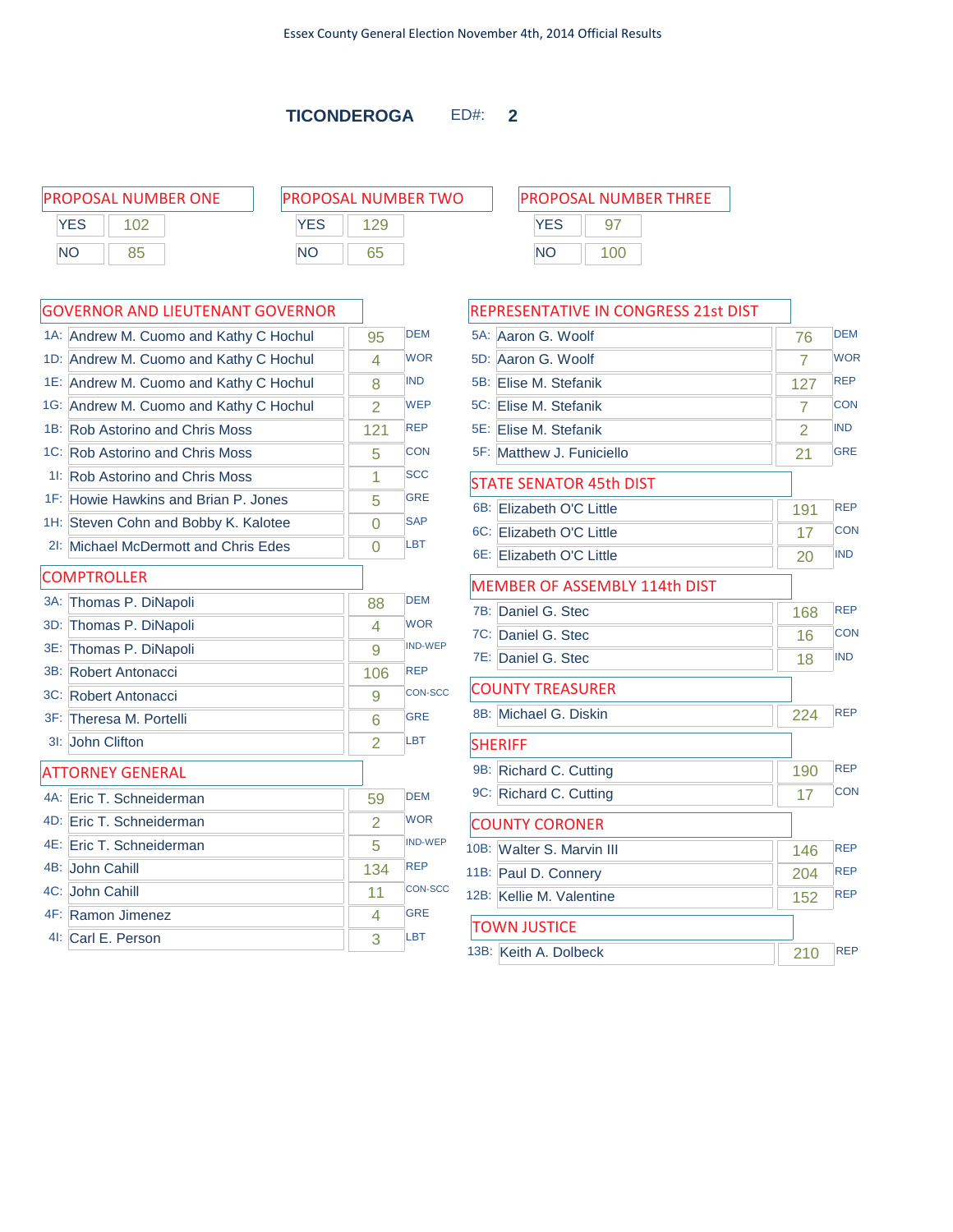-F

|           | <b>PROPOSAL NUMBER ONE</b> | <b>PROPOSAL NUMBER TWO</b> | <b>PROPOSAL NUMBER THREE</b> |  |
|-----------|----------------------------|----------------------------|------------------------------|--|
| YES       |                            | <b>YES</b>                 |                              |  |
| <b>NC</b> |                            | ΝC                         | ΝC                           |  |

### YES 97 NO 100

|        | GOVERNOR AND LIEUTENANT GOVERNOR       |                |                |
|--------|----------------------------------------|----------------|----------------|
|        | 1A: Andrew M. Cuomo and Kathy C Hochul | 95             | <b>DEM</b>     |
|        | 1D: Andrew M. Cuomo and Kathy C Hochul | 4              | <b>WOR</b>     |
|        | 1E: Andrew M. Cuomo and Kathy C Hochul | 8              | <b>IND</b>     |
|        | 1G: Andrew M. Cuomo and Kathy C Hochul | $\overline{2}$ | <b>WEP</b>     |
|        | 1B: Rob Astorino and Chris Moss        | 121            | <b>REP</b>     |
|        | 1C: Rob Astorino and Chris Moss        | 5              | <b>CON</b>     |
|        | 11: Rob Astorino and Chris Moss        | 1              | <b>SCC</b>     |
|        | 1F: Howie Hawkins and Brian P. Jones   | 5              | <b>GRE</b>     |
|        | 1H: Steven Cohn and Bobby K. Kalotee   | $\Omega$       | <b>SAP</b>     |
|        | 21: Michael McDermott and Chris Edes   | 0              | <b>LBT</b>     |
|        | <b>COMPTROLLER</b>                     |                |                |
| $3A$ : | Thomas P. DiNapoli                     | 88             | <b>DEM</b>     |
|        | 3D: Thomas P. DiNapoli                 | 4              | <b>WOR</b>     |
|        | 3E: Thomas P. DiNapoli                 | 9              | <b>IND-WEP</b> |
|        | 3B: Robert Antonacci                   | 106            | <b>REP</b>     |
|        | 3C: Robert Antonacci                   | 9              | <b>CON-SCC</b> |
|        | 3F: Theresa M. Portelli                | 6              | <b>GRE</b>     |
|        | 3I: John Clifton                       | $\overline{2}$ | <b>LBT</b>     |
|        | <b>ATTORNEY GENERAL</b>                |                |                |
|        | 4A: Eric T. Schneiderman               | 59             | <b>DEM</b>     |
|        | 4D: Eric T. Schneiderman               | $\overline{2}$ | <b>WOR</b>     |
|        | 4E: Eric T. Schneiderman               | 5              | <b>IND-WEP</b> |
|        | 4B: John Cahill                        | 134            | <b>REP</b>     |
|        | 4C: John Cahill                        | 11             | <b>CON-SCC</b> |
|        | 4F: Ramon Jimenez                      | 4              | <b>GRE</b>     |
|        | 41: Carl E. Person                     | 3              | LBT            |
|        |                                        |                |                |

| REPRESENTATIVE IN CONGRESS 21st DIST |     |            |
|--------------------------------------|-----|------------|
| 5A: Aaron G. Woolf                   | 76  | <b>DEM</b> |
| 5D:<br>Aaron G. Woolf                | 7   | <b>WOR</b> |
| 5B: Elise M. Stefanik                | 127 | <b>REP</b> |
| 5C: Elise M. Stefanik                | 7   | <b>CON</b> |
| 5E: Elise M. Stefanik                | 2   | <b>IND</b> |
| 5F: Matthew J. Funiciello            | 21  | <b>GRE</b> |
| <b>STATE SENATOR 45th DIST</b>       |     |            |
| $6B$ :<br>Elizabeth O'C Little       | 191 | <b>REP</b> |
| 6C: Elizabeth O'C Little             | 17  | <b>CON</b> |
| 6E: Elizabeth O'C Little             | 20  | <b>IND</b> |
| MEMBER OF ASSEMBLY 114th DIST        |     |            |
| 7B:<br>Daniel G. Stec                | 168 | <b>REP</b> |
| 7C:<br>Daniel G. Stec                | 16  | <b>CON</b> |
| 7E:<br>Daniel G. Stec                | 18  | <b>IND</b> |
| <b>COUNTY TREASURER</b>              |     |            |
| 8B: Michael G. Diskin                | 224 | <b>REP</b> |
| <b>SHERIFF</b>                       |     |            |
| 9B: Richard C. Cutting               | 190 | <b>REP</b> |
| 9C: Richard C. Cutting               | 17  | <b>CON</b> |
| <b>COUNTY CORONER</b>                |     |            |
| 10B: Walter S. Marvin III            | 146 | <b>REP</b> |
| 11B: Paul D. Connery                 | 204 | <b>REP</b> |
| 12B: Kellie M. Valentine             | 152 | <b>REP</b> |
| <b>TOWN JUSTICE</b>                  |     |            |
| 13B: Keith A. Dolbeck                | 210 | <b>REP</b> |
|                                      |     |            |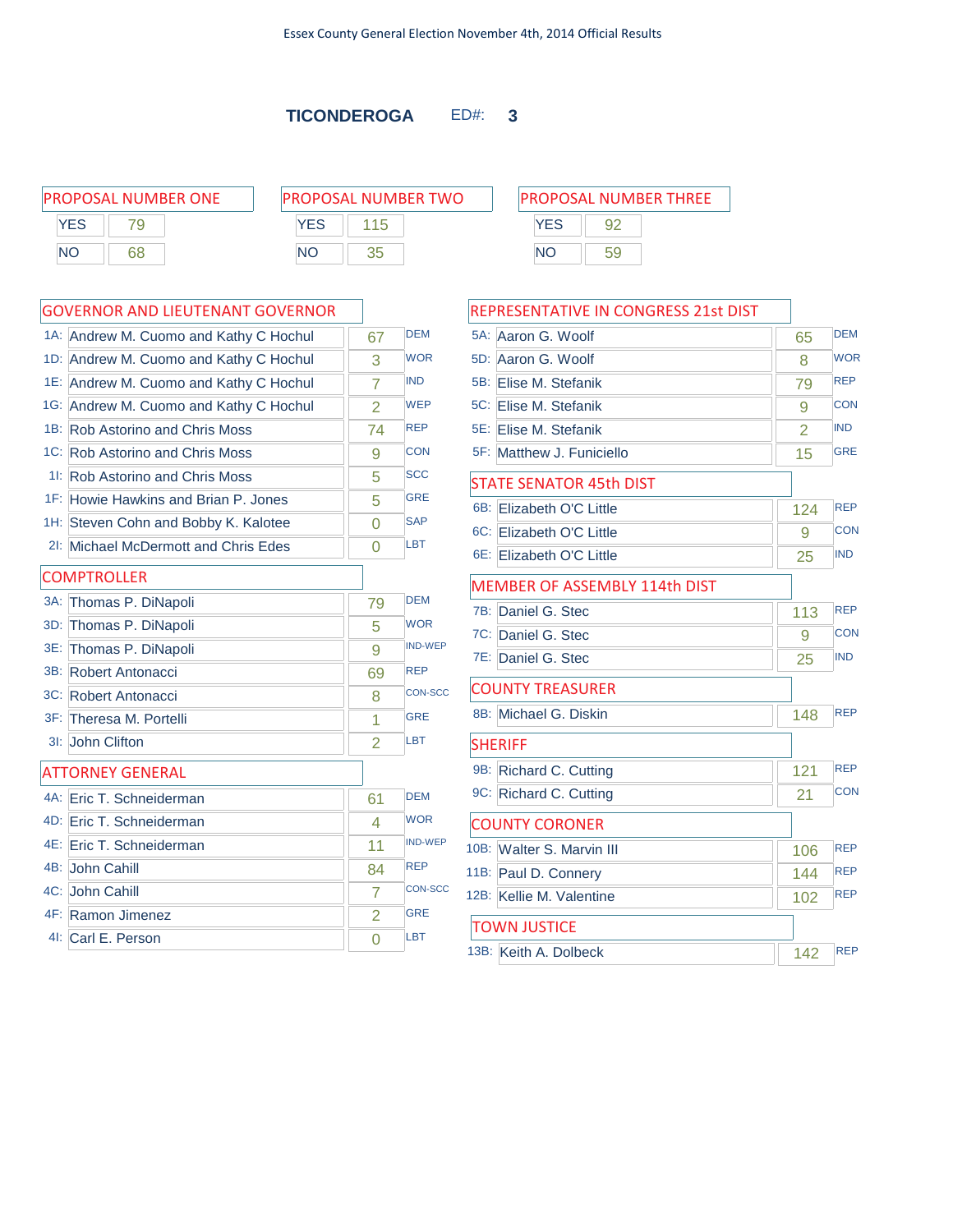|           | <b>PROPOSAL NUMBER ONE</b> | <b>PROPOSAL NUMBER TWO</b> | <b>PROPOSAL NUMBER THREE</b> |
|-----------|----------------------------|----------------------------|------------------------------|
| YES       |                            | YES                        | YES<br>92                    |
| <b>NO</b> | 68                         | ΝC                         | ΝC<br>59                     |

|        | 1A: Andrew M. Cuomo and Kathy C Hochul | 67             | <b>DEM</b>     |
|--------|----------------------------------------|----------------|----------------|
|        | 1D: Andrew M. Cuomo and Kathy C Hochul | 3              | <b>WOR</b>     |
|        | 1E: Andrew M. Cuomo and Kathy C Hochul | 7              | <b>IND</b>     |
|        | 1G: Andrew M. Cuomo and Kathy C Hochul | 2              | <b>WEP</b>     |
| 1B:    | <b>Rob Astorino and Chris Moss</b>     | 74             | <b>REP</b>     |
|        | 1C: Rob Astorino and Chris Moss        | 9              | <b>CON</b>     |
|        | 11: Rob Astorino and Chris Moss        | 5              | <b>SCC</b>     |
|        | 1F: Howie Hawkins and Brian P. Jones   | 5              | <b>GRE</b>     |
|        | 1H: Steven Cohn and Bobby K. Kalotee   | $\Omega$       | <b>SAP</b>     |
| 2!     | Michael McDermott and Chris Edes       | $\Omega$       | LBT            |
|        | <b>COMPTROLLER</b>                     |                |                |
| $3A$ : | Thomas P. DiNapoli                     | 79             | <b>DFM</b>     |
| 3D:    | Thomas P. DiNapoli                     | 5              | <b>WOR</b>     |
| 3E:    | Thomas P. DiNapoli                     | 9              | <b>IND-WEP</b> |
|        | 3B: Robert Antonacci                   | 69             | <b>REP</b>     |
|        | 3C: Robert Antonacci                   | 8              | <b>CON-SCC</b> |
|        | 3F: Theresa M. Portelli                | 1              | <b>GRE</b>     |
| $31$ : | John Clifton                           | 2              | LBT            |
|        | <b>ATTORNEY GENERAL</b>                |                |                |
|        | 4A: Eric T. Schneiderman               | 61             | <b>DEM</b>     |
|        | 4D: Eric T. Schneiderman               | 4              | <b>WOR</b>     |
|        | 4E: Eric T. Schneiderman               | 11             | <b>IND-WEP</b> |
|        | 4B: John Cahill                        | 84             | <b>REP</b>     |
|        | 4C: John Cahill                        | 7              | <b>CON-SCC</b> |
|        | 4F: Ramon Jimenez                      | $\overline{2}$ | <b>GRE</b>     |
|        | 41: Carl E. Person                     | $\Omega$       | LBT            |

|        | REPRESENTATIVE IN CONGRESS 21st DIST |                |            |
|--------|--------------------------------------|----------------|------------|
| $5A$ : | Aaron G. Woolf                       | 65             | <b>DEM</b> |
| 5D:    | Aaron G. Woolf                       | 8              | <b>WOR</b> |
| 5B:    | Elise M. Stefanik                    | 79             | <b>REP</b> |
| 5C:    | <b>Elise M. Stefanik</b>             | 9              | <b>CON</b> |
|        | 5E: Elise M. Stefanik                | $\overline{2}$ | <b>IND</b> |
| 5F:    | Matthew J. Funiciello                | 15             | <b>GRE</b> |
|        | <b>STATE SENATOR 45th DIST</b>       |                |            |
| 6B:    | Flizabeth O'C Little                 | 124            | <b>REP</b> |
| 6C: I  | Elizabeth O'C Little                 | 9              | CON        |
|        | 6E: Elizabeth O'C Little             | 25             | <b>IND</b> |
|        | <b>MEMBER OF ASSEMBLY 114th DIST</b> |                |            |
| 7B:    | Daniel G. Stec                       | 113            | <b>REP</b> |
| 7C:    | Daniel G. Stec                       | 9              | <b>CON</b> |
|        | 7E: Daniel G. Stec                   | 25             | <b>IND</b> |
|        | <b>COUNTY TREASURER</b>              |                |            |
|        | 8B: Michael G. Diskin                | 148            | <b>REP</b> |
|        | <b>SHERIFF</b>                       |                |            |
|        | 9B: Richard C. Cutting               | 121            | <b>REP</b> |
|        | 9C: Richard C. Cutting               | 21             | <b>CON</b> |
|        | <b>COUNTY CORONER</b>                |                |            |
|        | 10B: Walter S. Marvin III            | 106            | <b>REP</b> |
|        | 11B: Paul D. Connery                 | 144            | <b>REP</b> |
|        | 12B: Kellie M. Valentine             | 102            | <b>REP</b> |
|        | TOWN JUSTICE                         |                |            |
|        | 13B: Keith A. Dolbeck                | 142            | <b>REP</b> |

| ьs |  |
|----|--|
| N  |  |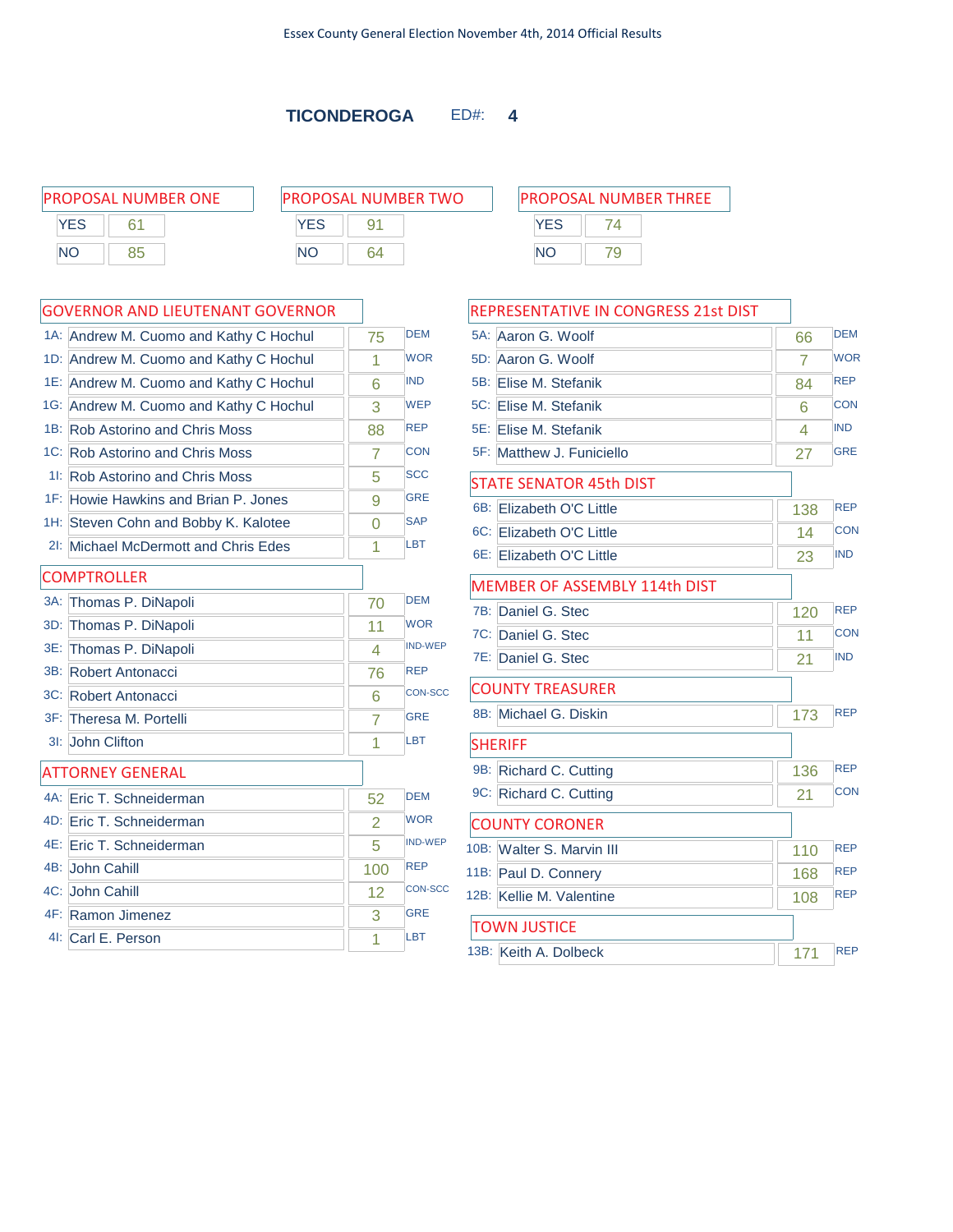| <b>PROPOSAL NUMBER ONE</b> | <b>PROPOSAL NUMBER TWO</b> | <b>PROPOSAL NUMBER THREE</b> |
|----------------------------|----------------------------|------------------------------|
| <b>YES</b>                 | <b>YES</b>                 | <b>YFS</b>                   |
| <b>NC</b><br>85            | ΝC<br>64                   | ΝO                           |

## NO 79

| <b>GOVERNOR AND LIEUTENANT GOVERNOR</b> |                                        |  |                |                |
|-----------------------------------------|----------------------------------------|--|----------------|----------------|
|                                         | 1A: Andrew M. Cuomo and Kathy C Hochul |  | 75             | <b>DEM</b>     |
|                                         | 1D: Andrew M. Cuomo and Kathy C Hochul |  | 1              | <b>WOR</b>     |
|                                         | 1E: Andrew M. Cuomo and Kathy C Hochul |  | 6              | <b>IND</b>     |
|                                         | 1G: Andrew M. Cuomo and Kathy C Hochul |  | 3              | <b>WEP</b>     |
|                                         | 1B: Rob Astorino and Chris Moss        |  | 88             | <b>REP</b>     |
|                                         | 1C: Rob Astorino and Chris Moss        |  | 7              | <b>CON</b>     |
|                                         | 11: Rob Astorino and Chris Moss        |  | 5              | <b>SCC</b>     |
| $1F$ :                                  | Howie Hawkins and Brian P. Jones       |  | 9              | <b>GRE</b>     |
|                                         | 1H: Steven Cohn and Bobby K. Kalotee   |  | $\Omega$       | <b>SAP</b>     |
| 2!                                      | Michael McDermott and Chris Edes       |  | 1              | <b>LBT</b>     |
|                                         | <b>COMPTROLLER</b>                     |  |                |                |
| 3A:                                     | Thomas P. DiNapoli                     |  | 70             | <b>DEM</b>     |
| 3D:                                     | Thomas P. DiNapoli                     |  | 11             | <b>WOR</b>     |
| 3E:                                     | Thomas P. DiNapoli                     |  | 4              | <b>IND-WEP</b> |
| 3B:                                     | Robert Antonacci                       |  | 76             | <b>REP</b>     |
|                                         | 3C: Robert Antonacci                   |  | 6              | <b>CON-SCC</b> |
|                                         | 3F: Theresa M. Portelli                |  | $\overline{7}$ | <b>GRE</b>     |
| $31$ :                                  | John Clifton                           |  | 1              | LBT            |
|                                         | <b>ATTORNEY GENERAL</b>                |  |                |                |
|                                         | 4A: Eric T. Schneiderman               |  | 52             | <b>DEM</b>     |
|                                         | 4D: Eric T. Schneiderman               |  | 2              | <b>WOR</b>     |
|                                         | 4E: Eric T. Schneiderman               |  | 5              | <b>IND-WEP</b> |
|                                         | 4B: John Cahill                        |  | 100            | <b>REP</b>     |
|                                         | 4C: John Cahill                        |  | 12             | <b>CON-SCC</b> |
|                                         | 4F: Ramon Jimenez                      |  | 3              | <b>GRE</b>     |
|                                         | 41: Carl E. Person                     |  | 1              | <b>LBT</b>     |

|     | <b>REPRESENTATIVE IN CONGRESS 21st DIST</b> |                |            |
|-----|---------------------------------------------|----------------|------------|
|     | 5A: Aaron G. Woolf                          | 66             | <b>DEM</b> |
|     | 5D: Aaron G. Woolf                          | $\overline{7}$ | <b>WOR</b> |
|     | 5B: Elise M. Stefanik                       | 84             | <b>REP</b> |
|     | 5C: Elise M. Stefanik                       | 6              | <b>CON</b> |
|     | 5E: Elise M. Stefanik                       | 4              | <b>IND</b> |
|     | 5F: Matthew J. Funiciello                   | 27             | <b>GRE</b> |
|     | <b>STATE SENATOR 45th DIST</b>              |                |            |
| 6B: | Elizabeth O'C Little                        | 138            | <b>REP</b> |
|     | 6C: Elizabeth O'C Little                    | 14             | <b>CON</b> |
|     | 6E: Elizabeth O'C Little                    | 23             | <b>IND</b> |
|     | MEMBER OF ASSEMBLY 114th DIST               |                |            |
| 7B: | Daniel G. Stec                              | 120            | <b>REP</b> |
|     | 7C: Daniel G. Stec                          | 11             | <b>CON</b> |
|     | 7E: Daniel G. Stec                          | 21             | <b>IND</b> |
|     | <b>COUNTY TREASURER</b>                     |                |            |
|     | 8B: Michael G. Diskin                       | 173            | <b>REP</b> |
|     | <b>SHERIFF</b>                              |                |            |
| 9B: | Richard C. Cutting                          | 136            | <b>REP</b> |
|     | 9C: Richard C. Cutting                      | 21             | <b>CON</b> |
|     | <b>COUNTY CORONER</b>                       |                |            |
|     | 10B: Walter S. Marvin III                   | 110            | <b>REP</b> |
|     | 11B: Paul D. Connery                        | 168            | <b>REP</b> |
|     | 12B: Kellie M. Valentine                    | 108            | <b>REP</b> |
|     | <b>TOWN JUSTICE</b>                         |                |            |
|     | 13B: Keith A. Dolbeck                       | 171            | <b>REP</b> |
|     |                                             |                |            |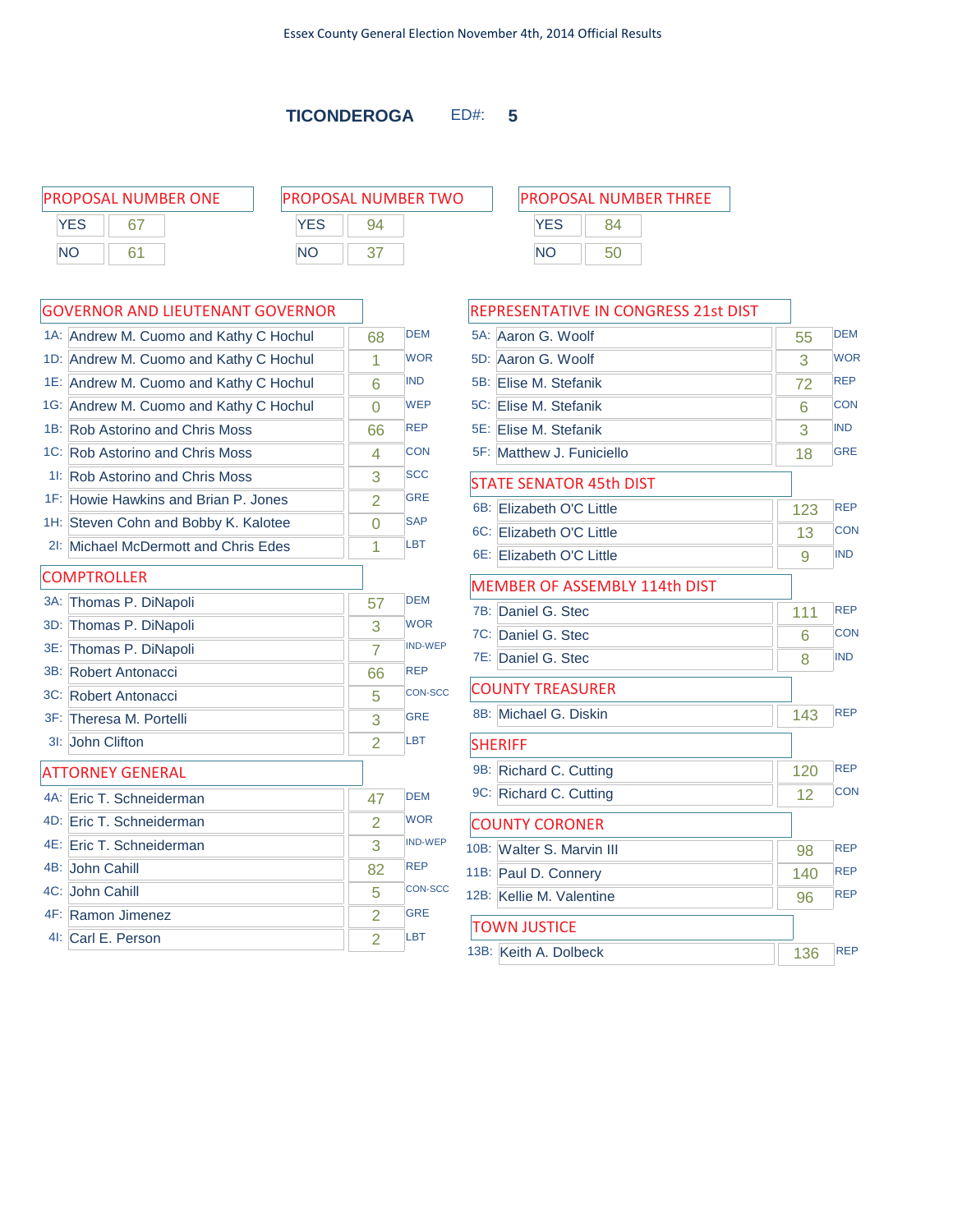PROPOSAL NUMBER THREE

YES 84 NO 50

| PROPOSAL NUMBER ONE |    |  |  |  |
|---------------------|----|--|--|--|
| <b>YES</b>          |    |  |  |  |
| NΟ                  | 61 |  |  |  |

| PROPOSAL NUMBER TWO |    |  |  |  |
|---------------------|----|--|--|--|
| <b>YFS</b>          | 94 |  |  |  |
| NΟ                  |    |  |  |  |

### GOVERNOR AND LIEUTENANT GOVERNOR

|     | 1A: Andrew M. Cuomo and Kathy C Hochul | 68             | <b>DEM</b>     |
|-----|----------------------------------------|----------------|----------------|
|     | 1D: Andrew M. Cuomo and Kathy C Hochul | 1              | <b>WOR</b>     |
|     | 1E: Andrew M. Cuomo and Kathy C Hochul | 6              | <b>IND</b>     |
|     | 1G: Andrew M. Cuomo and Kathy C Hochul | $\overline{0}$ | <b>WEP</b>     |
|     | 1B: Rob Astorino and Chris Moss        | 66             | <b>REP</b>     |
|     | 1C: Rob Astorino and Chris Moss        | 4              | <b>CON</b>     |
|     | 11: Rob Astorino and Chris Moss        | 3              | <b>SCC</b>     |
|     | 1F: Howie Hawkins and Brian P. Jones   | $\overline{2}$ | <b>GRE</b>     |
|     | 1H: Steven Cohn and Bobby K. Kalotee   | $\Omega$       | <b>SAP</b>     |
|     | 2I: Michael McDermott and Chris Edes   | 1              | <b>LBT</b>     |
|     | <b>COMPTROLLER</b>                     |                |                |
|     | 3A: Thomas P. DiNapoli                 | 57             | <b>DEM</b>     |
| 3D: | Thomas P. DiNapoli                     | 3              | <b>WOR</b>     |
|     | 3E: Thomas P. DiNapoli                 | 7              | <b>IND-WEP</b> |
|     | 3B: Robert Antonacci                   | 66             | <b>REP</b>     |
|     | 3C: Robert Antonacci                   | 5              | <b>CON-SCC</b> |
|     | 3F: Theresa M. Portelli                | 3              | <b>GRE</b>     |
|     | 3I: John Clifton                       | $\overline{2}$ | LBT            |
|     | <b>ATTORNEY GENERAL</b>                |                |                |
|     | 4A: Eric T. Schneiderman               | 47             | <b>DEM</b>     |
|     | 4D: Eric T. Schneiderman               | $\overline{2}$ | <b>WOR</b>     |
|     | 4E: Eric T. Schneiderman               | 3              | <b>IND-WEP</b> |
|     | 4B: John Cahill                        | 82             | <b>REP</b>     |
|     | 4C: John Cahill                        | 5              | <b>CON-SCC</b> |
|     | 4F: Ramon Jimenez                      | $\overline{2}$ | <b>GRE</b>     |
|     | 41: Carl E. Person                     | $\overline{2}$ | LBT            |

|     | REPRESENTATIVE IN CONGRESS 21st DIST |     |            |
|-----|--------------------------------------|-----|------------|
|     | 5A: Aaron G. Woolf                   | 55  | <b>DEM</b> |
| 5D: | Aaron G. Woolf                       | 3   | <b>WOR</b> |
| 5B: | Elise M. Stefanik                    | 72  | <b>REP</b> |
|     | 5C: Flise M. Stefanik                | 6   | <b>CON</b> |
|     | 5E: Elise M. Stefanik                | 3   | <b>IND</b> |
|     | 5F: Matthew J. Funiciello            | 18  | <b>GRE</b> |
|     | <b>STATE SENATOR 45th DIST</b>       |     |            |
| 6B: | Elizabeth O'C Little                 | 123 | <b>REP</b> |
|     | 6C: Elizabeth O'C Little             | 13  | CON        |
|     | 6E: Elizabeth O'C Little             | 9   | <b>IND</b> |
|     | MEMBER OF ASSEMBLY 114th DIST        |     |            |
| 7B: | Daniel G. Stec                       | 111 | <b>REP</b> |
|     | 7C: Daniel G. Stec                   | 6   | CON        |
|     | 7E: Daniel G. Stec                   | 8   | <b>IND</b> |
|     | <b>COUNTY TREASURER</b>              |     |            |
|     | 8B: Michael G. Diskin                | 143 | <b>REP</b> |
|     | <b>SHERIFF</b>                       |     |            |
|     | 9B: Richard C. Cutting               | 120 | <b>REP</b> |
|     | 9C: Richard C. Cutting               | 12  | <b>CON</b> |
|     | <b>COUNTY CORONER</b>                |     |            |
|     | 10B: Walter S. Marvin III            | 98  | <b>REP</b> |
|     | 11B: Paul D. Connery                 | 140 | <b>REP</b> |
|     | 12B: Kellie M. Valentine             | 96  | <b>REP</b> |

13B: Keith A. Dolbeck 136 REP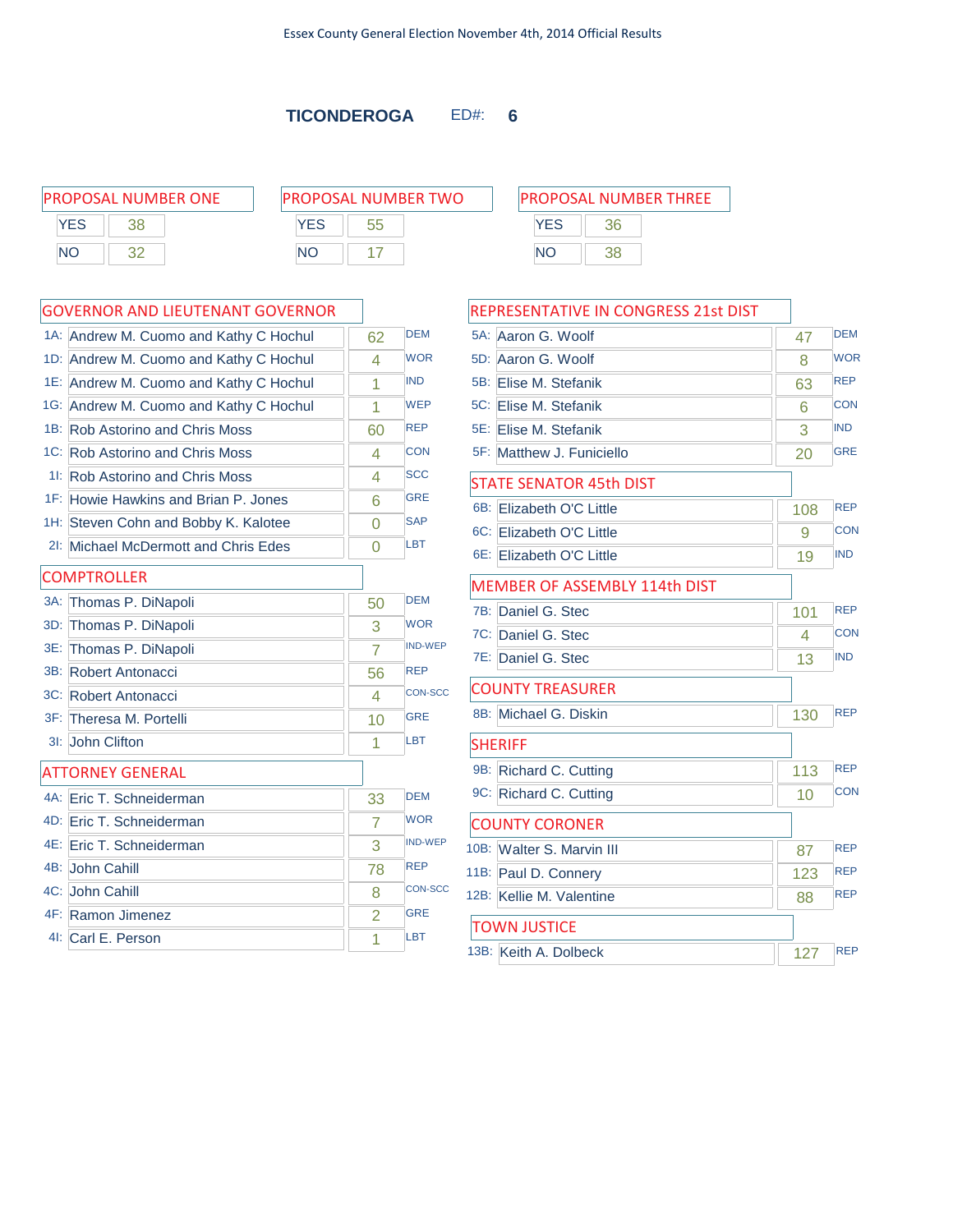$\mathsf{r}$ 

| <b>PROPOSAL NUMBER ONE</b> |  | <b>PROPOSAL NUMBER TWO</b> | <b>PROPOSAL NUMBER THREE</b> |
|----------------------------|--|----------------------------|------------------------------|
| YES                        |  | YFS                        |                              |
| <b>NC</b>                  |  | NΟ                         | ΝC                           |

# **YES** 36 NO 38

|        | GOVERNOR AND LIEUTENANT GOVERNOR       |                |                |
|--------|----------------------------------------|----------------|----------------|
|        | 1A: Andrew M. Cuomo and Kathy C Hochul | 62             | <b>DEM</b>     |
|        | 1D: Andrew M. Cuomo and Kathy C Hochul | 4              | <b>WOR</b>     |
|        | 1E: Andrew M. Cuomo and Kathy C Hochul | 1              | <b>IND</b>     |
|        | 1G: Andrew M. Cuomo and Kathy C Hochul | 1              | <b>WEP</b>     |
|        | 1B: Rob Astorino and Chris Moss        | 60             | <b>REP</b>     |
|        | 1C: Rob Astorino and Chris Moss        | 4              | <b>CON</b>     |
|        | 11: Rob Astorino and Chris Moss        | 4              | <b>SCC</b>     |
|        | 1F: Howie Hawkins and Brian P. Jones   | 6              | <b>GRE</b>     |
|        | 1H: Steven Cohn and Bobby K. Kalotee   | $\overline{0}$ | <b>SAP</b>     |
| 2!     | Michael McDermott and Chris Edes       | $\overline{0}$ | <b>LBT</b>     |
|        | <b>COMPTROLLER</b>                     |                |                |
| $3A$ : | Thomas P. DiNapoli                     | 50             | <b>DEM</b>     |
|        | 3D: Thomas P. DiNapoli                 | 3              | <b>WOR</b>     |
| 3E:    | Thomas P. DiNapoli                     | $\overline{7}$ | <b>IND-WEP</b> |
| 3B:    | Robert Antonacci                       | 56             | <b>REP</b>     |
|        | 3C: Robert Antonacci                   | 4              | <b>CON-SCC</b> |
|        | 3F: Theresa M. Portelli                | 10             | <b>GRE</b>     |
| 3I:    | John Clifton                           | 1              | LBT            |
|        | <b>ATTORNEY GENERAL</b>                |                |                |
|        | 4A: Eric T. Schneiderman               | 33             | <b>DEM</b>     |
|        | 4D: Eric T. Schneiderman               | 7              | <b>WOR</b>     |
|        | 4E: Eric T. Schneiderman               | 3              | <b>IND-WEP</b> |
|        | 4B: John Cahill                        | 78             | <b>REP</b>     |
|        | 4C: John Cahill                        | 8              | <b>CON-SCC</b> |
|        | 4F: Ramon Jimenez                      | $\overline{2}$ | <b>GRE</b>     |
|        | 41: Carl E. Person                     | 1              | <b>LBT</b>     |
|        |                                        |                |                |

| <b>REPRESENTATIVE IN CONGRESS 21st DIST</b> |     |            |
|---------------------------------------------|-----|------------|
| 5A: Aaron G. Woolf                          | 47  | <b>DEM</b> |
| 5D: Aaron G. Woolf                          | 8   | <b>WOR</b> |
| 5B: Elise M. Stefanik                       | 63  | <b>REP</b> |
| 5C: Elise M. Stefanik                       | 6   | <b>CON</b> |
| 5E: Elise M. Stefanik                       | 3   | <b>IND</b> |
| 5F: Matthew J. Funiciello                   | 20  | <b>GRE</b> |
| <b>STATE SENATOR 45th DIST</b>              |     |            |
| 6B: Elizabeth O'C Little                    | 108 | <b>REP</b> |
| 6C: Elizabeth O'C Little                    | 9   | <b>CON</b> |
| 6E: Elizabeth O'C Little                    | 19  | <b>IND</b> |
| <b>MEMBER OF ASSEMBLY 114th DIST</b>        |     |            |
| 7B: Daniel G. Stec                          | 101 | <b>REP</b> |
| 7C: Daniel G. Stec                          | 4   | <b>CON</b> |
| 7E: Daniel G. Stec                          | 13  | <b>IND</b> |
| <b>COUNTY TREASURER</b>                     |     |            |
| 8B: Michael G. Diskin                       | 130 | <b>REP</b> |
| <b>SHERIFF</b>                              |     |            |
| 9B: Richard C. Cutting                      | 113 | <b>REP</b> |
| 9C: Richard C. Cutting                      | 10  | <b>CON</b> |
| <b>COUNTY CORONER</b>                       |     |            |
| 10B: Walter S. Marvin III                   | 87  | <b>REP</b> |
| 11B: Paul D. Connery                        | 123 | <b>REP</b> |
| 12B: Kellie M. Valentine                    | 88  | <b>REP</b> |
| <b>TOWN JUSTICE</b>                         |     |            |
| 13B: Keith A. Dolbeck                       | 127 | <b>REP</b> |
|                                             |     |            |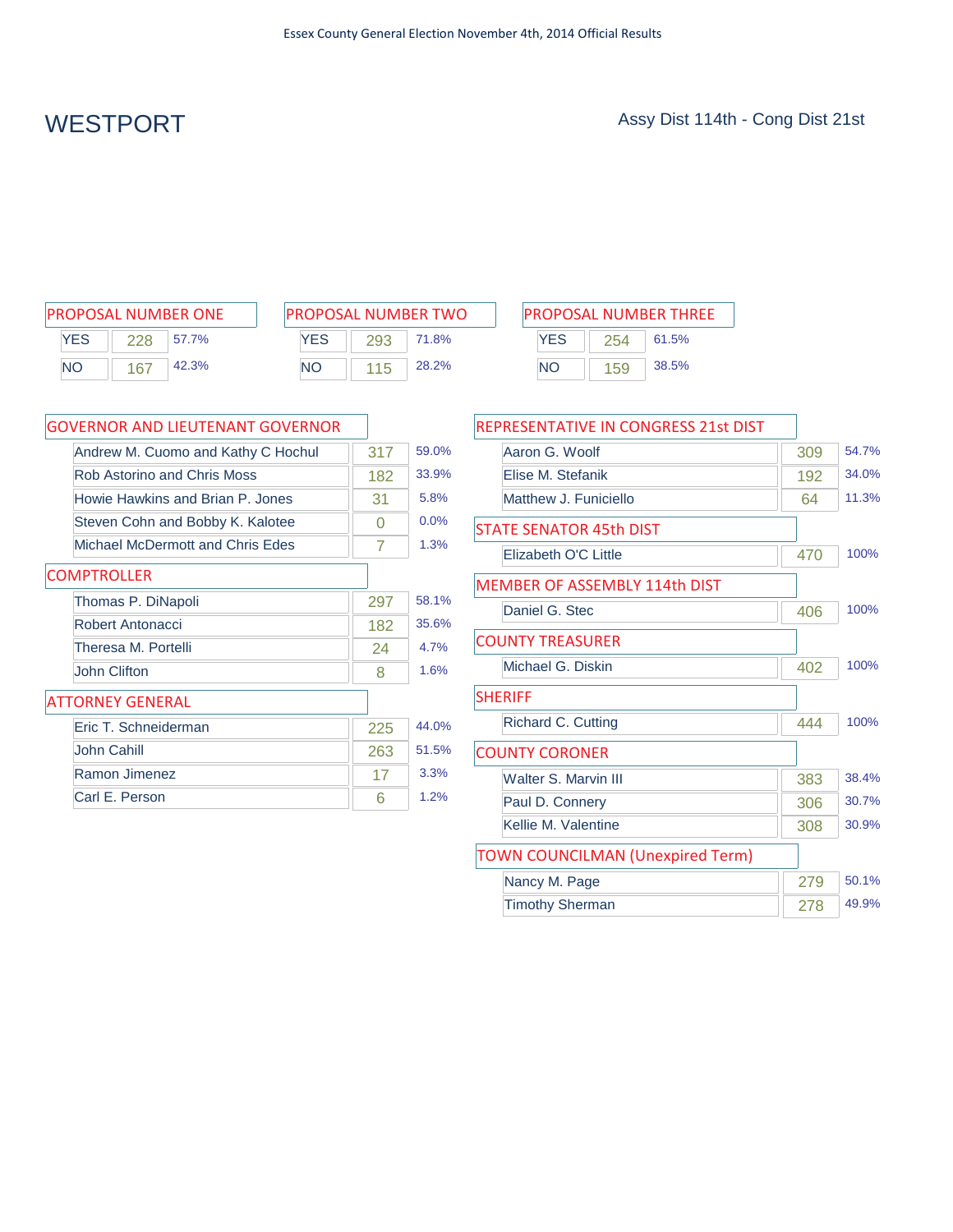| <b>PROPOSAL NUMBER ONE</b> |     |       |  |  |
|----------------------------|-----|-------|--|--|
| <b>YES</b>                 | 228 | 57.7% |  |  |
| <b>NO</b>                  | 167 | 42.3% |  |  |

| PROPOSAL NUMBER TWO |     |       |  |  |
|---------------------|-----|-------|--|--|
| <b>YFS</b>          | 293 | 71.8% |  |  |
| NΟ                  | 115 | 28.2% |  |  |

| PROPOSAL NUMBER ONE | <b>PROPOSAL NUMBER TWO</b> | <b>PROPOSAL NUMBER THREE</b> |  |  |  |
|---------------------|----------------------------|------------------------------|--|--|--|
| YES                 | YES                        | <b>YES</b>                   |  |  |  |
| 57.7%               | 71.8%                      | 61.5%                        |  |  |  |
| 228                 | 293                        | 254                          |  |  |  |
| 42.3%               | 28.2%                      | 38.5%                        |  |  |  |
| <b>NO</b>           | ΝC                         | <b>NO</b>                    |  |  |  |
| 167                 | 115                        | 159                          |  |  |  |

| <b>GOVERNOR AND LIEUTENANT GOVERNOR</b> |     |       |
|-----------------------------------------|-----|-------|
| Andrew M. Cuomo and Kathy C Hochul      | 317 | 59.0% |
| Rob Astorino and Chris Moss             | 182 | 33.9% |
| Howie Hawkins and Brian P. Jones        | 31  | 5.8%  |
| Steven Cohn and Bobby K. Kalotee        | O   | 0.0%  |
| Michael McDermott and Chris Edes        | 7   | 1.3%  |
| <b>COMPTROLLER</b>                      |     |       |
| Thomas P. DiNapoli                      | 297 | 58.1% |
| Robert Antonacci                        | 182 | 35.6% |
| Theresa M. Portelli                     | 24  | 4.7%  |
| <b>John Clifton</b>                     | 8   | 1.6%  |
| <b>ATTORNEY GENERAL</b>                 |     |       |
| Eric T. Schneiderman                    | 225 | 44.0% |
| John Cahill                             | 263 | 51.5% |
| Ramon Jimenez                           | 17  | 3.3%  |
| Carl E. Person                          | 6   | 1.2%  |

| <b>REPRESENTATIVE IN CONGRESS 21st DIST</b> |     |       |
|---------------------------------------------|-----|-------|
| Aaron G. Woolf                              | 309 | 54.7% |
| Flise M. Stefanik                           | 192 | 34.0% |
| Matthew J. Funiciello                       | 64  | 11.3% |
| <b>STATE SENATOR 45th DIST</b>              |     |       |
| Elizabeth O'C Little                        | 470 | 100%  |
| MEMBER OF ASSEMBLY 114th DIST               |     |       |
| Daniel G. Stec                              | 406 | 100%  |
| <b>COUNTY TREASURER</b>                     |     |       |
| Michael G. Diskin                           | 402 | 100%  |
| <b>SHERIFF</b>                              |     |       |
| <b>Richard C. Cutting</b>                   | 444 | 100%  |
| <b>COUNTY CORONER</b>                       |     |       |
| Walter S. Marvin III                        | 383 | 38.4% |
| Paul D. Connery                             | 306 | 30.7% |
| Kellie M. Valentine                         | 308 | 30.9% |
| <b>TOWN COUNCILMAN (Unexpired Term)</b>     |     |       |
| Nancy M. Page                               | 279 | 50.1% |
| <b>Timothy Sherman</b>                      | 278 | 49.9% |
|                                             |     |       |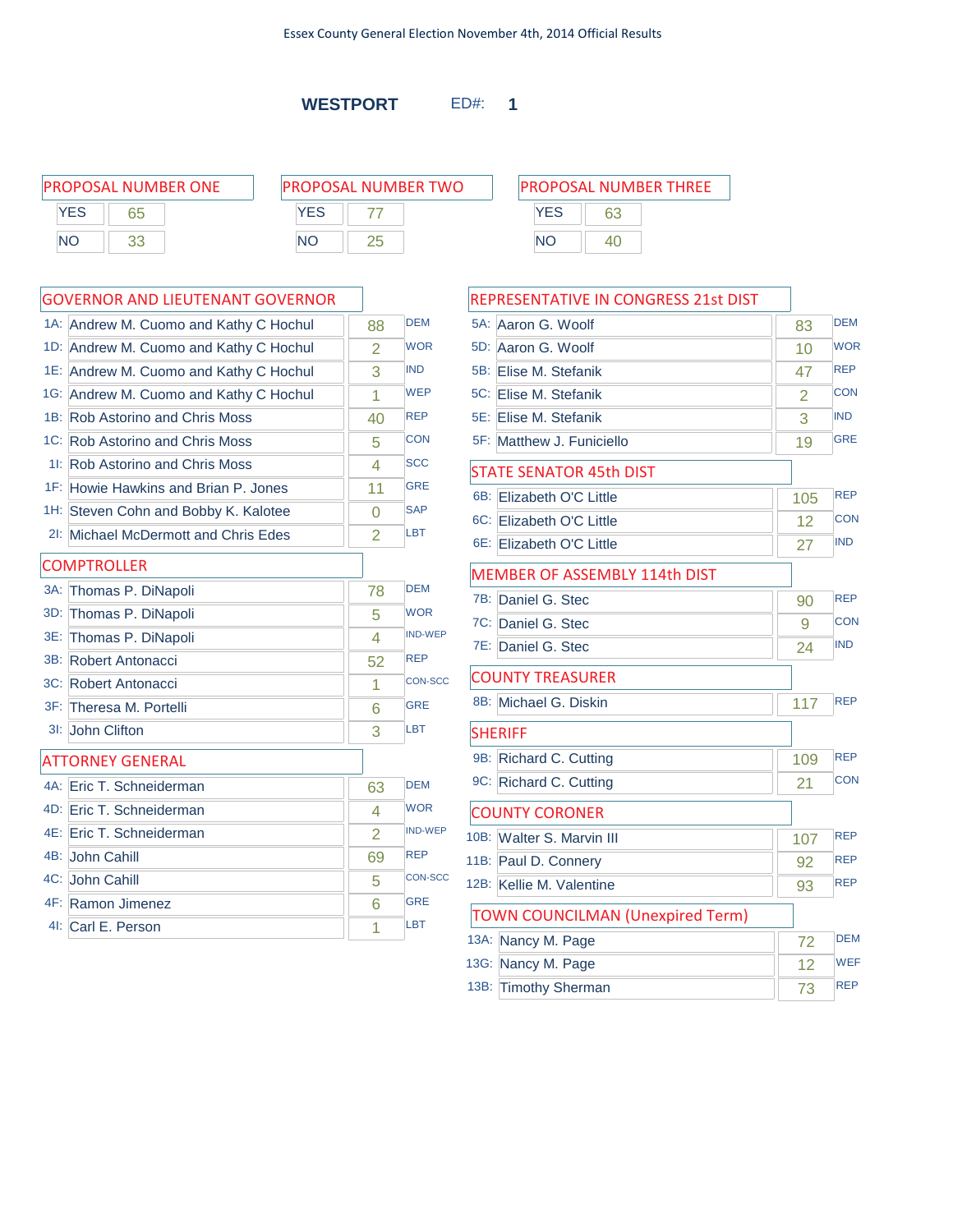**WESTPORT** ED#: **1**

| PROPOSAL NUMBER ONE | <b>PROPOSAL NUMBER TWO</b> | <b>PROPOSAL NUMBER THREE</b> |
|---------------------|----------------------------|------------------------------|
| <b>YES</b><br>65    | <b>YES</b>                 | <b>YES</b>                   |
| <b>NO</b><br>つつ     | NΟ                         | NO.<br>40                    |
|                     |                            |                              |

|        | <b>GOVERNOR AND LIEUTENANT GOVERNOR</b> |                |                |
|--------|-----------------------------------------|----------------|----------------|
|        | 1A: Andrew M. Cuomo and Kathy C Hochul  | 88             | <b>DEM</b>     |
|        | 1D: Andrew M. Cuomo and Kathy C Hochul  | $\overline{2}$ | <b>WOR</b>     |
|        | 1E: Andrew M. Cuomo and Kathy C Hochul  | 3              | <b>IND</b>     |
|        | 1G: Andrew M. Cuomo and Kathy C Hochul  | 1              | <b>WEP</b>     |
|        | 1B: Rob Astorino and Chris Moss         | 40             | <b>REP</b>     |
|        | 1C: Rob Astorino and Chris Moss         | 5              | <b>CON</b>     |
|        | 11: Rob Astorino and Chris Moss         | 4              | <b>SCC</b>     |
|        | 1F: Howie Hawkins and Brian P. Jones    | 11             | <b>GRE</b>     |
|        | 1H: Steven Cohn and Bobby K. Kalotee    | 0              | <b>SAP</b>     |
| 2I:    | Michael McDermott and Chris Edes        | $\overline{2}$ | <b>LBT</b>     |
|        | <b>COMPTROLLER</b>                      |                |                |
| $3A$ : | Thomas P. DiNapoli                      | 78             | <b>DEM</b>     |
| 3D:    | Thomas P. DiNapoli                      | 5              | <b>WOR</b>     |
| 3E:    | Thomas P. DiNapoli                      | 4              | <b>IND-WEP</b> |
|        | 3B: Robert Antonacci                    | 52             | <b>REP</b>     |
|        | 3C: Robert Antonacci                    | 1              | <b>CON-SCC</b> |
|        | 3F: Theresa M. Portelli                 | 6              | <b>GRE</b>     |
|        | 3I: John Clifton                        | 3              | LBT            |
|        | <b>ATTORNEY GENERAL</b>                 |                |                |
|        | 4A: Eric T. Schneiderman                | 63             | <b>DEM</b>     |
|        | 4D: Eric T. Schneiderman                | 4              | <b>WOR</b>     |
|        | 4E: Eric T. Schneiderman                | $\overline{2}$ | <b>IND-WEP</b> |
|        | 4B: John Cahill                         | 69             | <b>REP</b>     |
|        | 4C: John Cahill                         | 5              | <b>CON-SCC</b> |
|        | 4F: Ramon Jimenez                       | 6              | <b>GRE</b>     |
|        | 4I: Carl E. Person                      | 1              | LBT            |

| REPRESENTATIVE IN CONGRESS 21st DIST    |     |            |
|-----------------------------------------|-----|------------|
| $5A$ :<br>Aaron G. Woolf                | 83  | <b>DEM</b> |
| 5D: Aaron G. Woolf                      | 10  | <b>WOR</b> |
| 5B: Elise M. Stefanik                   | 47  | <b>REP</b> |
| 5C: Elise M. Stefanik                   | 2   | <b>CON</b> |
| 5E: Elise M. Stefanik                   | 3   | <b>IND</b> |
| 5F: Matthew J. Funiciello               | 19  | <b>GRE</b> |
| <b>STATE SENATOR 45th DIST</b>          |     |            |
| 6B: Elizabeth O'C Little                | 105 | <b>REP</b> |
| 6C: Elizabeth O'C Little                | 12  | <b>CON</b> |
| 6E: Elizabeth O'C Little                | 27  | <b>IND</b> |
| MEMBER OF ASSEMBLY 114th DIST           |     |            |
| 7B: Daniel G. Stec                      | 90  | <b>REP</b> |
| 7C: Daniel G. Stec                      | 9   | <b>CON</b> |
| 7E: Daniel G. Stec                      | 24  | <b>IND</b> |
| <b>COUNTY TREASURER</b>                 |     |            |
| 8B: Michael G. Diskin                   | 117 | <b>REP</b> |
| <b>SHERIFF</b>                          |     |            |
| 9B: Richard C. Cutting                  | 109 | <b>REP</b> |
| 9C: Richard C. Cutting                  | 21  | <b>CON</b> |
| <b>COUNTY CORONER</b>                   |     |            |
| 10B: Walter S. Marvin III               | 107 | <b>REP</b> |
| 11B: Paul D. Connery                    | 92  | <b>REP</b> |
| 12B: Kellie M. Valentine                | 93  | <b>REP</b> |
| <b>TOWN COUNCILMAN (Unexpired Term)</b> |     |            |
| 13A: Nancy M. Page                      | 72  | <b>DEM</b> |
| 13G: Nancy M. Page                      | 12  | <b>WEF</b> |
| 13B: Timothy Sherman                    | 73  | <b>REP</b> |
|                                         |     |            |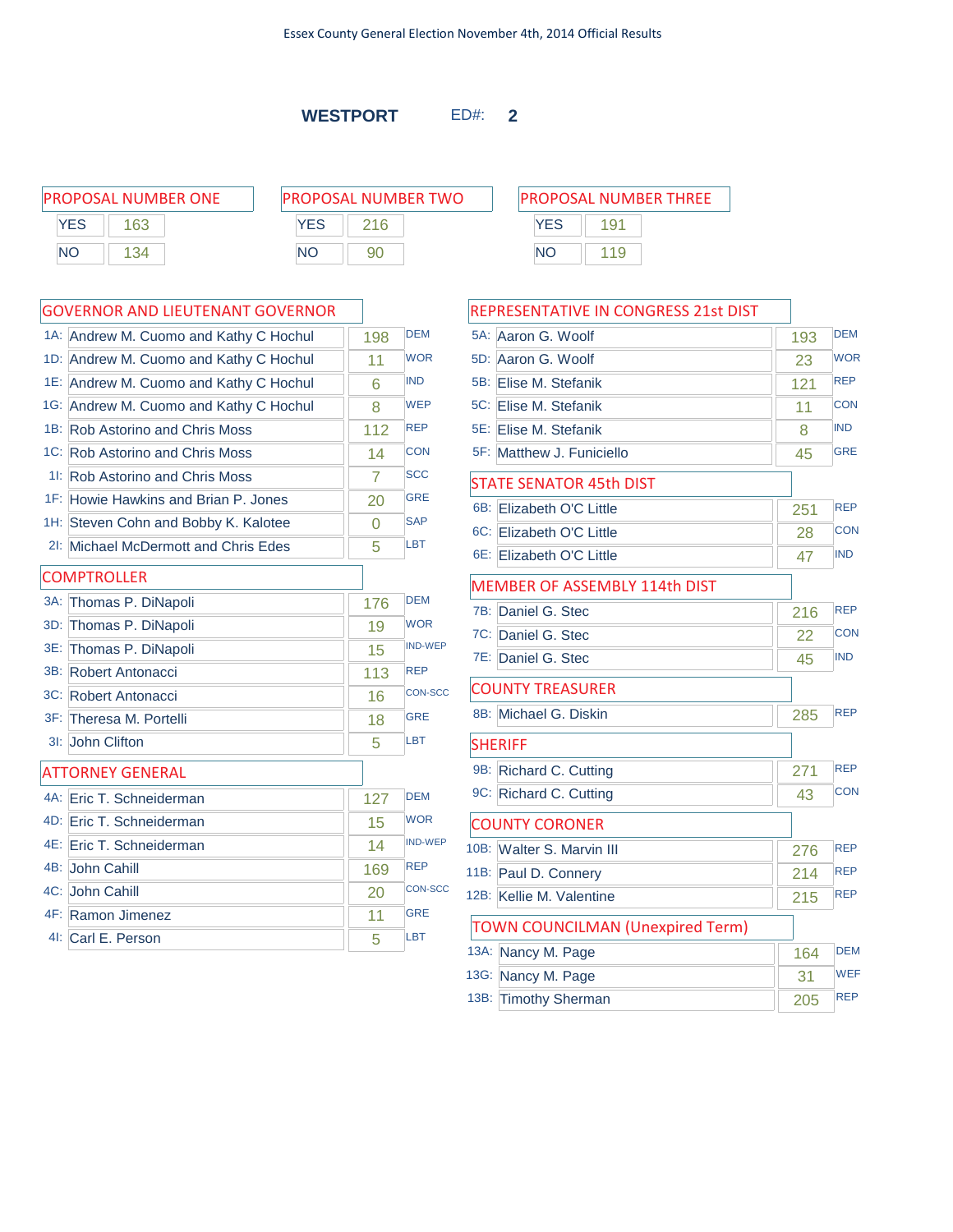**WESTPORT** ED#: **2**

|           | <b>PROPOSAL NUMBER ONE</b> | <b>PROPOSAL NUMBER TWO</b> | <b>PROPOSAL NUMBER THREE</b> |
|-----------|----------------------------|----------------------------|------------------------------|
| YES       | 163                        | <b>YES</b>                 | 1 Q 1                        |
| <b>NC</b> |                            | ΝC<br>90                   | ΝC                           |

### GOVERNOR AND LIEUTENANT GOVERNOR

|        | 1A: Andrew M. Cuomo and Kathy C Hochul | 198 | <b>DEM</b>     |
|--------|----------------------------------------|-----|----------------|
|        | 1D: Andrew M. Cuomo and Kathy C Hochul | 11  | <b>WOR</b>     |
|        | 1E: Andrew M. Cuomo and Kathy C Hochul | 6   | <b>IND</b>     |
|        | 1G: Andrew M. Cuomo and Kathy C Hochul | 8   | <b>WEP</b>     |
|        | 1B: Rob Astorino and Chris Moss        | 112 | <b>REP</b>     |
|        | 1C: Rob Astorino and Chris Moss        | 14  | <b>CON</b>     |
|        | 11: Rob Astorino and Chris Moss        | 7   | <b>SCC</b>     |
|        | 1F: Howie Hawkins and Brian P. Jones   | 20  | <b>GRE</b>     |
|        | 1H: Steven Cohn and Bobby K. Kalotee   | 0   | <b>SAP</b>     |
|        | 21: Michael McDermott and Chris Edes   | 5   | <b>LBT</b>     |
|        | <b>COMPTROLLER</b>                     |     |                |
| $3A$ : | Thomas P. DiNapoli                     | 176 | <b>DEM</b>     |
| 3D:    | Thomas P. DiNapoli                     | 19  | <b>WOR</b>     |
|        | 3E: Thomas P. DiNapoli                 | 15  | <b>IND-WEP</b> |
|        | 3B: Robert Antonacci                   | 113 | <b>REP</b>     |
|        | 3C: Robert Antonacci                   | 16  | <b>CON-SCC</b> |
|        | 3F: Theresa M. Portelli                | 18  | <b>GRE</b>     |
|        | 3I: John Clifton                       | 5   | <b>LBT</b>     |
|        | <b>ATTORNEY GENERAL</b>                |     |                |
|        | 4A: Eric T. Schneiderman               | 127 | <b>DFM</b>     |
|        | 4D: Eric T. Schneiderman               | 15  | <b>WOR</b>     |
|        | 4E: Eric T. Schneiderman               | 14  | <b>IND-WEP</b> |
|        | 4B: John Cahill                        | 169 | <b>REP</b>     |
|        | 4C: John Cahill                        | 20  | <b>CON-SCC</b> |
|        | 4F: Ramon Jimenez                      | 11  | <b>GRE</b>     |
|        | 4I: Carl E. Person                     | 5   | <b>LBT</b>     |

# **YES** 191 NO 119

| REPRESENTATIVE IN CONGRESS 21st DIST    |     |            |
|-----------------------------------------|-----|------------|
| 5A: Aaron G. Woolf                      | 193 | <b>DEM</b> |
| 5D: Aaron G. Woolf                      | 23  | <b>WOR</b> |
| 5B: Elise M. Stefanik                   | 121 | <b>REP</b> |
| 5C: Elise M. Stefanik                   | 11  | <b>CON</b> |
| 5E: Elise M. Stefanik                   | 8   | <b>IND</b> |
| 5F: Matthew J. Funiciello               | 45  | <b>GRE</b> |
| <b>STATE SENATOR 45th DIST</b>          |     |            |
| 6B: Elizabeth O'C Little                | 251 | <b>REP</b> |
| 6C: Elizabeth O'C Little                | 28  | <b>CON</b> |
| 6E: Elizabeth O'C Little                | 47  | <b>IND</b> |
| MEMBER OF ASSEMBLY 114th DIST           |     |            |
| 7B: Daniel G. Stec                      | 216 | <b>REP</b> |
| 7C: Daniel G. Stec                      | 22  | <b>CON</b> |
| 7E: Daniel G. Stec                      | 45  | <b>IND</b> |
| <b>COUNTY TREASURER</b>                 |     |            |
| 8B: Michael G. Diskin                   | 285 | <b>REP</b> |
| <b>SHERIFF</b>                          |     |            |
| 9B: Richard C. Cutting                  | 271 | <b>REP</b> |
| 9C: Richard C. Cutting                  | 43  | <b>CON</b> |
| <b>COUNTY CORONER</b>                   |     |            |
| 10B: Walter S. Marvin III               | 276 | <b>REP</b> |
| 11B: Paul D. Connery                    | 214 | <b>REP</b> |
| 12B: Kellie M. Valentine                | 215 | <b>REP</b> |
| <b>TOWN COUNCILMAN (Unexpired Term)</b> |     |            |
| 13A: Nancy M. Page                      | 164 | <b>DEM</b> |
| 13G: Nancy M. Page                      | 31  | <b>WEF</b> |
| 13B: Timothy Sherman                    | 205 | <b>REP</b> |
|                                         |     |            |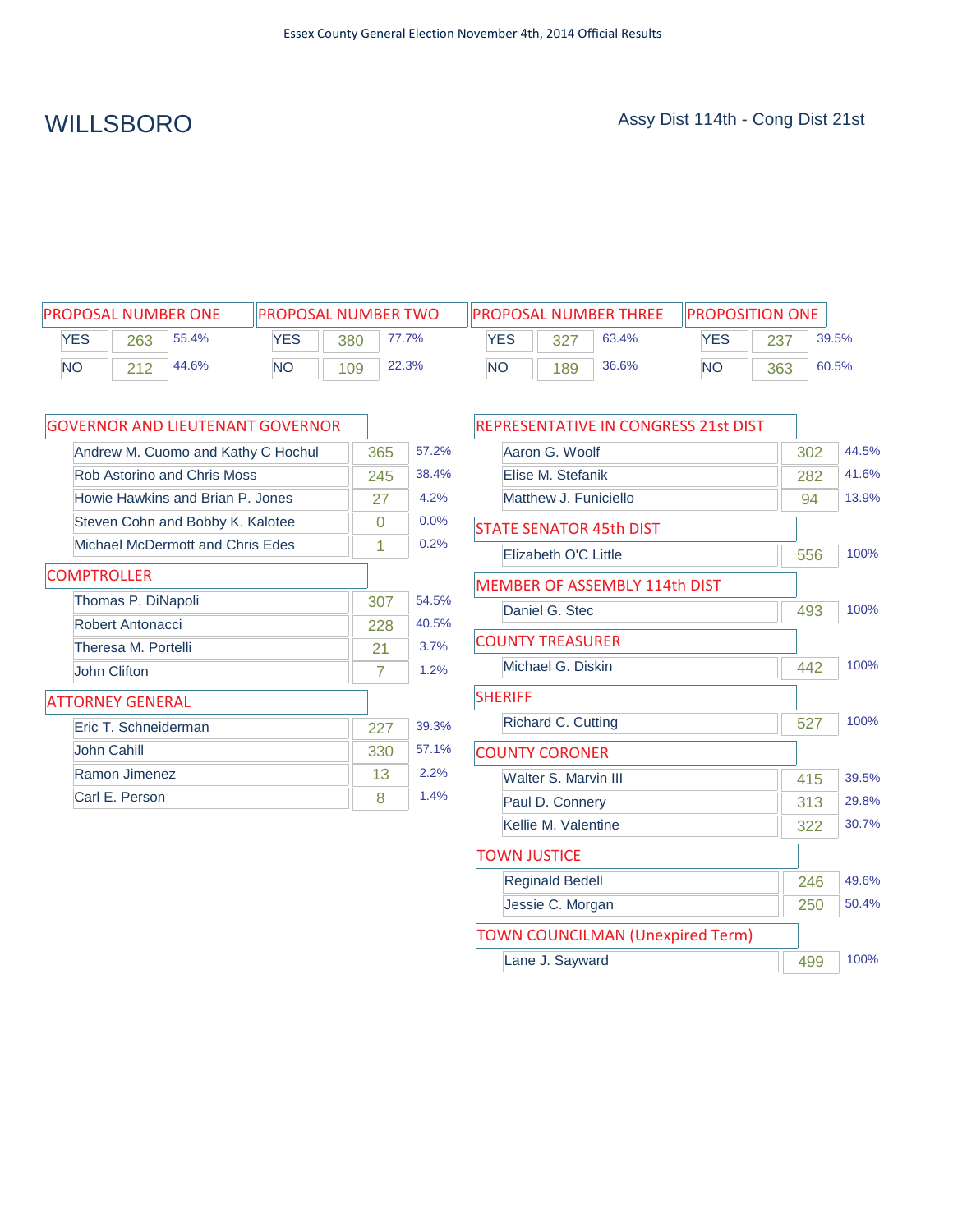| <b>PROPOSAL NUMBER ONE</b> |       |       | <b>IIPROPOSAL NUMBER TWO</b> |     |       |            |     | <b>IPROPOSAL NUMBER THREE</b> | <b>IPROPOSITION ONE</b> |     |       |
|----------------------------|-------|-------|------------------------------|-----|-------|------------|-----|-------------------------------|-------------------------|-----|-------|
| YES                        | 263   | 55.4% | YES                          | 380 | 77.7% | <b>YES</b> |     | 63.4%                         | YES                     | 237 | 39.5% |
| <b>NO</b>                  | ດ 4 ດ | 44.6% | NΟ                           | 109 | 22.3% | <b>NO</b>  | 189 | 36.6%                         | <b>NO</b>               | 363 | 60.5% |

| <b>GOVERNOR AND LIEUTENANT GOVERNOR</b> |     |       |
|-----------------------------------------|-----|-------|
| Andrew M. Cuomo and Kathy C Hochul      | 365 | 57.2% |
| <b>Rob Astorino and Chris Moss</b>      | 245 | 38.4% |
| Howie Hawkins and Brian P. Jones        | 27  | 4.2%  |
| Steven Cohn and Bobby K. Kalotee        | 0   | 0.0%  |
| Michael McDermott and Chris Edes        | 1   | 0.2%  |
| <b>COMPTROLLER</b>                      |     |       |
| Thomas P. DiNapoli                      | 307 | 54.5% |
| Robert Antonacci                        | 228 | 40.5% |
| Theresa M. Portelli                     | 21  | 3.7%  |
| John Clifton                            | 7   | 1.2%  |
| <b>ATTORNEY GENERAL</b>                 |     |       |
| Eric T. Schneiderman                    | 227 | 39.3% |
| John Cahill                             | 330 | 57.1% |
| Ramon Jimenez                           | 13  | 2.2%  |
| Carl E. Person                          | 8   | 1.4%  |

| REPRESENTATIVE IN CONGRESS 21st DIST    |     |       |
|-----------------------------------------|-----|-------|
| Aaron G. Woolf                          | 302 | 44.5% |
| Elise M. Stefanik                       | 282 | 41.6% |
| Matthew J. Funiciello                   | 94  | 13.9% |
| <b>STATE SENATOR 45th DIST</b>          |     |       |
| Elizabeth O'C Little                    | 556 | 100%  |
| <b>MEMBER OF ASSEMBLY 114th DIST</b>    |     |       |
| Daniel G. Stec                          | 493 | 100%  |
| <b>COUNTY TREASURER</b>                 |     |       |
| Michael G. Diskin                       | 442 | 100%  |
| <b>SHERIFF</b>                          |     |       |
| Richard C. Cutting                      | 527 | 100%  |
| <b>COUNTY CORONER</b>                   |     |       |
| <b>Walter S. Marvin III</b>             | 415 | 39.5% |
| Paul D. Connery                         | 313 | 29.8% |
| Kellie M. Valentine                     | 322 | 30.7% |
| <b>TOWN JUSTICE</b>                     |     |       |
| <b>Reginald Bedell</b>                  | 246 | 49.6% |
| Jessie C. Morgan                        | 250 | 50.4% |
| <b>TOWN COUNCILMAN (Unexpired Term)</b> |     |       |
| Lane J. Sayward                         | 499 | 100%  |
|                                         |     |       |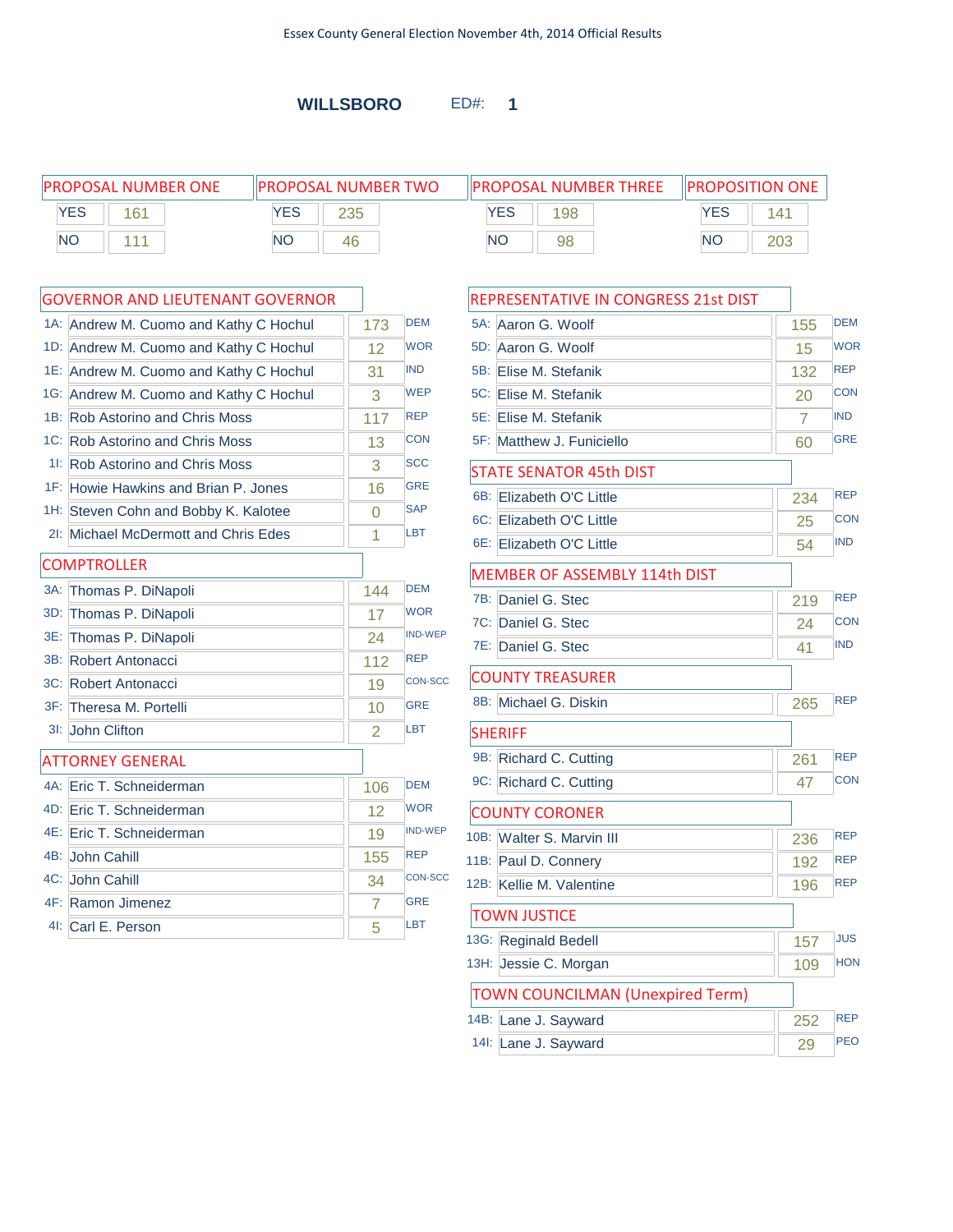**WILLSBORO** ED#: **1**

| <b>PROPOSAL NUMBER ONE</b> |              | <b>IPROPOSAL NUMBER TWO</b> | <b>PROPOSAL NUMBER THREE</b> | <b>IPROPOSITION ONE</b> |
|----------------------------|--------------|-----------------------------|------------------------------|-------------------------|
| <b>YES</b>                 | $1 \times 1$ | YES<br>つつに                  | YES<br>198                   | YES<br>141              |
| <b>NO</b>                  |              | <b>NC</b><br>46             | <b>NO</b><br>98              | 203<br><b>NO</b>        |

|        | <b>GOVERNOR AND LIEUTENANT GOVERNOR</b> |                |                |
|--------|-----------------------------------------|----------------|----------------|
|        | 1A: Andrew M. Cuomo and Kathy C Hochul  | 173            | <b>DEM</b>     |
|        | 1D: Andrew M. Cuomo and Kathy C Hochul  | 12             | <b>WOR</b>     |
|        | 1E: Andrew M. Cuomo and Kathy C Hochul  | 31             | <b>IND</b>     |
|        | 1G: Andrew M. Cuomo and Kathy C Hochul  | 3              | <b>WEP</b>     |
|        | 1B: Rob Astorino and Chris Moss         | 117            | <b>REP</b>     |
|        | 1C: Rob Astorino and Chris Moss         | 13             | <b>CON</b>     |
|        | 11: Rob Astorino and Chris Moss         | 3              | <b>SCC</b>     |
|        | 1F: Howie Hawkins and Brian P. Jones    | 16             | <b>GRE</b>     |
|        | 1H: Steven Cohn and Bobby K. Kalotee    | 0              | <b>SAP</b>     |
|        | 21: Michael McDermott and Chris Edes    | 1              | <b>LBT</b>     |
|        | <b>COMPTROLLER</b>                      |                |                |
| $3A$ : | Thomas P. DiNapoli                      | 144            | <b>DEM</b>     |
| 3D:    | Thomas P. DiNapoli                      | 17             | <b>WOR</b>     |
| 3E:    | Thomas P. DiNapoli                      | 24             | <b>IND-WEP</b> |
| 3B:    | Robert Antonacci                        | 112            | <b>REP</b>     |
|        | 3C: Robert Antonacci                    | 19             | <b>CON-SCC</b> |
|        | 3F: Theresa M. Portelli                 | 10             | <b>GRE</b>     |
| $31$ : | John Clifton                            | 2              | <b>LBT</b>     |
|        | <b>ATTORNEY GENERAL</b>                 |                |                |
|        | 4A: Eric T. Schneiderman                | 106            | <b>DEM</b>     |
|        | 4D: Eric T. Schneiderman                | 12             | <b>WOR</b>     |
|        | 4E: Eric T. Schneiderman                | 19             | <b>IND-WEP</b> |
|        | 4B: John Cahill                         | 155            | <b>REP</b>     |
|        | 4C: John Cahill                         | 34             | <b>CON-SCC</b> |
|        | 4F: Ramon Jimenez                       | $\overline{7}$ | <b>GRE</b>     |
|        | 41: Carl E. Person                      | 5              | LBT            |
|        |                                         |                |                |

| REPRESENTATIVE IN CONGRESS 21st DIST    |                |            |
|-----------------------------------------|----------------|------------|
| 5A: Aaron G. Woolf                      | 155            | <b>DEM</b> |
| 5D: Aaron G. Woolf                      | 15             | <b>WOR</b> |
| 5B: Elise M. Stefanik                   | 132            | <b>REP</b> |
| 5C: Elise M. Stefanik                   | 20             | <b>CON</b> |
| 5E: Elise M. Stefanik                   | $\overline{7}$ | <b>IND</b> |
| 5F: Matthew J. Funiciello               | 60             | <b>GRE</b> |
| <b>STATE SENATOR 45th DIST</b>          |                |            |
| 6B: Elizabeth O'C Little                | 234            | <b>REP</b> |
| 6C: Elizabeth O'C Little                | 25             | <b>CON</b> |
| 6E: Elizabeth O'C Little                | 54             | <b>IND</b> |
| MEMBER OF ASSEMBLY 114th DIST           |                |            |
| 7B: Daniel G. Stec                      | 219            | <b>REP</b> |
| 7C: Daniel G. Stec                      | 24             | <b>CON</b> |
| 7E: Daniel G. Stec                      | 41             | <b>IND</b> |
| <b>COUNTY TREASURER</b>                 |                |            |
| 8B: Michael G. Diskin                   | 265            | <b>REP</b> |
| <b>SHERIFF</b>                          |                |            |
| 9B: Richard C. Cutting                  | 261            | <b>REP</b> |
| 9C: Richard C. Cutting                  | 47             | <b>CON</b> |
| <b>COUNTY CORONER</b>                   |                |            |
| 10B: Walter S. Marvin III               | 236            | <b>REP</b> |
| 11B: Paul D. Connery                    | 192            | <b>REP</b> |
| 12B: Kellie M. Valentine                | 196            | <b>REP</b> |
| <b>TOWN JUSTICE</b>                     |                |            |
| 13G: Reginald Bedell                    | 157            | <b>JUS</b> |
| 13H: Jessie C. Morgan                   | 109            | <b>HON</b> |
| <b>TOWN COUNCILMAN (Unexpired Term)</b> |                |            |
| 14B: Lane J. Sayward                    | 252            | <b>REP</b> |
| 14I: Lane J. Sayward                    | 29             | <b>PEO</b> |
|                                         |                |            |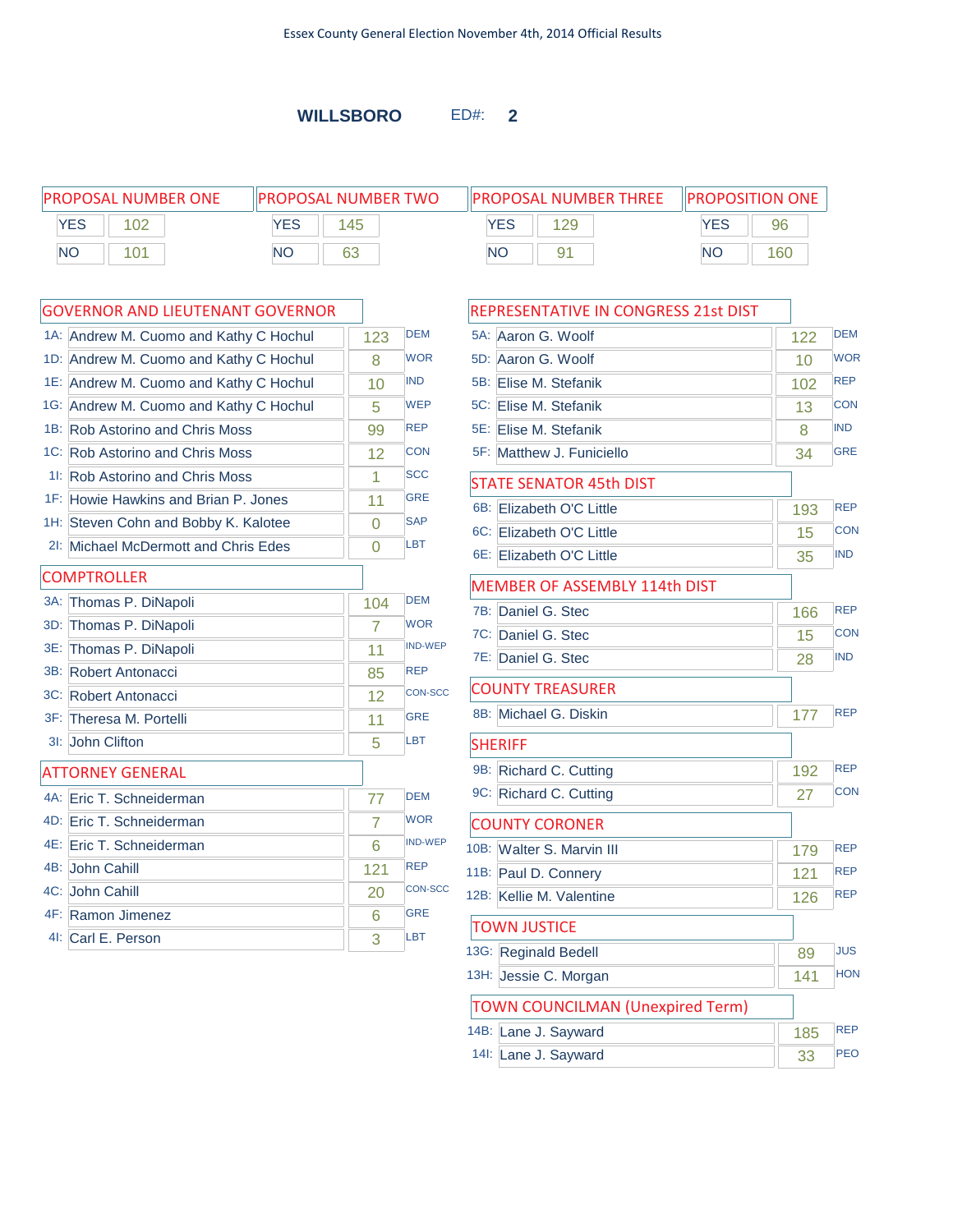**WILLSBORO** ED#: **2**

PROPOSAL NUMBER ONE PROPOSAL NUMBER TWO PROPOSAL NUMBER THREE YES 102 NO 101 **YES** 145 NO 63 **YES** 129 NO 91 PROPOSITION ONE YES 96 NO 160

 $\Gamma$ 

|     | 1A: Andrew M. Cuomo and Kathy C Hochul | 123 | <b>DEM</b>     |   |
|-----|----------------------------------------|-----|----------------|---|
|     | 1D: Andrew M. Cuomo and Kathy C Hochul | 8   | <b>WOR</b>     |   |
|     | 1E: Andrew M. Cuomo and Kathy C Hochul | 10  | <b>IND</b>     |   |
|     | 1G: Andrew M. Cuomo and Kathy C Hochul | 5   | <b>WEP</b>     |   |
|     | 1B: Rob Astorino and Chris Moss        | 99  | <b>REP</b>     |   |
|     | 1C: Rob Astorino and Chris Moss        | 12  | <b>CON</b>     |   |
|     | 11: Rob Astorino and Chris Moss        | 1   | <b>SCC</b>     |   |
|     | 1F: Howie Hawkins and Brian P. Jones   | 11  | <b>GRE</b>     |   |
|     | 1H: Steven Cohn and Bobby K. Kalotee   | 0   | <b>SAP</b>     |   |
|     | 21: Michael McDermott and Chris Edes   | 0   | LBT            |   |
|     | <b>COMPTROLLER</b>                     |     |                |   |
|     | 3A: Thomas P. DiNapoli                 | 104 | <b>DEM</b>     |   |
| 3D: | Thomas P. DiNapoli                     | 7   | <b>WOR</b>     |   |
| 3E: | Thomas P. DiNapoli                     | 11  | <b>IND-WEP</b> |   |
|     | 3B: Robert Antonacci                   | 85  | <b>REP</b>     |   |
|     | 3C: Robert Antonacci                   | 12  | <b>CON-SCC</b> |   |
|     | 3F: Theresa M. Portelli                | 11  | <b>GRE</b>     |   |
|     | 3I: John Clifton                       | 5   | LBT            |   |
|     | <b>ATTORNEY GENERAL</b>                |     |                |   |
|     | 4A: Eric T. Schneiderman               | 77  | <b>DEM</b>     |   |
|     | 4D: Eric T. Schneiderman               | 7   | <b>WOR</b>     |   |
|     | 4E: Eric T. Schneiderman               | 6   | <b>IND-WEP</b> |   |
|     | 4B: John Cahill                        | 121 | <b>REP</b>     | 1 |
|     | 4C: John Cahill                        | 20  | <b>CON-SCC</b> | 1 |
|     | 4F: Ramon Jimenez                      | 6   | <b>GRE</b>     |   |
|     | 4I: Carl E. Person                     | 3   | LBT            |   |

| REPRESENTATIVE IN CONGRESS 21st DIST    |     |            |
|-----------------------------------------|-----|------------|
| 5A: Aaron G. Woolf                      | 122 | <b>DEM</b> |
| 5D: Aaron G. Woolf                      | 10  | <b>WOR</b> |
| 5B: Elise M. Stefanik                   | 102 | <b>REP</b> |
| 5C: Elise M. Stefanik                   | 13  | <b>CON</b> |
| 5E: Elise M. Stefanik                   | 8   | <b>IND</b> |
| 5F: Matthew J. Funiciello               | 34  | <b>GRE</b> |
| <b>STATE SENATOR 45th DIST</b>          |     |            |
| 6B: Elizabeth O'C Little                | 193 | <b>REP</b> |
| 6C: Elizabeth O'C Little                | 15  | CON        |
| 6E: Elizabeth O'C Little                | 35  | <b>IND</b> |
| MEMBER OF ASSEMBLY 114th DIST           |     |            |
| 7B: Daniel G. Stec                      | 166 | <b>REP</b> |
| 7C: Daniel G. Stec                      | 15  | <b>CON</b> |
| 7E: Daniel G. Stec                      | 28  | <b>IND</b> |
| <b>COUNTY TREASURER</b>                 |     |            |
| 8B: Michael G. Diskin                   | 177 | <b>REP</b> |
| <b>SHERIFF</b>                          |     |            |
| 9B: Richard C. Cutting                  | 192 | <b>REP</b> |
| 9C: Richard C. Cutting                  | 27  | <b>CON</b> |
| <b>COUNTY CORONER</b>                   |     |            |
| 10B: Walter S. Marvin III               | 179 | <b>REP</b> |
| 11B: Paul D. Connery                    | 121 | <b>REP</b> |
| 12B: Kellie M. Valentine                | 126 | <b>REP</b> |
| <b>TOWN JUSTICE</b>                     |     |            |
| 13G: Reginald Bedell                    | 89  | <b>JUS</b> |
| 13H: Jessie C. Morgan                   | 141 | <b>HON</b> |
| <b>TOWN COUNCILMAN (Unexpired Term)</b> |     |            |
| 14B: Lane J. Sayward                    | 185 | <b>REP</b> |
| 14I: Lane J. Sayward                    | 33  | <b>PEO</b> |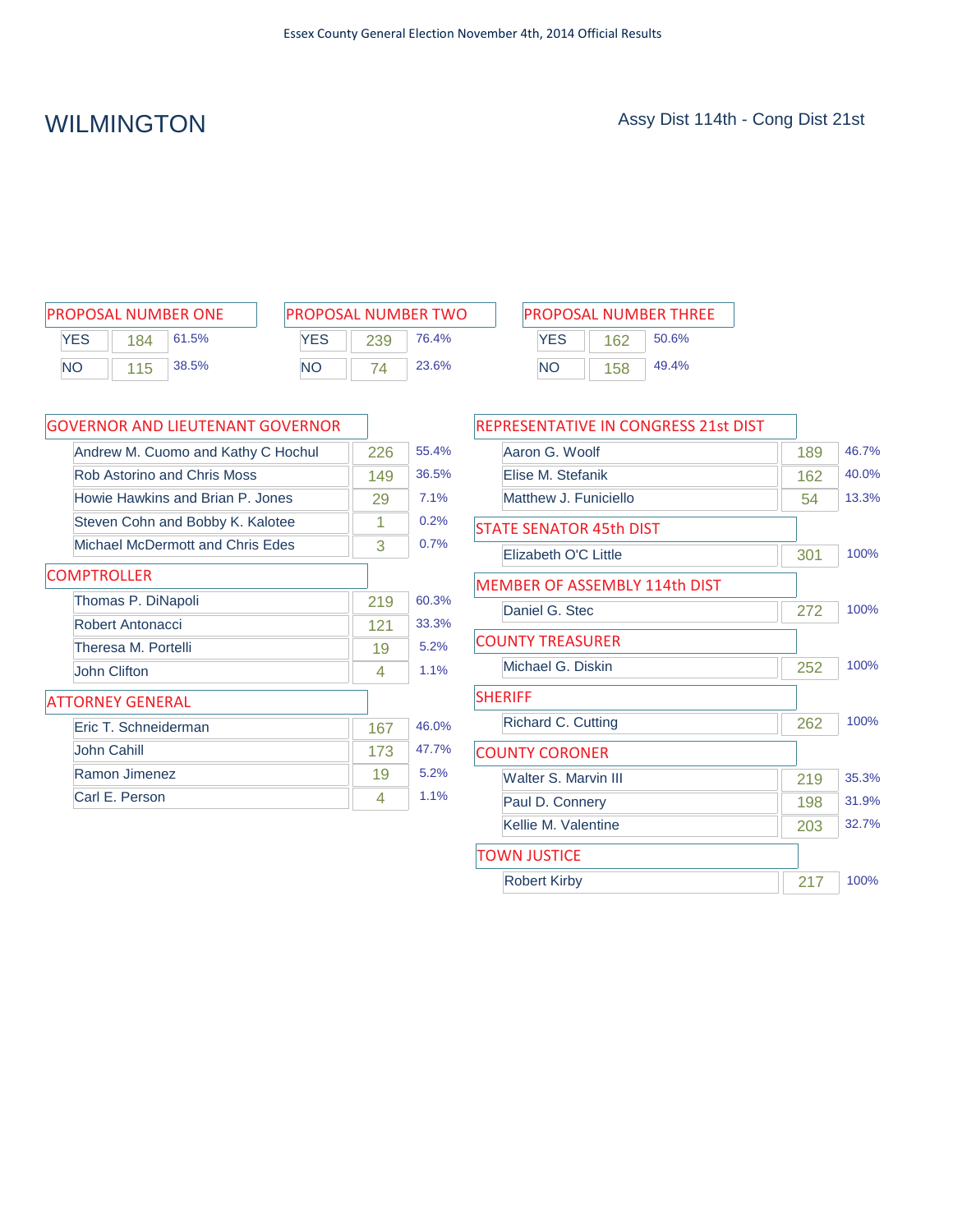| <b>PROPOSAL NUMBER ONE</b> |     |       |  |  |  |  |  |
|----------------------------|-----|-------|--|--|--|--|--|
| <b>YFS</b>                 | 184 | 61.5% |  |  |  |  |  |
| <b>NO</b>                  | 115 | 38.5% |  |  |  |  |  |

| <b>PROPOSAL NUMBER TWO</b> |     |       |  |  |  |
|----------------------------|-----|-------|--|--|--|
| <b>YFS</b>                 | 239 | 76.4% |  |  |  |
| <b>NO</b>                  | 74  | 23.6% |  |  |  |

| PROPOSAL NUMBER ONE |     |       | <b>PROPOSAL NUMBER TWO</b> |     |       |     |     | <b>PROPOSAL NUMBER THREE</b> |
|---------------------|-----|-------|----------------------------|-----|-------|-----|-----|------------------------------|
| <b>YES</b>          | 184 | 61.5% | <b>YES</b>                 | 239 | 76.4% | YES | 162 | 50.6%                        |
| NΟ                  | 115 | 38.5% | <b>NO</b>                  |     | 23.6% | NΟ  | 158 | 49.4%                        |

| <b>GOVERNOR AND LIEUTENANT GOVERNOR</b> |     |       |
|-----------------------------------------|-----|-------|
| Andrew M. Cuomo and Kathy C Hochul      | 226 | 55.4% |
| Rob Astorino and Chris Moss             | 149 | 36.5% |
| Howie Hawkins and Brian P. Jones        | 29  | 7.1%  |
| Steven Cohn and Bobby K. Kalotee        | 1   | 0.2%  |
| Michael McDermott and Chris Edes        | 3   | 0.7%  |
| <b>COMPTROLLER</b>                      |     |       |
| Thomas P. DiNapoli                      | 219 | 60.3% |
| Robert Antonacci                        | 121 | 33.3% |
| Theresa M. Portelli                     | 19  | 5.2%  |
| John Clifton                            | 4   | 1.1%  |
| <b>ATTORNEY GENERAL</b>                 |     |       |
| Eric T. Schneiderman                    | 167 | 46.0% |
| John Cahill                             | 173 | 47.7% |
| Ramon Jimenez                           | 19  | 5.2%  |
| Carl E. Person                          | 4   | 1.1%  |

| REPRESENTATIVE IN CONGRESS 21st DIST |     |       |
|--------------------------------------|-----|-------|
| Aaron G. Woolf                       | 189 | 46.7% |
| Elise M. Stefanik                    | 162 | 40.0% |
| Matthew J. Funiciello                | 54  | 13.3% |
| <b>STATE SENATOR 45th DIST</b>       |     |       |
| Elizabeth O'C Little                 | 301 | 100%  |
| <b>MEMBER OF ASSEMBLY 114th DIST</b> |     |       |
| Daniel G. Stec                       | 272 | 100%  |
| <b>COUNTY TREASURER</b>              |     |       |
| Michael G. Diskin                    | 252 | 100%  |
| <b>SHERIFF</b>                       |     |       |
| Richard C. Cutting                   | 262 | 100%  |
| <b>COUNTY CORONER</b>                |     |       |
| Walter S. Marvin III                 | 219 | 35.3% |
| Paul D. Connery                      | 198 | 31.9% |
| Kellie M. Valentine                  | 203 | 32.7% |
| <b>TOWN JUSTICE</b>                  |     |       |
| <b>Robert Kirby</b>                  | 217 | 100%  |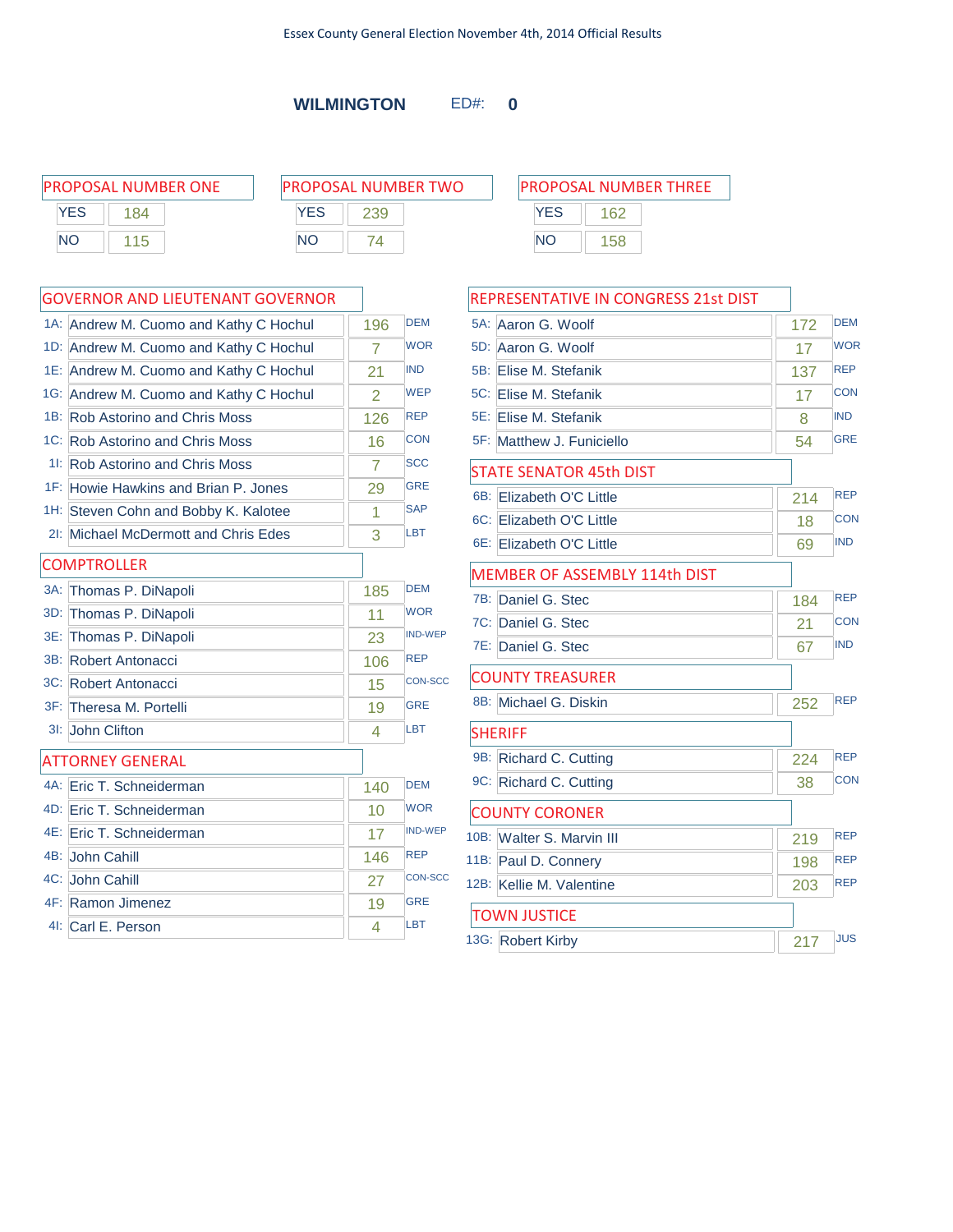**WILMINGTON** ED#: **0**

|           | PROPOSAL NUMBER ONE |            | <b>PROPOSAL NUMBER TWO</b> |           | <b>PROPOSAL NUMBER THREE</b> |  |
|-----------|---------------------|------------|----------------------------|-----------|------------------------------|--|
| YES       | 184                 | <b>YES</b> | 239                        | YES       | 162                          |  |
| <b>NO</b> | 15                  | NΟ         |                            | <b>NO</b> | 158                          |  |
|           |                     |            |                            |           |                              |  |

|        | 1A: Andrew M. Cuomo and Kathy C Hochul | 196            | <b>DEM</b>     |
|--------|----------------------------------------|----------------|----------------|
|        | 1D: Andrew M. Cuomo and Kathy C Hochul | $\overline{7}$ | <b>WOR</b>     |
|        | 1E: Andrew M. Cuomo and Kathy C Hochul | 21             | <b>IND</b>     |
|        | 1G: Andrew M. Cuomo and Kathy C Hochul | 2              | <b>WEP</b>     |
| 1B:    | <b>Rob Astorino and Chris Moss</b>     | 126            | <b>REP</b>     |
|        | 1C: Rob Astorino and Chris Moss        | 16             | <b>CON</b>     |
|        | 11: Rob Astorino and Chris Moss        | 7              | <b>SCC</b>     |
|        | 1F: Howie Hawkins and Brian P. Jones   | 29             | <b>GRE</b>     |
|        | 1H: Steven Cohn and Bobby K. Kalotee   | 1              | <b>SAP</b>     |
|        | 21: Michael McDermott and Chris Edes   | 3              | LBT            |
|        | <b>COMPTROLLER</b>                     |                |                |
| $3A$ : | Thomas P. DiNapoli                     | 185            | <b>DEM</b>     |
| 3D:    | Thomas P. DiNapoli                     | 11             | <b>WOR</b>     |
| 3E:    | Thomas P. DiNapoli                     | 23             | <b>IND-WEP</b> |
|        | 3B: Robert Antonacci                   | 106            | <b>REP</b>     |
|        | 3C: Robert Antonacci                   | 15             | <b>CON-SCC</b> |
|        | 3F: Theresa M. Portelli                | 19             | <b>GRE</b>     |
|        | 3I: John Clifton                       | 4              | LBT            |
|        | <b>ATTORNEY GENERAL</b>                |                |                |
|        | 4A: Eric T. Schneiderman               | 140            | <b>DEM</b>     |
|        | 4D: Eric T. Schneiderman               | 10             | <b>WOR</b>     |
| 4E:    | Eric T. Schneiderman                   | 17             | <b>IND-WEP</b> |
|        | 4B: John Cahill                        | 146            | <b>REP</b>     |
|        | 4C: John Cahill                        | 27             | <b>CON-SCC</b> |
|        | 4F: Ramon Jimenez                      | 19             | <b>GRE</b>     |
|        | 41: Carl E. Person                     | 4              | <b>LBT</b>     |

| REPRESENTATIVE IN CONGRESS 21st DIST |     |            |
|--------------------------------------|-----|------------|
| 5A: Aaron G. Woolf                   | 172 | <b>DEM</b> |
| 5D: Aaron G. Woolf                   | 17  | <b>WOR</b> |
| 5B:<br>Elise M. Stefanik             | 137 | <b>REP</b> |
| 5C:<br>Elise M. Stefanik             | 17  | <b>CON</b> |
| Elise M. Stefanik<br>5E:             | 8   | <b>IND</b> |
| 5F:<br>Matthew J. Funiciello         | 54  | <b>GRE</b> |
| <b>STATE SENATOR 45th DIST</b>       |     |            |
| 6B:<br>Elizabeth O'C Little          | 214 | <b>REP</b> |
| 6C: Elizabeth O'C Little             | 18  | <b>CON</b> |
| 6E: Elizabeth O'C Little             | 69  | <b>IND</b> |
| <b>MEMBER OF ASSEMBLY 114th DIST</b> |     |            |
| 7B: Daniel G. Stec                   | 184 | <b>REP</b> |
| 7C: Daniel G. Stec                   | 21  | <b>CON</b> |
| 7E: Daniel G. Stec                   | 67  | <b>IND</b> |
| <b>COUNTY TREASURER</b>              |     |            |
| 8B: Michael G. Diskin                | 252 | <b>REP</b> |
| <b>SHERIFF</b>                       |     |            |
| 9B: Richard C. Cutting               | 224 | <b>REP</b> |
| 9C: Richard C. Cutting               | 38  | <b>CON</b> |
| <b>COUNTY CORONER</b>                |     |            |
| 10B: Walter S. Marvin III            | 219 | <b>REP</b> |
| 11B: Paul D. Connery                 | 198 | <b>REP</b> |
| 12B: Kellie M. Valentine             | 203 | <b>REP</b> |
| <b>TOWN JUSTICE</b>                  |     |            |
| 13G: Robert Kirby                    | 217 | <b>JUS</b> |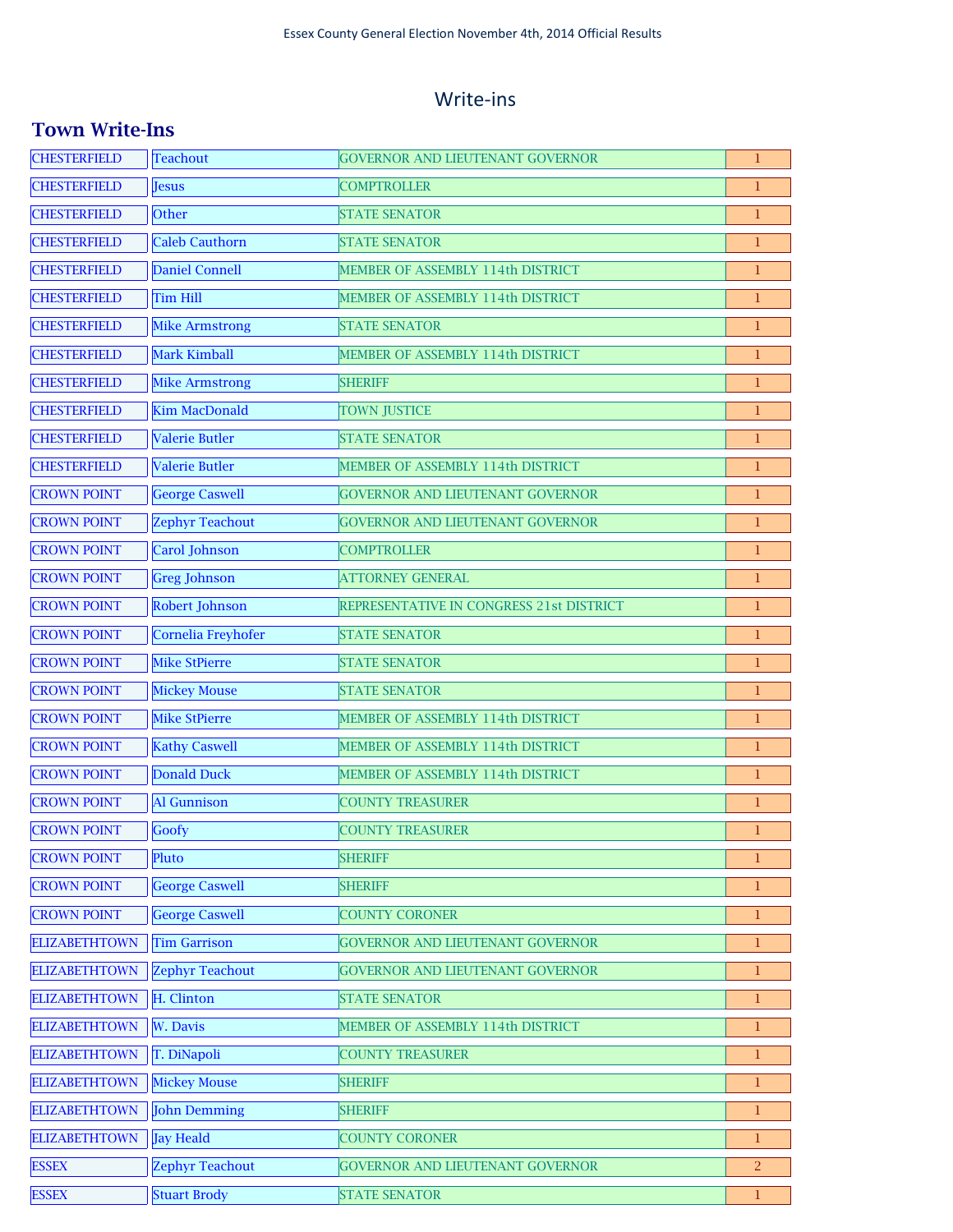### Write-ins

### **Town Write-Ins**

| <b>CHESTERFIELD</b>  | <b>Teachout</b>        | <b>GOVERNOR AND LIEUTENANT GOVERNOR</b>  | 1              |
|----------------------|------------------------|------------------------------------------|----------------|
| <b>CHESTERFIELD</b>  | Jesus                  | <b>COMPTROLLER</b>                       | 1              |
| <b>CHESTERFIELD</b>  | Other                  | <b>STATE SENATOR</b>                     | 1              |
| <b>CHESTERFIELD</b>  | <b>Caleb Cauthorn</b>  | <b>STATE SENATOR</b>                     | $\mathbf{1}$   |
| <b>CHESTERFIELD</b>  | Daniel Connell         | MEMBER OF ASSEMBLY 114th DISTRICT        | 1              |
| <b>CHESTERFIELD</b>  | <b>Tim Hill</b>        | MEMBER OF ASSEMBLY 114th DISTRICT        | 1              |
| <b>CHESTERFIELD</b>  | <b>Mike Armstrong</b>  | <b>STATE SENATOR</b>                     | $\mathbf{1}$   |
| <b>CHESTERFIELD</b>  | Mark Kimball           | MEMBER OF ASSEMBLY 114th DISTRICT        | $\mathbf{1}$   |
| <b>CHESTERFIELD</b>  | <b>Mike Armstrong</b>  | <b>SHERIFF</b>                           | 1              |
| <b>CHESTERFIELD</b>  | <b>Kim MacDonald</b>   | <b>TOWN JUSTICE</b>                      | 1              |
| <b>CHESTERFIELD</b>  | <b>Valerie Butler</b>  | <b>STATE SENATOR</b>                     | 1              |
| <b>CHESTERFIELD</b>  | <b>Valerie Butler</b>  | MEMBER OF ASSEMBLY 114th DISTRICT        | 1              |
| <b>CROWN POINT</b>   | <b>George Caswell</b>  | <b>GOVERNOR AND LIEUTENANT GOVERNOR</b>  | 1              |
| <b>CROWN POINT</b>   | <b>Zephyr Teachout</b> | GOVERNOR AND LIEUTENANT GOVERNOR         | 1              |
| <b>CROWN POINT</b>   | Carol Johnson          | <b>COMPTROLLER</b>                       | 1              |
| <b>CROWN POINT</b>   | <b>Greg Johnson</b>    | <b>ATTORNEY GENERAL</b>                  | 1              |
| <b>CROWN POINT</b>   | Robert Johnson         | REPRESENTATIVE IN CONGRESS 21st DISTRICT | 1              |
| <b>CROWN POINT</b>   | Cornelia Freyhofer     | <b>STATE SENATOR</b>                     | $\mathbf{1}$   |
| <b>CROWN POINT</b>   | <b>Mike StPierre</b>   | <b>STATE SENATOR</b>                     | 1              |
| <b>CROWN POINT</b>   | <b>Mickey Mouse</b>    | <b>STATE SENATOR</b>                     | $\mathbf{1}$   |
| <b>CROWN POINT</b>   | <b>Mike StPierre</b>   | MEMBER OF ASSEMBLY 114th DISTRICT        | $\mathbf{1}$   |
| <b>CROWN POINT</b>   | <b>Kathy Caswell</b>   | MEMBER OF ASSEMBLY 114th DISTRICT        | $\mathbf{1}$   |
| <b>CROWN POINT</b>   | <b>Donald Duck</b>     | MEMBER OF ASSEMBLY 114th DISTRICT        | $\mathbf{1}$   |
| <b>CROWN POINT</b>   | Al Gunnison            | <b>COUNTY TREASURER</b>                  | 1              |
| <b>CROWN POINT</b>   | Goofy                  | <b>COUNTY TREASURER</b>                  | $\mathbf 1$    |
| <b>CROWN POINT</b>   | Pluto                  | <b>SHERIFF</b>                           | 1              |
| <b>CROWN POINT</b>   | <b>George Caswell</b>  | <b>SHERIFF</b>                           | 1              |
| <b>CROWN POINT</b>   | <b>George Caswell</b>  | <b>COUNTY CORONER</b>                    | 1              |
| <b>ELIZABETHTOWN</b> | <b>Tim Garrison</b>    | GOVERNOR AND LIEUTENANT GOVERNOR         | $\mathbf 1$    |
| <b>ELIZABETHTOWN</b> | <b>Zephyr Teachout</b> | GOVERNOR AND LIEUTENANT GOVERNOR         | $\mathbf{1}$   |
| <b>ELIZABETHTOWN</b> | H. Clinton             | <b>STATE SENATOR</b>                     | 1              |
| <b>ELIZABETHTOWN</b> | W. Davis               | MEMBER OF ASSEMBLY 114th DISTRICT        | $\mathbf{1}$   |
| <b>ELIZABETHTOWN</b> | T. DiNapoli            | <b>COUNTY TREASURER</b>                  | 1              |
| <b>ELIZABETHTOWN</b> | <b>Mickey Mouse</b>    | <b>SHERIFF</b>                           | 1              |
| <b>ELIZABETHTOWN</b> | <b>John Demming</b>    | <b>SHERIFF</b>                           | 1              |
| <b>ELIZABETHTOWN</b> | <b>Jay Heald</b>       | <b>COUNTY CORONER</b>                    | 1              |
| <b>ESSEX</b>         | <b>Zephyr Teachout</b> | GOVERNOR AND LIEUTENANT GOVERNOR         | $\overline{2}$ |
| <b>ESSEX</b>         | <b>Stuart Brody</b>    | <b>STATE SENATOR</b>                     | $\mathbf{1}$   |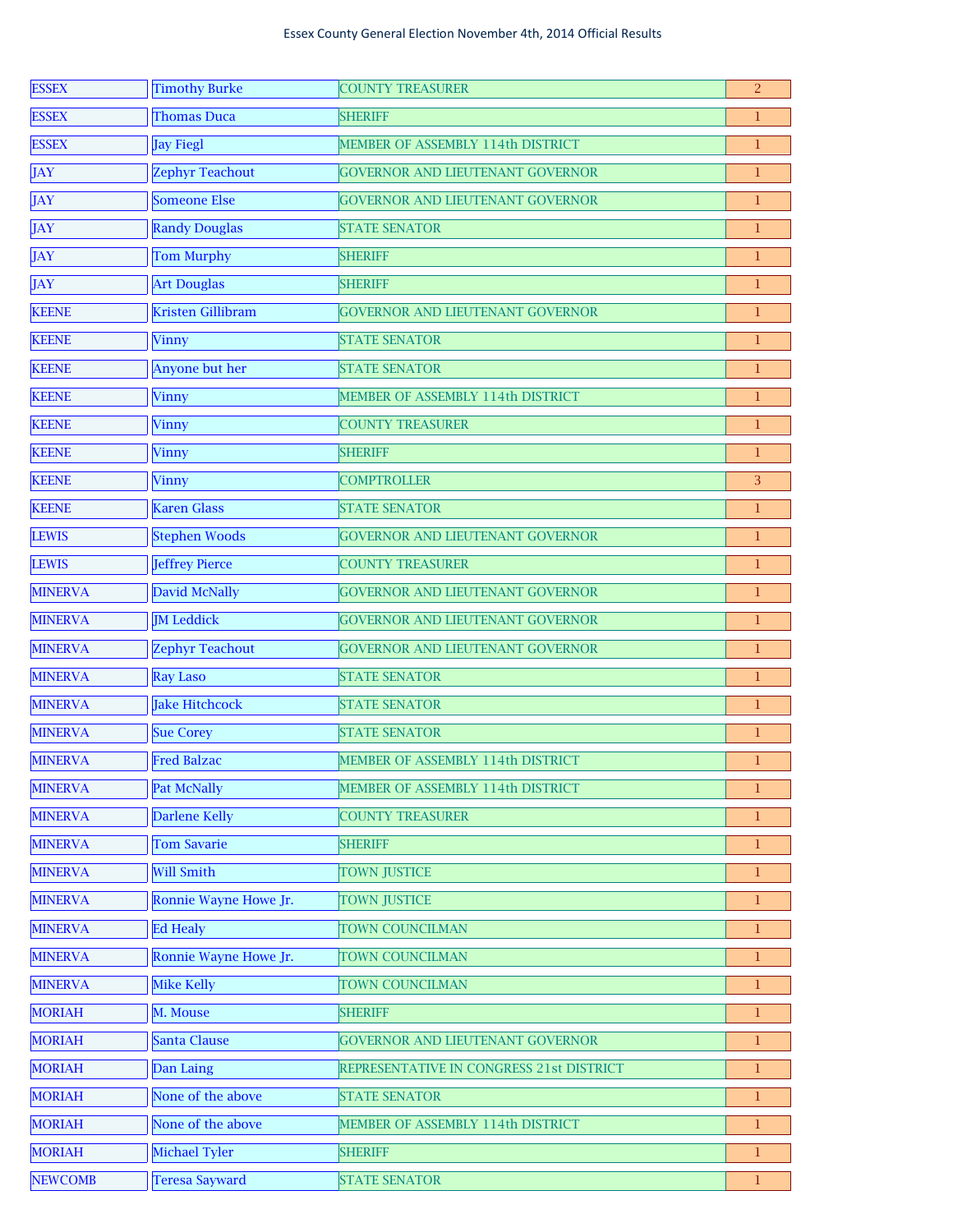| <b>ESSEX</b>   | <b>Timothy Burke</b>   | <b>COUNTY TREASURER</b>                  | $\overline{2}$ |
|----------------|------------------------|------------------------------------------|----------------|
| <b>ESSEX</b>   | <b>Thomas Duca</b>     | <b>SHERIFF</b>                           | 1              |
| <b>ESSEX</b>   | <b>Jay Fiegl</b>       | MEMBER OF ASSEMBLY 114th DISTRICT        | $\mathbf 1$    |
| <b>JAY</b>     | <b>Zephyr Teachout</b> | <b>GOVERNOR AND LIEUTENANT GOVERNOR</b>  | $\mathbf{1}$   |
| <b>JAY</b>     | <b>Someone Else</b>    | GOVERNOR AND LIEUTENANT GOVERNOR         | $\bf{1}$       |
| <b>JAY</b>     | <b>Randy Douglas</b>   | <b>STATE SENATOR</b>                     | $\mathbf{1}$   |
| JAY            | <b>Tom Murphy</b>      | <b>SHERIFF</b>                           | $\mathbf{1}$   |
| JAY            | <b>Art Douglas</b>     | <b>SHERIFF</b>                           | $\mathbf{1}$   |
| <b>KEENE</b>   | Kristen Gillibram      | GOVERNOR AND LIEUTENANT GOVERNOR         | $\mathbf{1}$   |
| <b>KEENE</b>   | Vinny                  | <b>STATE SENATOR</b>                     | $\mathbf{1}$   |
| <b>KEENE</b>   | Anyone but her         | <b>STATE SENATOR</b>                     | $\mathbf{1}$   |
| <b>KEENE</b>   | Vinny                  | MEMBER OF ASSEMBLY 114th DISTRICT        | $\mathbf{1}$   |
| <b>KEENE</b>   | <b>Vinny</b>           | <b>COUNTY TREASURER</b>                  | $\mathbf{1}$   |
| <b>KEENE</b>   | Vinny                  | <b>SHERIFF</b>                           | $\mathbf{1}$   |
| <b>KEENE</b>   | <b>Vinny</b>           | <b>COMPTROLLER</b>                       | 3              |
| <b>KEENE</b>   | <b>Karen Glass</b>     | <b>STATE SENATOR</b>                     | $\mathbf{1}$   |
| <b>LEWIS</b>   | <b>Stephen Woods</b>   | GOVERNOR AND LIEUTENANT GOVERNOR         | $\mathbf{1}$   |
| <b>LEWIS</b>   | Jeffrey Pierce         | <b>COUNTY TREASURER</b>                  | $\mathbf{1}$   |
| <b>MINERVA</b> | David McNally          | GOVERNOR AND LIEUTENANT GOVERNOR         | $\mathbf{1}$   |
| <b>MINERVA</b> | <b>JM</b> Leddick      | GOVERNOR AND LIEUTENANT GOVERNOR         | $\mathbf{1}$   |
| <b>MINERVA</b> | <b>Zephyr Teachout</b> | <b>GOVERNOR AND LIEUTENANT GOVERNOR</b>  | $\mathbf{1}$   |
| <b>MINERVA</b> | <b>Ray Laso</b>        | <b>STATE SENATOR</b>                     | $\mathbf{1}$   |
| <b>MINERVA</b> | <b>Jake Hitchcock</b>  | <b>STATE SENATOR</b>                     | $\mathbf{1}$   |
| <b>MINERVA</b> | <b>Sue Corey</b>       | <b>STATE SENATOR</b>                     | $\mathbf{1}$   |
| <b>MINERVA</b> | <b>Fred Balzac</b>     | MEMBER OF ASSEMBLY 114th DISTRICT        | $\mathbf 1$    |
| <b>MINERVA</b> | Pat McNally            | MEMBER OF ASSEMBLY 114th DISTRICT        | $\mathbf{1}$   |
| <b>MINERVA</b> | <b>Darlene Kelly</b>   | <b>COUNTY TREASURER</b>                  | $\mathbf{1}$   |
| <b>MINERVA</b> | <b>Tom Savarie</b>     | <b>SHERIFF</b>                           | $\mathbf{1}$   |
| <b>MINERVA</b> | <b>Will Smith</b>      | <b>TOWN JUSTICE</b>                      | $\mathbf{1}$   |
| <b>MINERVA</b> | Ronnie Wayne Howe Jr.  | <b>TOWN JUSTICE</b>                      | $\mathbf{1}$   |
| <b>MINERVA</b> | <b>Ed Healy</b>        | <b>TOWN COUNCILMAN</b>                   | $\mathbf{1}$   |
| <b>MINERVA</b> | Ronnie Wayne Howe Jr.  | TOWN COUNCILMAN                          | $\mathbf{1}$   |
| <b>MINERVA</b> | <b>Mike Kelly</b>      | TOWN COUNCILMAN                          | $\mathbf{1}$   |
| <b>MORIAH</b>  | M. Mouse               | <b>SHERIFF</b>                           | $\mathbf{1}$   |
| <b>MORIAH</b>  | Santa Clause           | <b>GOVERNOR AND LIEUTENANT GOVERNOR</b>  | $\mathbf{1}$   |
| <b>MORIAH</b>  | Dan Laing              | REPRESENTATIVE IN CONGRESS 21st DISTRICT | $\mathbf{1}$   |
| <b>MORIAH</b>  | None of the above      | <b>STATE SENATOR</b>                     | $\mathbf{1}$   |
| <b>MORIAH</b>  | None of the above      | MEMBER OF ASSEMBLY 114th DISTRICT        | $\mathbf{1}$   |
| <b>MORIAH</b>  | Michael Tyler          | <b>SHERIFF</b>                           | $\mathbf{1}$   |
| <b>NEWCOMB</b> | <b>Teresa Sayward</b>  | <b>STATE SENATOR</b>                     | $\mathbf 1$    |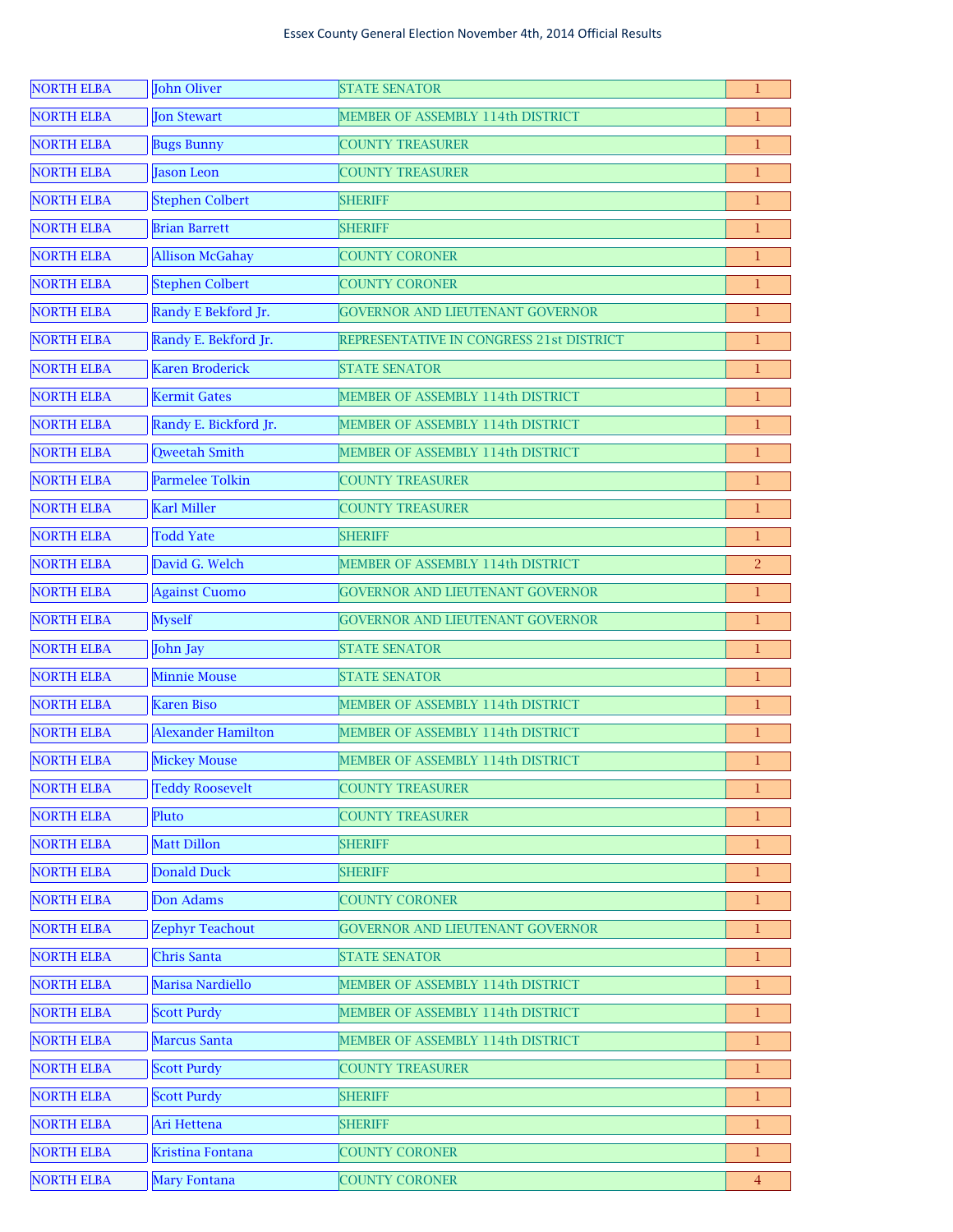| <b>NORTH ELBA</b> | John Oliver               | <b>STATE SENATOR</b>                     | $\mathbf{1}$ |
|-------------------|---------------------------|------------------------------------------|--------------|
| <b>NORTH ELBA</b> | Jon Stewart               | MEMBER OF ASSEMBLY 114th DISTRICT        | 1            |
| <b>NORTH ELBA</b> | <b>Bugs Bunny</b>         | <b>COUNTY TREASURER</b>                  | 1            |
| <b>NORTH ELBA</b> | <b>Jason Leon</b>         | <b>COUNTY TREASURER</b>                  | $\mathbf 1$  |
| <b>NORTH ELBA</b> | <b>Stephen Colbert</b>    | <b>SHERIFF</b>                           | $\mathbf 1$  |
| <b>NORTH ELBA</b> | <b>Brian Barrett</b>      | <b>SHERIFF</b>                           | $\mathbf 1$  |
| <b>NORTH ELBA</b> | <b>Allison McGahay</b>    | <b>COUNTY CORONER</b>                    | 1            |
| <b>NORTH ELBA</b> | <b>Stephen Colbert</b>    | <b>COUNTY CORONER</b>                    | 1            |
| <b>NORTH ELBA</b> | Randy E Bekford Jr.       | <b>GOVERNOR AND LIEUTENANT GOVERNOR</b>  | 1            |
| <b>NORTH ELBA</b> | Randy E. Bekford Jr.      | REPRESENTATIVE IN CONGRESS 21st DISTRICT | 1            |
| <b>NORTH ELBA</b> | Karen Broderick           | <b>STATE SENATOR</b>                     | 1            |
| <b>NORTH ELBA</b> | <b>Kermit Gates</b>       | MEMBER OF ASSEMBLY 114th DISTRICT        | 1            |
| <b>NORTH ELBA</b> | Randy E. Bickford Jr.     | MEMBER OF ASSEMBLY 114th DISTRICT        | 1            |
| <b>NORTH ELBA</b> | Qweetah Smith             | MEMBER OF ASSEMBLY 114th DISTRICT        | 1            |
| <b>NORTH ELBA</b> | <b>Parmelee Tolkin</b>    | <b>COUNTY TREASURER</b>                  | 1            |
| <b>NORTH ELBA</b> | <b>Karl Miller</b>        | <b>COUNTY TREASURER</b>                  | 1            |
| <b>NORTH ELBA</b> | <b>Todd Yate</b>          | <b>SHERIFF</b>                           | 1            |
| <b>NORTH ELBA</b> | David G. Welch            | MEMBER OF ASSEMBLY 114th DISTRICT        | 2            |
| <b>NORTH ELBA</b> | <b>Against Cuomo</b>      | <b>GOVERNOR AND LIEUTENANT GOVERNOR</b>  | 1            |
| <b>NORTH ELBA</b> | <b>Myself</b>             | <b>GOVERNOR AND LIEUTENANT GOVERNOR</b>  | 1            |
| <b>NORTH ELBA</b> | John Jay                  | <b>STATE SENATOR</b>                     | 1            |
| <b>NORTH ELBA</b> | <b>Minnie Mouse</b>       | <b>STATE SENATOR</b>                     | 1            |
| <b>NORTH ELBA</b> | <b>Karen Biso</b>         | MEMBER OF ASSEMBLY 114th DISTRICT        | $\mathbf{1}$ |
| <b>NORTH ELBA</b> | <b>Alexander Hamilton</b> | MEMBER OF ASSEMBLY 114th DISTRICT        | $\mathbf 1$  |
| <b>NORTH ELBA</b> | <b>Mickey Mouse</b>       | MEMBER OF ASSEMBLY 114th DISTRICT        | 1            |
| <b>NORTH ELBA</b> | <b>Teddy Roosevelt</b>    | <b>COUNTY TREASURER</b>                  | 1            |
| <b>NORTH ELBA</b> | Pluto                     | <b>COUNTY TREASURER</b>                  | 1.           |
| <b>NORTH ELBA</b> | Matt Dillon               | <b>SHERIFF</b>                           | 1            |
| <b>NORTH ELBA</b> | Donald Duck               | <b>SHERIFF</b>                           | 1.           |
| <b>NORTH ELBA</b> | Don Adams                 | <b>COUNTY CORONER</b>                    | 1            |
| <b>NORTH ELBA</b> | <b>Zephyr Teachout</b>    | <b>GOVERNOR AND LIEUTENANT GOVERNOR</b>  | 1.           |
| <b>NORTH ELBA</b> | Chris Santa               | <b>STATE SENATOR</b>                     | 1            |
| <b>NORTH ELBA</b> | Marisa Nardiello          | MEMBER OF ASSEMBLY 114th DISTRICT        | 1.           |
| <b>NORTH ELBA</b> | <b>Scott Purdy</b>        | MEMBER OF ASSEMBLY 114th DISTRICT        | 1            |
| <b>NORTH ELBA</b> | Marcus Santa              | MEMBER OF ASSEMBLY 114th DISTRICT        | 1.           |
| <b>NORTH ELBA</b> | <b>Scott Purdy</b>        | <b>COUNTY TREASURER</b>                  | 1            |
| <b>NORTH ELBA</b> | <b>Scott Purdy</b>        | <b>SHERIFF</b>                           | 1.           |
| <b>NORTH ELBA</b> | Ari Hettena               | <b>SHERIFF</b>                           | 1            |
| <b>NORTH ELBA</b> | Kristina Fontana          | <b>COUNTY CORONER</b>                    | 1.           |
| <b>NORTH ELBA</b> | Mary Fontana              | <b>COUNTY CORONER</b>                    | 4            |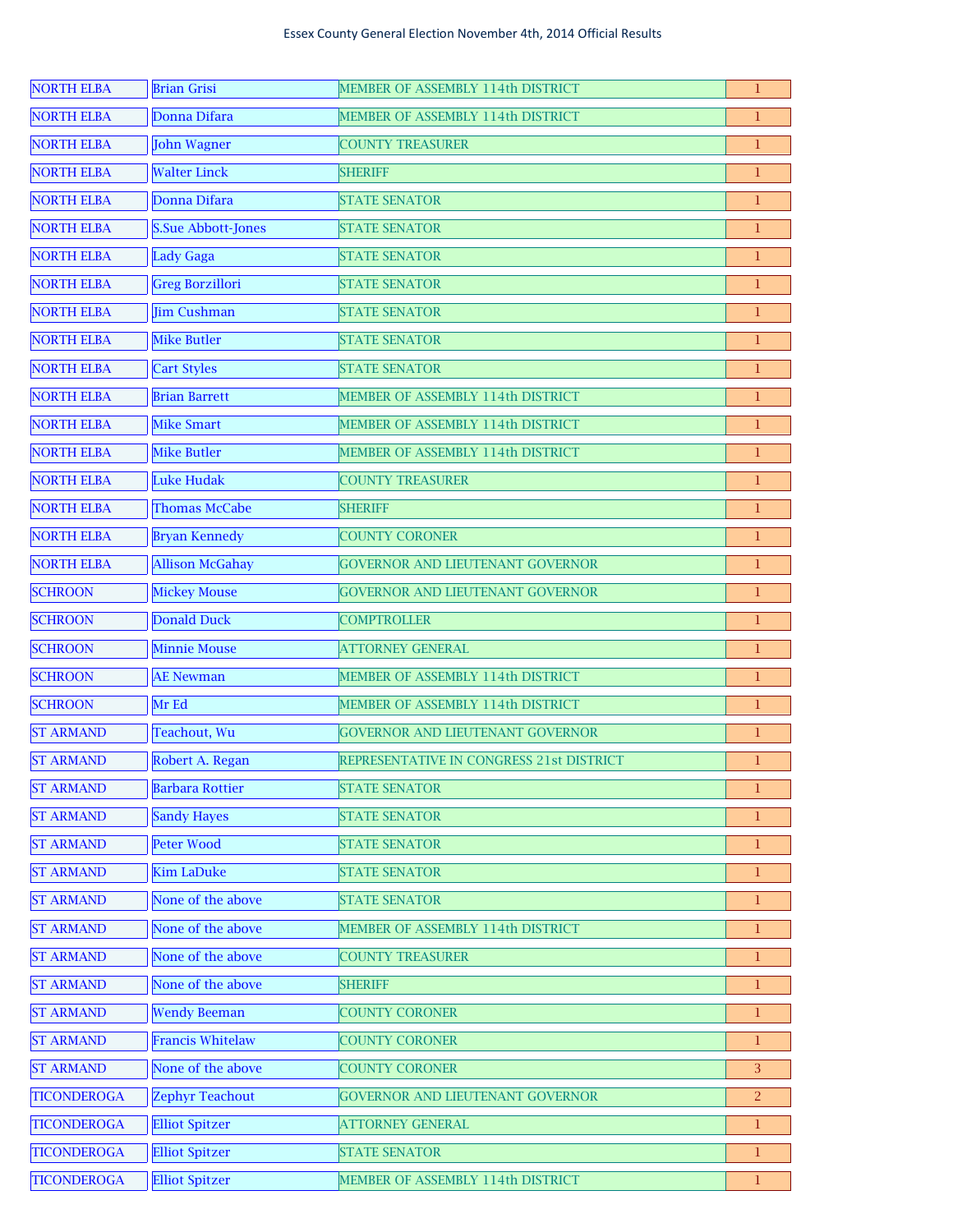| <b>NORTH ELBA</b>  | <b>Brian Grisi</b>        | MEMBER OF ASSEMBLY 114th DISTRICT        | 1  |
|--------------------|---------------------------|------------------------------------------|----|
| <b>NORTH ELBA</b>  | Donna Difara              | MEMBER OF ASSEMBLY 114th DISTRICT        | 1  |
| <b>NORTH ELBA</b>  | <b>John Wagner</b>        | <b>COUNTY TREASURER</b>                  | 1  |
| <b>NORTH ELBA</b>  | <b>Walter Linck</b>       | <b>SHERIFF</b>                           | 1  |
| <b>NORTH ELBA</b>  | Donna Difara              | <b>STATE SENATOR</b>                     | 1  |
| <b>NORTH ELBA</b>  | <b>S.Sue Abbott-Jones</b> | <b>STATE SENATOR</b>                     | 1  |
| <b>NORTH ELBA</b>  | Lady Gaga                 | <b>STATE SENATOR</b>                     | 1  |
| <b>NORTH ELBA</b>  | <b>Greg Borzillori</b>    | <b>STATE SENATOR</b>                     | 1  |
| <b>NORTH ELBA</b>  | <b>Jim Cushman</b>        | <b>STATE SENATOR</b>                     | 1  |
| <b>NORTH ELBA</b>  | <b>Mike Butler</b>        | <b>STATE SENATOR</b>                     | 1  |
| <b>NORTH ELBA</b>  | <b>Cart Styles</b>        | <b>STATE SENATOR</b>                     | 1  |
| <b>NORTH ELBA</b>  | <b>Brian Barrett</b>      | MEMBER OF ASSEMBLY 114th DISTRICT        | 1  |
| <b>NORTH ELBA</b>  | <b>Mike Smart</b>         | MEMBER OF ASSEMBLY 114th DISTRICT        | 1  |
| <b>NORTH ELBA</b>  | <b>Mike Butler</b>        | MEMBER OF ASSEMBLY 114th DISTRICT        | 1  |
| <b>NORTH ELBA</b>  | Luke Hudak                | <b>COUNTY TREASURER</b>                  | 1  |
| <b>NORTH ELBA</b>  | <b>Thomas McCabe</b>      | <b>SHERIFF</b>                           | 1  |
| <b>NORTH ELBA</b>  | <b>Bryan Kennedy</b>      | <b>COUNTY CORONER</b>                    | 1  |
| <b>NORTH ELBA</b>  | <b>Allison McGahay</b>    | <b>GOVERNOR AND LIEUTENANT GOVERNOR</b>  | 1  |
| <b>SCHROON</b>     | <b>Mickey Mouse</b>       | GOVERNOR AND LIEUTENANT GOVERNOR         | 1  |
| <b>SCHROON</b>     | Donald Duck               | <b>COMPTROLLER</b>                       | 1  |
| <b>SCHROON</b>     | <b>Minnie Mouse</b>       | <b>ATTORNEY GENERAL</b>                  | 1  |
| <b>SCHROON</b>     | <b>AE</b> Newman          | MEMBER OF ASSEMBLY 114th DISTRICT        | 1  |
| <b>SCHROON</b>     | Mr Ed                     | MEMBER OF ASSEMBLY 114th DISTRICT        | 1  |
| <b>ST ARMAND</b>   | Teachout, Wu              | GOVERNOR AND LIEUTENANT GOVERNOR         | 1  |
| <b>ST ARMAND</b>   | Robert A. Regan           | REPRESENTATIVE IN CONGRESS 21st DISTRICT | 1  |
| <b>ST ARMAND</b>   | <b>Barbara Rottier</b>    | <b>STATE SENATOR</b>                     | 1  |
| <b>ST ARMAND</b>   | <b>Sandy Hayes</b>        | <b>STATE SENATOR</b>                     |    |
| <b>ST ARMAND</b>   | Peter Wood                | <b>STATE SENATOR</b>                     | 1  |
| <b>ST ARMAND</b>   | <b>Kim LaDuke</b>         | <b>STATE SENATOR</b>                     | 1. |
| <b>ST ARMAND</b>   | None of the above         | <b>STATE SENATOR</b>                     | 1. |
| <b>ST ARMAND</b>   | None of the above         | MEMBER OF ASSEMBLY 114th DISTRICT        | 1. |
| <b>ST ARMAND</b>   | None of the above         | <b>COUNTY TREASURER</b>                  | 1. |
| <b>ST ARMAND</b>   | None of the above         | <b>SHERIFF</b>                           | 1. |
| <b>ST ARMAND</b>   | <b>Wendy Beeman</b>       | <b>COUNTY CORONER</b>                    | ı. |
| <b>ST ARMAND</b>   | <b>Francis Whitelaw</b>   | <b>COUNTY CORONER</b>                    | ı. |
| <b>ST ARMAND</b>   | None of the above         | <b>COUNTY CORONER</b>                    | 3  |
| <b>TICONDEROGA</b> | <b>Zephyr Teachout</b>    | <b>GOVERNOR AND LIEUTENANT GOVERNOR</b>  | 2. |
| <b>TICONDEROGA</b> | <b>Elliot Spitzer</b>     | <b>ATTORNEY GENERAL</b>                  | 1  |
| <b>TICONDEROGA</b> | <b>Elliot Spitzer</b>     | <b>STATE SENATOR</b>                     | 1. |
| <b>TICONDEROGA</b> | <b>Elliot Spitzer</b>     | MEMBER OF ASSEMBLY 114th DISTRICT        | 1  |